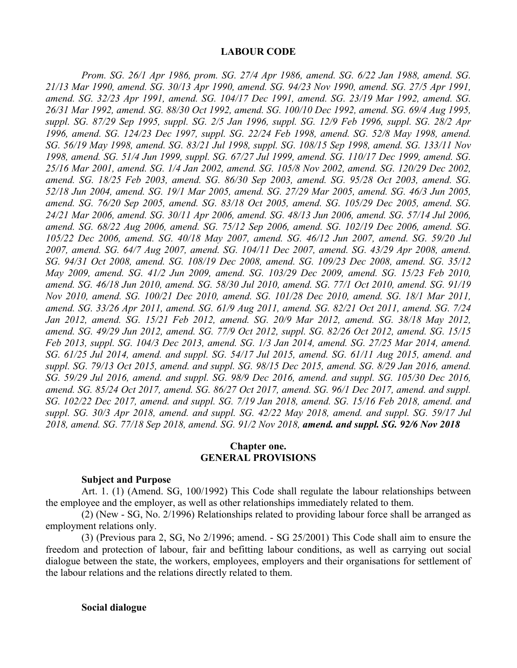#### **LABOUR CODE**

*Prom. SG. 26/1 Apr 1986, prom. SG. 27/4 Apr 1986, amend. SG. 6/22 Jan 1988, amend. SG. 21/13 Mar 1990, amend. SG. 30/13 Apr 1990, amend. SG. 94/23 Nov 1990, amend. SG. 27/5 Apr 1991, amend. SG. 32/23 Apr 1991, amend. SG. 104/17 Dec 1991, amend. SG. 23/19 Mar 1992, amend. SG. 26/31 Mar 1992, amend. SG. 88/30 Oct 1992, amend. SG. 100/10 Dec 1992, amend. SG. 69/4 Aug 1995, suppl. SG. 87/29 Sep 1995, suppl. SG. 2/5 Jan 1996, suppl. SG. 12/9 Feb 1996, suppl. SG. 28/2 Apr*  1996, amend. SG. 124/23 Dec 1997, suppl. SG. 22/24 Feb 1998, amend. SG. 52/8 May 1998, amend. *SG. 56/19 May 1998, amend. SG. 83/21 Jul 1998, suppl. SG. 108/15 Sep 1998, amend. SG. 133/11 Nov 1998, amend. SG. 51/4 Jun 1999, suppl. SG. 67/27 Jul 1999, amend. SG. 110/17 Dec 1999, amend. SG. 25/16 Mar 2001, amend. SG. 1/4 Jan 2002, amend. SG. 105/8 Nov 2002, amend. SG. 120/29 Dec 2002, amend. SG. 18/25 Feb 2003, amend. SG. 86/30 Sep 2003, amend. SG. 95/28 Oct 2003, amend. SG. 52/18 Jun 2004, amend. SG. 19/1 Mar 2005, amend. SG. 27/29 Mar 2005, amend. SG. 46/3 Jun 2005, amend. SG. 76/20 Sep 2005, amend. SG. 83/18 Oct 2005, amend. SG. 105/29 Dec 2005, amend. SG. 24/21 Mar 2006, amend. SG. 30/11 Apr 2006, amend. SG. 48/13 Jun 2006, amend. SG. 57/14 Jul 2006, amend. SG. 68/22 Aug 2006, amend. SG. 75/12 Sep 2006, amend. SG. 102/19 Dec 2006, amend. SG. 105/22 Dec 2006, amend. SG. 40/18 May 2007, amend. SG. 46/12 Jun 2007, amend. SG. 59/20 Jul 2007, amend. SG. 64/7 Aug 2007, amend. SG. 104/11 Dec 2007, amend. SG. 43/29 Apr 2008, amend. SG. 94/31 Oct 2008, amend. SG. 108/19 Dec 2008, amend. SG. 109/23 Dec 2008, amend. SG. 35/12 May 2009, amend. SG. 41/2 Jun 2009, amend. SG. 103/29 Dec 2009, amend. SG. 15/23 Feb 2010, amend. SG. 46/18 Jun 2010, amend. SG. 58/30 Jul 2010, amend. SG. 77/1 Oct 2010, amend. SG. 91/19 Nov 2010, amend. SG. 100/21 Dec 2010, amend. SG. 101/28 Dec 2010, amend. SG. 18/1 Mar 2011, amend. SG. 33/26 Apr 2011, amend. SG. 61/9 Aug 2011, amend. SG. 82/21 Oct 2011, amend. SG. 7/24 Jan 2012, amend. SG. 15/21 Feb 2012, amend. SG. 20/9 Mar 2012, amend. SG. 38/18 May 2012, amend. SG. 49/29 Jun 2012, amend. SG. 77/9 Oct 2012, suppl. SG. 82/26 Oct 2012, amend. SG. 15/15 Feb 2013, suppl. SG. 104/3 Dec 2013, amend. SG. 1/3 Jan 2014, amend. SG. 27/25 Mar 2014, amend. SG. 61/25 Jul 2014, amend. and suppl. SG. 54/17 Jul 2015, amend. SG. 61/11 Aug 2015, amend. and suppl. SG. 79/13 Oct 2015, amend. and suppl. SG. 98/15 Dec 2015, amend. SG. 8/29 Jan 2016, amend. SG. 59/29 Jul 2016, amend. and suppl. SG. 98/9 Dec 2016, amend. and suppl. SG. 105/30 Dec 2016, amend. SG. 85/24 Oct 2017, amend. SG. 86/27 Oct 2017, amend. SG. 96/1 Dec 2017, amend. and suppl. SG. 102/22 Dec 2017, amend. and suppl. SG. 7/19 Jan 2018, amend. SG. 15/16 Feb 2018, amend. and suppl. SG. 30/3 Apr 2018, amend. and suppl. SG. 42/22 May 2018, amend. and suppl. SG. 59/17 Jul 2018, amend. SG. 77/18 Sep 2018, amend. SG. 91/2 Nov 2018, amend. and suppl. SG. 92/6 Nov 2018*

#### **Chapter one. GENERAL PROVISIONS**

# **Subject and Purpose**

Art. 1. (1) (Amend. SG, 100/1992) This Code shall regulate the labour relationships between the employee and the employer, as well as other relationships immediately related to them.

(2) (New - SG, No. 2/1996) Relationships related to providing labour force shall be arranged as employment relations only.

(3) (Previous para 2, SG, No 2/1996; amend. - SG 25/2001) This Code shall aim to ensure the freedom and protection of labour, fair and befitting labour conditions, as well as carrying out social dialogue between the state, the workers, employees, employers and their organisations for settlement of the labour relations and the relations directly related to them.

#### **Social dialogue**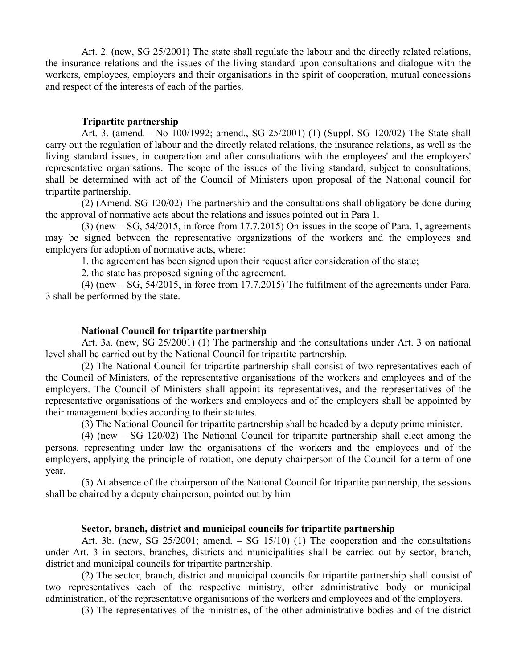Art. 2. (new, SG 25/2001) The state shall regulate the labour and the directly related relations, the insurance relations and the issues of the living standard upon consultations and dialogue with the workers, employees, employers and their organisations in the spirit of cooperation, mutual concessions and respect of the interests of each of the parties.

### **Tripartite partnership**

Art. 3. (amend. - No 100/1992; amend., SG 25/2001) (1) (Suppl. SG 120/02) The State shall carry out the regulation of labour and the directly related relations, the insurance relations, as well as the living standard issues, in cooperation and after consultations with the employees' and the employers' representative organisations. The scope of the issues of the living standard, subject to consultations, shall be determined with act of the Council of Ministers upon proposal of the National council for tripartite partnership.

(2) (Amend. SG 120/02) The partnership and the consultations shall obligatory be done during the approval of normative acts about the relations and issues pointed out in Para 1.

(3) (new – SG, 54/2015, in force from 17.7.2015) On issues in the scope of Para. 1, agreements may be signed between the representative organizations of the workers and the employees and employers for adoption of normative acts, where:

1. the agreement has been signed upon their request after consideration of the state;

2. the state has proposed signing of the agreement.

(4) (new – SG, 54/2015, in force from 17.7.2015) The fulfilment of the agreements under Para. 3 shall be performed by the state.

#### **National Council for tripartite partnership**

Art. 3a. (new, SG 25/2001) (1) The partnership and the consultations under Art. 3 on national level shall be carried out by the National Council for tripartite partnership.

(2) The National Council for tripartite partnership shall consist of two representatives each of the Council of Ministers, of the representative organisations of the workers and employees and of the employers. The Council of Ministers shall appoint its representatives, and the representatives of the representative organisations of the workers and employees and of the employers shall be appointed by their management bodies according to their statutes.

(3) The National Council for tripartite partnership shall be headed by a deputy prime minister.

(4) (new – SG 120/02) The National Council for tripartite partnership shall elect among the persons, representing under law the organisations of the workers and the employees and of the employers, applying the principle of rotation, one deputy chairperson of the Council for a term of one year.

(5) At absence of the chairperson of the National Council for tripartite partnership, the sessions shall be chaired by a deputy chairperson, pointed out by him

# **Sector, branch, district and municipal councils for tripartite partnership**

Art. 3b. (new, SG 25/2001; amend. – SG 15/10) (1) The cooperation and the consultations under Art. 3 in sectors, branches, districts and municipalities shall be carried out by sector, branch, district and municipal councils for tripartite partnership.

(2) The sector, branch, district and municipal councils for tripartite partnership shall consist of two representatives each of the respective ministry, other administrative body or municipal administration, of the representative organisations of the workers and employees and of the employers.

(3) The representatives of the ministries, of the other administrative bodies and of the district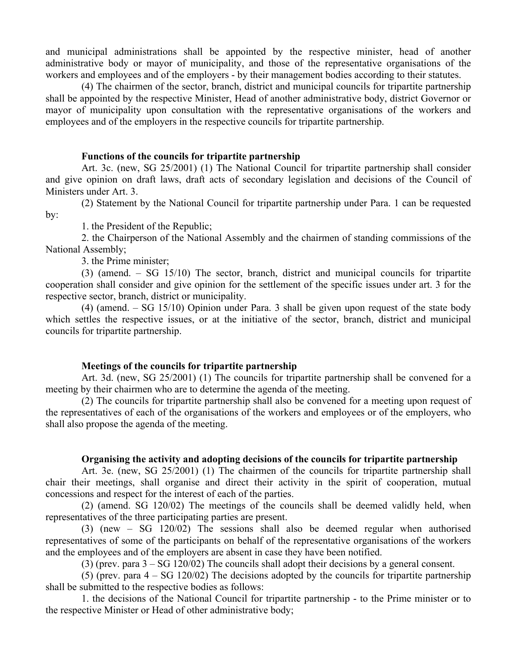and municipal administrations shall be appointed by the respective minister, head of another administrative body or mayor of municipality, and those of the representative organisations of the workers and employees and of the employers - by their management bodies according to their statutes.

(4) The chairmen of the sector, branch, district and municipal councils for tripartite partnership shall be appointed by the respective Minister, Head of another administrative body, district Governor or mayor of municipality upon consultation with the representative organisations of the workers and employees and of the employers in the respective councils for tripartite partnership.

#### **Functions of the councils for tripartite partnership**

Art. 3c. (new, SG 25/2001) (1) The National Council for tripartite partnership shall consider and give opinion on draft laws, draft acts of secondary legislation and decisions of the Council of Ministers under Art. 3.

(2) Statement by the National Council for tripartite partnership under Para. 1 can be requested by:

1. the President of the Republic;

2. the Chairperson of the National Assembly and the chairmen of standing commissions of the National Assembly;

3. the Prime minister;

(3) (amend. – SG 15/10) The sector, branch, district and municipal councils for tripartite cooperation shall consider and give opinion for the settlement of the specific issues under art. 3 for the respective sector, branch, district or municipality.

(4) (amend. – SG 15/10) Opinion under Para. 3 shall be given upon request of the state body which settles the respective issues, or at the initiative of the sector, branch, district and municipal councils for tripartite partnership.

# **Meetings of the councils for tripartite partnership**

Art. 3d. (new, SG 25/2001) (1) The councils for tripartite partnership shall be convened for a meeting by their chairmen who are to determine the agenda of the meeting.

(2) The councils for tripartite partnership shall also be convened for a meeting upon request of the representatives of each of the organisations of the workers and employees or of the employers, who shall also propose the agenda of the meeting.

# **Organising the activity and adopting decisions of the councils for tripartite partnership**

Art. 3e. (new, SG 25/2001) (1) The chairmen of the councils for tripartite partnership shall chair their meetings, shall organise and direct their activity in the spirit of cooperation, mutual concessions and respect for the interest of each of the parties.

(2) (amend. SG 120/02) The meetings of the councils shall be deemed validly held, when representatives of the three participating parties are present.

(3) (new – SG 120/02) The sessions shall also be deemed regular when authorised representatives of some of the participants on behalf of the representative organisations of the workers and the employees and of the employers are absent in case they have been notified.

(3) (prev. para 3 – SG 120/02) The councils shall adopt their decisions by a general consent.

(5) (prev. para  $4 - SG \ 120/02$ ) The decisions adopted by the councils for tripartite partnership shall be submitted to the respective bodies as follows:

1. the decisions of the National Council for tripartite partnership - to the Prime minister or to the respective Minister or Head of other administrative body;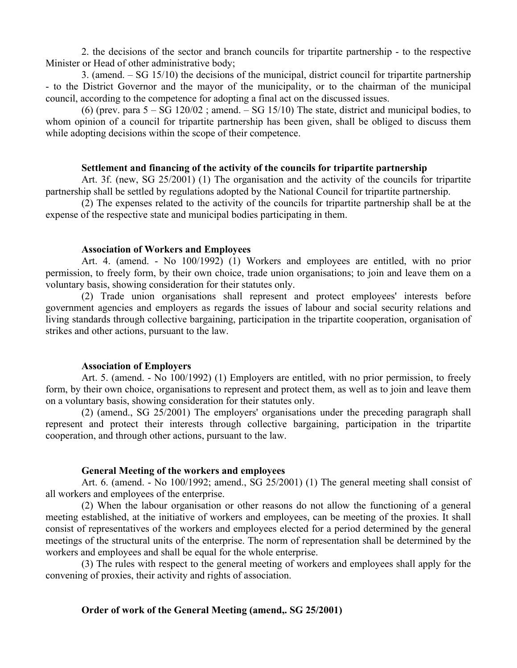2. the decisions of the sector and branch councils for tripartite partnership - to the respective Minister or Head of other administrative body;

3. (amend. – SG 15/10) the decisions of the municipal, district council for tripartite partnership - to the District Governor and the mayor of the municipality, or to the chairman of the municipal council, according to the competence for adopting a final act on the discussed issues.

(6) (prev. para  $5 - SG \ 120/02$ ; amend.  $-SG \ 15/10$ ) The state, district and municipal bodies, to whom opinion of a council for tripartite partnership has been given, shall be obliged to discuss them while adopting decisions within the scope of their competence.

## **Settlement and financing of the activity of the councils for tripartite partnership**

Art. 3f. (new, SG 25/2001) (1) The organisation and the activity of the councils for tripartite partnership shall be settled by regulations adopted by the National Council for tripartite partnership.

(2) The expenses related to the activity of the councils for tripartite partnership shall be at the expense of the respective state and municipal bodies participating in them.

#### **Association of Workers and Employees**

Art. 4. (amend. - No 100/1992) (1) Workers and employees are entitled, with no prior permission, to freely form, by their own choice, trade union organisations; to join and leave them on a voluntary basis, showing consideration for their statutes only.

(2) Trade union organisations shall represent and protect employees' interests before government agencies and employers as regards the issues of labour and social security relations and living standards through collective bargaining, participation in the tripartite cooperation, organisation of strikes and other actions, pursuant to the law.

#### **Association of Employers**

Art. 5. (amend. - No 100/1992) (1) Employers are entitled, with no prior permission, to freely form, by their own choice, organisations to represent and protect them, as well as to join and leave them on a voluntary basis, showing consideration for their statutes only.

(2) (amend., SG 25/2001) The employers' organisations under the preceding paragraph shall represent and protect their interests through collective bargaining, participation in the tripartite cooperation, and through other actions, pursuant to the law.

### **General Meeting of the workers and employees**

Art. 6. (amend. - No 100/1992; amend., SG 25/2001) (1) The general meeting shall consist of all workers and employees of the enterprise.

(2) When the labour organisation or other reasons do not allow the functioning of a general meeting established, at the initiative of workers and employees, can be meeting of the proxies. It shall consist of representatives of the workers and employees elected for a period determined by the general meetings of the structural units of the enterprise. The norm of representation shall be determined by the workers and employees and shall be equal for the whole enterprise.

(3) The rules with respect to the general meeting of workers and employees shall apply for the convening of proxies, their activity and rights of association.

## **Order of work of the General Meeting (amend,. SG 25/2001)**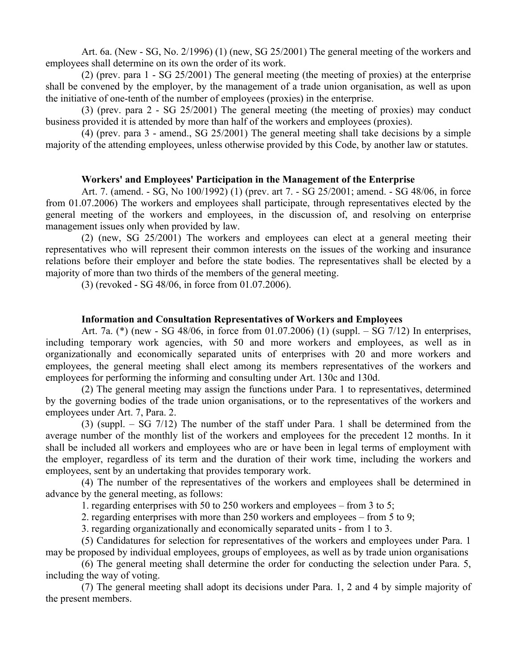Art. 6a. (New - SG, No. 2/1996) (1) (new, SG 25/2001) The general meeting of the workers and employees shall determine on its own the order of its work.

(2) (prev. para 1 - SG 25/2001) The general meeting (the meeting of proxies) at the enterprise shall be convened by the employer, by the management of a trade union organisation, as well as upon the initiative of one-tenth of the number of employees (proxies) in the enterprise.

(3) (prev. para 2 - SG 25/2001) The general meeting (the meeting of proxies) may conduct business provided it is attended by more than half of the workers and employees (proxies).

(4) (prev. para 3 - amend., SG 25/2001) The general meeting shall take decisions by a simple majority of the attending employees, unless otherwise provided by this Code, by another law or statutes.

# **Workers' and Employees' Participation in the Management of the Enterprise**

Art. 7. (amend. - SG, No 100/1992) (1) (prev. art 7. - SG 25/2001; amend. - SG 48/06, in force from 01.07.2006) The workers and employees shall participate, through representatives elected by the general meeting of the workers and employees, in the discussion of, and resolving on enterprise management issues only when provided by law.

(2) (new, SG 25/2001) The workers and employees can elect at a general meeting their representatives who will represent their common interests on the issues of the working and insurance relations before their employer and before the state bodies. The representatives shall be elected by a majority of more than two thirds of the members of the general meeting.

(3) (revoked - SG 48/06, in force from 01.07.2006).

# **Information and Consultation Representatives of Workers and Employees**

Art. 7a. (\*) (new - SG 48/06, in force from 01.07.2006) (1) (suppl. – SG 7/12) In enterprises, including temporary work agencies, with 50 and more workers and employees, as well as in organizationally and economically separated units of enterprises with 20 and more workers and employees, the general meeting shall elect among its members representatives of the workers and employees for performing the informing and consulting under Art. 130c and 130d.

(2) The general meeting may assign the functions under Para. 1 to representatives, determined by the governing bodies of the trade union organisations, or to the representatives of the workers and employees under Art. 7, Para. 2.

(3) (suppl. – SG 7/12) The number of the staff under Para. 1 shall be determined from the average number of the monthly list of the workers and employees for the precedent 12 months. In it shall be included all workers and employees who are or have been in legal terms of employment with the employer, regardless of its term and the duration of their work time, including the workers and employees, sent by an undertaking that provides temporary work.

(4) The number of the representatives of the workers and employees shall be determined in advance by the general meeting, as follows:

1. regarding enterprises with 50 to 250 workers and employees – from 3 to 5;

2. regarding enterprises with more than 250 workers and employees – from 5 to 9;

3. regarding organizationally and economically separated units - from 1 to 3.

(5) Candidatures for selection for representatives of the workers and employees under Para. 1 may be proposed by individual employees, groups of employees, as well as by trade union organisations

(6) The general meeting shall determine the order for conducting the selection under Para. 5, including the way of voting.

(7) The general meeting shall adopt its decisions under Para. 1, 2 and 4 by simple majority of the present members.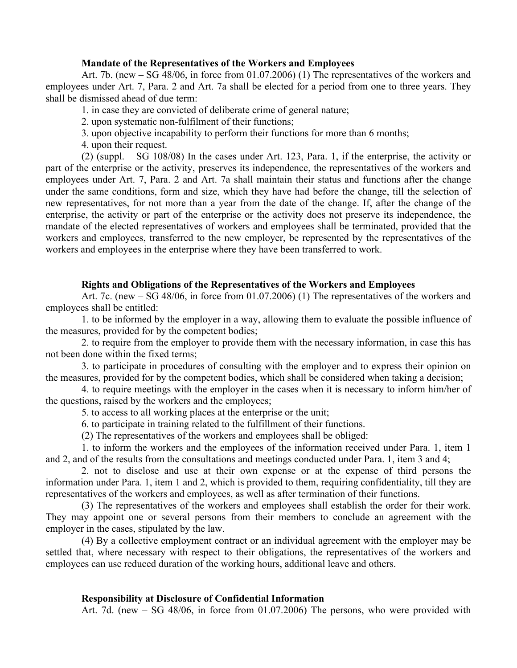## **Mandate of the Representatives of the Workers and Employees**

Art. 7b. (new – SG 48/06, in force from 01.07.2006) (1) The representatives of the workers and employees under Art. 7, Para. 2 and Art. 7a shall be elected for a period from one to three years. They shall be dismissed ahead of due term:

1. in case they are convicted of deliberate crime of general nature;

2. upon systematic non-fulfilment of their functions;

3. upon objective incapability to perform their functions for more than 6 months;

4. upon their request.

(2) (suppl. – SG 108/08) In the cases under Art. 123, Para. 1, if the enterprise, the activity or part of the enterprise or the activity, preserves its independence, the representatives of the workers and employees under Art. 7, Para. 2 and Art. 7a shall maintain their status and functions after the change under the same conditions, form and size, which they have had before the change, till the selection of new representatives, for not more than a year from the date of the change. If, after the change of the enterprise, the activity or part of the enterprise or the activity does not preserve its independence, the mandate of the elected representatives of workers and employees shall be terminated, provided that the workers and employees, transferred to the new employer, be represented by the representatives of the workers and employees in the enterprise where they have been transferred to work.

# **Rights and Obligations of the Representatives of the Workers and Employees**

Art. 7c. (new – SG 48/06, in force from 01.07.2006) (1) The representatives of the workers and employees shall be entitled:

1. to be informed by the employer in a way, allowing them to evaluate the possible influence of the measures, provided for by the competent bodies;

2. to require from the employer to provide them with the necessary information, in case this has not been done within the fixed terms;

3. to participate in procedures of consulting with the employer and to express their opinion on the measures, provided for by the competent bodies, which shall be considered when taking a decision;

4. to require meetings with the employer in the cases when it is necessary to inform him/her of the questions, raised by the workers and the employees;

5. to access to all working places at the enterprise or the unit;

6. to participate in training related to the fulfillment of their functions.

(2) The representatives of the workers and employees shall be obliged:

1. to inform the workers and the employees of the information received under Para. 1, item 1 and 2, and of the results from the consultations and meetings conducted under Para. 1, item 3 and 4;

2. not to disclose and use at their own expense or at the expense of third persons the information under Para. 1, item 1 and 2, which is provided to them, requiring confidentiality, till they are representatives of the workers and employees, as well as after termination of their functions.

(3) The representatives of the workers and employees shall establish the order for their work. They may appoint one or several persons from their members to conclude an agreement with the employer in the cases, stipulated by the law.

(4) By a collective employment contract or an individual agreement with the employer may be settled that, where necessary with respect to their obligations, the representatives of the workers and employees can use reduced duration of the working hours, additional leave and others.

# **Responsibility at Disclosure of Confidential Information**

Art. 7d. (new – SG 48/06, in force from 01.07.2006) The persons, who were provided with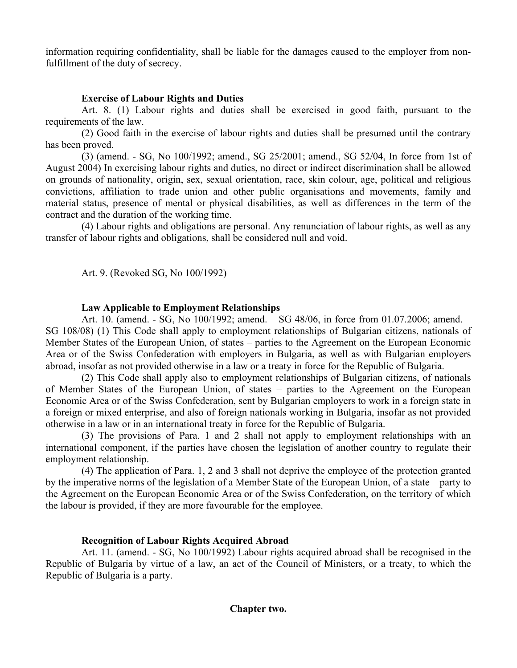information requiring confidentiality, shall be liable for the damages caused to the employer from nonfulfillment of the duty of secrecy.

# **Exercise of Labour Rights and Duties**

Art. 8. (1) Labour rights and duties shall be exercised in good faith, pursuant to the requirements of the law.

(2) Good faith in the exercise of labour rights and duties shall be presumed until the contrary has been proved.

(3) (amend. - SG, No 100/1992; amend., SG 25/2001; amend., SG 52/04, In force from 1st of August 2004) In exercising labour rights and duties, no direct or indirect discrimination shall be allowed on grounds of nationality, origin, sex, sexual orientation, race, skin colour, age, political and religious convictions, affiliation to trade union and other public organisations and movements, family and material status, presence of mental or physical disabilities, as well as differences in the term of the contract and the duration of the working time.

(4) Labour rights and obligations are personal. Any renunciation of labour rights, as well as any transfer of labour rights and obligations, shall be considered null and void.

Art. 9. (Revoked SG, No 100/1992)

# **Law Applicable to Employment Relationships**

Art. 10. (amend. - SG, No 100/1992; amend. – SG 48/06, in force from 01.07.2006; amend. – SG 108/08) (1) This Code shall apply to employment relationships of Bulgarian citizens, nationals of Member States of the European Union, of states – parties to the Agreement on the European Economic Area or of the Swiss Confederation with employers in Bulgaria, as well as with Bulgarian employers abroad, insofar as not provided otherwise in a law or a treaty in force for the Republic of Bulgaria.

(2) This Code shall apply also to employment relationships of Bulgarian citizens, of nationals of Member States of the European Union, of states – parties to the Agreement on the European Economic Area or of the Swiss Confederation, sent by Bulgarian employers to work in a foreign state in a foreign or mixed enterprise, and also of foreign nationals working in Bulgaria, insofar as not provided otherwise in a law or in an international treaty in force for the Republic of Bulgaria.

(3) The provisions of Para. 1 and 2 shall not apply to employment relationships with an international component, if the parties have chosen the legislation of another country to regulate their employment relationship.

(4) The application of Para. 1, 2 and 3 shall not deprive the employee of the protection granted by the imperative norms of the legislation of a Member State of the European Union, of a state – party to the Agreement on the European Economic Area or of the Swiss Confederation, on the territory of which the labour is provided, if they are more favourable for the employee.

# **Recognition of Labour Rights Acquired Abroad**

Art. 11. (amend. - SG, No 100/1992) Labour rights acquired abroad shall be recognised in the Republic of Bulgaria by virtue of a law, an act of the Council of Ministers, or a treaty, to which the Republic of Bulgaria is a party.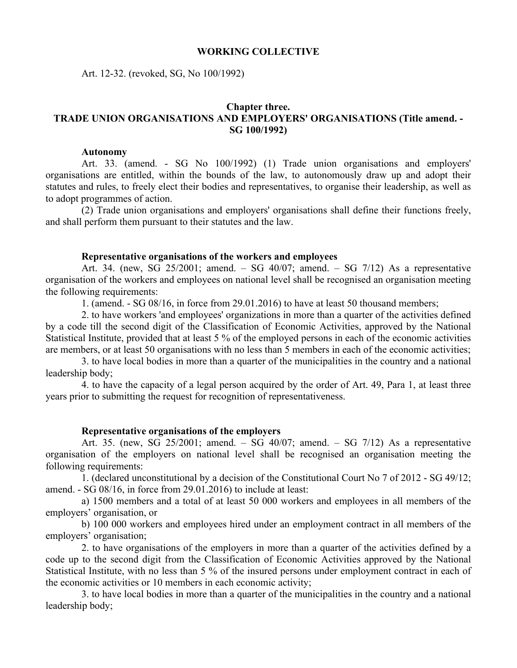#### **WORKING COLLECTIVE**

Art. 12-32. (revoked, SG, No 100/1992)

# **Chapter three. TRADE UNION ORGANISATIONS AND EMPLOYERS' ORGANISATIONS (Title amend. - SG 100/1992)**

#### **Autonomy**

Art. 33. (amend. - SG No 100/1992) (1) Trade union organisations and employers' organisations are entitled, within the bounds of the law, to autonomously draw up and adopt their statutes and rules, to freely elect their bodies and representatives, to organise their leadership, as well as to adopt programmes of action.

(2) Trade union organisations and employers' organisations shall define their functions freely, and shall perform them pursuant to their statutes and the law.

### **Representative organisations of the workers and employees**

Art. 34. (new, SG 25/2001; amend. – SG 40/07; amend. – SG 7/12) As a representative organisation of the workers and employees on national level shall be recognised an organisation meeting the following requirements:

1. (amend. - SG 08/16, in force from 29.01.2016) to have at least 50 thousand members;

2. to have workers 'and employees' organizations in more than a quarter of the activities defined by a code till the second digit of the Classification of Economic Activities, approved by the National Statistical Institute, provided that at least 5 % of the employed persons in each of the economic activities are members, or at least 50 organisations with no less than 5 members in each of the economic activities;

3. to have local bodies in more than a quarter of the municipalities in the country and a national leadership body;

4. to have the capacity of a legal person acquired by the order of Art. 49, Para 1, at least three years prior to submitting the request for recognition of representativeness.

# **Representative organisations of the employers**

Art. 35. (new, SG 25/2001; amend. – SG 40/07; amend. – SG 7/12) As a representative organisation of the employers on national level shall be recognised an organisation meeting the following requirements:

1. (declared unconstitutional by a decision of the Constitutional Court No 7 of 2012 - SG 49/12; amend. - SG 08/16, in force from 29.01.2016) to include at least:

a) 1500 members and a total of at least 50 000 workers and employees in all members of the employers' organisation, or

b) 100 000 workers and employees hired under an employment contract in all members of the employers' organisation;

2. to have organisations of the employers in more than a quarter of the activities defined by a code up to the second digit from the Classification of Economic Activities approved by the National Statistical Institute, with no less than 5 % of the insured persons under employment contract in each of the economic activities or 10 members in each economic activity;

3. to have local bodies in more than a quarter of the municipalities in the country and a national leadership body;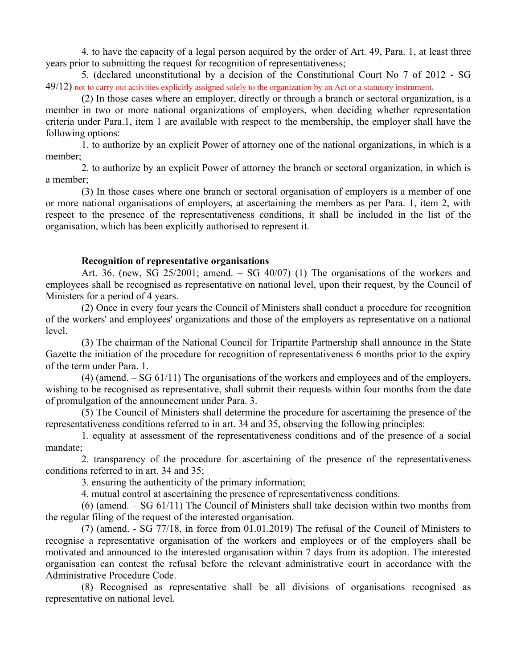4. to have the capacity of a legal person acquired by the order of Art. 49, Para. 1, at least three years prior to submitting the request for recognition of representativeness;

5. (declared unconstitutional by a decision of the Constitutional Court No 7 of 2012 - SG 49/12) not to carry out activities explicitly assigned solely to the organization by an Act or a statutory instrument.

(2) In those cases where an employer, directly or through a branch or sectoral organization, is a member in two or more national organizations of employers, when deciding whether representation criteria under Para.1, item 1 are available with respect to the membership, the employer shall have the following options:

1. to authorize by an explicit Power of attorney one of the national organizations, in which is a member;

2. to authorize by an explicit Power of attorney the branch or sectoral organization, in which is a member;

(3) In those cases where one branch or sectoral organisation of employers is a member of one or more national organisations of employers, at ascertaining the members as per Para. 1, item 2, with respect to the presence of the representativeness conditions, it shall be included in the list of the organisation, which has been explicitly authorised to represent it.

# **Recognition of representative organisations**

Art. 36. (new, SG 25/2001; amend. – SG 40/07) (1) The organisations of the workers and employees shall be recognised as representative on national level, upon their request, by the Council of Ministers for a period of 4 years.

(2) Once in every four years the Council of Ministers shall conduct a procedure for recognition of the workers' and employees' organizations and those of the employers as representative on a national level.

(3) The chairman of the National Council for Tripartite Partnership shall announce in the State Gazette the initiation of the procedure for recognition of representativeness 6 months prior to the expiry of the term under Para. 1.

(4) (amend. – SG 61/11) The organisations of the workers and employees and of the employers, wishing to be recognised as representative, shall submit their requests within four months from the date of promulgation of the announcement under Para. 3.

(5) The Council of Ministers shall determine the procedure for ascertaining the presence of the representativeness conditions referred to in art. 34 and 35, observing the following principles:

1. equality at assessment of the representativeness conditions and of the presence of a social mandate;

2. transparency of the procedure for ascertaining of the presence of the representativeness conditions referred to in art. 34 and 35;

3. ensuring the authenticity of the primary information;

4. mutual control at ascertaining the presence of representativeness conditions.

(6) (amend. – SG 61/11) The Council of Ministers shall take decision within two months from the regular filing of the request of the interested organisation.

(7) (amend. - SG 77/18, in force from 01.01.2019) The refusal of the Council of Ministers to recognise a representative organisation of the workers and employees or of the employers shall be motivated and announced to the interested organisation within 7 days from its adoption. The interested organisation can contest the refusal before the relevant administrative court in accordance with the Administrative Procedure Code.

(8) Recognised as representative shall be all divisions of organisations recognised as representative on national level.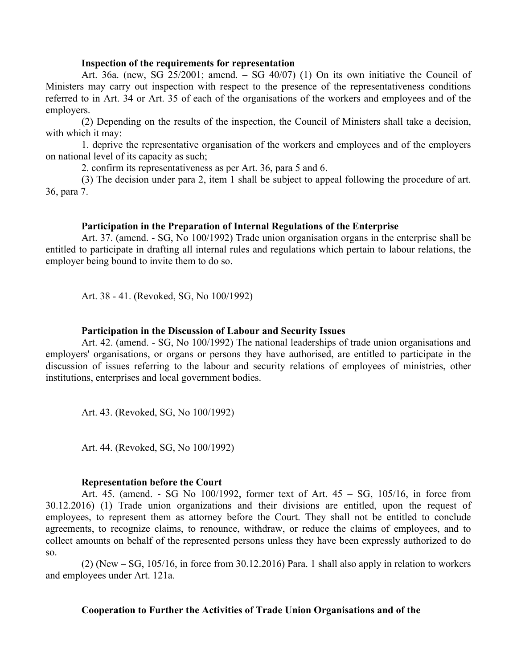### **Inspection of the requirements for representation**

Art. 36a. (new, SG 25/2001; amend. – SG 40/07) (1) On its own initiative the Council of Ministers may carry out inspection with respect to the presence of the representativeness conditions referred to in Art. 34 or Art. 35 of each of the organisations of the workers and employees and of the employers.

(2) Depending on the results of the inspection, the Council of Ministers shall take a decision, with which it may:

1. deprive the representative organisation of the workers and employees and of the employers on national level of its capacity as such;

2. confirm its representativeness as per Art. 36, para 5 and 6.

(3) The decision under para 2, item 1 shall be subject to appeal following the procedure of art. 36, para 7.

## **Participation in the Preparation of Internal Regulations of the Enterprise**

Art. 37. (amend. - SG, No 100/1992) Trade union organisation organs in the enterprise shall be entitled to participate in drafting all internal rules and regulations which pertain to labour relations, the employer being bound to invite them to do so.

Art. 38 - 41. (Revoked, SG, No 100/1992)

# **Participation in the Discussion of Labour and Security Issues**

Art. 42. (amend. - SG, No 100/1992) The national leaderships of trade union organisations and employers' organisations, or organs or persons they have authorised, are entitled to participate in the discussion of issues referring to the labour and security relations of employees of ministries, other institutions, enterprises and local government bodies.

Art. 43. (Revoked, SG, No 100/1992)

Art. 44. (Revoked, SG, No 100/1992)

## **Representation before the Court**

Art. 45. (amend. - SG No 100/1992, former text of Art. 45 – SG, 105/16, in force from 30.12.2016) (1) Trade union organizations and their divisions are entitled, upon the request of employees, to represent them as attorney before the Court. They shall not be entitled to conclude agreements, to recognize claims, to renounce, withdraw, or reduce the claims of employees, and to collect amounts on behalf of the represented persons unless they have been expressly authorized to do so.

(2) (New – SG, 105/16, in force from 30.12.2016) Para. 1 shall also apply in relation to workers and employees under Art. 121a.

# **Cooperation to Further the Activities of Trade Union Organisations and of the**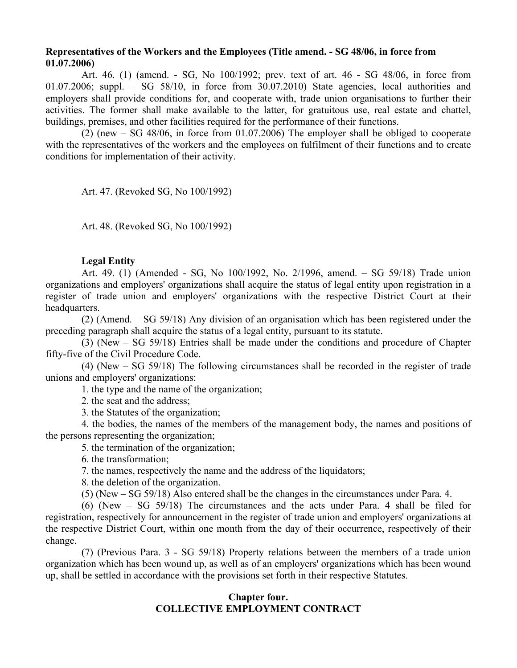# **Representatives of the Workers and the Employees (Title amend. - SG 48/06, in force from 01.07.2006)**

Art. 46. (1) (amend. - SG, No 100/1992; prev. text of art. 46 - SG 48/06, in force from 01.07.2006; suppl.  $-$  SG 58/10, in force from 30.07.2010) State agencies, local authorities and employers shall provide conditions for, and cooperate with, trade union organisations to further their activities. The former shall make available to the latter, for gratuitous use, real estate and chattel, buildings, premises, and other facilities required for the performance of their functions.

(2) (new – SG 48/06, in force from 01.07.2006) The employer shall be obliged to cooperate with the representatives of the workers and the employees on fulfilment of their functions and to create conditions for implementation of their activity.

Art. 47. (Revoked SG, No 100/1992)

Art. 48. (Revoked SG, No 100/1992)

# **Legal Entity**

Art. 49. (1) (Amended - SG, No 100/1992, No. 2/1996, amend. – SG 59/18) Trade union organizations and employers' organizations shall acquire the status of legal entity upon registration in a register of trade union and employers' organizations with the respective District Court at their headquarters.

(2) (Amend. – SG 59/18) Any division of an organisation which has been registered under the preceding paragraph shall acquire the status of a legal entity, pursuant to its statute.

(3) (New – SG 59/18) Entries shall be made under the conditions and procedure of Chapter fifty-five of the Civil Procedure Code.

(4) (New – SG 59/18) The following circumstances shall be recorded in the register of trade unions and employers' organizations:

1. the type and the name of the organization;

2. the seat and the address;

3. the Statutes of the organization;

4. the bodies, the names of the members of the management body, the names and positions of the persons representing the organization;

5. the termination of the organization;

6. the transformation;

7. the names, respectively the name and the address of the liquidators;

8. the deletion of the organization.

(5) (New – SG 59/18) Also entered shall be the changes in the circumstances under Para. 4.

(6) (New – SG 59/18) The circumstances and the acts under Para. 4 shall be filed for registration, respectively for announcement in the register of trade union and employers' organizations at the respective District Court, within one month from the day of their occurrence, respectively of their change.

(7) (Previous Para. 3 - SG 59/18) Property relations between the members of a trade union organization which has been wound up, as well as of an employers' organizations which has been wound up, shall be settled in accordance with the provisions set forth in their respective Statutes.

# **Chapter four. COLLECTIVE EMPLOYMENT CONTRACT**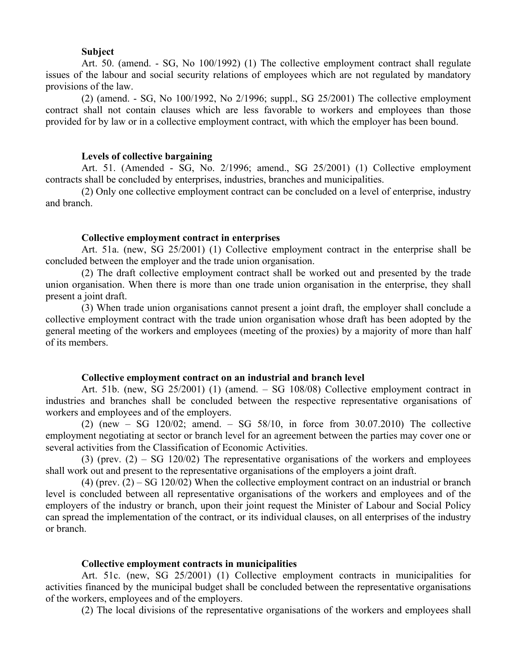#### **Subject**

Art. 50. (amend. - SG, No 100/1992) (1) The collective employment contract shall regulate issues of the labour and social security relations of employees which are not regulated by mandatory provisions of the law.

(2) (amend. - SG, No 100/1992, No 2/1996; suppl., SG 25/2001) The collective employment contract shall not contain clauses which are less favorable to workers and employees than those provided for by law or in a collective employment contract, with which the employer has been bound.

#### **Levels of collective bargaining**

Art. 51. (Amended - SG, No. 2/1996; amend., SG 25/2001) (1) Collective employment contracts shall be concluded by enterprises, industries, branches and municipalities.

(2) Only one collective employment contract can be concluded on a level of enterprise, industry and branch.

#### **Collective employment contract in enterprises**

Art. 51a. (new, SG 25/2001) (1) Collective employment contract in the enterprise shall be concluded between the employer and the trade union organisation.

(2) The draft collective employment contract shall be worked out and presented by the trade union organisation. When there is more than one trade union organisation in the enterprise, they shall present a joint draft.

(3) When trade union organisations cannot present a joint draft, the employer shall conclude a collective employment contract with the trade union organisation whose draft has been adopted by the general meeting of the workers and employees (meeting of the proxies) by a majority of more than half of its members.

#### **Collective employment contract on an industrial and branch level**

Art. 51b. (new, SG 25/2001) (1) (amend. – SG 108/08) Collective employment contract in industries and branches shall be concluded between the respective representative organisations of workers and employees and of the employers.

(2) (new – SG 120/02; amend. – SG 58/10, in force from 30.07.2010) The collective employment negotiating at sector or branch level for an agreement between the parties may cover one or several activities from the Classification of Economic Activities.

(3) (prev.  $(2)$  – SG 120/02) The representative organisations of the workers and employees shall work out and present to the representative organisations of the employers a joint draft.

(4) (prev. (2) – SG 120/02) When the collective employment contract on an industrial or branch level is concluded between all representative organisations of the workers and employees and of the employers of the industry or branch, upon their joint request the Minister of Labour and Social Policy can spread the implementation of the contract, or its individual clauses, on all enterprises of the industry or branch.

#### **Collective employment contracts in municipalities**

Art. 51c. (new, SG 25/2001) (1) Collective employment contracts in municipalities for activities financed by the municipal budget shall be concluded between the representative organisations of the workers, employees and of the employers.

(2) The local divisions of the representative organisations of the workers and employees shall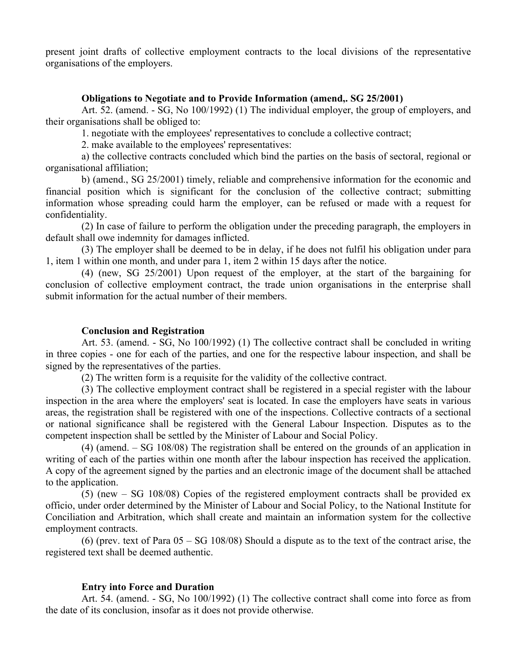present joint drafts of collective employment contracts to the local divisions of the representative organisations of the employers.

## **Obligations to Negotiate and to Provide Information (amend,. SG 25/2001)**

Art. 52. (amend. - SG, No 100/1992) (1) The individual employer, the group of employers, and their organisations shall be obliged to:

1. negotiate with the employees' representatives to conclude a collective contract;

2. make available to the employees' representatives:

a) the collective contracts concluded which bind the parties on the basis of sectoral, regional or organisational affiliation;

b) (amend., SG 25/2001) timely, reliable and comprehensive information for the economic and financial position which is significant for the conclusion of the collective contract; submitting information whose spreading could harm the employer, can be refused or made with a request for confidentiality.

(2) In case of failure to perform the obligation under the preceding paragraph, the employers in default shall owe indemnity for damages inflicted.

(3) The employer shall be deemed to be in delay, if he does not fulfil his obligation under para 1, item 1 within one month, and under para 1, item 2 within 15 days after the notice.

(4) (new, SG 25/2001) Upon request of the employer, at the start of the bargaining for conclusion of collective employment contract, the trade union organisations in the enterprise shall submit information for the actual number of their members.

# **Conclusion and Registration**

Art. 53. (amend. - SG, No 100/1992) (1) The collective contract shall be concluded in writing in three copies - one for each of the parties, and one for the respective labour inspection, and shall be signed by the representatives of the parties.

(2) The written form is a requisite for the validity of the collective contract.

(3) The collective employment contract shall be registered in a special register with the labour inspection in the area where the employers' seat is located. In case the employers have seats in various areas, the registration shall be registered with one of the inspections. Collective contracts of a sectional or national significance shall be registered with the General Labour Inspection. Disputes as to the competent inspection shall be settled by the Minister of Labour and Social Policy.

(4) (amend. – SG 108/08) The registration shall be entered on the grounds of an application in writing of each of the parties within one month after the labour inspection has received the application. A copy of the agreement signed by the parties and an electronic image of the document shall be attached to the application.

(5) (new – SG 108/08) Copies of the registered employment contracts shall be provided ex officio, under order determined by the Minister of Labour and Social Policy, to the National Institute for Conciliation and Arbitration, which shall create and maintain an information system for the collective employment contracts.

(6) (prev. text of Para 05 – SG 108/08) Should a dispute as to the text of the contract arise, the registered text shall be deemed authentic.

# **Entry into Force and Duration**

Art. 54. (amend. - SG, No 100/1992) (1) The collective contract shall come into force as from the date of its conclusion, insofar as it does not provide otherwise.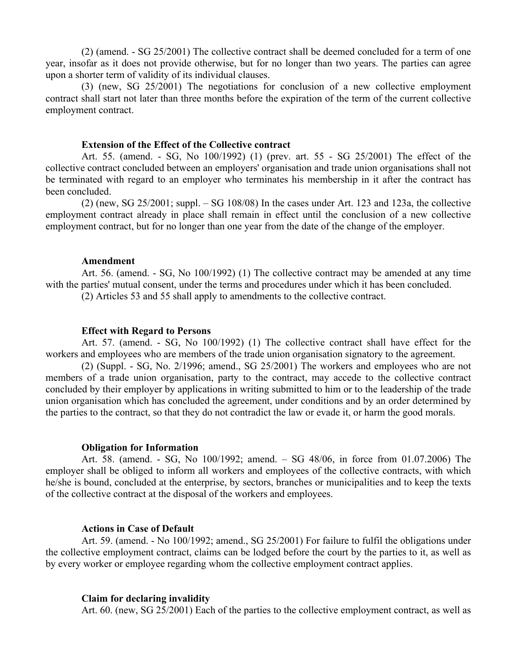(2) (amend. - SG 25/2001) The collective contract shall be deemed concluded for a term of one year, insofar as it does not provide otherwise, but for no longer than two years. The parties can agree upon a shorter term of validity of its individual clauses.

(3) (new, SG 25/2001) The negotiations for conclusion of a new collective employment contract shall start not later than three months before the expiration of the term of the current collective employment contract.

## **Extension of the Effect of the Collective contract**

Art. 55. (amend. - SG, No 100/1992) (1) (prev. art. 55 - SG 25/2001) The effect of the collective contract concluded between an employers' organisation and trade union organisations shall not be terminated with regard to an employer who terminates his membership in it after the contract has been concluded.

 $(2)$  (new, SG 25/2001; suppl.  $-$  SG 108/08) In the cases under Art. 123 and 123a, the collective employment contract already in place shall remain in effect until the conclusion of a new collective employment contract, but for no longer than one year from the date of the change of the employer.

#### **Amendment**

Art. 56. (amend. - SG, No 100/1992) (1) The collective contract may be amended at any time with the parties' mutual consent, under the terms and procedures under which it has been concluded.

(2) Articles 53 and 55 shall apply to amendments to the collective contract.

#### **Effect with Regard to Persons**

Art. 57. (amend. - SG, No 100/1992) (1) The collective contract shall have effect for the workers and employees who are members of the trade union organisation signatory to the agreement.

(2) (Suppl. - SG, No. 2/1996; amend., SG 25/2001) The workers and employees who are not members of a trade union organisation, party to the contract, may accede to the collective contract concluded by their employer by applications in writing submitted to him or to the leadership of the trade union organisation which has concluded the agreement, under conditions and by an order determined by the parties to the contract, so that they do not contradict the law or evade it, or harm the good morals.

#### **Obligation for Information**

Art. 58. (amend. - SG, No 100/1992; amend. – SG 48/06, in force from 01.07.2006) The employer shall be obliged to inform all workers and employees of the collective contracts, with which he/she is bound, concluded at the enterprise, by sectors, branches or municipalities and to keep the texts of the collective contract at the disposal of the workers and employees.

#### **Actions in Case of Default**

Art. 59. (amend. - No 100/1992; amend., SG 25/2001) For failure to fulfil the obligations under the collective employment contract, claims can be lodged before the court by the parties to it, as well as by every worker or employee regarding whom the collective employment contract applies.

#### **Claim for declaring invalidity**

Art. 60. (new, SG 25/2001) Each of the parties to the collective employment contract, as well as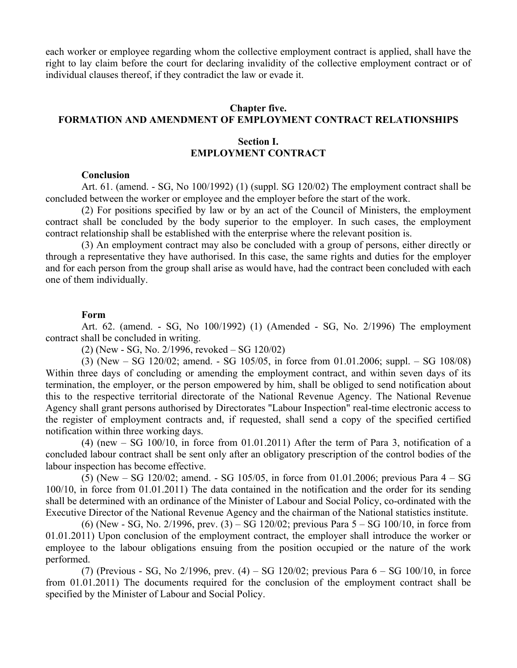each worker or employee regarding whom the collective employment contract is applied, shall have the right to lay claim before the court for declaring invalidity of the collective employment contract or of individual clauses thereof, if they contradict the law or evade it.

# **Chapter five. FORMATION AND AMENDMENT OF EMPLOYMENT CONTRACT RELATIONSHIPS**

# **Section I. EMPLOYMENT CONTRACT**

#### **Conclusion**

Art. 61. (amend. - SG, No 100/1992) (1) (suppl. SG 120/02) The employment contract shall be concluded between the worker or employee and the employer before the start of the work.

(2) For positions specified by law or by an act of the Council of Ministers, the employment contract shall be concluded by the body superior to the employer. In such cases, the employment contract relationship shall be established with the enterprise where the relevant position is.

(3) An employment contract may also be concluded with a group of persons, either directly or through a representative they have authorised. In this case, the same rights and duties for the employer and for each person from the group shall arise as would have, had the contract been concluded with each one of them individually.

### **Form**

Art. 62. (amend. - SG, No 100/1992) (1) (Amended - SG, No. 2/1996) The employment contract shall be concluded in writing.

(2) (New - SG, No. 2/1996, revoked – SG 120/02)

(3) (New – SG 120/02; amend. - SG 105/05, in force from 01.01.2006; suppl. – SG 108/08) Within three days of concluding or amending the employment contract, and within seven days of its termination, the employer, or the person empowered by him, shall be obliged to send notification about this to the respective territorial directorate of the National Revenue Agency. The National Revenue Agency shall grant persons authorised by Directorates "Labour Inspection" real-time electronic access to the register of employment contracts and, if requested, shall send a copy of the specified certified notification within three working days.

(4) (new – SG 100/10, in force from 01.01.2011) After the term of Para 3, notification of a concluded labour contract shall be sent only after an obligatory prescription of the control bodies of the labour inspection has become effective.

(5) (New – SG 120/02; amend. - SG 105/05, in force from 01.01.2006; previous Para 4 – SG 100/10, in force from 01.01.2011) The data contained in the notification and the order for its sending shall be determined with an ordinance of the Minister of Labour and Social Policy, co-ordinated with the Executive Director of the National Revenue Agency and the chairman of the National statistics institute.

(6) (New - SG, No. 2/1996, prev. (3) – SG 120/02; previous Para 5 – SG 100/10, in force from 01.01.2011) Upon conclusion of the employment contract, the employer shall introduce the worker or employee to the labour obligations ensuing from the position occupied or the nature of the work performed.

(7) (Previous - SG, No 2/1996, prev. (4) – SG 120/02; previous Para 6 – SG 100/10, in force from 01.01.2011) The documents required for the conclusion of the employment contract shall be specified by the Minister of Labour and Social Policy.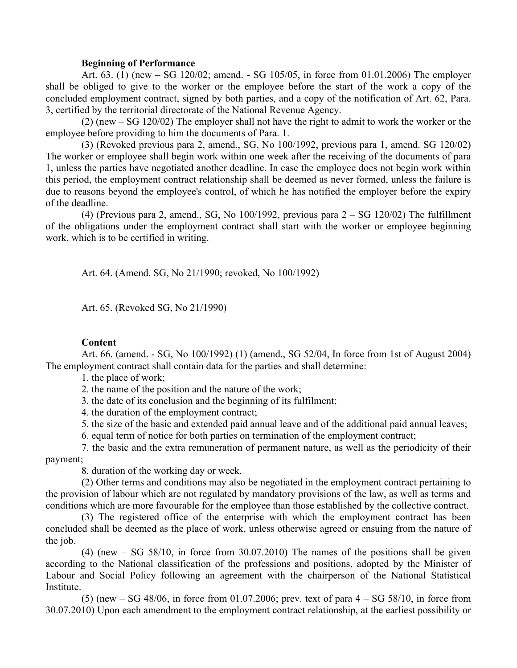#### **Beginning of Performance**

Art. 63. (1) (new – SG 120/02; amend. - SG 105/05, in force from 01.01.2006) The employer shall be obliged to give to the worker or the employee before the start of the work a copy of the concluded employment contract, signed by both parties, and a copy of the notification of Art. 62, Para. 3, certified by the territorial directorate of the National Revenue Agency.

(2) (new – SG 120/02) The employer shall not have the right to admit to work the worker or the employee before providing to him the documents of Para. 1.

(3) (Revoked previous para 2, amend., SG, No 100/1992, previous para 1, amend. SG 120/02) The worker or employee shall begin work within one week after the receiving of the documents of para 1, unless the parties have negotiated another deadline. In case the employee does not begin work within this period, the employment contract relationship shall be deemed as never formed, unless the failure is due to reasons beyond the employee's control, of which he has notified the employer before the expiry of the deadline.

(4) (Previous para 2, amend., SG, No  $100/1992$ , previous para  $2 - SG 120/02$ ) The fulfillment of the obligations under the employment contract shall start with the worker or employee beginning work, which is to be certified in writing.

Art. 64. (Amend. SG, No 21/1990; revoked, No 100/1992)

Art. 65. (Revoked SG, No 21/1990)

#### **Content**

Art. 66. (amend. - SG, No 100/1992) (1) (amend., SG 52/04, In force from 1st of August 2004) The employment contract shall contain data for the parties and shall determine:

1. the place of work;

2. the name of the position and the nature of the work;

- 3. the date of its conclusion and the beginning of its fulfilment;
- 4. the duration of the employment contract;

5. the size of the basic and extended paid annual leave and of the additional paid annual leaves;

6. equal term of notice for both parties on termination of the employment contract;

7. the basic and the extra remuneration of permanent nature, as well as the periodicity of their payment;

8. duration of the working day or week.

(2) Other terms and conditions may also be negotiated in the employment contract pertaining to the provision of labour which are not regulated by mandatory provisions of the law, as well as terms and conditions which are more favourable for the employee than those established by the collective contract.

(3) The registered office of the enterprise with which the employment contract has been concluded shall be deemed as the place of work, unless otherwise agreed or ensuing from the nature of the job.

(4) (new – SG 58/10, in force from 30.07.2010) The names of the positions shall be given according to the National classification of the professions and positions, adopted by the Minister of Labour and Social Policy following an agreement with the chairperson of the National Statistical Institute.

(5) (new  $-$  SG 48/06, in force from 01.07.2006; prev. text of para  $4 -$  SG 58/10, in force from 30.07.2010) Upon each amendment to the employment contract relationship, at the earliest possibility or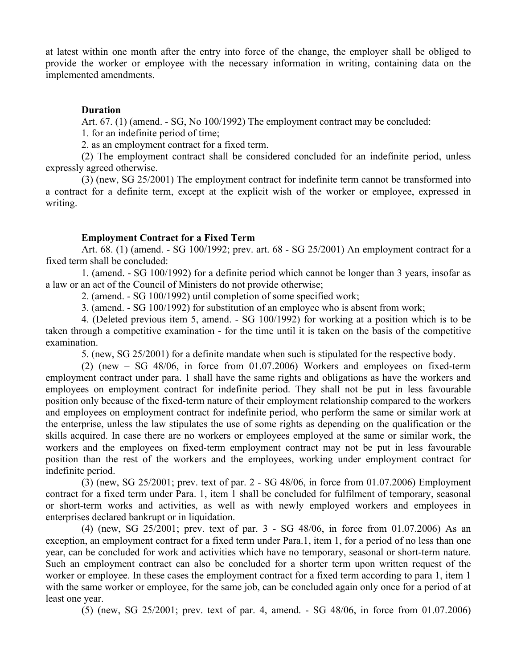at latest within one month after the entry into force of the change, the employer shall be obliged to provide the worker or employee with the necessary information in writing, containing data on the implemented amendments.

## **Duration**

Art. 67. (1) (amend. - SG, No 100/1992) The employment contract may be concluded:

1. for an indefinite period of time;

2. as an employment contract for a fixed term.

(2) The employment contract shall be considered concluded for an indefinite period, unless expressly agreed otherwise.

(3) (new, SG 25/2001) The employment contract for indefinite term cannot be transformed into a contract for a definite term, except at the explicit wish of the worker or employee, expressed in writing.

## **Employment Contract for a Fixed Term**

Art. 68. (1) (amend. - SG 100/1992; prev. art. 68 - SG 25/2001) An employment contract for a fixed term shall be concluded:

1. (amend. - SG 100/1992) for a definite period which cannot be longer than 3 years, insofar as a law or an act of the Council of Ministers do not provide otherwise;

2. (amend. - SG 100/1992) until completion of some specified work;

3. (amend. - SG 100/1992) for substitution of an employee who is absent from work;

4. (Deleted previous item 5, amend. - SG 100/1992) for working at a position which is to be taken through a competitive examination - for the time until it is taken on the basis of the competitive examination.

5. (new, SG 25/2001) for a definite mandate when such is stipulated for the respective body.

(2) (new – SG 48/06, in force from 01.07.2006) Workers and employees on fixed-term employment contract under para. 1 shall have the same rights and obligations as have the workers and employees on employment contract for indefinite period. They shall not be put in less favourable position only because of the fixed-term nature of their employment relationship compared to the workers and employees on employment contract for indefinite period, who perform the same or similar work at the enterprise, unless the law stipulates the use of some rights as depending on the qualification or the skills acquired. In case there are no workers or employees employed at the same or similar work, the workers and the employees on fixed-term employment contract may not be put in less favourable position than the rest of the workers and the employees, working under employment contract for indefinite period.

(3) (new, SG 25/2001; prev. text of par. 2 - SG 48/06, in force from 01.07.2006) Employment contract for a fixed term under Para. 1, item 1 shall be concluded for fulfilment of temporary, seasonal or short-term works and activities, as well as with newly employed workers and employees in enterprises declared bankrupt or in liquidation.

(4) (new, SG 25/2001; prev. text of par. 3 - SG 48/06, in force from 01.07.2006) As an exception, an employment contract for a fixed term under Para.1, item 1, for a period of no less than one year, can be concluded for work and activities which have no temporary, seasonal or short-term nature. Such an employment contract can also be concluded for a shorter term upon written request of the worker or employee. In these cases the employment contract for a fixed term according to para 1, item 1 with the same worker or employee, for the same job, can be concluded again only once for a period of at least one year.

(5) (new, SG 25/2001; prev. text of par. 4, amend. - SG 48/06, in force from 01.07.2006)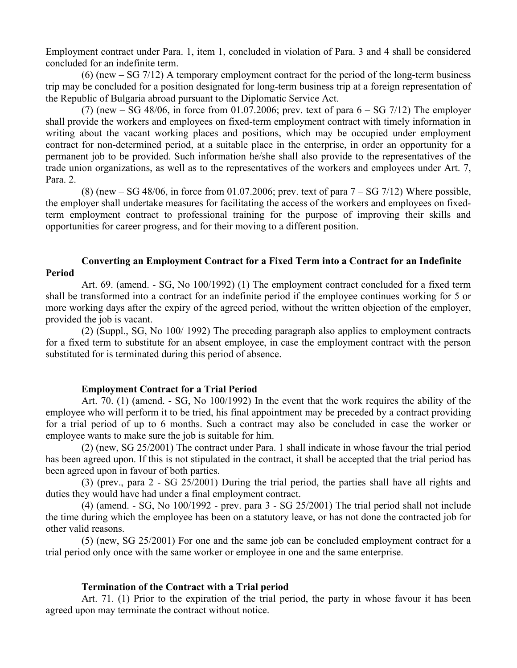Employment contract under Para. 1, item 1, concluded in violation of Para. 3 and 4 shall be considered concluded for an indefinite term.

(6) (new – SG 7/12) A temporary employment contract for the period of the long-term business trip may be concluded for a position designated for long-term business trip at a foreign representation of the Republic of Bulgaria abroad pursuant to the Diplomatic Service Act.

(7) (new  $-$  SG 48/06, in force from 01.07.2006; prev. text of para  $6 -$  SG 7/12) The employer shall provide the workers and employees on fixed-term employment contract with timely information in writing about the vacant working places and positions, which may be occupied under employment contract for non-determined period, at a suitable place in the enterprise, in order an opportunity for a permanent job to be provided. Such information he/she shall also provide to the representatives of the trade union organizations, as well as to the representatives of the workers and employees under Art. 7, Para. 2.

(8) (new  $-$  SG 48/06, in force from 01.07.2006; prev. text of para  $7 -$  SG 7/12) Where possible, the employer shall undertake measures for facilitating the access of the workers and employees on fixedterm employment contract to professional training for the purpose of improving their skills and opportunities for career progress, and for their moving to a different position.

# **Converting an Employment Contract for a Fixed Term into a Contract for an Indefinite Period**

Art. 69. (amend. - SG, No 100/1992) (1) The employment contract concluded for a fixed term shall be transformed into a contract for an indefinite period if the employee continues working for 5 or more working days after the expiry of the agreed period, without the written objection of the employer, provided the job is vacant.

(2) (Suppl., SG, No 100/ 1992) The preceding paragraph also applies to employment contracts for a fixed term to substitute for an absent employee, in case the employment contract with the person substituted for is terminated during this period of absence.

## **Employment Contract for a Trial Period**

Art. 70. (1) (amend. - SG, No 100/1992) In the event that the work requires the ability of the employee who will perform it to be tried, his final appointment may be preceded by a contract providing for a trial period of up to 6 months. Such a contract may also be concluded in case the worker or employee wants to make sure the job is suitable for him.

(2) (new, SG 25/2001) The contract under Para. 1 shall indicate in whose favour the trial period has been agreed upon. If this is not stipulated in the contract, it shall be accepted that the trial period has been agreed upon in favour of both parties.

(3) (prev., para 2 - SG 25/2001) During the trial period, the parties shall have all rights and duties they would have had under a final employment contract.

(4) (amend. - SG, No 100/1992 - prev. para 3 - SG 25/2001) The trial period shall not include the time during which the employee has been on a statutory leave, or has not done the contracted job for other valid reasons.

(5) (new, SG 25/2001) For one and the same job can be concluded employment contract for a trial period only once with the same worker or employee in one and the same enterprise.

## **Termination of the Contract with a Trial period**

Art. 71. (1) Prior to the expiration of the trial period, the party in whose favour it has been agreed upon may terminate the contract without notice.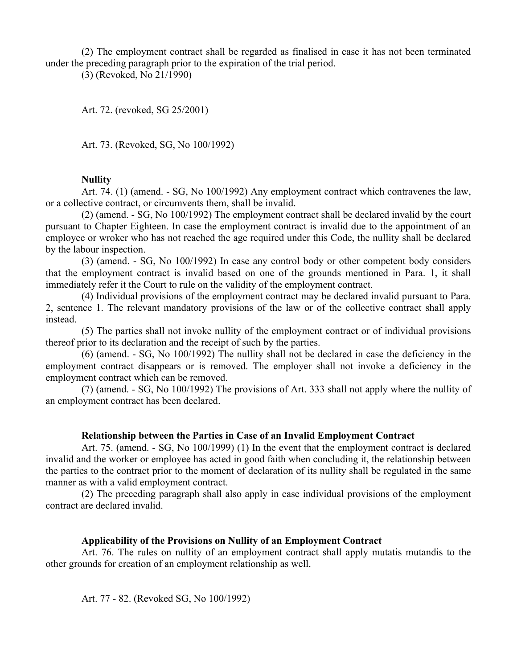(2) The employment contract shall be regarded as finalised in case it has not been terminated under the preceding paragraph prior to the expiration of the trial period.

(3) (Revoked, No 21/1990)

Art. 72. (revoked, SG 25/2001)

Art. 73. (Revoked, SG, No 100/1992)

# **Nullity**

Art. 74. (1) (amend. - SG, No 100/1992) Any employment contract which contravenes the law, or a collective contract, or circumvents them, shall be invalid.

(2) (amend. - SG, No 100/1992) The employment contract shall be declared invalid by the court pursuant to Chapter Eighteen. In case the employment contract is invalid due to the appointment of an employee or wroker who has not reached the age required under this Code, the nullity shall be declared by the labour inspection.

(3) (amend. - SG, No 100/1992) In case any control body or other competent body considers that the employment contract is invalid based on one of the grounds mentioned in Para. 1, it shall immediately refer it the Court to rule on the validity of the employment contract.

(4) Individual provisions of the employment contract may be declared invalid pursuant to Para. 2, sentence 1. The relevant mandatory provisions of the law or of the collective contract shall apply instead.

(5) The parties shall not invoke nullity of the employment contract or of individual provisions thereof prior to its declaration and the receipt of such by the parties.

(6) (amend. - SG, No 100/1992) The nullity shall not be declared in case the deficiency in the employment contract disappears or is removed. The employer shall not invoke a deficiency in the employment contract which can be removed.

(7) (amend. - SG, No 100/1992) The provisions of Art. 333 shall not apply where the nullity of an employment contract has been declared.

## **Relationship between the Parties in Case of an Invalid Employment Contract**

Art. 75. (amend. - SG, No 100/1999) (1) In the event that the employment contract is declared invalid and the worker or employee has acted in good faith when concluding it, the relationship between the parties to the contract prior to the moment of declaration of its nullity shall be regulated in the same manner as with a valid employment contract.

(2) The preceding paragraph shall also apply in case individual provisions of the employment contract are declared invalid.

# **Applicability of the Provisions on Nullity of an Employment Contract**

Art. 76. The rules on nullity of an employment contract shall apply mutatis mutandis to the other grounds for creation of an employment relationship as well.

Art. 77 - 82. (Revoked SG, No 100/1992)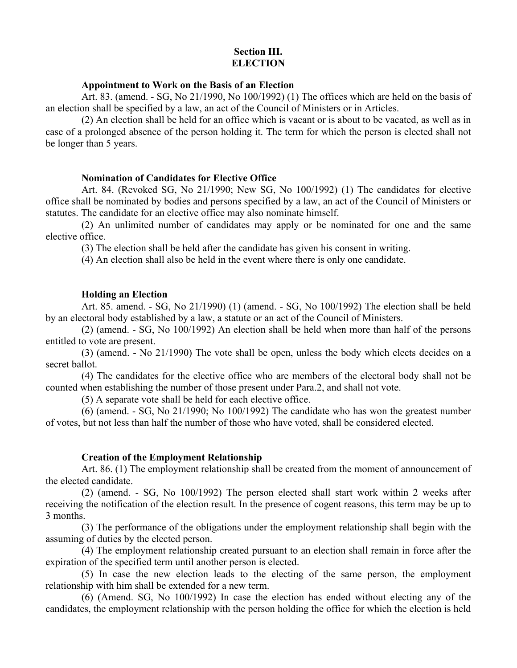# **Section III. ELECTION**

# **Appointment to Work on the Basis of an Election**

Art. 83. (amend. - SG, No 21/1990, No 100/1992) (1) The offices which are held on the basis of an election shall be specified by a law, an act of the Council of Ministers or in Articles.

(2) An election shall be held for an office which is vacant or is about to be vacated, as well as in case of a prolonged absence of the person holding it. The term for which the person is elected shall not be longer than 5 years.

# **Nomination of Candidates for Elective Office**

Art. 84. (Revoked SG, No 21/1990; New SG, No 100/1992) (1) The candidates for elective office shall be nominated by bodies and persons specified by a law, an act of the Council of Ministers or statutes. The candidate for an elective office may also nominate himself.

(2) An unlimited number of candidates may apply or be nominated for one and the same elective office.

(3) The election shall be held after the candidate has given his consent in writing.

(4) An election shall also be held in the event where there is only one candidate.

# **Holding an Election**

Art. 85. amend. - SG, No 21/1990) (1) (amend. - SG, No 100/1992) The election shall be held by an electoral body established by a law, a statute or an act of the Council of Ministers.

(2) (amend. - SG, No 100/1992) An election shall be held when more than half of the persons entitled to vote are present.

(3) (amend. - No 21/1990) The vote shall be open, unless the body which elects decides on a secret ballot.

(4) The candidates for the elective office who are members of the electoral body shall not be counted when establishing the number of those present under Para.2, and shall not vote.

(5) A separate vote shall be held for each elective office.

(6) (amend. - SG, No 21/1990; No 100/1992) The candidate who has won the greatest number of votes, but not less than half the number of those who have voted, shall be considered elected.

# **Creation of the Employment Relationship**

Art. 86. (1) The employment relationship shall be created from the moment of announcement of the elected candidate.

(2) (amend. - SG, No 100/1992) The person elected shall start work within 2 weeks after receiving the notification of the election result. In the presence of cogent reasons, this term may be up to 3 months.

(3) The performance of the obligations under the employment relationship shall begin with the assuming of duties by the elected person.

(4) The employment relationship created pursuant to an election shall remain in force after the expiration of the specified term until another person is elected.

(5) In case the new election leads to the electing of the same person, the employment relationship with him shall be extended for a new term.

(6) (Amend. SG, No 100/1992) In case the election has ended without electing any of the candidates, the employment relationship with the person holding the office for which the election is held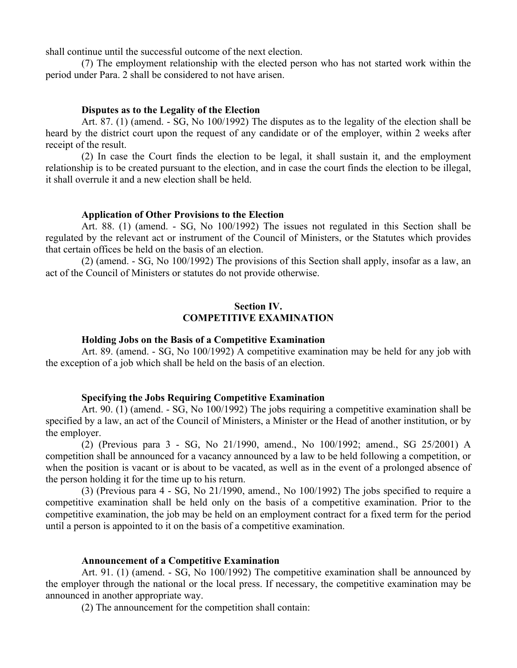shall continue until the successful outcome of the next election.

(7) The employment relationship with the elected person who has not started work within the period under Para. 2 shall be considered to not have arisen.

#### **Disputes as to the Legality of the Election**

Art. 87. (1) (amend. - SG, No 100/1992) The disputes as to the legality of the election shall be heard by the district court upon the request of any candidate or of the employer, within 2 weeks after receipt of the result.

(2) In case the Court finds the election to be legal, it shall sustain it, and the employment relationship is to be created pursuant to the election, and in case the court finds the election to be illegal, it shall overrule it and a new election shall be held.

#### **Application of Other Provisions to the Election**

Art. 88. (1) (amend. - SG, No 100/1992) The issues not regulated in this Section shall be regulated by the relevant act or instrument of the Council of Ministers, or the Statutes which provides that certain offices be held on the basis of an election.

(2) (amend. - SG, No 100/1992) The provisions of this Section shall apply, insofar as a law, an act of the Council of Ministers or statutes do not provide otherwise.

# **Section IV. COMPETITIVE EXAMINATION**

## **Holding Jobs on the Basis of a Competitive Examination**

Art. 89. (amend. - SG, No 100/1992) A competitive examination may be held for any job with the exception of a job which shall be held on the basis of an election.

### **Specifying the Jobs Requiring Competitive Examination**

Art. 90. (1) (amend. - SG, No 100/1992) The jobs requiring a competitive examination shall be specified by a law, an act of the Council of Ministers, a Minister or the Head of another institution, or by the employer.

(2) (Previous para 3 - SG, No 21/1990, amend., No 100/1992; amend., SG 25/2001) A competition shall be announced for a vacancy announced by a law to be held following a competition, or when the position is vacant or is about to be vacated, as well as in the event of a prolonged absence of the person holding it for the time up to his return.

(3) (Previous para 4 - SG, No 21/1990, amend., No 100/1992) The jobs specified to require a competitive examination shall be held only on the basis of a competitive examination. Prior to the competitive examination, the job may be held on an employment contract for a fixed term for the period until a person is appointed to it on the basis of a competitive examination.

#### **Announcement of a Competitive Examination**

Art. 91. (1) (amend. - SG, No 100/1992) The competitive examination shall be announced by the employer through the national or the local press. If necessary, the competitive examination may be announced in another appropriate way.

(2) The announcement for the competition shall contain: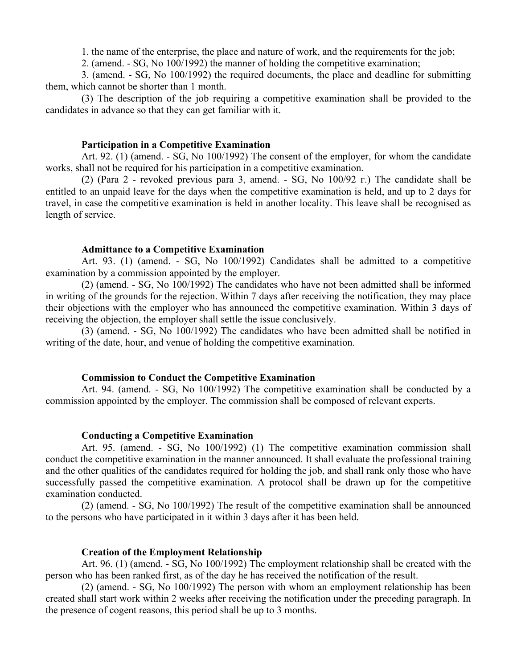1. the name of the enterprise, the place and nature of work, and the requirements for the job;

2. (amend. - SG, No 100/1992) the manner of holding the competitive examination;

3. (amend. - SG, No 100/1992) the required documents, the place and deadline for submitting them, which cannot be shorter than 1 month.

(3) The description of the job requiring a competitive examination shall be provided to the candidates in advance so that they can get familiar with it.

### **Participation in a Competitive Examination**

Art. 92. (1) (amend. - SG, No 100/1992) The consent of the employer, for whom the candidate works, shall not be required for his participation in a competitive examination.

(2) (Para 2 - revoked previous para 3, amend. - SG, No 100/92 г.) The candidate shall be entitled to an unpaid leave for the days when the competitive examination is held, and up to 2 days for travel, in case the competitive examination is held in another locality. This leave shall be recognised as length of service.

## **Admittance to a Competitive Examination**

Art. 93. (1) (amend. - SG, No 100/1992) Candidates shall be admitted to a competitive examination by a commission appointed by the employer.

(2) (amend. - SG, No 100/1992) The candidates who have not been admitted shall be informed in writing of the grounds for the rejection. Within 7 days after receiving the notification, they may place their objections with the employer who has announced the competitive examination. Within 3 days of receiving the objection, the employer shall settle the issue conclusively.

(3) (amend. - SG, No 100/1992) The candidates who have been admitted shall be notified in writing of the date, hour, and venue of holding the competitive examination.

#### **Commission to Conduct the Competitive Examination**

Art. 94. (amend. - SG, No 100/1992) The competitive examination shall be conducted by a commission appointed by the employer. The commission shall be composed of relevant experts.

## **Conducting a Competitive Examination**

Art. 95. (amend. - SG, No 100/1992) (1) The competitive examination commission shall conduct the competitive examination in the manner announced. It shall evaluate the professional training and the other qualities of the candidates required for holding the job, and shall rank only those who have successfully passed the competitive examination. A protocol shall be drawn up for the competitive examination conducted.

(2) (amend. - SG, No 100/1992) The result of the competitive examination shall be announced to the persons who have participated in it within 3 days after it has been held.

#### **Creation of the Employment Relationship**

Art. 96. (1) (amend. - SG, No 100/1992) The employment relationship shall be created with the person who has been ranked first, as of the day he has received the notification of the result.

(2) (amend. - SG, No 100/1992) The person with whom an employment relationship has been created shall start work within 2 weeks after receiving the notification under the preceding paragraph. In the presence of cogent reasons, this period shall be up to 3 months.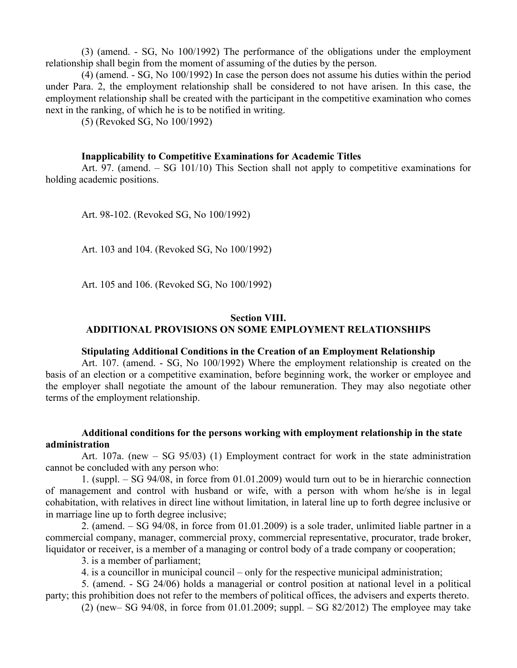(3) (amend. - SG, No 100/1992) The performance of the obligations under the employment relationship shall begin from the moment of assuming of the duties by the person.

(4) (amend. - SG, No 100/1992) In case the person does not assume his duties within the period under Para. 2, the employment relationship shall be considered to not have arisen. In this case, the employment relationship shall be created with the participant in the competitive examination who comes next in the ranking, of which he is to be notified in writing.

(5) (Revoked SG, No 100/1992)

### **Inapplicability to Competitive Examinations for Academic Titles**

Art. 97. (amend. – SG 101/10) This Section shall not apply to competitive examinations for holding academic positions.

Art. 98-102. (Revoked SG, No 100/1992)

Art. 103 and 104. (Revoked SG, No 100/1992)

Art. 105 and 106. (Revoked SG, No 100/1992)

# **Section VIII. ADDITIONAL PROVISIONS ON SOME EMPLOYMENT RELATIONSHIPS**

#### **Stipulating Additional Conditions in the Creation of an Employment Relationship**

Art. 107. (amend. - SG, No 100/1992) Where the employment relationship is created on the basis of an election or a competitive examination, before beginning work, the worker or employee and the employer shall negotiate the amount of the labour remuneration. They may also negotiate other terms of the employment relationship.

# **Additional conditions for the persons working with employment relationship in the state administration**

Art. 107a. (new – SG 95/03) (1) Employment contract for work in the state administration cannot be concluded with any person who:

1. (suppl. – SG 94/08, in force from 01.01.2009) would turn out to be in hierarchic connection of management and control with husband or wife, with a person with whom he/she is in legal cohabitation, with relatives in direct line without limitation, in lateral line up to forth degree inclusive or in marriage line up to forth degree inclusive;

2. (amend. – SG 94/08, in force from 01.01.2009) is a sole trader, unlimited liable partner in a commercial company, manager, commercial proxy, commercial representative, procurator, trade broker, liquidator or receiver, is a member of a managing or control body of a trade company or cooperation;

3. is a member of parliament;

4. is a councillor in municipal council – only for the respective municipal administration;

5. (amend. - SG 24/06) holds a managerial or control position at national level in a political party; this prohibition does not refer to the members of political offices, the advisers and experts thereto.

(2) (new– SG 94/08, in force from 01.01.2009; suppl. – SG 82/2012) The employee may take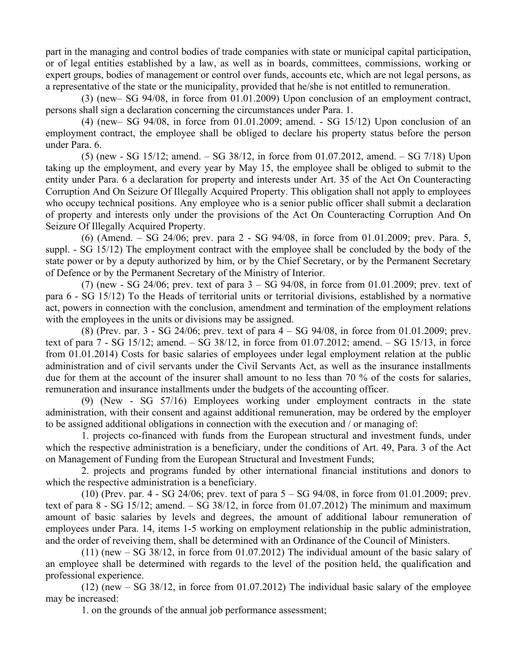part in the managing and control bodies of trade companies with state or municipal capital participation, or of legal entities established by a law, as well as in boards, committees, commissions, working or expert groups, bodies of management or control over funds, accounts etc, which are not legal persons, as a representative of the state or the municipality, provided that he/she is not entitled to remuneration.

(3) (new– SG 94/08, in force from 01.01.2009) Upon conclusion of an employment contract, persons shall sign a declaration concerning the circumstances under Para. 1.

(4) (new– SG 94/08, in force from 01.01.2009; amend. - SG 15/12) Upon conclusion of an employment contract, the employee shall be obliged to declare his property status before the person under Para. 6.

(5) (new - SG 15/12; amend. – SG 38/12, in force from 01.07.2012, amend. – SG 7/18) Upon taking up the employment, and every year by May 15, the employee shall be obliged to submit to the entity under Para. 6 a declaration for property and interests under Art. 35 of the Act On Counteracting Corruption And On Seizure Of Illegally Acquired Property. This obligation shall not apply to employees who occupy technical positions. Any employee who is a senior public officer shall submit a declaration of property and interests only under the provisions of the Act On Counteracting Corruption And On Seizure Of Illegally Acquired Property.

(6) (Amend. – SG 24/06; prev. para 2 - SG 94/08, in force from 01.01.2009; prev. Para. 5, suppl. - SG 15/12) The employment contract with the employee shall be concluded by the body of the state power or by a deputy authorized by him, or by the Chief Secretary, or by the Permanent Secretary of Defence or by the Permanent Secretary of the Ministry of Interior.

(7) (new - SG 24/06; prev. text of para  $3 - SG$  94/08, in force from 01.01.2009; prev. text of para 6 - SG 15/12) To the Heads of territorial units or territorial divisions, established by a normative act, powers in connection with the conclusion, amendment and termination of the employment relations with the employees in the units or divisions may be assigned.

(8) (Prev. par. 3 - SG 24/06; prev. text of para 4 – SG 94/08, in force from 01.01.2009; prev. text of para 7 - SG 15/12; amend. – SG 38/12, in force from 01.07.2012; amend. – SG 15/13, in force from 01.01.2014) Costs for basic salaries of employees under legal employment relation at the public administration and of civil servants under the Civil Servants Act, as well as the insurance installments due for them at the account of the insurer shall amount to no less than 70 % of the costs for salaries, remuneration and insurance installments under the budgets of the accounting officer.

(9) (New - SG 57/16) Employees working under employment contracts in the state administration, with their consent and against additional remuneration, may be ordered by the employer to be assigned additional obligations in connection with the execution and / or managing of:

1. projects co-financed with funds from the European structural and investment funds, under which the respective administration is a beneficiary, under the conditions of Art. 49, Para. 3 of the Act on Management of Funding from the European Structural and Investment Funds;

2. projects and programs funded by other international financial institutions and donors to which the respective administration is a beneficiary.

(10) (Prev. par. 4 - SG 24/06; prev. text of para 5 – SG 94/08, in force from 01.01.2009; prev. text of para  $8 - SG$  15/12; amend.  $- SG$  38/12, in force from 01.07.2012) The minimum and maximum amount of basic salaries by levels and degrees, the amount of additional labour remuneration of employees under Para. 14, items 1-5 working on employment relationship in the public administration, and the order of reveiving them, shall be determined with an Ordinance of the Council of Ministers.

(11) (new – SG 38/12, in force from 01.07.2012) The individual amount of the basic salary of an employee shall be determined with regards to the level of the position held, the qualification and professional experience.

 $(12)$  (new – SG 38/12, in force from 01.07.2012) The individual basic salary of the employee may be increased:

1. on the grounds of the annual job performance assessment;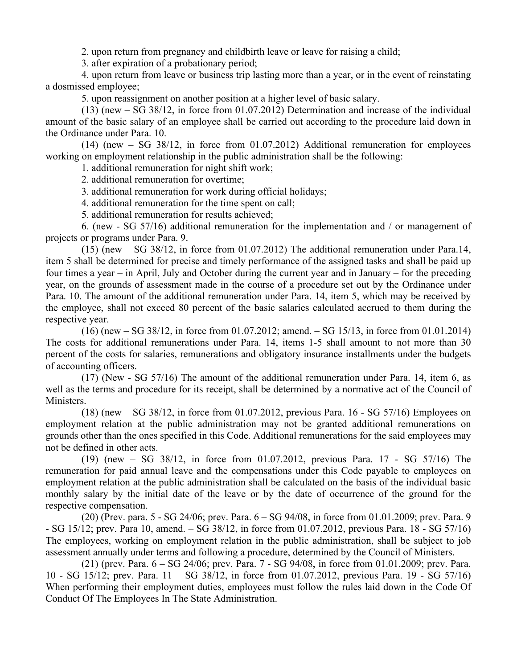2. upon return from pregnancy and childbirth leave or leave for raising a child;

3. after expiration of a probationary period;

4. upon return from leave or business trip lasting more than a year, or in the event of reinstating a dosmissed employee;

5. upon reassignment on another position at a higher level of basic salary.

(13) (new – SG 38/12, in force from 01.07.2012) Determination and increase of the individual amount of the basic salary of an employee shall be carried out according to the procedure laid down in the Ordinance under Para. 10.

(14) (new – SG 38/12, in force from 01.07.2012) Additional remuneration for employees working on employment relationship in the public administration shall be the following:

1. additional remuneration for night shift work;

2. additional remuneration for overtime;

3. additional remuneration for work during official holidays;

4. additional remuneration for the time spent on call;

5. additional remuneration for results achieved;

6. (new - SG 57/16) additional remuneration for the implementation and / or management of projects or programs under Para. 9.

(15) (new – SG 38/12, in force from 01.07.2012) The additional remuneration under Para.14, item 5 shall be determined for precise and timely performance of the assigned tasks and shall be paid up four times a year – in April, July and October during the current year and in January – for the preceding year, on the grounds of assessment made in the course of a procedure set out by the Ordinance under Para. 10. The amount of the additional remuneration under Para. 14, item 5, which may be received by the employee, shall not exceed 80 percent of the basic salaries calculated accrued to them during the respective year.

(16) (new – SG 38/12, in force from 01.07.2012; amend. – SG 15/13, in force from 01.01.2014) The costs for additional remunerations under Para. 14, items 1-5 shall amount to not more than 30 percent of the costs for salaries, remunerations and obligatory insurance installments under the budgets of accounting officers.

(17) (New - SG 57/16) The amount of the additional remuneration under Para. 14, item 6, as well as the terms and procedure for its receipt, shall be determined by a normative act of the Council of **Ministers** 

(18) (new – SG 38/12, in force from 01.07.2012, previous Para. 16 - SG 57/16) Employees on employment relation at the public administration may not be granted additional remunerations on grounds other than the ones specified in this Code. Additional remunerations for the said employees may not be defined in other acts.

(19) (new – SG 38/12, in force from 01.07.2012, previous Para. 17 - SG 57/16) The remuneration for paid annual leave and the compensations under this Code payable to employees on employment relation at the public administration shall be calculated on the basis of the individual basic monthly salary by the initial date of the leave or by the date of occurrence of the ground for the respective compensation.

(20) (Prev. para. 5 - SG 24/06; prev. Para. 6 – SG 94/08, in force from 01.01.2009; prev. Para. 9 - SG 15/12; prev. Para 10, amend. – SG 38/12, in force from 01.07.2012, previous Para. 18 - SG 57/16) The employees, working on employment relation in the public administration, shall be subject to job assessment annually under terms and following a procedure, determined by the Council of Ministers.

(21) (prev. Para. 6 – SG 24/06; prev. Para. 7 - SG 94/08, in force from 01.01.2009; prev. Para. 10 - SG 15/12; prev. Para. 11 – SG 38/12, in force from 01.07.2012, previous Para. 19 - SG 57/16) When performing their employment duties, employees must follow the rules laid down in the Code Of Conduct Of The Employees In The State Administration.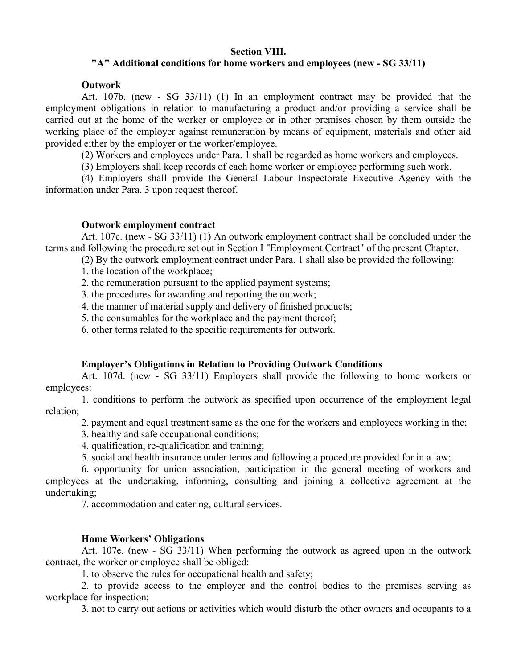## **Section VIII.**

# **"A" Additional conditions for home workers and employees (new - SG 33/11)**

### **Outwork**

Art. 107b. (new - SG 33/11) (1) In an employment contract may be provided that the employment obligations in relation to manufacturing a product and/or providing a service shall be carried out at the home of the worker or employee or in other premises chosen by them outside the working place of the employer against remuneration by means of equipment, materials and other aid provided either by the employer or the worker/employee.

(2) Workers and employees under Para. 1 shall be regarded as home workers and employees.

(3) Employers shall keep records of each home worker or employee performing such work.

(4) Employers shall provide the General Labour Inspectorate Executive Agency with the information under Para. 3 upon request thereof.

## **Outwork employment contract**

Art. 107c. (new - SG 33/11) (1) An outwork employment contract shall be concluded under the terms and following the procedure set out in Section I "Employment Contract" of the present Chapter.

(2) By the outwork employment contract under Para. 1 shall also be provided the following:

1. the location of the workplace;

2. the remuneration pursuant to the applied payment systems;

3. the procedures for awarding and reporting the outwork;

4. the manner of material supply and delivery of finished products;

5. the consumables for the workplace and the payment thereof;

6. other terms related to the specific requirements for outwork.

# **Employer's Obligations in Relation to Providing Outwork Conditions**

Art. 107d. (new - SG 33/11) Employers shall provide the following to home workers or employees:

1. conditions to perform the outwork as specified upon occurrence of the employment legal relation;

2. payment and equal treatment same as the one for the workers and employees working in the;

3. healthy and safe occupational conditions;

4. qualification, re-qualification and training;

5. social and health insurance under terms and following a procedure provided for in a law;

6. opportunity for union association, participation in the general meeting of workers and employees at the undertaking, informing, consulting and joining a collective agreement at the undertaking;

7. accommodation and catering, cultural services.

## **Home Workers' Obligations**

Art. 107e. (new - SG 33/11) When performing the outwork as agreed upon in the outwork contract, the worker or employee shall be obliged:

1. to observe the rules for occupational health and safety;

2. to provide access to the employer and the control bodies to the premises serving as workplace for inspection;

3. not to carry out actions or activities which would disturb the other owners and occupants to a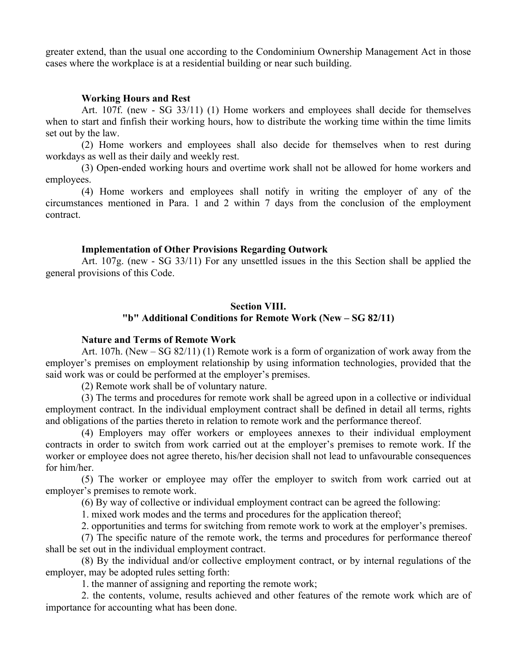greater extend, than the usual one according to the Condominium Ownership Management Act in those cases where the workplace is at a residential building or near such building.

#### **Working Hours and Rest**

Art. 107f. (new - SG 33/11) (1) Home workers and employees shall decide for themselves when to start and finfish their working hours, how to distribute the working time within the time limits set out by the law.

(2) Home workers and employees shall also decide for themselves when to rest during workdays as well as their daily and weekly rest.

(3) Open-ended working hours and overtime work shall not be allowed for home workers and employees.

(4) Home workers and employees shall notify in writing the employer of any of the circumstances mentioned in Para. 1 and 2 within 7 days from the conclusion of the employment contract.

## **Implementation of Other Provisions Regarding Outwork**

Art. 107g. (new - SG 33/11) For any unsettled issues in the this Section shall be applied the general provisions of this Code.

# **Section VIII.**

# **"b" Additional Conditions for Remote Work (New – SG 82/11)**

#### **Nature and Terms of Remote Work**

Art. 107h. (New – SG 82/11) (1) Remote work is a form of organization of work away from the employer's premises on employment relationship by using information technologies, provided that the said work was or could be performed at the employer's premises.

(2) Remote work shall be of voluntary nature.

(3) The terms and procedures for remote work shall be agreed upon in a collective or individual employment contract. In the individual employment contract shall be defined in detail all terms, rights and obligations of the parties thereto in relation to remote work and the performance thereof.

(4) Employers may offer workers or employees annexes to their individual employment contracts in order to switch from work carried out at the employer's premises to remote work. If the worker or employee does not agree thereto, his/her decision shall not lead to unfavourable consequences for him/her.

(5) The worker or employee may offer the employer to switch from work carried out at employer's premises to remote work.

(6) By way of collective or individual employment contract can be agreed the following:

1. mixed work modes and the terms and procedures for the application thereof;

2. opportunities and terms for switching from remote work to work at the employer's premises.

(7) The specific nature of the remote work, the terms and procedures for performance thereof shall be set out in the individual employment contract.

(8) By the individual and/or collective employment contract, or by internal regulations of the employer, may be adopted rules setting forth:

1. the manner of assigning and reporting the remote work;

2. the contents, volume, results achieved and other features of the remote work which are of importance for accounting what has been done.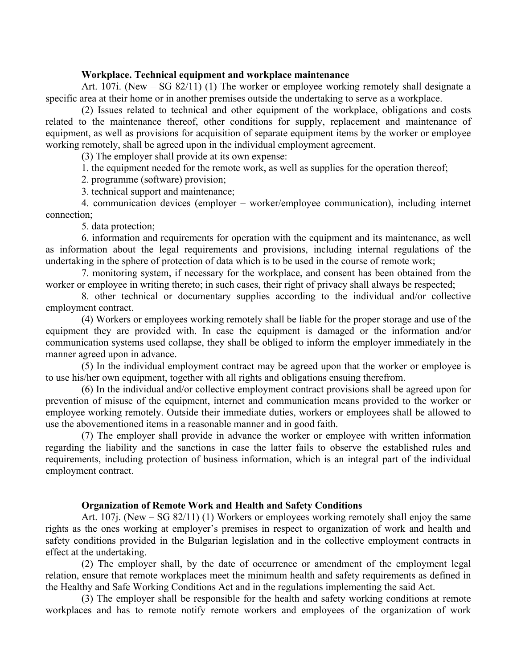## **Workplace. Technical equipment and workplace maintenance**

Art. 107i. (New – SG 82/11) (1) The worker or employee working remotely shall designate a specific area at their home or in another premises outside the undertaking to serve as a workplace.

(2) Issues related to technical and other equipment of the workplace, obligations and costs related to the maintenance thereof, other conditions for supply, replacement and maintenance of equipment, as well as provisions for acquisition of separate equipment items by the worker or employee working remotely, shall be agreed upon in the individual employment agreement.

(3) The employer shall provide at its own expense:

1. the equipment needed for the remote work, as well as supplies for the operation thereof;

2. programme (software) provision;

3. technical support and maintenance;

4. communication devices (employer – worker/employee communication), including internet connection;

5. data protection;

6. information and requirements for operation with the equipment and its maintenance, as well as information about the legal requirements and provisions, including internal regulations of the undertaking in the sphere of protection of data which is to be used in the course of remote work;

7. monitoring system, if necessary for the workplace, and consent has been obtained from the worker or employee in writing thereto; in such cases, their right of privacy shall always be respected;

8. other technical or documentary supplies according to the individual and/or collective employment contract.

(4) Workers or employees working remotely shall be liable for the proper storage and use of the equipment they are provided with. In case the equipment is damaged or the information and/or communication systems used collapse, they shall be obliged to inform the employer immediately in the manner agreed upon in advance.

(5) In the individual employment contract may be agreed upon that the worker or employee is to use his/her own equipment, together with all rights and obligations ensuing therefrom.

(6) In the individual and/or collective employment contract provisions shall be agreed upon for prevention of misuse of the equipment, internet and communication means provided to the worker or employee working remotely. Outside their immediate duties, workers or employees shall be allowed to use the abovementioned items in a reasonable manner and in good faith.

(7) The employer shall provide in advance the worker or employee with written information regarding the liability and the sanctions in case the latter fails to observe the established rules and requirements, including protection of business information, which is an integral part of the individual employment contract.

# **Organization of Remote Work and Health and Safety Conditions**

Art. 107j. (New – SG 82/11) (1) Workers or employees working remotely shall enjoy the same rights as the ones working at employer's premises in respect to organization of work and health and safety conditions provided in the Bulgarian legislation and in the collective employment contracts in effect at the undertaking.

(2) The employer shall, by the date of occurrence or amendment of the employment legal relation, ensure that remote workplaces meet the minimum health and safety requirements as defined in the Healthy and Safe Working Conditions Act and in the regulations implementing the said Act.

(3) The employer shall be responsible for the health and safety working conditions at remote workplaces and has to remote notify remote workers and employees of the organization of work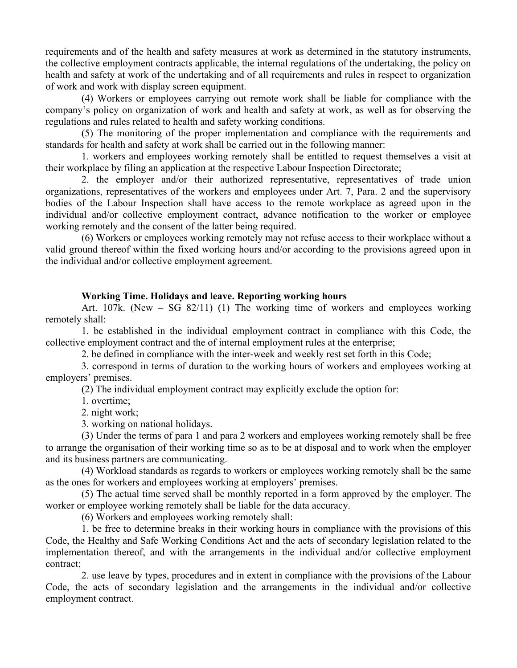requirements and of the health and safety measures at work as determined in the statutory instruments, the collective employment contracts applicable, the internal regulations of the undertaking, the policy on health and safety at work of the undertaking and of all requirements and rules in respect to organization of work and work with display screen equipment.

(4) Workers or employees carrying out remote work shall be liable for compliance with the company's policy on organization of work and health and safety at work, as well as for observing the regulations and rules related to health and safety working conditions.

(5) The monitoring of the proper implementation and compliance with the requirements and standards for health and safety at work shall be carried out in the following manner:

1. workers and employees working remotely shall be entitled to request themselves a visit at their workplace by filing an application at the respective Labour Inspection Directorate;

2. the employer and/or their authorized representative, representatives of trade union organizations, representatives of the workers and employees under Art. 7, Para. 2 and the supervisory bodies of the Labour Inspection shall have access to the remote workplace as agreed upon in the individual and/or collective employment contract, advance notification to the worker or employee working remotely and the consent of the latter being required.

(6) Workers or employees working remotely may not refuse access to their workplace without a valid ground thereof within the fixed working hours and/or according to the provisions agreed upon in the individual and/or collective employment agreement.

# **Working Time. Holidays and leave. Reporting working hours**

Art. 107k. (New – SG 82/11) (1) The working time of workers and employees working remotely shall:

1. be established in the individual employment contract in compliance with this Code, the collective employment contract and the of internal employment rules at the enterprise;

2. be defined in compliance with the inter-week and weekly rest set forth in this Code;

3. correspond in terms of duration to the working hours of workers and employees working at employers' premises.

(2) The individual employment contract may explicitly exclude the option for:

1. overtime;

2. night work;

3. working on national holidays.

(3) Under the terms of para 1 and para 2 workers and employees working remotely shall be free to arrange the organisation of their working time so as to be at disposal and to work when the employer and its business partners are communicating.

(4) Workload standards as regards to workers or employees working remotely shall be the same as the ones for workers and employees working at employers' premises.

(5) The actual time served shall be monthly reported in a form approved by the employer. The worker or employee working remotely shall be liable for the data accuracy.

(6) Workers and employees working remotely shall:

1. be free to determine breaks in their working hours in compliance with the provisions of this Code, the Healthy and Safe Working Conditions Act and the acts of secondary legislation related to the implementation thereof, and with the arrangements in the individual and/or collective employment contract;

2. use leave by types, procedures and in extent in compliance with the provisions of the Labour Code, the acts of secondary legislation and the arrangements in the individual and/or collective employment contract.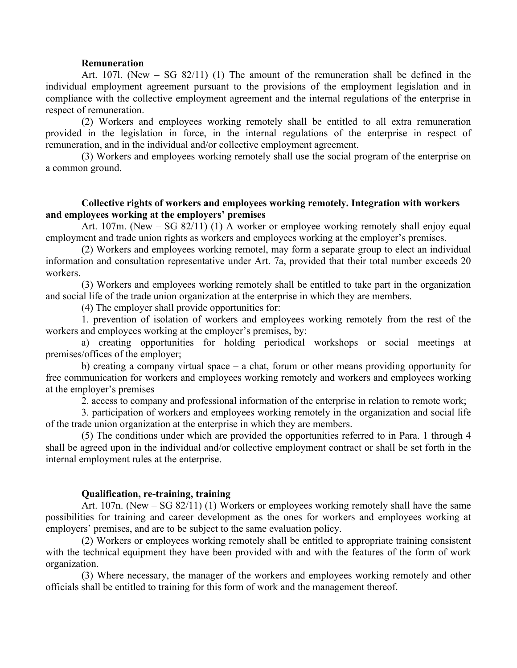### **Remuneration**

Art. 107l. (New – SG 82/11) (1) The amount of the remuneration shall be defined in the individual employment agreement pursuant to the provisions of the employment legislation and in compliance with the collective employment agreement and the internal regulations of the enterprise in respect of remuneration.

(2) Workers and employees working remotely shall be entitled to all extra remuneration provided in the legislation in force, in the internal regulations of the enterprise in respect of remuneration, and in the individual and/or collective employment agreement.

(3) Workers and employees working remotely shall use the social program of the enterprise on a common ground.

# **Collective rights of workers and employees working remotely. Integration with workers and employees working at the employers' premises**

Art. 107m. (New – SG 82/11) (1) A worker or employee working remotely shall enjoy equal employment and trade union rights as workers and employees working at the employer's premises.

(2) Workers and employees working remotel, may form a separate group to elect an individual information and consultation representative under Art. 7a, provided that their total number exceeds 20 workers.

(3) Workers and employees working remotely shall be entitled to take part in the organization and social life of the trade union organization at the enterprise in which they are members.

(4) The employer shall provide opportunities for:

1. prevention of isolation of workers and employees working remotely from the rest of the workers and employees working at the employer's premises, by:

a) creating opportunities for holding periodical workshops or social meetings at premises/offices of the employer;

b) creating a company virtual space – a chat, forum or other means providing opportunity for free communication for workers and employees working remotely and workers and employees working at the employer's premises

2. access to company and professional information of the enterprise in relation to remote work;

3. participation of workers and employees working remotely in the organization and social life of the trade union organization at the enterprise in which they are members.

(5) The conditions under which are provided the opportunities referred to in Para. 1 through 4 shall be agreed upon in the individual and/or collective employment contract or shall be set forth in the internal employment rules at the enterprise.

## **Qualification, re-training, training**

Art. 107n. (New – SG 82/11) (1) Workers or employees working remotely shall have the same possibilities for training and career development as the ones for workers and employees working at employers' premises, and are to be subject to the same evaluation policy.

(2) Workers or employees working remotely shall be entitled to appropriate training consistent with the technical equipment they have been provided with and with the features of the form of work organization.

(3) Where necessary, the manager of the workers and employees working remotely and other officials shall be entitled to training for this form of work and the management thereof.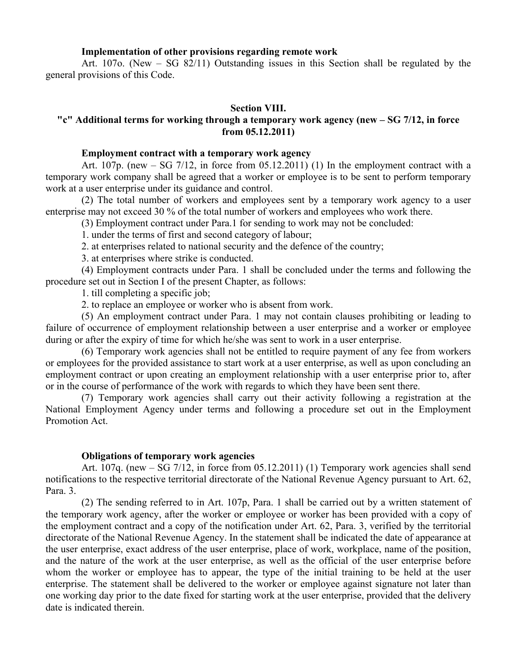## **Implementation of other provisions regarding remote work**

Art. 107o. (New – SG 82/11) Outstanding issues in this Section shall be regulated by the general provisions of this Code.

#### **Section VIII.**

# **"c" Additional terms for working through a temporary work agency (new – SG 7/12, in force from 05.12.2011)**

## **Employment contract with a temporary work agency**

Art. 107p. (new  $-$  SG 7/12, in force from 05.12.2011) (1) In the employment contract with a temporary work company shall be agreed that a worker or employee is to be sent to perform temporary work at a user enterprise under its guidance and control.

(2) The total number of workers and employees sent by a temporary work agency to a user enterprise may not exceed 30 % of the total number of workers and employees who work there.

(3) Employment contract under Para.1 for sending to work may not be concluded:

1. under the terms of first and second category of labour;

2. at enterprises related to national security and the defence of the country;

3. at enterprises where strike is conducted.

(4) Employment contracts under Para. 1 shall be concluded under the terms and following the procedure set out in Section I of the present Chapter, as follows:

1. till completing a specific job;

2. to replace an employee or worker who is absent from work.

(5) An employment contract under Para. 1 may not contain clauses prohibiting or leading to failure of occurrence of employment relationship between a user enterprise and a worker or employee during or after the expiry of time for which he/she was sent to work in a user enterprise.

(6) Temporary work agencies shall not be entitled to require payment of any fee from workers or employees for the provided assistance to start work at a user enterprise, as well as upon concluding an employment contract or upon creating an employment relationship with a user enterprise prior to, after or in the course of performance of the work with regards to which they have been sent there.

(7) Temporary work agencies shall carry out their activity following a registration at the National Employment Agency under terms and following a procedure set out in the Employment Promotion Act.

## **Obligations of temporary work agencies**

Art.  $107q$ . (new  $-$  SG  $7/12$ , in force from 05.12.2011) (1) Temporary work agencies shall send notifications to the respective territorial directorate of the National Revenue Agency pursuant to Art. 62, Para. 3.

(2) The sending referred to in Art. 107p, Para. 1 shall be carried out by a written statement of the temporary work agency, after the worker or employee or worker has been provided with a copy of the employment contract and a copy of the notification under Art. 62, Para. 3, verified by the territorial directorate of the National Revenue Agency. In the statement shall be indicated the date of appearance at the user enterprise, exact address of the user enterprise, place of work, workplace, name of the position, and the nature of the work at the user enterprise, as well as the official of the user enterprise before whom the worker or employee has to appear, the type of the initial training to be held at the user enterprise. The statement shall be delivered to the worker or employee against signature not later than one working day prior to the date fixed for starting work at the user enterprise, provided that the delivery date is indicated therein.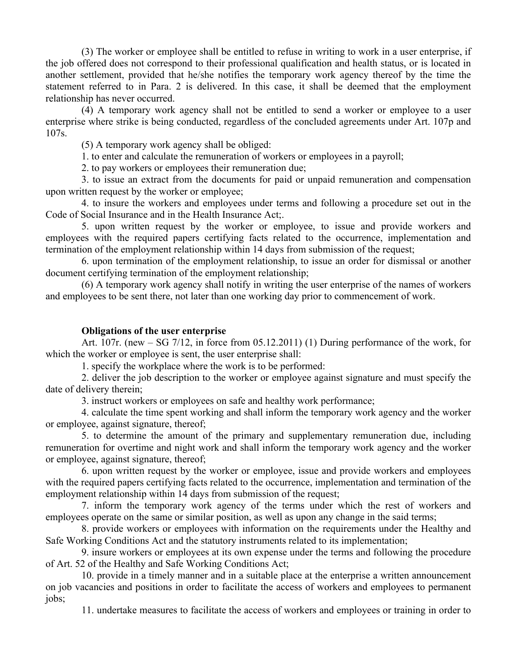(3) The worker or employee shall be entitled to refuse in writing to work in a user enterprise, if the job offered does not correspond to their professional qualification and health status, or is located in another settlement, provided that he/she notifies the temporary work agency thereof by the time the statement referred to in Para. 2 is delivered. In this case, it shall be deemed that the employment relationship has never occurred.

(4) A temporary work agency shall not be entitled to send a worker or employee to a user enterprise where strike is being conducted, regardless of the concluded agreements under Art. 107p and 107s.

(5) A temporary work agency shall be obliged:

1. to enter and calculate the remuneration of workers or employees in a payroll;

2. to pay workers or employees their remuneration due;

3. to issue an extract from the documents for paid or unpaid remuneration and compensation upon written request by the worker or employee;

4. to insure the workers and employees under terms and following a procedure set out in the Code of Social Insurance and in the Health Insurance Act;.

5. upon written request by the worker or employee, to issue and provide workers and employees with the required papers certifying facts related to the occurrence, implementation and termination of the employment relationship within 14 days from submission of the request;

6. upon termination of the employment relationship, to issue an order for dismissal or another document certifying termination of the employment relationship;

(6) A temporary work agency shall notify in writing the user enterprise of the names of workers and employees to be sent there, not later than one working day prior to commencement of work.

# **Obligations of the user enterprise**

Art. 107r. (new  $-$  SG 7/12, in force from 05.12.2011) (1) During performance of the work, for which the worker or employee is sent, the user enterprise shall:

1. specify the workplace where the work is to be performed:

2. deliver the job description to the worker or employee against signature and must specify the date of delivery therein;

3. instruct workers or employees on safe and healthy work performance;

4. calculate the time spent working and shall inform the temporary work agency and the worker or employee, against signature, thereof;

5. to determine the amount of the primary and supplementary remuneration due, including remuneration for overtime and night work and shall inform the temporary work agency and the worker or employee, against signature, thereof;

6. upon written request by the worker or employee, issue and provide workers and employees with the required papers certifying facts related to the occurrence, implementation and termination of the employment relationship within 14 days from submission of the request;

7. inform the temporary work agency of the terms under which the rest of workers and employees operate on the same or similar position, as well as upon any change in the said terms;

8. provide workers or employees with information on the requirements under the Healthy and Safe Working Conditions Act and the statutory instruments related to its implementation;

9. insure workers or employees at its own expense under the terms and following the procedure of Art. 52 of the Healthy and Safe Working Conditions Act;

10. provide in a timely manner and in a suitable place at the enterprise a written announcement on job vacancies and positions in order to facilitate the access of workers and employees to permanent jobs;

11. undertake measures to facilitate the access of workers and employees or training in order to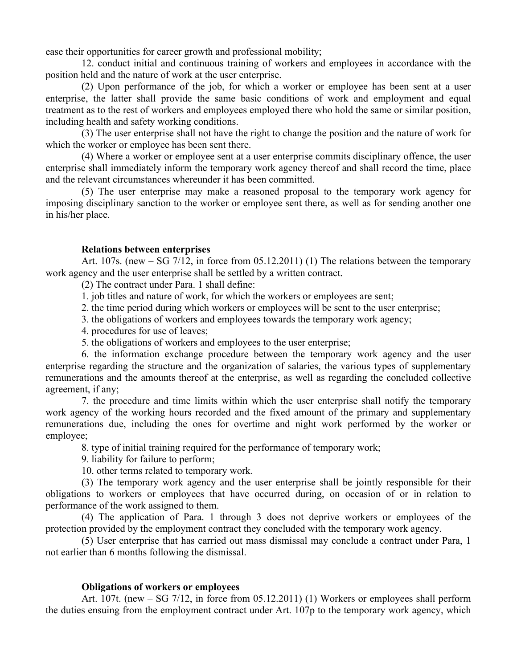ease their opportunities for career growth and professional mobility;

12. conduct initial and continuous training of workers and employees in accordance with the position held and the nature of work at the user enterprise.

(2) Upon performance of the job, for which a worker or employee has been sent at a user enterprise, the latter shall provide the same basic conditions of work and employment and equal treatment as to the rest of workers and employees employed there who hold the same or similar position, including health and safety working conditions.

(3) The user enterprise shall not have the right to change the position and the nature of work for which the worker or employee has been sent there.

(4) Where a worker or employee sent at a user enterprise commits disciplinary offence, the user enterprise shall immediately inform the temporary work agency thereof and shall record the time, place and the relevant circumstances whereunder it has been committed.

(5) The user enterprise may make a reasoned proposal to the temporary work agency for imposing disciplinary sanction to the worker or employee sent there, as well as for sending another one in his/her place.

# **Relations between enterprises**

Art. 107s. (new  $-$  SG 7/12, in force from 05.12.2011) (1) The relations between the temporary work agency and the user enterprise shall be settled by a written contract.

(2) The contract under Para. 1 shall define:

- 1. job titles and nature of work, for which the workers or employees are sent;
- 2. the time period during which workers or employees will be sent to the user enterprise;
- 3. the obligations of workers and employees towards the temporary work agency;
- 4. procedures for use of leaves;
- 5. the obligations of workers and employees to the user enterprise;

6. the information exchange procedure between the temporary work agency and the user enterprise regarding the structure and the organization of salaries, the various types of supplementary remunerations and the amounts thereof at the enterprise, as well as regarding the concluded collective agreement, if any;

7. the procedure and time limits within which the user enterprise shall notify the temporary work agency of the working hours recorded and the fixed amount of the primary and supplementary remunerations due, including the ones for overtime and night work performed by the worker or employee;

8. type of initial training required for the performance of temporary work;

9. liability for failure to perform;

10. other terms related to temporary work.

(3) The temporary work agency and the user enterprise shall be jointly responsible for their obligations to workers or employees that have occurred during, on occasion of or in relation to performance of the work assigned to them.

(4) The application of Para. 1 through 3 does not deprive workers or employees of the protection provided by the employment contract they concluded with the temporary work agency.

(5) User enterprise that has carried out mass dismissal may conclude a contract under Para, 1 not earlier than 6 months following the dismissal.

# **Obligations of workers or employees**

Art. 107t. (new – SG 7/12, in force from 05.12.2011) (1) Workers or employees shall perform the duties ensuing from the employment contract under Art. 107p to the temporary work agency, which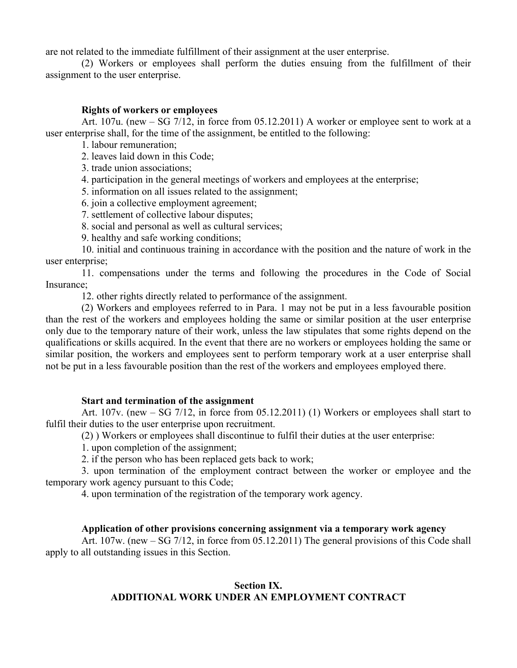are not related to the immediate fulfillment of their assignment at the user enterprise.

(2) Workers or employees shall perform the duties ensuing from the fulfillment of their assignment to the user enterprise.

# **Rights of workers or employees**

Art. 107u. (new – SG 7/12, in force from 05.12.2011) A worker or employee sent to work at a user enterprise shall, for the time of the assignment, be entitled to the following:

1. labour remuneration;

2. leaves laid down in this Code;

3. trade union associations;

4. participation in the general meetings of workers and employees at the enterprise;

5. information on all issues related to the assignment;

6. join a collective employment agreement;

7. settlement of collective labour disputes;

8. social and personal as well as cultural services;

9. healthy and safe working conditions;

10. initial and continuous training in accordance with the position and the nature of work in the user enterprise;

11. compensations under the terms and following the procedures in the Code of Social Insurance;

12. other rights directly related to performance of the assignment.

(2) Workers and employees referred to in Para. 1 may not be put in a less favourable position than the rest of the workers and employees holding the same or similar position at the user enterprise only due to the temporary nature of their work, unless the law stipulates that some rights depend on the qualifications or skills acquired. In the event that there are no workers or employees holding the same or similar position, the workers and employees sent to perform temporary work at a user enterprise shall not be put in a less favourable position than the rest of the workers and employees employed there.

# **Start and termination of the assignment**

Art. 107v. (new – SG 7/12, in force from 05.12.2011) (1) Workers or employees shall start to fulfil their duties to the user enterprise upon recruitment.

(2) ) Workers or employees shall discontinue to fulfil their duties at the user enterprise:

1. upon completion of the assignment;

2. if the person who has been replaced gets back to work;

3. upon termination of the employment contract between the worker or employee and the temporary work agency pursuant to this Code;

4. upon termination of the registration of the temporary work agency.

# **Application of other provisions concerning assignment via a temporary work agency**

Art. 107w. (new – SG 7/12, in force from 05.12.2011) The general provisions of this Code shall apply to all outstanding issues in this Section.

# **Section IX. ADDITIONAL WORK UNDER AN EMPLOYMENT CONTRACT**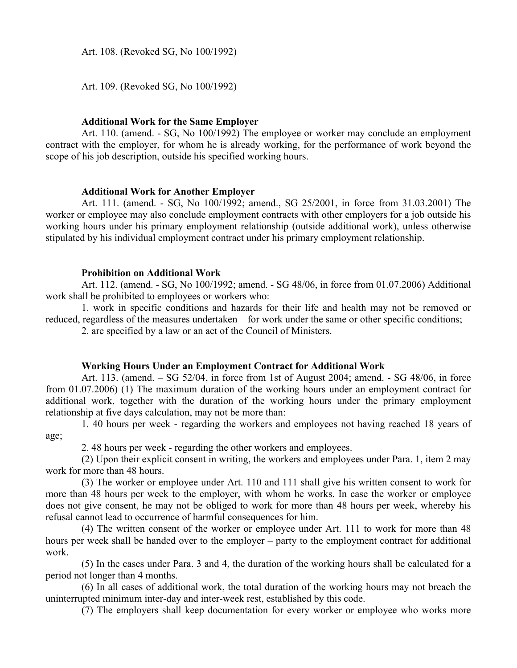Art. 108. (Revoked SG, No 100/1992)

Art. 109. (Revoked SG, No 100/1992)

# **Additional Work for the Same Employer**

Art. 110. (amend. - SG, No 100/1992) The employee or worker may conclude an employment contract with the employer, for whom he is already working, for the performance of work beyond the scope of his job description, outside his specified working hours.

# **Additional Work for Another Employer**

Art. 111. (amend. - SG, No 100/1992; amend., SG 25/2001, in force from 31.03.2001) The worker or employee may also conclude employment contracts with other employers for a job outside his working hours under his primary employment relationship (outside additional work), unless otherwise stipulated by his individual employment contract under his primary employment relationship.

# **Prohibition on Additional Work**

Art. 112. (amend. - SG, No 100/1992; amend. - SG 48/06, in force from 01.07.2006) Additional work shall be prohibited to employees or workers who:

1. work in specific conditions and hazards for their life and health may not be removed or reduced, regardless of the measures undertaken – for work under the same or other specific conditions;

2. are specified by a law or an act of the Council of Ministers.

# **Working Hours Under an Employment Contract for Additional Work**

Art. 113. (amend. – SG 52/04, in force from 1st of August 2004; amend. - SG 48/06, in force from 01.07.2006) (1) The maximum duration of the working hours under an employment contract for additional work, together with the duration of the working hours under the primary employment relationship at five days calculation, may not be more than:

1. 40 hours per week - regarding the workers and employees not having reached 18 years of age;

2. 48 hours per week - regarding the other workers and employees.

(2) Upon their explicit consent in writing, the workers and employees under Para. 1, item 2 may work for more than 48 hours.

(3) The worker or employee under Art. 110 and 111 shall give his written consent to work for more than 48 hours per week to the employer, with whom he works. In case the worker or employee does not give consent, he may not be obliged to work for more than 48 hours per week, whereby his refusal cannot lead to occurrence of harmful consequences for him.

(4) The written consent of the worker or employee under Art. 111 to work for more than 48 hours per week shall be handed over to the employer – party to the employment contract for additional work.

(5) In the cases under Para. 3 and 4, the duration of the working hours shall be calculated for a period not longer than 4 months.

(6) In all cases of additional work, the total duration of the working hours may not breach the uninterrupted minimum inter-day and inter-week rest, established by this code.

(7) The employers shall keep documentation for every worker or employee who works more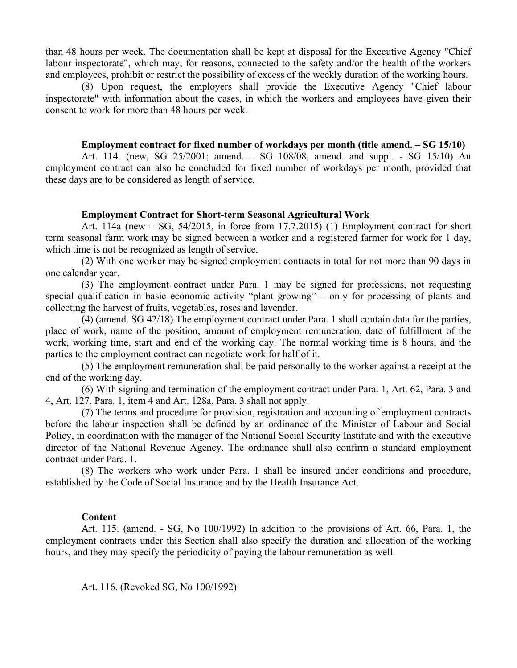than 48 hours per week. The documentation shall be kept at disposal for the Executive Agency "Chief labour inspectorate", which may, for reasons, connected to the safety and/or the health of the workers and employees, prohibit or restrict the possibility of excess of the weekly duration of the working hours.

(8) Upon request, the employers shall provide the Executive Agency "Chief labour inspectorate" with information about the cases, in which the workers and employees have given their consent to work for more than 48 hours per week.

## **Employment contract for fixed number of workdays per month (title amend. – SG 15/10)**

Art. 114. (new, SG 25/2001; amend. – SG 108/08, amend. and suppl. - SG 15/10) An employment contract can also be concluded for fixed number of workdays per month, provided that these days are to be considered as length of service.

# **Employment Contract for Short-term Seasonal Agricultural Work**

Art. 114a (new  $-$  SG, 54/2015, in force from 17.7.2015) (1) Employment contract for short term seasonal farm work may be signed between a worker and a registered farmer for work for 1 day, which time is not be recognized as length of service.

(2) With one worker may be signed employment contracts in total for not more than 90 days in one calendar year.

(3) The employment contract under Para. 1 may be signed for professions, not requesting special qualification in basic economic activity "plant growing" – only for processing of plants and collecting the harvest of fruits, vegetables, roses and lavender.

(4) (amend. SG 42/18) The employment contract under Para. 1 shall contain data for the parties, place of work, name of the position, amount of employment remuneration, date of fulfillment of the work, working time, start and end of the working day. The normal working time is 8 hours, and the parties to the employment contract can negotiate work for half of it.

(5) The employment remuneration shall be paid personally to the worker against a receipt at the end of the working day.

(6) With signing and termination of the employment contract under Para. 1, Art. 62, Para. 3 and 4, Art. 127, Para. 1, item 4 and Art. 128a, Para. 3 shall not apply.

(7) The terms and procedure for provision, registration and accounting of employment contracts before the labour inspection shall be defined by an ordinance of the Minister of Labour and Social Policy, in coordination with the manager of the National Social Security Institute and with the executive director of the National Revenue Agency. The ordinance shall also confirm a standard employment contract under Para. 1.

(8) The workers who work under Para. 1 shall be insured under conditions and procedure, established by the Code of Social Insurance and by the Health Insurance Act.

#### **Content**

Art. 115. (amend. - SG, No 100/1992) In addition to the provisions of Art. 66, Para. 1, the employment contracts under this Section shall also specify the duration and allocation of the working hours, and they may specify the periodicity of paying the labour remuneration as well.

Art. 116. (Revoked SG, No 100/1992)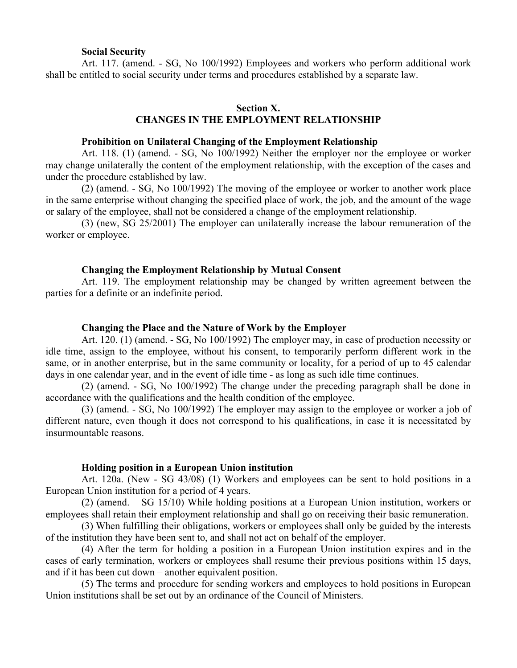## **Social Security**

Art. 117. (amend. - SG, No 100/1992) Employees and workers who perform additional work shall be entitled to social security under terms and procedures established by a separate law.

## **Section X. CHANGES IN THE EMPLOYMENT RELATIONSHIP**

## **Prohibition on Unilateral Changing of the Employment Relationship**

Art. 118. (1) (amend. - SG, No 100/1992) Neither the employer nor the employee or worker may change unilaterally the content of the employment relationship, with the exception of the cases and under the procedure established by law.

(2) (amend. - SG, No 100/1992) The moving of the employee or worker to another work place in the same enterprise without changing the specified place of work, the job, and the amount of the wage or salary of the employee, shall not be considered a change of the employment relationship.

(3) (new, SG 25/2001) The employer can unilaterally increase the labour remuneration of the worker or employee.

## **Changing the Employment Relationship by Mutual Consent**

Art. 119. The employment relationship may be changed by written agreement between the parties for a definite or an indefinite period.

### **Changing the Place and the Nature of Work by the Employer**

Art. 120. (1) (amend. - SG, No 100/1992) The employer may, in case of production necessity or idle time, assign to the employee, without his consent, to temporarily perform different work in the same, or in another enterprise, but in the same community or locality, for a period of up to 45 calendar days in one calendar year, and in the event of idle time - as long as such idle time continues.

(2) (amend. - SG, No 100/1992) The change under the preceding paragraph shall be done in accordance with the qualifications and the health condition of the employee.

(3) (amend. - SG, No 100/1992) The employer may assign to the employee or worker a job of different nature, even though it does not correspond to his qualifications, in case it is necessitated by insurmountable reasons.

### **Holding position in a European Union institution**

Art. 120а. (New - SG 43/08) (1) Workers and employees can be sent to hold positions in a European Union institution for a period of 4 years.

(2) (amend. – SG 15/10) While holding positions at a European Union institution, workers or employees shall retain their employment relationship and shall go on receiving their basic remuneration.

(3) When fulfilling their obligations, workers or employees shall only be guided by the interests of the institution they have been sent to, and shall not act on behalf of the employer.

(4) After the term for holding a position in a European Union institution expires and in the cases of early termination, workers or employees shall resume their previous positions within 15 days, and if it has been cut down – another equivalent position.

(5) The terms and procedure for sending workers and employees to hold positions in European Union institutions shall be set out by an ordinance of the Council of Ministers.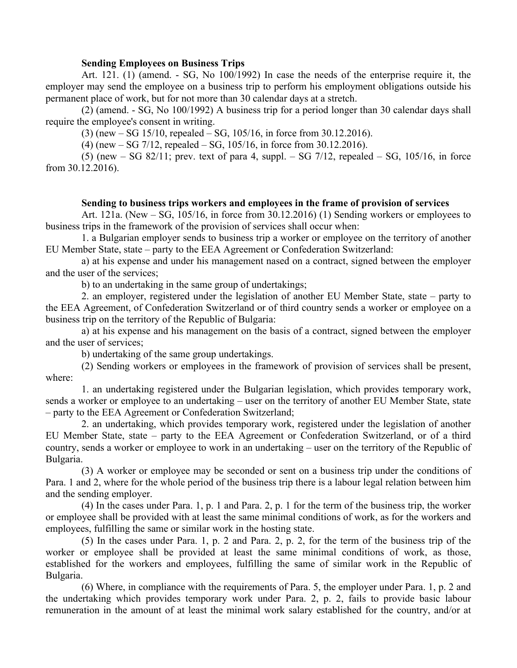## **Sending Employees on Business Trips**

Art. 121. (1) (amend. - SG, No 100/1992) In case the needs of the enterprise require it, the employer may send the employee on a business trip to perform his employment obligations outside his permanent place of work, but for not more than 30 calendar days at a stretch.

(2) (amend. - SG, No 100/1992) A business trip for a period longer than 30 calendar days shall require the employee's consent in writing.

(3) (new – SG 15/10, repealed – SG, 105/16, in force from 30.12.2016).

(4) (new – SG 7/12, repealed – SG, 105/16, in force from 30.12.2016).

(5) (new  $-$  SG 82/11; prev. text of para 4, suppl.  $-$  SG 7/12, repealed  $-$  SG, 105/16, in force from 30.12.2016).

## **Sending to business trips workers and employees in the frame of provision of services**

Art. 121a. (New – SG, 105/16, in force from 30.12.2016) (1) Sending workers or employees to business trips in the framework of the provision of services shall occur when:

1. a Bulgarian employer sends to business trip a worker or employee on the territory of another EU Member State, state – party to the EEA Agreement or Confederation Switzerland:

a) at his expense and under his management nased on a contract, signed between the employer and the user of the services;

b) to an undertaking in the same group of undertakings;

2. an employer, registered under the legislation of another EU Member State, state – party to the EEA Agreement, of Confederation Switzerland or of third country sends a worker or employee on a business trip on the territory of the Republic of Bulgaria:

a) at his expense and his management on the basis of a contract, signed between the employer and the user of services;

b) undertaking of the same group undertakings.

(2) Sending workers or employees in the framework of provision of services shall be present, where:

1. an undertaking registered under the Bulgarian legislation, which provides temporary work, sends a worker or employee to an undertaking – user on the territory of another EU Member State, state – party to the EEA Agreement or Confederation Switzerland;

2. an undertaking, which provides temporary work, registered under the legislation of another EU Member State, state – party to the EEA Agreement or Confederation Switzerland, or of a third country, sends a worker or employee to work in an undertaking – user on the territory of the Republic of Bulgaria.

(3) A worker or employee may be seconded or sent on a business trip under the conditions of Para. 1 and 2, where for the whole period of the business trip there is a labour legal relation between him and the sending employer.

(4) In the cases under Para. 1, p. 1 and Para. 2, p. 1 for the term of the business trip, the worker or employee shall be provided with at least the same minimal conditions of work, as for the workers and employees, fulfilling the same or similar work in the hosting state.

(5) In the cases under Para. 1, p. 2 and Para. 2, p. 2, for the term of the business trip of the worker or employee shall be provided at least the same minimal conditions of work, as those, established for the workers and employees, fulfilling the same of similar work in the Republic of Bulgaria.

(6) Where, in compliance with the requirements of Para. 5, the employer under Para. 1, p. 2 and the undertaking which provides temporary work under Para. 2, p. 2, fails to provide basic labour remuneration in the amount of at least the minimal work salary established for the country, and/or at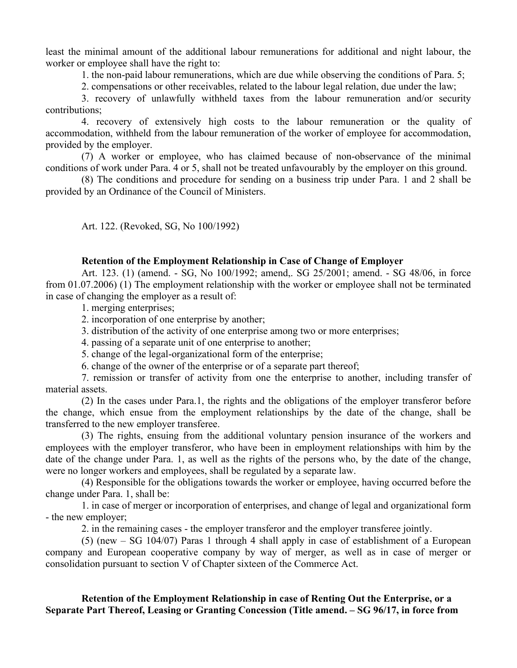least the minimal amount of the additional labour remunerations for additional and night labour, the worker or employee shall have the right to:

1. the non-paid labour remunerations, which are due while observing the conditions of Para. 5;

2. compensations or other receivables, related to the labour legal relation, due under the law;

3. recovery of unlawfully withheld taxes from the labour remuneration and/or security contributions;

4. recovery of extensively high costs to the labour remuneration or the quality of accommodation, withheld from the labour remuneration of the worker of employee for accommodation, provided by the employer.

(7) A worker or employee, who has claimed because of non-observance of the minimal conditions of work under Para. 4 or 5, shall not be treated unfavourably by the employer on this ground.

(8) The conditions and procedure for sending on a business trip under Para. 1 and 2 shall be provided by an Ordinance of the Council of Ministers.

Art. 122. (Revoked, SG, No 100/1992)

## **Retention of the Employment Relationship in Case of Change of Employer**

Art. 123. (1) (amend. - SG, No 100/1992; amend,. SG 25/2001; amend. - SG 48/06, in force from 01.07.2006) (1) The employment relationship with the worker or employee shall not be terminated in case of changing the employer as a result of:

1. merging enterprises;

2. incorporation of one enterprise by another;

3. distribution of the activity of one enterprise among two or more enterprises;

4. passing of a separate unit of one enterprise to another;

5. change of the legal-organizational form of the enterprise;

6. change of the owner of the enterprise or of a separate part thereof;

7. remission or transfer of activity from one the enterprise to another, including transfer of material assets.

(2) In the cases under Para.1, the rights and the obligations of the employer transferor before the change, which ensue from the employment relationships by the date of the change, shall be transferred to the new employer transferee.

(3) The rights, ensuing from the additional voluntary pension insurance of the workers and employees with the employer transferor, who have been in employment relationships with him by the date of the change under Para. 1, as well as the rights of the persons who, by the date of the change, were no longer workers and employees, shall be regulated by a separate law.

(4) Responsible for the obligations towards the worker or employee, having occurred before the change under Para. 1, shall be:

1. in case of merger or incorporation of enterprises, and change of legal and organizational form - the new employer;

2. in the remaining cases - the employer transferor and the employer transferee jointly.

(5) (new – SG 104/07) Paras 1 through 4 shall apply in case of establishment of a European company and European cooperative company by way of merger, as well as in case of merger or consolidation pursuant to section V of Chapter sixteen of the Commerce Act.

**Retention of the Employment Relationship in case of Renting Out the Enterprise, or a Separate Part Thereof, Leasing or Granting Concession (Title amend. – SG 96/17, in force from**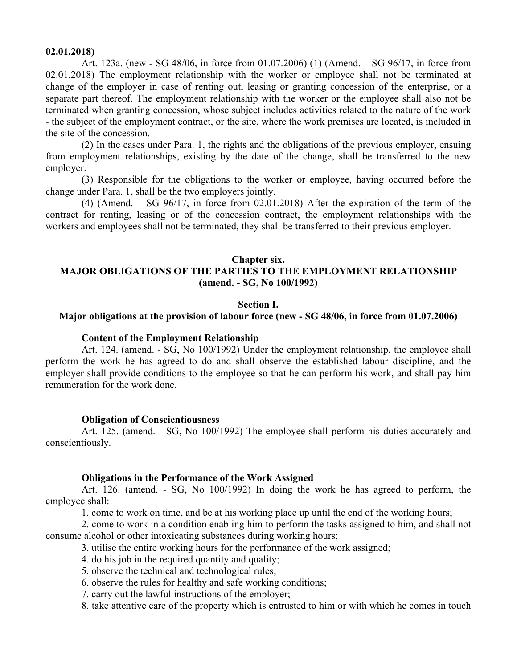### **02.01.2018)**

Art. 123a. (new - SG 48/06, in force from 01.07.2006) (1) (Amend. – SG 96/17, in force from 02.01.2018) The employment relationship with the worker or employee shall not be terminated at change of the employer in case of renting out, leasing or granting concession of the enterprise, or a separate part thereof. The employment relationship with the worker or the employee shall also not be terminated when granting concession, whose subject includes activities related to the nature of the work - the subject of the employment contract, or the site, where the work premises are located, is included in the site of the concession.

(2) In the cases under Para. 1, the rights and the obligations of the previous employer, ensuing from employment relationships, existing by the date of the change, shall be transferred to the new employer.

(3) Responsible for the obligations to the worker or employee, having occurred before the change under Para. 1, shall be the two employers jointly.

(4) (Amend. – SG 96/17, in force from 02.01.2018) After the expiration of the term of the contract for renting, leasing or of the concession contract, the employment relationships with the workers and employees shall not be terminated, they shall be transferred to their previous employer.

# **Chapter six.**

# **MAJOR OBLIGATIONS OF THE PARTIES TO THE EMPLOYMENT RELATIONSHIP (amend. - SG, No 100/1992)**

### **Section I.**

# **Major obligations at the provision of labour force (new - SG 48/06, in force from 01.07.2006)**

### **Content of the Employment Relationship**

Art. 124. (amend. - SG, No 100/1992) Under the employment relationship, the employee shall perform the work he has agreed to do and shall observe the established labour discipline, and the employer shall provide conditions to the employee so that he can perform his work, and shall pay him remuneration for the work done.

### **Obligation of Conscientiousness**

Art. 125. (amend. - SG, No 100/1992) The employee shall perform his duties accurately and conscientiously.

## **Obligations in the Performance of the Work Assigned**

Art. 126. (amend. - SG, No 100/1992) In doing the work he has agreed to perform, the employee shall:

1. come to work on time, and be at his working place up until the end of the working hours;

2. come to work in a condition enabling him to perform the tasks assigned to him, and shall not consume alcohol or other intoxicating substances during working hours;

- 3. utilise the entire working hours for the performance of the work assigned;
- 4. do his job in the required quantity and quality;
- 5. observe the technical and technological rules;
- 6. observe the rules for healthy and safe working conditions;
- 7. carry out the lawful instructions of the employer;
- 8. take attentive care of the property which is entrusted to him or with which he comes in touch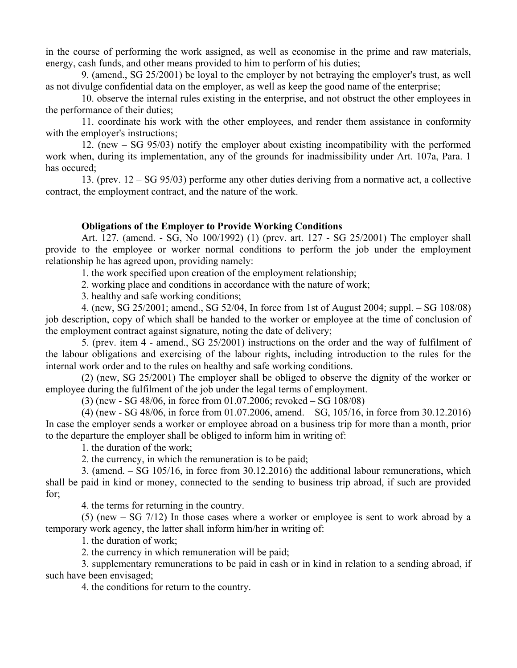in the course of performing the work assigned, as well as economise in the prime and raw materials, energy, cash funds, and other means provided to him to perform of his duties;

9. (amend., SG 25/2001) be loyal to the employer by not betraying the employer's trust, as well as not divulge confidential data on the employer, as well as keep the good name of the enterprise;

10. observe the internal rules existing in the enterprise, and not obstruct the other employees in the performance of their duties;

11. coordinate his work with the other employees, and render them assistance in conformity with the employer's instructions;

12. (new – SG 95/03) notify the employer about existing incompatibility with the performed work when, during its implementation, any of the grounds for inadmissibility under Art. 107a, Para. 1 has occured;

13. (prev. 12 – SG 95/03) performe any other duties deriving from a normative act, a collective contract, the employment contract, and the nature of the work.

# **Obligations of the Employer to Provide Working Conditions**

Art. 127. (amend. - SG, No 100/1992) (1) (prev. art. 127 - SG 25/2001) The employer shall provide to the employee or worker normal conditions to perform the job under the employment relationship he has agreed upon, providing namely:

1. the work specified upon creation of the employment relationship;

2. working place and conditions in accordance with the nature of work;

3. healthy and safe working conditions;

4. (new, SG 25/2001; amend., SG 52/04, In force from 1st of August 2004; suppl. – SG 108/08) job description, copy of which shall be handed to the worker or employee at the time of conclusion of the employment contract against signature, noting the date of delivery;

5. (prev. item 4 - amend., SG 25/2001) instructions on the order and the way of fulfilment of the labour obligations and exercising of the labour rights, including introduction to the rules for the internal work order and to the rules on healthy and safe working conditions.

(2) (new, SG 25/2001) The employer shall be obliged to observe the dignity of the worker or employee during the fulfilment of the job under the legal terms of employment.

(3) (new - SG 48/06, in force from 01.07.2006; revoked – SG 108/08)

(4) (new - SG 48/06, in force from 01.07.2006, amend. – SG, 105/16, in force from 30.12.2016) In case the employer sends a worker or employee abroad on a business trip for more than a month, prior to the departure the employer shall be obliged to inform him in writing of:

1. the duration of the work;

2. the currency, in which the remuneration is to be paid;

3. (amend. – SG 105/16, in force from 30.12.2016) the additional labour remunerations, which shall be paid in kind or money, connected to the sending to business trip abroad, if such are provided for;

4. the terms for returning in the country.

(5) (new – SG 7/12) In those cases where a worker or employee is sent to work abroad by a temporary work agency, the latter shall inform him/her in writing of:

1. the duration of work;

2. the currency in which remuneration will be paid;

3. supplementary remunerations to be paid in cash or in kind in relation to a sending abroad, if such have been envisaged;

4. the conditions for return to the country.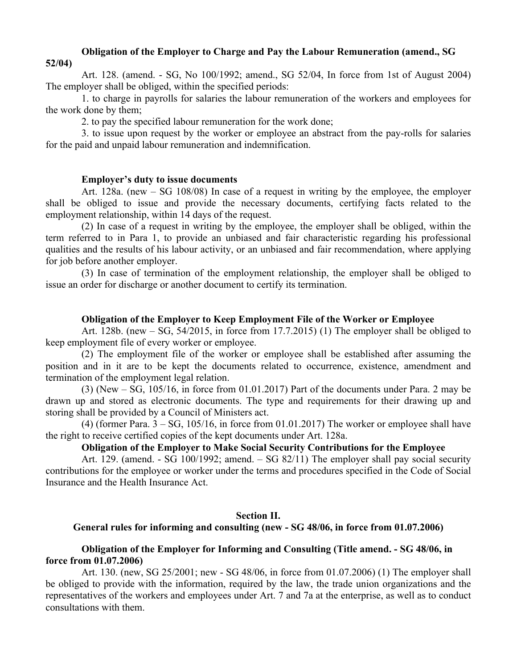## **Obligation of the Employer to Charge and Pay the Labour Remuneration (amend., SG 52/04)**

Art. 128. (amend. - SG, No 100/1992; amend., SG 52/04, In force from 1st of August 2004) The employer shall be obliged, within the specified periods:

1. to charge in payrolls for salaries the labour remuneration of the workers and employees for the work done by them;

2. to pay the specified labour remuneration for the work done;

3. to issue upon request by the worker or employee an abstract from the pay-rolls for salaries for the paid and unpaid labour remuneration and indemnification.

## **Employer's duty to issue documents**

Art. 128a. (new – SG 108/08) In case of a request in writing by the employee, the employer shall be obliged to issue and provide the necessary documents, certifying facts related to the employment relationship, within 14 days of the request.

(2) In case of a request in writing by the employee, the employer shall be obliged, within the term referred to in Para 1, to provide an unbiased and fair characteristic regarding his professional qualities and the results of his labour activity, or an unbiased and fair recommendation, where applying for job before another employer.

(3) In case of termination of the employment relationship, the employer shall be obliged to issue an order for discharge or another document to certify its termination.

## **Obligation of the Employer to Keep Employment File of the Worker or Employee**

Art. 128b. (new  $-$  SG,  $54/2015$ , in force from 17.7.2015) (1) The employer shall be obliged to keep employment file of every worker or employee.

(2) The employment file of the worker or employee shall be established after assuming the position and in it are to be kept the documents related to occurrence, existence, amendment and termination of the employment legal relation.

(3) (New – SG, 105/16, in force from 01.01.2017) Part of the documents under Para. 2 may be drawn up and stored as electronic documents. The type and requirements for their drawing up and storing shall be provided by a Council of Ministers act.

(4) (former Para.  $3 - SG$ ,  $105/16$ , in force from 01.01.2017) The worker or employee shall have the right to receive certified copies of the kept documents under Art. 128a.

# **Obligation of the Employer to Make Social Security Contributions for the Employee**

Art. 129. (amend. - SG 100/1992; amend. – SG 82/11) The employer shall pay social security contributions for the employee or worker under the terms and procedures specified in the Code of Social Insurance and the Health Insurance Act.

# **Section II.**

# **General rules for informing and consulting (new - SG 48/06, in force from 01.07.2006)**

# **Obligation of the Employer for Informing and Consulting (Title amend. - SG 48/06, in force from 01.07.2006)**

Art. 130. (new, SG 25/2001; new - SG 48/06, in force from 01.07.2006) (1) The employer shall be obliged to provide with the information, required by the law, the trade union organizations and the representatives of the workers and employees under Art. 7 and 7a at the enterprise, as well as to conduct consultations with them.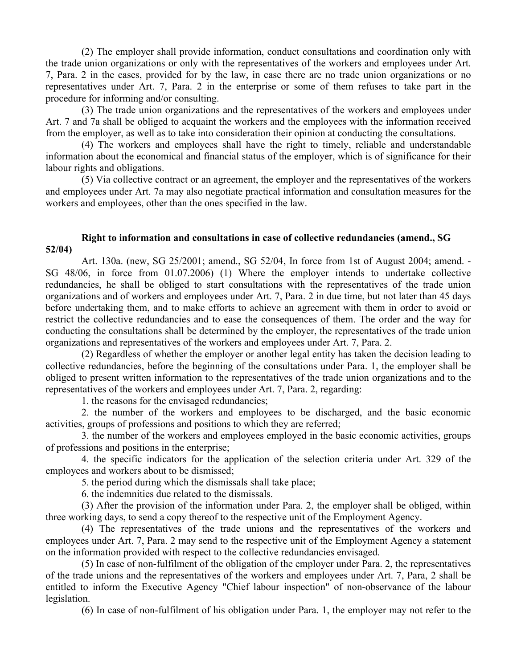(2) The employer shall provide information, conduct consultations and coordination only with the trade union organizations or only with the representatives of the workers and employees under Art. 7, Para. 2 in the cases, provided for by the law, in case there are no trade union organizations or no representatives under Art. 7, Para. 2 in the enterprise or some of them refuses to take part in the procedure for informing and/or consulting.

(3) The trade union organizations and the representatives of the workers and employees under Art. 7 and 7a shall be obliged to acquaint the workers and the employees with the information received from the employer, as well as to take into consideration their opinion at conducting the consultations.

(4) The workers and employees shall have the right to timely, reliable and understandable information about the economical and financial status of the employer, which is of significance for their labour rights and obligations.

(5) Via collective contract or an agreement, the employer and the representatives of the workers and employees under Art. 7a may also negotiate practical information and consultation measures for the workers and employees, other than the ones specified in the law.

# **Right to information and consultations in case of collective redundancies (amend., SG 52/04)**

Art. 130a. (new, SG 25/2001; amend., SG 52/04, In force from 1st of August 2004; amend. - SG 48/06, in force from 01.07.2006) (1) Where the employer intends to undertake collective redundancies, he shall be obliged to start consultations with the representatives of the trade union organizations and of workers and employees under Art. 7, Para. 2 in due time, but not later than 45 days before undertaking them, and to make efforts to achieve an agreement with them in order to avoid or restrict the collective redundancies and to ease the consequences of them. The order and the way for conducting the consultations shall be determined by the employer, the representatives of the trade union organizations and representatives of the workers and employees under Art. 7, Para. 2.

(2) Regardless of whether the employer or another legal entity has taken the decision leading to collective redundancies, before the beginning of the consultations under Para. 1, the employer shall be obliged to present written information to the representatives of the trade union organizations and to the representatives of the workers and employees under Art. 7, Para. 2, regarding:

1. the reasons for the envisaged redundancies;

2. the number of the workers and employees to be discharged, and the basic economic activities, groups of professions and positions to which they are referred;

3. the number of the workers and employees employed in the basic economic activities, groups of professions and positions in the enterprise;

4. the specific indicators for the application of the selection criteria under Art. 329 of the employees and workers about to be dismissed;

5. the period during which the dismissals shall take place;

6. the indemnities due related to the dismissals.

(3) After the provision of the information under Para. 2, the employer shall be obliged, within three working days, to send a copy thereof to the respective unit of the Employment Agency.

(4) The representatives of the trade unions and the representatives of the workers and employees under Art. 7, Para. 2 may send to the respective unit of the Employment Agency a statement on the information provided with respect to the collective redundancies envisaged.

(5) In case of non-fulfilment of the obligation of the employer under Para. 2, the representatives of the trade unions and the representatives of the workers and employees under Art. 7, Para, 2 shall be entitled to inform the Executive Agency "Chief labour inspection" of non-observance of the labour legislation.

(6) In case of non-fulfilment of his obligation under Para. 1, the employer may not refer to the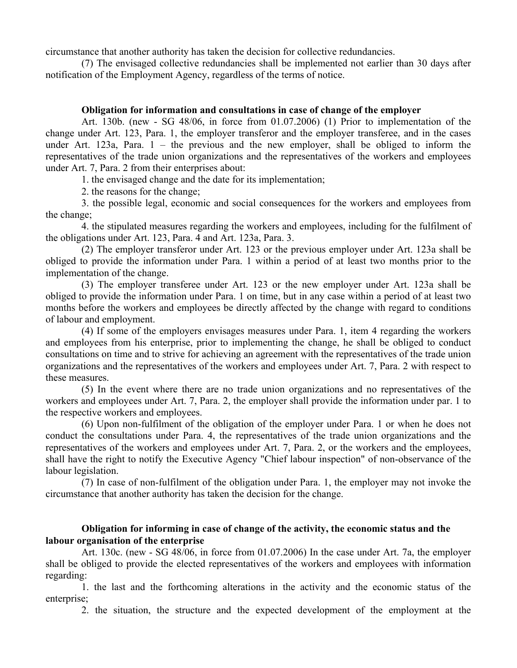circumstance that another authority has taken the decision for collective redundancies.

(7) The envisaged collective redundancies shall be implemented not earlier than 30 days after notification of the Employment Agency, regardless of the terms of notice.

# **Obligation for information and consultations in case of change of the employer**

Art. 130b. (new - SG 48/06, in force from 01.07.2006) (1) Prior to implementation of the change under Art. 123, Para. 1, the employer transferor and the employer transferee, and in the cases under Art. 123a, Para.  $1 -$  the previous and the new employer, shall be obliged to inform the representatives of the trade union organizations and the representatives of the workers and employees under Art. 7, Para. 2 from their enterprises about:

1. the envisaged change and the date for its implementation;

2. the reasons for the change;

3. the possible legal, economic and social consequences for the workers and employees from the change;

4. the stipulated measures regarding the workers and employees, including for the fulfilment of the obligations under Art. 123, Para. 4 and Art. 123a, Para. 3.

(2) The employer transferor under Art. 123 or the previous employer under Art. 123a shall be obliged to provide the information under Para. 1 within a period of at least two months prior to the implementation of the change.

(3) The employer transferee under Art. 123 or the new employer under Art. 123a shall be obliged to provide the information under Para. 1 on time, but in any case within a period of at least two months before the workers and employees be directly affected by the change with regard to conditions of labour and employment.

(4) If some of the employers envisages measures under Para. 1, item 4 regarding the workers and employees from his enterprise, prior to implementing the change, he shall be obliged to conduct consultations on time and to strive for achieving an agreement with the representatives of the trade union organizations and the representatives of the workers and employees under Art. 7, Para. 2 with respect to these measures.

(5) In the event where there are no trade union organizations and no representatives of the workers and employees under Art. 7, Para. 2, the employer shall provide the information under par. 1 to the respective workers and employees.

(6) Upon non-fulfilment of the obligation of the employer under Para. 1 or when he does not conduct the consultations under Para. 4, the representatives of the trade union organizations and the representatives of the workers and employees under Art. 7, Para. 2, or the workers and the employees, shall have the right to notify the Executive Agency "Chief labour inspection" of non-observance of the labour legislation.

(7) In case of non-fulfilment of the obligation under Para. 1, the employer may not invoke the circumstance that another authority has taken the decision for the change.

# **Obligation for informing in case of change of the activity, the economic status and the labour organisation of the enterprise**

Art. 130c. (new - SG 48/06, in force from 01.07.2006) In the case under Art. 7a, the employer shall be obliged to provide the elected representatives of the workers and employees with information regarding:

1. the last and the forthcoming alterations in the activity and the economic status of the enterprise;

2. the situation, the structure and the expected development of the employment at the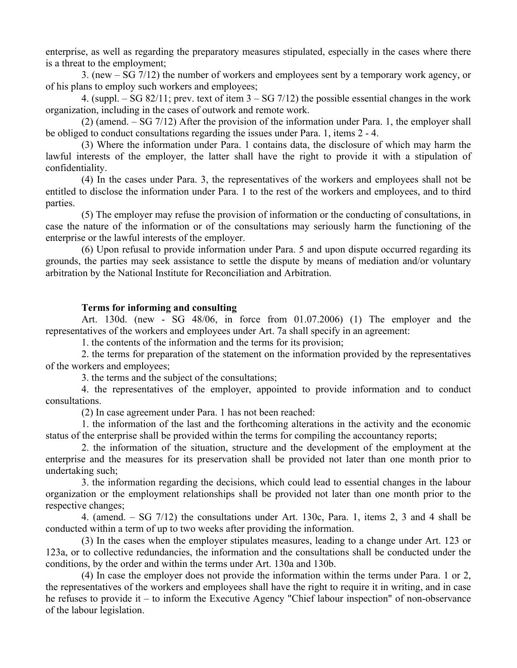enterprise, as well as regarding the preparatory measures stipulated, especially in the cases where there is a threat to the employment;

3. (new – SG 7/12) the number of workers and employees sent by a temporary work agency, or of his plans to employ such workers and employees;

4. (suppl.  $-$  SG 82/11; prev. text of item 3 – SG 7/12) the possible essential changes in the work organization, including in the cases of outwork and remote work.

(2) (amend. – SG 7/12) After the provision of the information under Para. 1, the employer shall be obliged to conduct consultations regarding the issues under Para. 1, items 2 - 4.

(3) Where the information under Para. 1 contains data, the disclosure of which may harm the lawful interests of the employer, the latter shall have the right to provide it with a stipulation of confidentiality.

(4) In the cases under Para. 3, the representatives of the workers and employees shall not be entitled to disclose the information under Para. 1 to the rest of the workers and employees, and to third parties.

(5) The employer may refuse the provision of information or the conducting of consultations, in case the nature of the information or of the consultations may seriously harm the functioning of the enterprise or the lawful interests of the employer.

(6) Upon refusal to provide information under Para. 5 and upon dispute occurred regarding its grounds, the parties may seek assistance to settle the dispute by means of mediation and/or voluntary arbitration by the National Institute for Reconciliation and Arbitration.

## **Terms for informing and consulting**

Art. 130d. (new - SG 48/06, in force from 01.07.2006) (1) The employer and the representatives of the workers and employees under Art. 7a shall specify in an agreement:

1. the contents of the information and the terms for its provision;

2. the terms for preparation of the statement on the information provided by the representatives of the workers and employees;

3. the terms and the subject of the consultations;

4. the representatives of the employer, appointed to provide information and to conduct consultations.

(2) In case agreement under Para. 1 has not been reached:

1. the information of the last and the forthcoming alterations in the activity and the economic status of the enterprise shall be provided within the terms for compiling the accountancy reports;

2. the information of the situation, structure and the development of the employment at the enterprise and the measures for its preservation shall be provided not later than one month prior to undertaking such;

3. the information regarding the decisions, which could lead to essential changes in the labour organization or the employment relationships shall be provided not later than one month prior to the respective changes;

4. (amend. – SG 7/12) the consultations under Art. 130c, Para. 1, items 2, 3 and 4 shall be conducted within a term of up to two weeks after providing the information.

(3) In the cases when the employer stipulates measures, leading to a change under Art. 123 or 123a, or to collective redundancies, the information and the consultations shall be conducted under the conditions, by the order and within the terms under Art. 130a and 130b.

(4) In case the employer does not provide the information within the terms under Para. 1 or 2, the representatives of the workers and employees shall have the right to require it in writing, and in case he refuses to provide it – to inform the Executive Agency "Chief labour inspection" of non-observance of the labour legislation.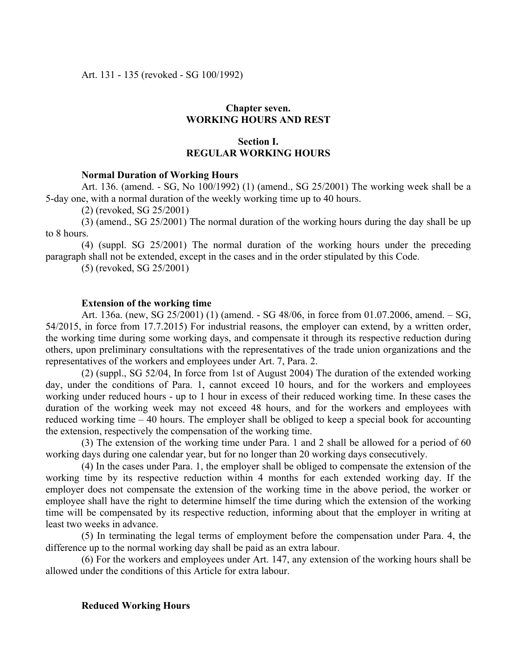Art. 131 - 135 (revoked - SG 100/1992)

# **Chapter seven. WORKING HOURS AND REST**

# **Section I. REGULAR WORKING HOURS**

## **Normal Duration of Working Hours**

Art. 136. (amend. - SG, No 100/1992) (1) (amend., SG 25/2001) The working week shall be a 5-day one, with a normal duration of the weekly working time up to 40 hours.

(2) (revoked, SG 25/2001)

(3) (amend., SG 25/2001) The normal duration of the working hours during the day shall be up to 8 hours.

(4) (suppl. SG 25/2001) The normal duration of the working hours under the preceding paragraph shall not be extended, except in the cases and in the order stipulated by this Code.

(5) (revoked, SG 25/2001)

## **Extension of the working time**

Art. 136a. (new, SG 25/2001) (1) (amend. - SG 48/06, in force from 01.07.2006, amend. – SG, 54/2015, in force from 17.7.2015) For industrial reasons, the employer can extend, by a written order, the working time during some working days, and compensate it through its respective reduction during others, upon preliminary consultations with the representatives of the trade union organizations and the representatives of the workers and employees under Art. 7, Para. 2.

(2) (suppl., SG 52/04, In force from 1st of August 2004) The duration of the extended working day, under the conditions of Para. 1, cannot exceed 10 hours, and for the workers and employees working under reduced hours - up to 1 hour in excess of their reduced working time. In these cases the duration of the working week may not exceed 48 hours, and for the workers and employees with reduced working time – 40 hours. The employer shall be obliged to keep a special book for accounting the extension, respectively the compensation of the working time.

(3) The extension of the working time under Para. 1 and 2 shall be allowed for a period of 60 working days during one calendar year, but for no longer than 20 working days consecutively.

(4) In the cases under Para. 1, the employer shall be obliged to compensate the extension of the working time by its respective reduction within 4 months for each extended working day. If the employer does not compensate the extension of the working time in the above period, the worker or employee shall have the right to determine himself the time during which the extension of the working time will be compensated by its respective reduction, informing about that the employer in writing at least two weeks in advance.

(5) In terminating the legal terms of employment before the compensation under Para. 4, the difference up to the normal working day shall be paid as an extra labour.

(6) For the workers and employees under Art. 147, any extension of the working hours shall be allowed under the conditions of this Article for extra labour.

## **Reduced Working Hours**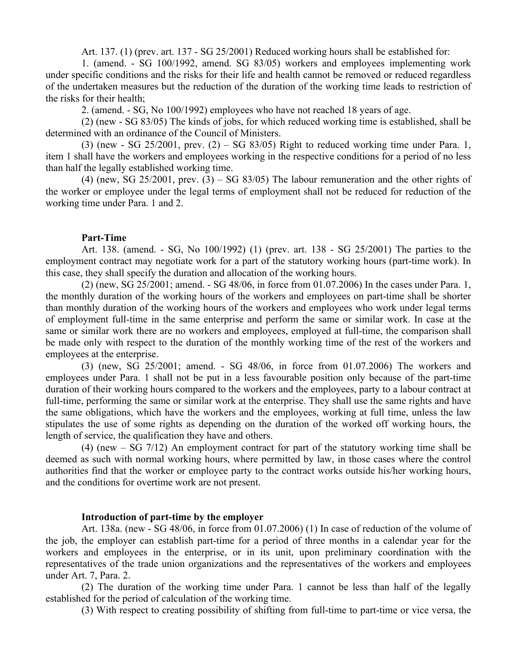Art. 137. (1) (prev. art. 137 - SG 25/2001) Reduced working hours shall be established for:

1. (amend. - SG 100/1992, amend. SG 83/05) workers and employees implementing work under specific conditions and the risks for their life and health cannot be removed or reduced regardless of the undertaken measures but the reduction of the duration of the working time leads to restriction of the risks for their health;

2. (amend. - SG, No 100/1992) employees who have not reached 18 years of age.

(2) (new - SG 83/05) The kinds of jobs, for which reduced working time is established, shall be determined with an ordinance of the Council of Ministers.

(3) (new - SG 25/2001, prev.  $(2)$  – SG 83/05) Right to reduced working time under Para. 1, item 1 shall have the workers and employees working in the respective conditions for a period of no less than half the legally established working time.

(4) (new, SG 25/2001, prev.  $(3)$  – SG 83/05) The labour remuneration and the other rights of the worker or employee under the legal terms of employment shall not be reduced for reduction of the working time under Para. 1 and 2.

## **Part-Time**

Art. 138. (amend. - SG, No 100/1992) (1) (prev. art. 138 - SG 25/2001) The parties to the employment contract may negotiate work for a part of the statutory working hours (part-time work). In this case, they shall specify the duration and allocation of the working hours.

(2) (new, SG 25/2001; amend. - SG 48/06, in force from 01.07.2006) In the cases under Para. 1, the monthly duration of the working hours of the workers and employees on part-time shall be shorter than monthly duration of the working hours of the workers and employees who work under legal terms of employment full-time in the same enterprise and perform the same or similar work. In case at the same or similar work there are no workers and employees, employed at full-time, the comparison shall be made only with respect to the duration of the monthly working time of the rest of the workers and employees at the enterprise.

(3) (new, SG 25/2001; amend. - SG 48/06, in force from 01.07.2006) The workers and employees under Para. 1 shall not be put in a less favourable position only because of the part-time duration of their working hours compared to the workers and the employees, party to a labour contract at full-time, performing the same or similar work at the enterprise. They shall use the same rights and have the same obligations, which have the workers and the employees, working at full time, unless the law stipulates the use of some rights as depending on the duration of the worked off working hours, the length of service, the qualification they have and others.

(4) (new – SG 7/12) An employment contract for part of the statutory working time shall be deemed as such with normal working hours, where permitted by law, in those cases where the control authorities find that the worker or employee party to the contract works outside his/her working hours, and the conditions for overtime work are not present.

### **Introduction of part-time by the employer**

Art. 138a. (new - SG 48/06, in force from 01.07.2006) (1) In case of reduction of the volume of the job, the employer can establish part-time for a period of three months in a calendar year for the workers and employees in the enterprise, or in its unit, upon preliminary coordination with the representatives of the trade union organizations and the representatives of the workers and employees under Art. 7, Para. 2.

(2) The duration of the working time under Para. 1 cannot be less than half of the legally established for the period of calculation of the working time.

(3) With respect to creating possibility of shifting from full-time to part-time or vice versa, the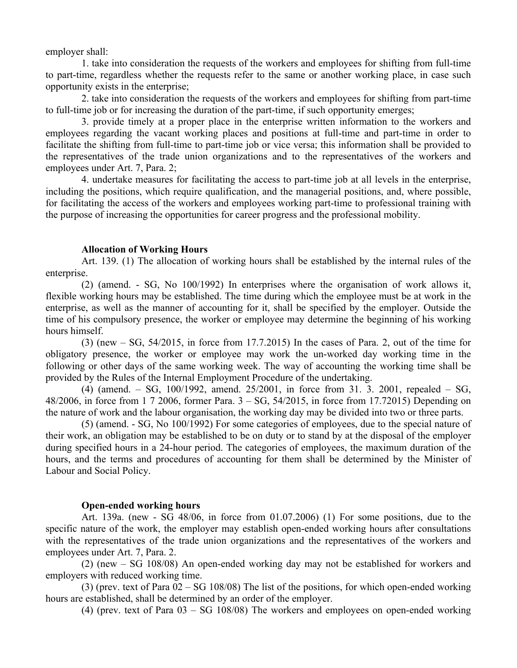employer shall:

1. take into consideration the requests of the workers and employees for shifting from full-time to part-time, regardless whether the requests refer to the same or another working place, in case such opportunity exists in the enterprise;

2. take into consideration the requests of the workers and employees for shifting from part-time to full-time job or for increasing the duration of the part-time, if such opportunity emerges;

3. provide timely at a proper place in the enterprise written information to the workers and employees regarding the vacant working places and positions at full-time and part-time in order to facilitate the shifting from full-time to part-time job or vice versa; this information shall be provided to the representatives of the trade union organizations and to the representatives of the workers and employees under Art. 7, Para. 2;

4. undertake measures for facilitating the access to part-time job at all levels in the enterprise, including the positions, which require qualification, and the managerial positions, and, where possible, for facilitating the access of the workers and employees working part-time to professional training with the purpose of increasing the opportunities for career progress and the professional mobility.

## **Allocation of Working Hours**

Art. 139. (1) The allocation of working hours shall be established by the internal rules of the enterprise.

(2) (amend. - SG, No 100/1992) In enterprises where the organisation of work allows it, flexible working hours may be established. The time during which the employee must be at work in the enterprise, as well as the manner of accounting for it, shall be specified by the employer. Outside the time of his compulsory presence, the worker or employee may determine the beginning of his working hours himself.

 $(3)$  (new  $-$  SG, 54/2015, in force from 17.7.2015) In the cases of Para. 2, out of the time for obligatory presence, the worker or employee may work the un-worked day working time in the following or other days of the same working week. The way of accounting the working time shall be provided by the Rules of the Internal Employment Procedure of the undertaking.

(4) (amend. – SG, 100/1992, amend. 25/2001, in force from 31. 3. 2001, repealed – SG, 48/2006, in force from 1 7 2006, former Para. 3 – SG, 54/2015, in force from 17.72015) Depending on the nature of work and the labour organisation, the working day may be divided into two or three parts.

(5) (amend. - SG, No 100/1992) For some categories of employees, due to the special nature of their work, an obligation may be established to be on duty or to stand by at the disposal of the employer during specified hours in a 24-hour period. The categories of employees, the maximum duration of the hours, and the terms and procedures of accounting for them shall be determined by the Minister of Labour and Social Policy.

# **Open-ended working hours**

Art. 139a. (new - SG 48/06, in force from 01.07.2006) (1) For some positions, due to the specific nature of the work, the employer may establish open-ended working hours after consultations with the representatives of the trade union organizations and the representatives of the workers and employees under Art. 7, Para. 2.

(2) (new – SG 108/08) An open-ended working day may not be established for workers and employers with reduced working time.

(3) (prev. text of Para 02 – SG 108/08) The list of the positions, for which open-ended working hours are established, shall be determined by an order of the employer.

(4) (prev. text of Para 03 – SG 108/08) The workers and employees on open-ended working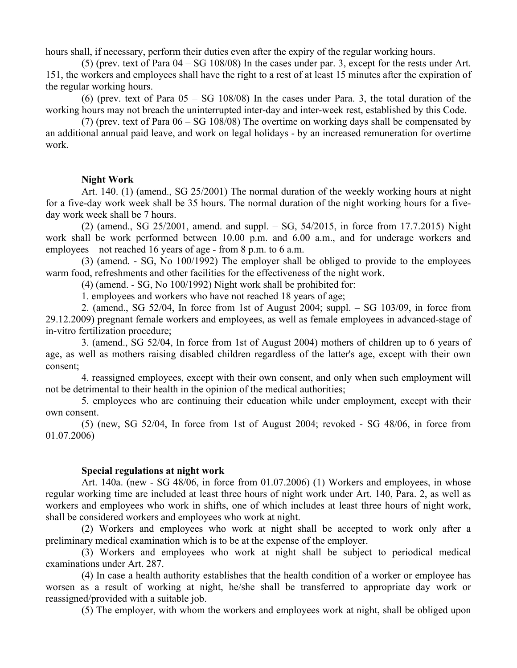hours shall, if necessary, perform their duties even after the expiry of the regular working hours.

(5) (prev. text of Para 04 – SG 108/08) In the cases under par. 3, except for the rests under Art. 151, the workers and employees shall have the right to a rest of at least 15 minutes after the expiration of the regular working hours.

(6) (prev. text of Para  $05 - SG$  108/08) In the cases under Para. 3, the total duration of the working hours may not breach the uninterrupted inter-day and inter-week rest, established by this Code.

(7) (prev. text of Para 06 – SG 108/08) The overtime on working days shall be compensated by an additional annual paid leave, and work on legal holidays - by an increased remuneration for overtime work.

## **Night Work**

Art. 140. (1) (amend., SG 25/2001) The normal duration of the weekly working hours at night for a five-day work week shall be 35 hours. The normal duration of the night working hours for a fiveday work week shall be 7 hours.

(2) (amend., SG 25/2001, amend. and suppl. – SG, 54/2015, in force from 17.7.2015) Night work shall be work performed between 10.00 p.m. and 6.00 a.m., and for underage workers and employees – not reached 16 years of age - from 8 p.m. to 6 a.m.

(3) (amend. - SG, No 100/1992) The employer shall be obliged to provide to the employees warm food, refreshments and other facilities for the effectiveness of the night work.

(4) (amend. - SG, No 100/1992) Night work shall be prohibited for:

1. employees and workers who have not reached 18 years of age;

2. (amend., SG 52/04, In force from 1st of August 2004; suppl. – SG 103/09, in force from 29.12.2009) pregnant female workers and employees, as well as female employees in advanced-stage of in-vitro fertilization procedure;

3. (amend., SG 52/04, In force from 1st of August 2004) mothers of children up to 6 years of age, as well as mothers raising disabled children regardless of the latter's age, except with their own consent;

4. reassigned employees, except with their own consent, and only when such employment will not be detrimental to their health in the opinion of the medical authorities;

5. employees who are continuing their education while under employment, except with their own consent.

(5) (new, SG 52/04, In force from 1st of August 2004; revoked - SG 48/06, in force from 01.07.2006)

## **Special regulations at night work**

Art. 140a. (new - SG 48/06, in force from 01.07.2006) (1) Workers and employees, in whose regular working time are included at least three hours of night work under Art. 140, Para. 2, as well as workers and employees who work in shifts, one of which includes at least three hours of night work, shall be considered workers and employees who work at night.

(2) Workers and employees who work at night shall be accepted to work only after a preliminary medical examination which is to be at the expense of the employer.

(3) Workers and employees who work at night shall be subject to periodical medical examinations under Art. 287.

(4) In case a health authority establishes that the health condition of a worker or employee has worsen as a result of working at night, he/she shall be transferred to appropriate day work or reassigned/provided with a suitable job.

(5) The employer, with whom the workers and employees work at night, shall be obliged upon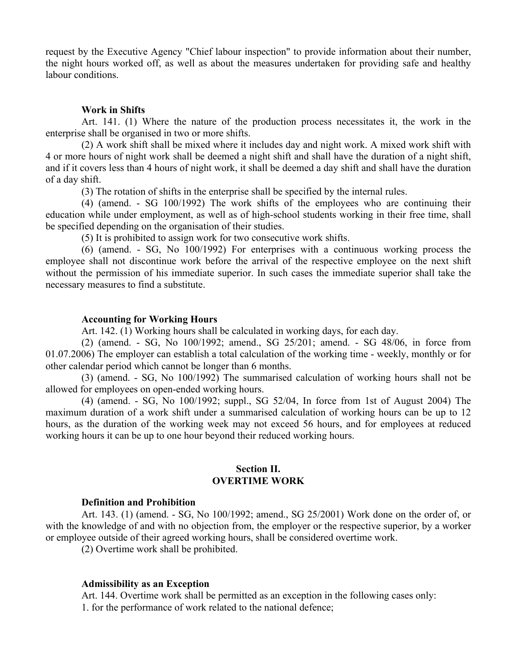request by the Executive Agency "Chief labour inspection" to provide information about their number, the night hours worked off, as well as about the measures undertaken for providing safe and healthy labour conditions.

#### **Work in Shifts**

Art. 141. (1) Where the nature of the production process necessitates it, the work in the enterprise shall be organised in two or more shifts.

(2) A work shift shall be mixed where it includes day and night work. A mixed work shift with 4 or more hours of night work shall be deemed a night shift and shall have the duration of a night shift, and if it covers less than 4 hours of night work, it shall be deemed a day shift and shall have the duration of a day shift.

(3) The rotation of shifts in the enterprise shall be specified by the internal rules.

(4) (amend. - SG 100/1992) The work shifts of the employees who are continuing their education while under employment, as well as of high-school students working in their free time, shall be specified depending on the organisation of their studies.

(5) It is prohibited to assign work for two consecutive work shifts.

(6) (amend. - SG, No 100/1992) For enterprises with a continuous working process the employee shall not discontinue work before the arrival of the respective employee on the next shift without the permission of his immediate superior. In such cases the immediate superior shall take the necessary measures to find a substitute.

## **Accounting for Working Hours**

Art. 142. (1) Working hours shall be calculated in working days, for each day.

(2) (amend. - SG, No 100/1992; amend., SG 25/201; amend. - SG 48/06, in force from 01.07.2006) The employer can establish a total calculation of the working time - weekly, monthly or for other calendar period which cannot be longer than 6 months.

(3) (amend. - SG, No 100/1992) The summarised calculation of working hours shall not be allowed for employees on open-ended working hours.

(4) (amend. - SG, No 100/1992; suppl., SG 52/04, In force from 1st of August 2004) The maximum duration of a work shift under a summarised calculation of working hours can be up to 12 hours, as the duration of the working week may not exceed 56 hours, and for employees at reduced working hours it can be up to one hour beyond their reduced working hours.

## **Section II. OVERTIME WORK**

### **Definition and Prohibition**

Art. 143. (1) (amend. - SG, No 100/1992; amend., SG 25/2001) Work done on the order of, or with the knowledge of and with no objection from, the employer or the respective superior, by a worker or employee outside of their agreed working hours, shall be considered overtime work.

(2) Overtime work shall be prohibited.

## **Admissibility as an Exception**

Art. 144. Overtime work shall be permitted as an exception in the following cases only: 1. for the performance of work related to the national defence;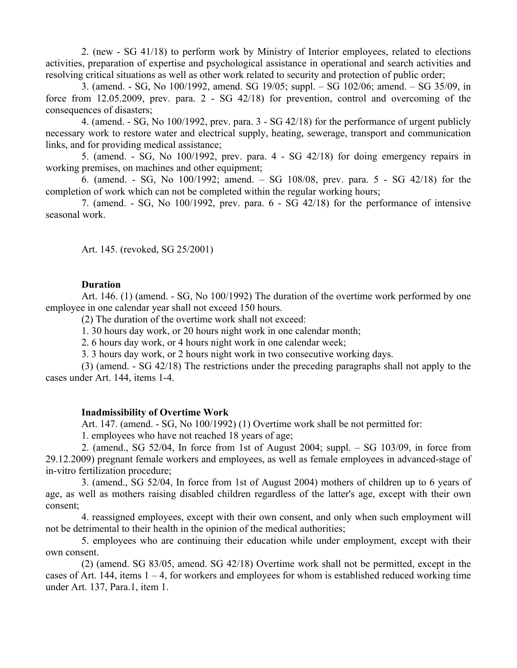2. (new - SG 41/18) to perform work by Ministry of Interior employees, related to elections activities, preparation of expertise and psychological assistance in operational and search activities and resolving critical situations as well as other work related to security and protection of public order;

3. (amend. - SG, No 100/1992, amend. SG 19/05; suppl. – SG 102/06; amend. – SG 35/09, in force from 12.05.2009, prev. para. 2 - SG 42/18) for prevention, control and overcoming of the consequences of disasters;

4. (amend. - SG, No 100/1992, prev. para. 3 - SG 42/18) for the performance of urgent publicly necessary work to restore water and electrical supply, heating, sewerage, transport and communication links, and for providing medical assistance;

5. (amend. - SG, No 100/1992, prev. para. 4 - SG 42/18) for doing emergency repairs in working premises, on machines and other equipment;

6. (amend. - SG, No 100/1992; amend. – SG 108/08, prev. para. 5 - SG 42/18) for the completion of work which can not be completed within the regular working hours;

7. (amend. - SG, No 100/1992, prev. para. 6 - SG 42/18) for the performance of intensive seasonal work.

Art. 145. (revoked, SG 25/2001)

### **Duration**

Art. 146. (1) (amend. - SG, No 100/1992) The duration of the overtime work performed by one employee in one calendar year shall not exceed 150 hours.

(2) The duration of the overtime work shall not exceed:

1. 30 hours day work, or 20 hours night work in one calendar month;

2. 6 hours day work, or 4 hours night work in one calendar week;

3. 3 hours day work, or 2 hours night work in two consecutive working days.

(3) (amend. - SG 42/18) The restrictions under the preceding paragraphs shall not apply to the cases under Art. 144, items 1-4.

## **Inadmissibility of Overtime Work**

Art. 147. (amend. - SG, No 100/1992) (1) Overtime work shall be not permitted for:

1. employees who have not reached 18 years of age;

2. (amend., SG 52/04, In force from 1st of August 2004; suppl. – SG 103/09, in force from 29.12.2009) pregnant female workers and employees, as well as female employees in advanced-stage of in-vitro fertilization procedure;

3. (amend., SG 52/04, In force from 1st of August 2004) mothers of children up to 6 years of age, as well as mothers raising disabled children regardless of the latter's age, except with their own consent;

4. reassigned employees, except with their own consent, and only when such employment will not be detrimental to their health in the opinion of the medical authorities;

5. employees who are continuing their education while under employment, except with their own consent.

(2) (amend. SG 83/05, amend. SG 42/18) Overtime work shall not be permitted, except in the cases of Art. 144, items  $1 - 4$ , for workers and employees for whom is established reduced working time under Art. 137, Para.1, item 1.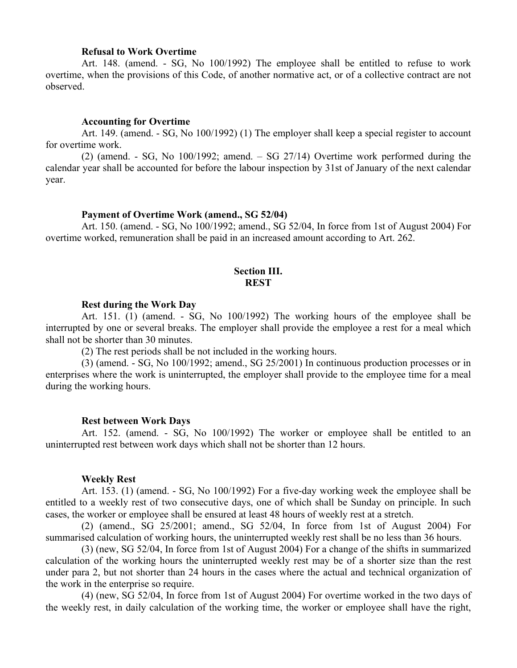### **Refusal to Work Overtime**

Art. 148. (amend. - SG, No 100/1992) The employee shall be entitled to refuse to work overtime, when the provisions of this Code, of another normative act, or of a collective contract are not observed.

### **Accounting for Overtime**

Art. 149. (amend. - SG, No 100/1992) (1) The employer shall keep a special register to account for overtime work.

(2) (amend. - SG, No 100/1992; amend. – SG 27/14) Overtime work performed during the calendar year shall be accounted for before the labour inspection by 31st of January of the next calendar year.

### **Payment of Overtime Work (amend., SG 52/04)**

Art. 150. (amend. - SG, No 100/1992; amend., SG 52/04, In force from 1st of August 2004) For overtime worked, remuneration shall be paid in an increased amount according to Art. 262.

## **Section III. REST**

#### **Rest during the Work Day**

Art. 151. (1) (amend. - SG, No 100/1992) The working hours of the employee shall be interrupted by one or several breaks. The employer shall provide the employee a rest for a meal which shall not be shorter than 30 minutes.

(2) The rest periods shall be not included in the working hours.

(3) (amend. - SG, No 100/1992; amend., SG 25/2001) In continuous production processes or in enterprises where the work is uninterrupted, the employer shall provide to the employee time for a meal during the working hours.

#### **Rest between Work Days**

Art. 152. (amend. - SG, No 100/1992) The worker or employee shall be entitled to an uninterrupted rest between work days which shall not be shorter than 12 hours.

### **Weekly Rest**

Art. 153. (1) (amend. - SG, No 100/1992) For a five-day working week the employee shall be entitled to a weekly rest of two consecutive days, one of which shall be Sunday on principle. In such cases, the worker or employee shall be ensured at least 48 hours of weekly rest at a stretch.

(2) (amend., SG 25/2001; amend., SG 52/04, In force from 1st of August 2004) For summarised calculation of working hours, the uninterrupted weekly rest shall be no less than 36 hours.

(3) (new, SG 52/04, In force from 1st of August 2004) For a change of the shifts in summarized calculation of the working hours the uninterrupted weekly rest may be of a shorter size than the rest under para 2, but not shorter than 24 hours in the cases where the actual and technical organization of the work in the enterprise so require.

(4) (new, SG 52/04, In force from 1st of August 2004) For overtime worked in the two days of the weekly rest, in daily calculation of the working time, the worker or employee shall have the right,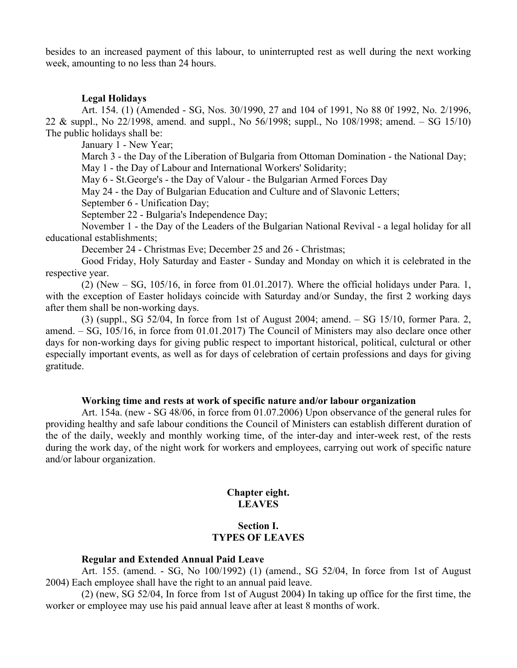besides to an increased payment of this labour, to uninterrupted rest as well during the next working week, amounting to no less than 24 hours.

## **Legal Holidays**

Art. 154. (1) (Amended - SG, Nos. 30/1990, 27 and 104 of 1991, No 88 0f 1992, No. 2/1996, 22 & suppl., No 22/1998, amend. and suppl., No 56/1998; suppl., No 108/1998; amend. – SG 15/10) The public holidays shall be:

January 1 - New Year;

March 3 - the Day of the Liberation of Bulgaria from Ottoman Domination - the National Day; May 1 - the Day of Labour and International Workers' Solidarity;

May 6 - St.George's - the Day of Valour - the Bulgarian Armed Forces Day

May 24 - the Day of Bulgarian Education and Culture and of Slavonic Letters;

September 6 - Unification Day;

September 22 - Bulgaria's Independence Day;

November 1 - the Day of the Leaders of the Bulgarian National Revival - a legal holiday for all educational establishments;

December 24 - Christmas Eve; December 25 and 26 - Christmas;

Good Friday, Holy Saturday and Easter - Sunday and Monday on which it is celebrated in the respective year.

(2) (New – SG, 105/16, in force from 01.01.2017). Where the official holidays under Para. 1, with the exception of Easter holidays coincide with Saturday and/or Sunday, the first 2 working days after them shall be non-working days.

(3) (suppl., SG 52/04, In force from 1st of August 2004; amend. – SG 15/10, former Para. 2, amend. – SG, 105/16, in force from 01.01.2017) The Council of Ministers may also declare once other days for non-working days for giving public respect to important historical, political, culctural or other especially important events, as well as for days of celebration of certain professions and days for giving gratitude.

## **Working time and rests at work of specific nature and/or labour organization**

Art. 154a. (new - SG 48/06, in force from 01.07.2006) Upon observance of the general rules for providing healthy and safe labour conditions the Council of Ministers can establish different duration of the of the daily, weekly and monthly working time, of the inter-day and inter-week rest, of the rests during the work day, of the night work for workers and employees, carrying out work of specific nature and/or labour organization.

### **Chapter eight. LEAVES**

# **Section I. TYPES OF LEAVES**

# **Regular and Extended Annual Paid Leave**

Art. 155. (amend. - SG, No 100/1992) (1) (amend., SG 52/04, In force from 1st of August 2004) Each employee shall have the right to an annual paid leave.

(2) (new, SG 52/04, In force from 1st of August 2004) In taking up office for the first time, the worker or employee may use his paid annual leave after at least 8 months of work.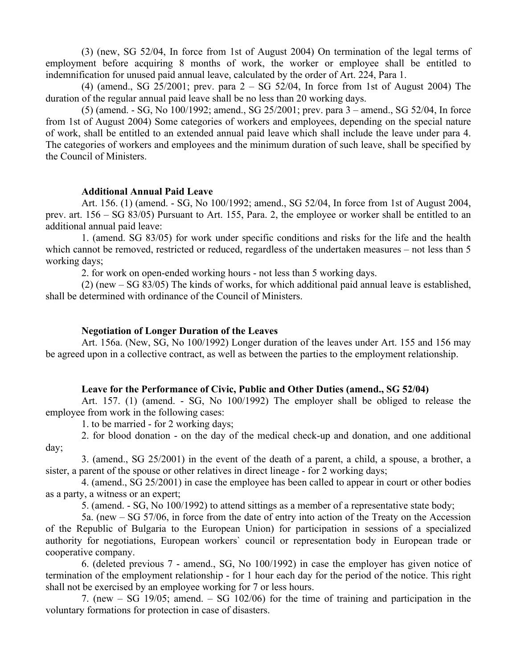(3) (new, SG 52/04, In force from 1st of August 2004) On termination of the legal terms of employment before acquiring 8 months of work, the worker or employee shall be entitled to indemnification for unused paid annual leave, calculated by the order of Art. 224, Para 1.

(4) (amend., SG 25/2001; prev. para  $2 - SG$  52/04, In force from 1st of August 2004) The duration of the regular annual paid leave shall be no less than 20 working days.

(5) (amend. - SG, No 100/1992; amend., SG 25/2001; prev. para 3 – amend., SG 52/04, In force from 1st of August 2004) Some categories of workers and employees, depending on the special nature of work, shall be entitled to an extended annual paid leave which shall include the leave under para 4. The categories of workers and employees and the minimum duration of such leave, shall be specified by the Council of Ministers.

## **Additional Annual Paid Leave**

Art. 156. (1) (amend. - SG, No 100/1992; amend., SG 52/04, In force from 1st of August 2004, prev. art. 156 – SG 83/05) Pursuant to Art. 155, Para. 2, the employee or worker shall be entitled to an additional annual paid leave:

1. (amend. SG 83/05) for work under specific conditions and risks for the life and the health which cannot be removed, restricted or reduced, regardless of the undertaken measures – not less than 5 working days;

2. for work on open-ended working hours - not less than 5 working days.

(2) (new – SG 83/05) The kinds of works, for which additional paid annual leave is established, shall be determined with ordinance of the Council of Ministers.

## **Negotiation of Longer Duration of the Leaves**

Art. 156a. (New, SG, No 100/1992) Longer duration of the leaves under Art. 155 and 156 may be agreed upon in a collective contract, as well as between the parties to the employment relationship.

## **Leave for the Performance of Civic, Public and Other Duties (amend., SG 52/04)**

Art. 157. (1) (amend. - SG, No 100/1992) The employer shall be obliged to release the employee from work in the following cases:

1. to be married - for 2 working days;

2. for blood donation - on the day of the medical check-up and donation, and one additional day;

3. (amend., SG 25/2001) in the event of the death of a parent, a child, a spouse, a brother, a sister, a parent of the spouse or other relatives in direct lineage - for 2 working days;

4. (amend., SG 25/2001) in case the employee has been called to appear in court or other bodies as a party, a witness or an expert;

5. (amend. - SG, No 100/1992) to attend sittings as a member of a representative state body;

5a. (new – SG 57/06, in force from the date of entry into action of the Treaty on the Accession of the Republic of Bulgaria to the European Union) for participation in sessions of a specialized authority for negotiations, European workers` council or representation body in European trade or cooperative company.

6. (deleted previous 7 - amend., SG, No 100/1992) in case the employer has given notice of termination of the employment relationship - for 1 hour each day for the period of the notice. This right shall not be exercised by an employee working for 7 or less hours.

7. (new – SG 19/05; amend. – SG 102/06) for the time of training and participation in the voluntary formations for protection in case of disasters.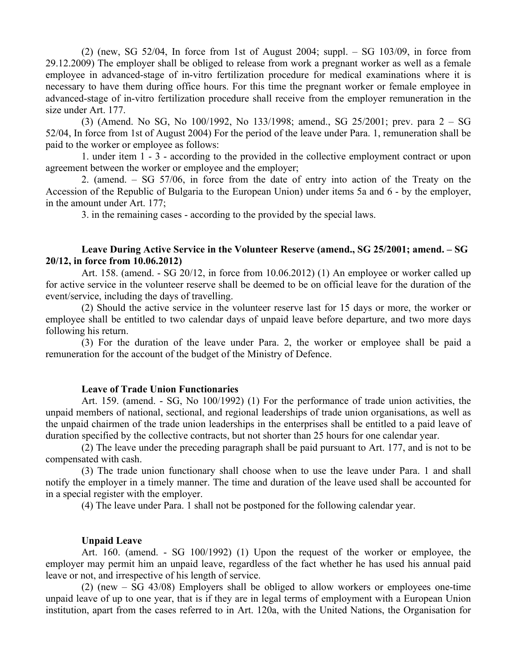(2) (new, SG 52/04, In force from 1st of August 2004; suppl. – SG 103/09, in force from 29.12.2009) The employer shall be obliged to release from work a pregnant worker as well as a female employee in advanced-stage of in-vitro fertilization procedure for medical examinations where it is necessary to have them during office hours. For this time the pregnant worker or female employee in advanced-stage of in-vitro fertilization procedure shall receive from the employer remuneration in the size under Art. 177.

(3) (Amend. No SG, No 100/1992, No 133/1998; amend., SG 25/2001; prev. para 2 – SG 52/04, In force from 1st of August 2004) For the period of the leave under Para. 1, remuneration shall be paid to the worker or employee as follows:

1. under item 1 - 3 - according to the provided in the collective employment contract or upon agreement between the worker or employee and the employer;

2. (amend. – SG 57/06, in force from the date of entry into action of the Treaty on the Accession of the Republic of Bulgaria to the European Union) under items 5a and 6 - by the employer, in the amount under Art. 177;

3. in the remaining cases - according to the provided by the special laws.

# **Leave During Active Service in the Volunteer Reserve (amend., SG 25/2001; amend. – SG 20/12, in force from 10.06.2012)**

Art. 158. (amend. - SG 20/12, in force from 10.06.2012) (1) An employee or worker called up for active service in the volunteer reserve shall be deemed to be on official leave for the duration of the event/service, including the days of travelling.

(2) Should the active service in the volunteer reserve last for 15 days or more, the worker or employee shall be entitled to two calendar days of unpaid leave before departure, and two more days following his return.

(3) For the duration of the leave under Para. 2, the worker or employee shall be paid a remuneration for the account of the budget of the Ministry of Defence.

# **Leave of Trade Union Functionaries**

Art. 159. (amend. - SG, No 100/1992) (1) For the performance of trade union activities, the unpaid members of national, sectional, and regional leaderships of trade union organisations, as well as the unpaid chairmen of the trade union leaderships in the enterprises shall be entitled to a paid leave of duration specified by the collective contracts, but not shorter than 25 hours for one calendar year.

(2) The leave under the preceding paragraph shall be paid pursuant to Art. 177, and is not to be compensated with cash.

(3) The trade union functionary shall choose when to use the leave under Para. 1 and shall notify the employer in a timely manner. The time and duration of the leave used shall be accounted for in a special register with the employer.

(4) The leave under Para. 1 shall not be postponed for the following calendar year.

## **Unpaid Leave**

Art. 160. (amend. - SG 100/1992) (1) Upon the request of the worker or employee, the employer may permit him an unpaid leave, regardless of the fact whether he has used his annual paid leave or not, and irrespective of his length of service.

(2) (new – SG 43/08) Employers shall be obliged to allow workers or employees one-time unpaid leave of up to one year, that is if they are in legal terms of employment with a European Union institution, apart from the cases referred to in Art. 120a, with the United Nations, the Organisation for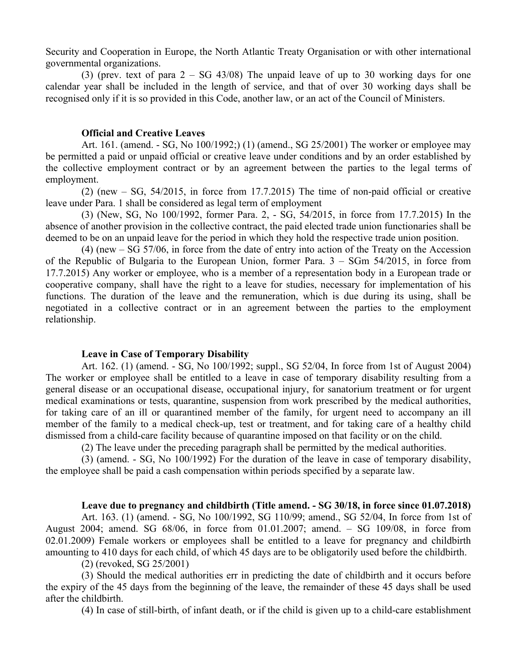Security and Cooperation in Europe, the North Atlantic Treaty Organisation or with other international governmental organizations.

(3) (prev. text of para  $2 - SG$  43/08) The unpaid leave of up to 30 working days for one calendar year shall be included in the length of service, and that of over 30 working days shall be recognised only if it is so provided in this Code, another law, or an act of the Council of Ministers.

### **Official and Creative Leaves**

Art. 161. (amend. - SG, No 100/1992;) (1) (amend., SG 25/2001) The worker or employee may be permitted a paid or unpaid official or creative leave under conditions and by an order established by the collective employment contract or by an agreement between the parties to the legal terms of employment.

(2) (new – SG, 54/2015, in force from 17.7.2015) The time of non-paid official or creative leave under Para. 1 shall be considered as legal term of employment

(3) (New, SG, No 100/1992, former Para. 2, - SG, 54/2015, in force from 17.7.2015) In the absence of another provision in the collective contract, the paid elected trade union functionaries shall be deemed to be on an unpaid leave for the period in which they hold the respective trade union position.

(4) (new – SG 57/06, in force from the date of entry into action of the Treaty on the Accession of the Republic of Bulgaria to the European Union, former Para. 3 – SGm 54/2015, in force from 17.7.2015) Any worker or employee, who is a member of a representation body in a European trade or cooperative company, shall have the right to a leave for studies, necessary for implementation of his functions. The duration of the leave and the remuneration, which is due during its using, shall be negotiated in a collective contract or in an agreement between the parties to the employment relationship.

### **Leave in Case of Temporary Disability**

Art. 162. (1) (amend. - SG, No 100/1992; suppl., SG 52/04, In force from 1st of August 2004) The worker or employee shall be entitled to a leave in case of temporary disability resulting from a general disease or an occupational disease, occupational injury, for sanatorium treatment or for urgent medical examinations or tests, quarantine, suspension from work prescribed by the medical authorities, for taking care of an ill or quarantined member of the family, for urgent need to accompany an ill member of the family to a medical check-up, test or treatment, and for taking care of a healthy child dismissed from a child-care facility because of quarantine imposed on that facility or on the child.

(2) The leave under the preceding paragraph shall be permitted by the medical authorities.

(3) (amend. - SG, No 100/1992) For the duration of the leave in case of temporary disability, the employee shall be paid a cash compensation within periods specified by a separate law.

#### **Leave due to pregnancy and childbirth (Title amend. - SG 30/18, in force since 01.07.2018)**

Art. 163. (1) (amend. - SG, No 100/1992, SG 110/99; amend., SG 52/04, In force from 1st of August 2004; amend. SG 68/06, in force from 01.01.2007; amend. – SG 109/08, in force from 02.01.2009) Female workers or employees shall be entitled to a leave for pregnancy and childbirth amounting to 410 days for each child, of which 45 days are to be obligatorily used before the childbirth.

(2) (revoked, SG 25/2001)

(3) Should the medical authorities err in predicting the date of childbirth and it occurs before the expiry of the 45 days from the beginning of the leave, the remainder of these 45 days shall be used after the childbirth.

(4) In case of still-birth, of infant death, or if the child is given up to a child-care establishment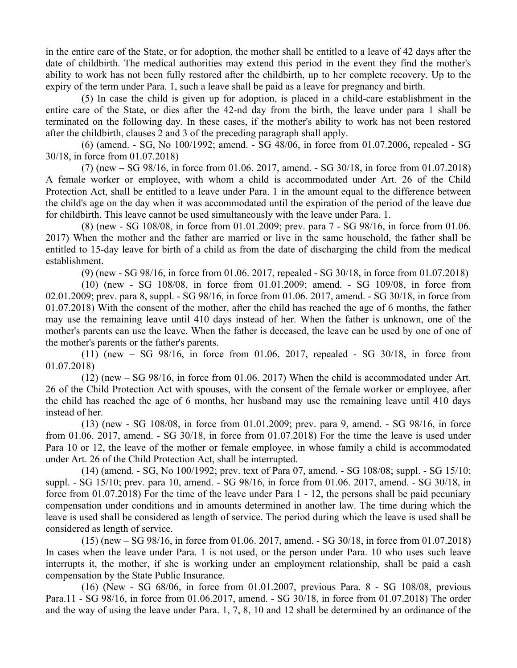in the entire care of the State, or for adoption, the mother shall be entitled to a leave of 42 days after the date of childbirth. The medical authorities may extend this period in the event they find the mother's ability to work has not been fully restored after the childbirth, up to her complete recovery. Up to the expiry of the term under Para. 1, such a leave shall be paid as a leave for pregnancy and birth.

(5) In case the child is given up for adoption, is placed in a child-care establishment in the entire care of the State, or dies after the 42-nd day from the birth, the leave under para 1 shall be terminated on the following day. In these cases, if the mother's ability to work has not been restored after the childbirth, clauses 2 and 3 of the preceding paragraph shall apply.

(6) (amend. - SG, No 100/1992; amend. - SG 48/06, in force from 01.07.2006, repealed - SG 30/18, in force from 01.07.2018)

(7) (new – SG 98/16, in force from 01.06. 2017, amend. - SG 30/18, in force from 01.07.2018) A female worker or employee, with whom a child is accommodated under Art. 26 of the Child Protection Act, shall be entitled to a leave under Para. 1 in the amount equal to the difference between the child's age on the day when it was accommodated until the expiration of the period of the leave due for childbirth. This leave cannot be used simultaneously with the leave under Para. 1.

(8) (new - SG 108/08, in force from 01.01.2009; prev. para 7 - SG 98/16, in force from 01.06. 2017) When the mother and the father are married or live in the same household, the father shall be entitled to 15-day leave for birth of a child as from the date of discharging the child from the medical establishment.

(9) (new - SG 98/16, in force from 01.06. 2017, repealed - SG 30/18, in force from 01.07.2018)

(10) (new - SG 108/08, in force from 01.01.2009; amend. - SG 109/08, in force from 02.01.2009; prev. para 8, suppl. - SG 98/16, in force from 01.06. 2017, amend. - SG 30/18, in force from 01.07.2018) With the consent of the mother, after the child has reached the age of 6 months, the father may use the remaining leave until 410 days instead of her. When the father is unknown, one of the mother's parents can use the leave. When the father is deceased, the leave can be used by one of one of the mother's parents or the father's parents.

(11) (new – SG 98/16, in force from 01.06. 2017, repealed - SG 30/18, in force from 01.07.2018)

(12) (new – SG 98/16, in force from 01.06. 2017) When the child is accommodated under Art. 26 of the Child Protection Act with spouses, with the consent of the female worker or employee, after the child has reached the age of 6 months, her husband may use the remaining leave until 410 days instead of her.

(13) (new - SG 108/08, in force from 01.01.2009; prev. para 9, amend. - SG 98/16, in force from 01.06. 2017, amend. - SG 30/18, in force from 01.07.2018) For the time the leave is used under Para 10 or 12, the leave of the mother or female employee, in whose family a child is accommodated under Art. 26 of the Child Protection Act, shall be interrupted.

(14) (amend. - SG, No 100/1992; prev. text of Para 07, amend. - SG 108/08; suppl. - SG 15/10; suppl. - SG 15/10; prev. para 10, amend. - SG 98/16, in force from 01.06. 2017, amend. - SG 30/18, in force from 01.07.2018) For the time of the leave under Para 1 - 12, the persons shall be paid pecuniary compensation under conditions and in amounts determined in another law. The time during which the leave is used shall be considered as length of service. The period during which the leave is used shall be considered as length of service.

(15) (new – SG 98/16, in force from 01.06. 2017, amend. - SG 30/18, in force from 01.07.2018) In cases when the leave under Para. 1 is not used, or the person under Para. 10 who uses such leave interrupts it, the mother, if she is working under an employment relationship, shall be paid a cash compensation by the State Public Insurance.

(16) (New - SG 68/06, in force from 01.01.2007, previous Para. 8 - SG 108/08, previous Para.11 - SG 98/16, in force from 01.06.2017, amend. - SG 30/18, in force from 01.07.2018) The order and the way of using the leave under Para. 1, 7, 8, 10 and 12 shall be determined by an ordinance of the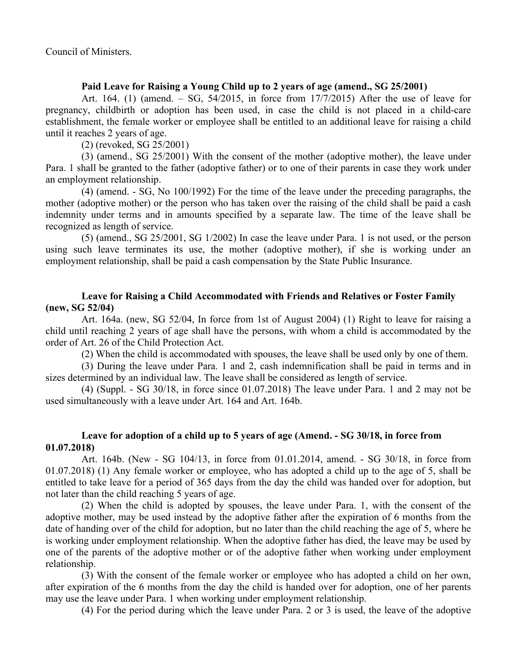Council of Ministers.

# **Paid Leave for Raising a Young Child up to 2 years of age (amend., SG 25/2001)**

Art. 164. (1) (amend. – SG, 54/2015, in force from 17/7/2015) After the use of leave for pregnancy, childbirth or adoption has been used, in case the child is not placed in a child-care establishment, the female worker or employee shall be entitled to an additional leave for raising a child until it reaches 2 years of age.

(2) (revoked, SG 25/2001)

(3) (amend., SG 25/2001) With the consent of the mother (adoptive mother), the leave under Para. 1 shall be granted to the father (adoptive father) or to one of their parents in case they work under an employment relationship.

(4) (amend. - SG, No 100/1992) For the time of the leave under the preceding paragraphs, the mother (adoptive mother) or the person who has taken over the raising of the child shall be paid a cash indemnity under terms and in amounts specified by a separate law. The time of the leave shall be recognized as length of service.

(5) (amend., SG 25/2001, SG 1/2002) In case the leave under Para. 1 is not used, or the person using such leave terminates its use, the mother (adoptive mother), if she is working under an employment relationship, shall be paid a cash compensation by the State Public Insurance.

# **Leave for Raising a Child Accommodated with Friends and Relatives or Foster Family (new, SG 52/04)**

Art. 164a. (new, SG 52/04, In force from 1st of August 2004) (1) Right to leave for raising a child until reaching 2 years of age shall have the persons, with whom a child is accommodated by the order of Art. 26 of the Child Protection Act.

(2) When the child is accommodated with spouses, the leave shall be used only by one of them.

(3) During the leave under Para. 1 and 2, cash indemnification shall be paid in terms and in sizes determined by an individual law. The leave shall be considered as length of service.

(4) (Suppl. - SG 30/18, in force since 01.07.2018) The leave under Para. 1 and 2 may not be used simultaneously with a leave under Art. 164 and Art. 164b.

# **Leave for adoption of a child up to 5 years of age (Amend. - SG 30/18, in force from 01.07.2018)**

Art. 164b. (New - SG 104/13, in force from 01.01.2014, amend. - SG 30/18, in force from 01.07.2018) (1) Any female worker or employee, who has adopted a child up to the age of 5, shall be entitled to take leave for a period of 365 days from the day the child was handed over for adoption, but not later than the child reaching 5 years of age.

(2) When the child is adopted by spouses, the leave under Para. 1, with the consent of the adoptive mother, may be used instead by the adoptive father after the expiration of 6 months from the date of handing over of the child for adoption, but no later than the child reaching the age of 5, where he is working under employment relationship. When the adoptive father has died, the leave may be used by one of the parents of the adoptive mother or of the adoptive father when working under employment relationship.

(3) With the consent of the female worker or employee who has adopted a child on her own, after expiration of the 6 months from the day the child is handed over for adoption, one of her parents may use the leave under Para. 1 when working under employment relationship.

(4) For the period during which the leave under Para. 2 or 3 is used, the leave of the adoptive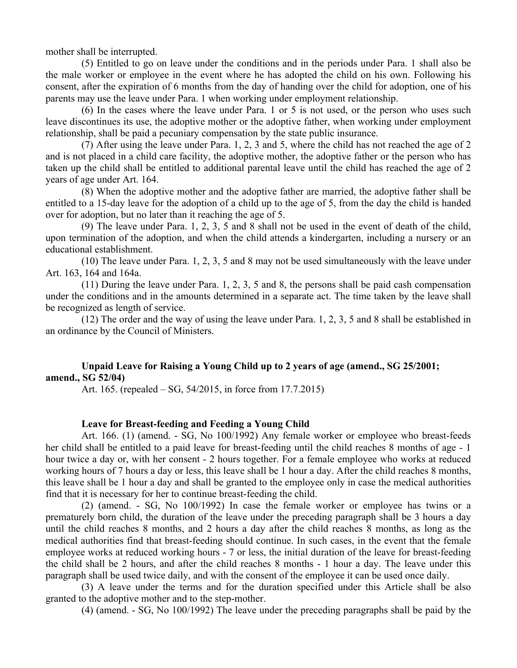mother shall be interrupted.

(5) Entitled to go on leave under the conditions and in the periods under Para. 1 shall also be the male worker or employee in the event where he has adopted the child on his own. Following his consent, after the expiration of 6 months from the day of handing over the child for adoption, one of his parents may use the leave under Para. 1 when working under employment relationship.

(6) In the cases where the leave under Para. 1 or 5 is not used, or the person who uses such leave discontinues its use, the adoptive mother or the adoptive father, when working under employment relationship, shall be paid a pecuniary compensation by the state public insurance.

(7) After using the leave under Para. 1, 2, 3 and 5, where the child has not reached the age of 2 and is not placed in a child care facility, the adoptive mother, the adoptive father or the person who has taken up the child shall be entitled to additional parental leave until the child has reached the age of 2 years of age under Art. 164.

(8) When the adoptive mother and the adoptive father are married, the adoptive father shall be entitled to a 15-day leave for the adoption of a child up to the age of 5, from the day the child is handed over for adoption, but no later than it reaching the age of 5.

(9) The leave under Para. 1, 2, 3, 5 and 8 shall not be used in the event of death of the child, upon termination of the adoption, and when the child attends a kindergarten, including a nursery or an educational establishment.

(10) The leave under Para. 1, 2, 3, 5 and 8 may not be used simultaneously with the leave under Art. 163, 164 and 164a.

(11) During the leave under Para. 1, 2, 3, 5 and 8, the persons shall be paid cash compensation under the conditions and in the amounts determined in a separate act. The time taken by the leave shall be recognized as length of service.

(12) The order and the way of using the leave under Para. 1, 2, 3, 5 and 8 shall be established in an ordinance by the Council of Ministers.

# **Unpaid Leave for Raising a Young Child up to 2 years of age (amend., SG 25/2001; amend., SG 52/04)**

Art. 165. (repealed – SG, 54/2015, in force from 17.7.2015)

# **Leave for Breast-feeding and Feeding a Young Child**

Art. 166. (1) (amend. - SG, No 100/1992) Any female worker or employee who breast-feeds her child shall be entitled to a paid leave for breast-feeding until the child reaches 8 months of age - 1 hour twice a day or, with her consent - 2 hours together. For a female employee who works at reduced working hours of 7 hours a day or less, this leave shall be 1 hour a day. After the child reaches 8 months, this leave shall be 1 hour a day and shall be granted to the employee only in case the medical authorities find that it is necessary for her to continue breast-feeding the child.

(2) (amend. - SG, No 100/1992) In case the female worker or employee has twins or a prematurely born child, the duration of the leave under the preceding paragraph shall be 3 hours a day until the child reaches 8 months, and 2 hours a day after the child reaches 8 months, as long as the medical authorities find that breast-feeding should continue. In such cases, in the event that the female employee works at reduced working hours - 7 or less, the initial duration of the leave for breast-feeding the child shall be 2 hours, and after the child reaches 8 months - 1 hour a day. The leave under this paragraph shall be used twice daily, and with the consent of the employee it can be used once daily.

(3) A leave under the terms and for the duration specified under this Article shall be also granted to the adoptive mother and to the step-mother.

(4) (amend. - SG, No 100/1992) The leave under the preceding paragraphs shall be paid by the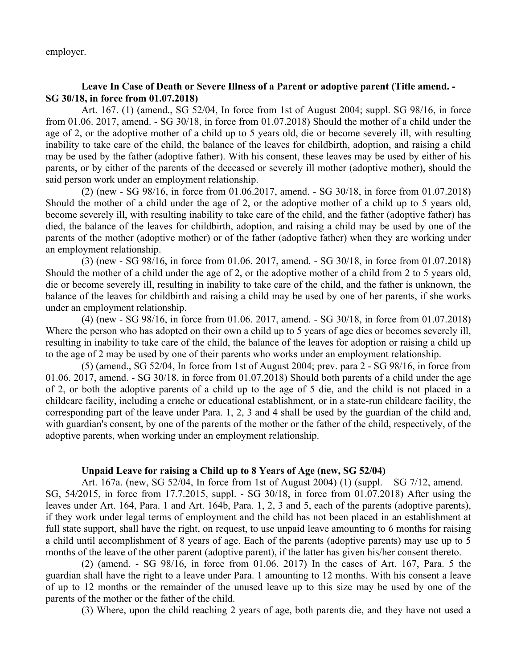employer.

# **Leave In Case of Death or Severe Illness of a Parent or adoptive parent (Title amend. - SG 30/18, in force from 01.07.2018)**

Art. 167. (1) (amend., SG 52/04, In force from 1st of August 2004; suppl. SG 98/16, in force from 01.06. 2017, amend. - SG 30/18, in force from 01.07.2018) Should the mother of a child under the age of 2, or the adoptive mother of a child up to 5 years old, die or become severely ill, with resulting inability to take care of the child, the balance of the leaves for childbirth, adoption, and raising a child may be used by the father (adoptive father). With his consent, these leaves may be used by either of his parents, or by either of the parents of the deceased or severely ill mother (adoptive mother), should the said person work under an employment relationship.

(2) (new - SG 98/16, in force from 01.06.2017, amend. - SG 30/18, in force from 01.07.2018) Should the mother of a child under the age of 2, or the adoptive mother of a child up to 5 years old, become severely ill, with resulting inability to take care of the child, and the father (adoptive father) has died, the balance of the leaves for childbirth, adoption, and raising a child may be used by one of the parents of the mother (adoptive mother) or of the father (adoptive father) when they are working under an employment relationship.

(3) (new - SG 98/16, in force from 01.06. 2017, amend. - SG 30/18, in force from 01.07.2018) Should the mother of a child under the age of 2, or the adoptive mother of a child from 2 to 5 years old, die or become severely ill, resulting in inability to take care of the child, and the father is unknown, the balance of the leaves for childbirth and raising a child may be used by one of her parents, if she works under an employment relationship.

(4) (new - SG 98/16, in force from 01.06. 2017, amend. - SG 30/18, in force from 01.07.2018) Where the person who has adopted on their own a child up to 5 years of age dies or becomes severely ill, resulting in inability to take care of the child, the balance of the leaves for adoption or raising a child up to the age of 2 may be used by one of their parents who works under an employment relationship.

(5) (amend., SG 52/04, In force from 1st of August 2004; prev. para 2 - SG 98/16, in force from 01.06. 2017, amend. - SG 30/18, in force from 01.07.2018) Should both parents of a child under the age of 2, or both the adoptive parents of a child up to the age of 5 die, and the child is not placed in a childcare facility, including a crиche or educational establishment, or in a state-run childcare facility, the corresponding part of the leave under Para. 1, 2, 3 and 4 shall be used by the guardian of the child and, with guardian's consent, by one of the parents of the mother or the father of the child, respectively, of the adoptive parents, when working under an employment relationship.

# **Unpaid Leave for raising a Child up to 8 Years of Age (new, SG 52/04)**

Art. 167a. (new, SG 52/04, In force from 1st of August 2004) (1) (suppl. – SG 7/12, amend. – SG, 54/2015, in force from 17.7.2015, suppl. - SG 30/18, in force from 01.07.2018) After using the leaves under Art. 164, Para. 1 and Art. 164b, Para. 1, 2, 3 and 5, each of the parents (adoptive parents), if they work under legal terms of employment and the child has not been placed in an establishment at full state support, shall have the right, on request, to use unpaid leave amounting to 6 months for raising a child until accomplishment of 8 years of age. Each of the parents (adoptive parents) may use up to 5 months of the leave of the other parent (adoptive parent), if the latter has given his/her consent thereto.

(2) (amend. - SG 98/16, in force from 01.06. 2017) In the cases of Art. 167, Para. 5 the guardian shall have the right to a leave under Para. 1 amounting to 12 months. With his consent a leave of up to 12 months or the remainder of the unused leave up to this size may be used by one of the parents of the mother or the father of the child.

(3) Where, upon the child reaching 2 years of age, both parents die, and they have not used a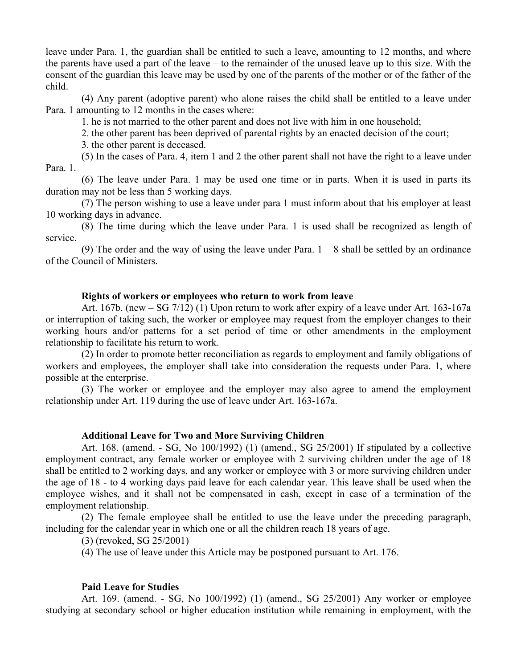leave under Para. 1, the guardian shall be entitled to such a leave, amounting to 12 months, and where the parents have used a part of the leave – to the remainder of the unused leave up to this size. With the consent of the guardian this leave may be used by one of the parents of the mother or of the father of the child.

(4) Any parent (adoptive parent) who alone raises the child shall be entitled to a leave under Para. 1 amounting to 12 months in the cases where:

1. he is not married to the other parent and does not live with him in one household;

2. the other parent has been deprived of parental rights by an enacted decision of the court;

3. the other parent is deceased.

(5) In the cases of Para. 4, item 1 and 2 the other parent shall not have the right to a leave under Para. 1.

(6) The leave under Para. 1 may be used one time or in parts. When it is used in parts its duration may not be less than 5 working days.

(7) The person wishing to use a leave under para 1 must inform about that his employer at least 10 working days in advance.

(8) The time during which the leave under Para. 1 is used shall be recognized as length of service.

(9) The order and the way of using the leave under Para.  $1 - 8$  shall be settled by an ordinance of the Council of Ministers.

## **Rights of workers or employees who return to work from leave**

Art. 167b. (new – SG 7/12) (1) Upon return to work after expiry of a leave under Art. 163-167a or interruption of taking such, the worker or employee may request from the employer changes to their working hours and/or patterns for a set period of time or other amendments in the employment relationship to facilitate his return to work.

(2) In order to promote better reconciliation as regards to employment and family obligations of workers and employees, the employer shall take into consideration the requests under Para. 1, where possible at the enterprise.

(3) The worker or employee and the employer may also agree to amend the employment relationship under Art. 119 during the use of leave under Art. 163-167a.

## **Additional Leave for Two and More Surviving Children**

Art. 168. (amend. - SG, No 100/1992) (1) (amend., SG 25/2001) If stipulated by a collective employment contract, any female worker or employee with 2 surviving children under the age of 18 shall be entitled to 2 working days, and any worker or employee with 3 or more surviving children under the age of 18 - to 4 working days paid leave for each calendar year. This leave shall be used when the employee wishes, and it shall not be compensated in cash, except in case of a termination of the employment relationship.

(2) The female employee shall be entitled to use the leave under the preceding paragraph, including for the calendar year in which one or all the children reach 18 years of age.

(3) (revoked, SG 25/2001)

(4) The use of leave under this Article may be postponed pursuant to Art. 176.

## **Paid Leave for Studies**

Art. 169. (amend. - SG, No 100/1992) (1) (amend., SG 25/2001) Any worker or employee studying at secondary school or higher education institution while remaining in employment, with the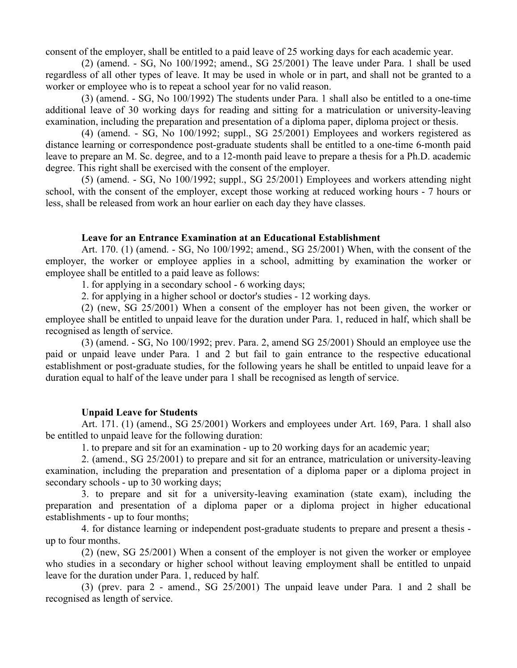consent of the employer, shall be entitled to a paid leave of 25 working days for each academic year.

(2) (amend. - SG, No 100/1992; amend., SG 25/2001) The leave under Para. 1 shall be used regardless of all other types of leave. It may be used in whole or in part, and shall not be granted to a worker or employee who is to repeat a school year for no valid reason.

(3) (amend. - SG, No 100/1992) The students under Para. 1 shall also be entitled to a one-time additional leave of 30 working days for reading and sitting for a matriculation or university-leaving examination, including the preparation and presentation of a diploma paper, diploma project or thesis.

(4) (amend. - SG, No 100/1992; suppl., SG 25/2001) Employees and workers registered as distance learning or correspondence post-graduate students shall be entitled to a one-time 6-month paid leave to prepare an M. Sc. degree, and to a 12-month paid leave to prepare a thesis for a Ph.D. academic degree. This right shall be exercised with the consent of the employer.

(5) (amend. - SG, No 100/1992; suppl., SG 25/2001) Employees and workers attending night school, with the consent of the employer, except those working at reduced working hours - 7 hours or less, shall be released from work an hour earlier on each day they have classes.

# **Leave for an Entrance Examination at an Educational Establishment**

Art. 170. (1) (amend. - SG, No 100/1992; amend., SG 25/2001) When, with the consent of the employer, the worker or employee applies in a school, admitting by examination the worker or employee shall be entitled to a paid leave as follows:

1. for applying in a secondary school - 6 working days;

2. for applying in a higher school or doctor's studies - 12 working days.

(2) (new, SG 25/2001) When a consent of the employer has not been given, the worker or employee shall be entitled to unpaid leave for the duration under Para. 1, reduced in half, which shall be recognised as length of service.

(3) (amend. - SG, No 100/1992; prev. Para. 2, amend SG 25/2001) Should an employee use the paid or unpaid leave under Para. 1 and 2 but fail to gain entrance to the respective educational establishment or post-graduate studies, for the following years he shall be entitled to unpaid leave for a duration equal to half of the leave under para 1 shall be recognised as length of service.

# **Unpaid Leave for Students**

Art. 171. (1) (amend., SG 25/2001) Workers and employees under Art. 169, Para. 1 shall also be entitled to unpaid leave for the following duration:

1. to prepare and sit for an examination - up to 20 working days for an academic year;

2. (amend., SG 25/2001) to prepare and sit for an entrance, matriculation or university-leaving examination, including the preparation and presentation of a diploma paper or a diploma project in secondary schools - up to 30 working days;

3. to prepare and sit for a university-leaving examination (state exam), including the preparation and presentation of a diploma paper or a diploma project in higher educational establishments - up to four months;

4. for distance learning or independent post-graduate students to prepare and present a thesis - up to four months.

(2) (new, SG 25/2001) When a consent of the employer is not given the worker or employee who studies in a secondary or higher school without leaving employment shall be entitled to unpaid leave for the duration under Para. 1, reduced by half.

(3) (prev. para 2 - amend., SG 25/2001) The unpaid leave under Para. 1 and 2 shall be recognised as length of service.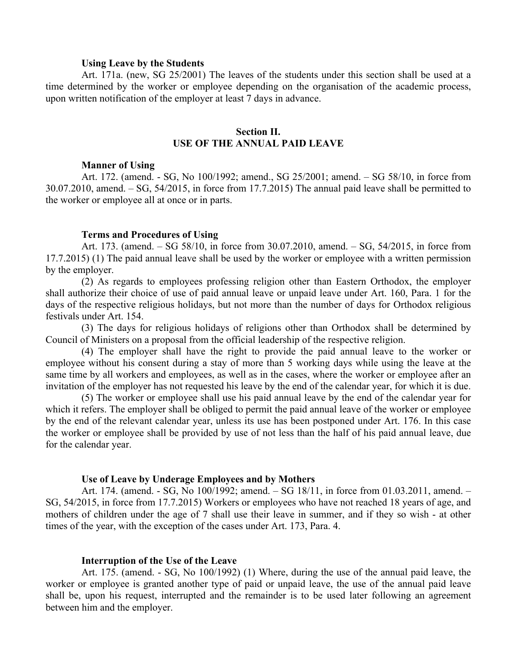### **Using Leave by the Students**

Art. 171a. (new, SG 25/2001) The leaves of the students under this section shall be used at a time determined by the worker or employee depending on the organisation of the academic process, upon written notification of the employer at least 7 days in advance.

## **Section II. USE OF THE ANNUAL PAID LEAVE**

#### **Manner of Using**

Art. 172. (amend. - SG, No 100/1992; amend., SG 25/2001; amend. – SG 58/10, in force from 30.07.2010, amend. – SG, 54/2015, in force from 17.7.2015) The annual paid leave shall be permitted to the worker or employee all at once or in parts.

### **Terms and Procedures of Using**

Art. 173. (amend. – SG 58/10, in force from 30.07.2010, amend. – SG, 54/2015, in force from 17.7.2015) (1) The paid annual leave shall be used by the worker or employee with a written permission by the employer.

(2) As regards to employees professing religion other than Eastern Orthodox, the employer shall authorize their choice of use of paid annual leave or unpaid leave under Art. 160, Para. 1 for the days of the respective religious holidays, but not more than the number of days for Orthodox religious festivals under Art. 154.

(3) The days for religious holidays of religions other than Orthodox shall be determined by Council of Ministers on a proposal from the official leadership of the respective religion.

(4) The employer shall have the right to provide the paid annual leave to the worker or employee without his consent during a stay of more than 5 working days while using the leave at the same time by all workers and employees, as well as in the cases, where the worker or employee after an invitation of the employer has not requested his leave by the end of the calendar year, for which it is due.

(5) The worker or employee shall use his paid annual leave by the end of the calendar year for which it refers. The employer shall be obliged to permit the paid annual leave of the worker or employee by the end of the relevant calendar year, unless its use has been postponed under Art. 176. In this case the worker or employee shall be provided by use of not less than the half of his paid annual leave, due for the calendar year.

### **Use of Leave by Underage Employees and by Mothers**

Art. 174. (amend. - SG, No 100/1992; amend. – SG 18/11, in force from 01.03.2011, amend. – SG, 54/2015, in force from 17.7.2015) Workers or employees who have not reached 18 years of age, and mothers of children under the age of 7 shall use their leave in summer, and if they so wish - at other times of the year, with the exception of the cases under Art. 173, Para. 4.

### **Interruption of the Use of the Leave**

Art. 175. (amend. - SG, No 100/1992) (1) Where, during the use of the annual paid leave, the worker or employee is granted another type of paid or unpaid leave, the use of the annual paid leave shall be, upon his request, interrupted and the remainder is to be used later following an agreement between him and the employer.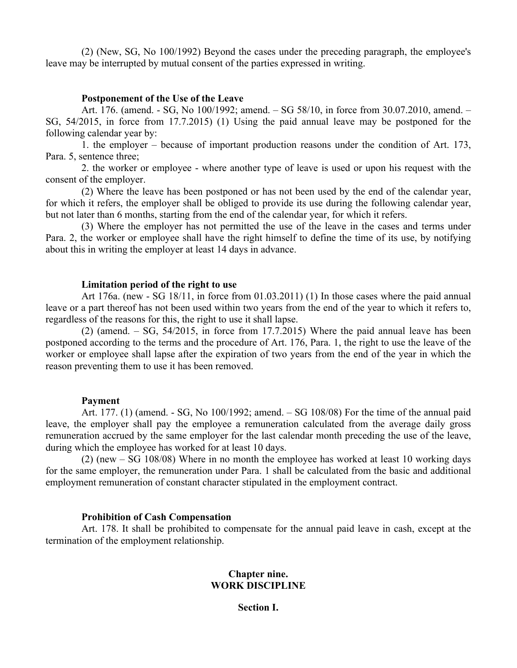(2) (New, SG, No 100/1992) Beyond the cases under the preceding paragraph, the employee's leave may be interrupted by mutual consent of the parties expressed in writing.

## **Postponement of the Use of the Leave**

Art. 176. (amend. - SG, No 100/1992; amend. – SG 58/10, in force from 30.07.2010, amend. – SG, 54/2015, in force from 17.7.2015) (1) Using the paid annual leave may be postponed for the following calendar year by:

1. the employer – because of important production reasons under the condition of Art. 173, Para. 5, sentence three;

2. the worker or employee - where another type of leave is used or upon his request with the consent of the employer.

(2) Where the leave has been postponed or has not been used by the end of the calendar year, for which it refers, the employer shall be obliged to provide its use during the following calendar year, but not later than 6 months, starting from the end of the calendar year, for which it refers.

(3) Where the employer has not permitted the use of the leave in the cases and terms under Para. 2, the worker or employee shall have the right himself to define the time of its use, by notifying about this in writing the employer at least 14 days in advance.

### **Limitation period of the right to use**

Art 176a. (new - SG 18/11, in force from 01.03.2011) (1) In those cases where the paid annual leave or a part thereof has not been used within two years from the end of the year to which it refers to, regardless of the reasons for this, the right to use it shall lapse.

(2) (amend. – SG, 54/2015, in force from 17.7.2015) Where the paid annual leave has been postponed according to the terms and the procedure of Art. 176, Para. 1, the right to use the leave of the worker or employee shall lapse after the expiration of two years from the end of the year in which the reason preventing them to use it has been removed.

### **Payment**

Art. 177. (1) (amend. - SG, No 100/1992; amend. – SG 108/08) For the time of the annual paid leave, the employer shall pay the employee a remuneration calculated from the average daily gross remuneration accrued by the same employer for the last calendar month preceding the use of the leave, during which the employee has worked for at least 10 days.

(2) (new – SG 108/08) Where in no month the employee has worked at least 10 working days for the same employer, the remuneration under Para. 1 shall be calculated from the basic and additional employment remuneration of constant character stipulated in the employment contract.

### **Prohibition of Cash Compensation**

Art. 178. It shall be prohibited to compensate for the annual paid leave in cash, except at the termination of the employment relationship.

## **Chapter nine. WORK DISCIPLINE**

## **Section I.**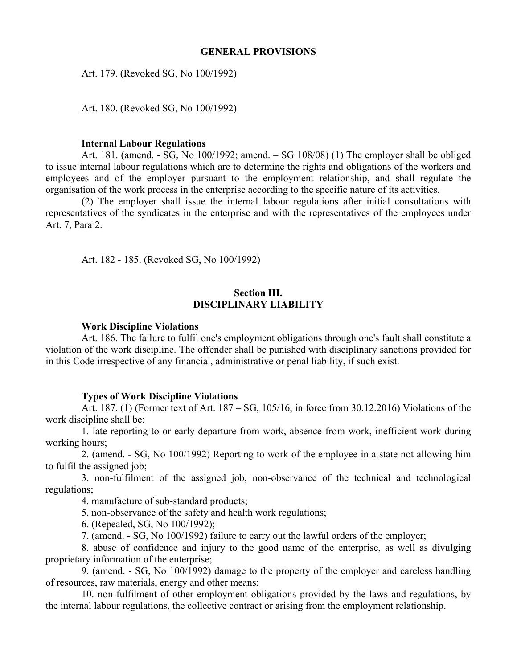## **GENERAL PROVISIONS**

Art. 179. (Revoked SG, No 100/1992)

Art. 180. (Revoked SG, No 100/1992)

### **Internal Labour Regulations**

Art. 181. (amend. - SG, No 100/1992; amend. – SG 108/08) (1) The employer shall be obliged to issue internal labour regulations which are to determine the rights and obligations of the workers and employees and of the employer pursuant to the employment relationship, and shall regulate the organisation of the work process in the enterprise according to the specific nature of its activities.

(2) The employer shall issue the internal labour regulations after initial consultations with representatives of the syndicates in the enterprise and with the representatives of the employees under Art. 7, Para 2.

Art. 182 - 185. (Revoked SG, No 100/1992)

# **Section III. DISCIPLINARY LIABILITY**

### **Work Discipline Violations**

Art. 186. The failure to fulfil one's employment obligations through one's fault shall constitute a violation of the work discipline. The offender shall be punished with disciplinary sanctions provided for in this Code irrespective of any financial, administrative or penal liability, if such exist.

### **Types of Work Discipline Violations**

Art. 187. (1) (Former text of Art. 187 – SG, 105/16, in force from 30.12.2016) Violations of the work discipline shall be:

1. late reporting to or early departure from work, absence from work, inefficient work during working hours;

2. (amend. - SG, No 100/1992) Reporting to work of the employee in a state not allowing him to fulfil the assigned job;

3. non-fulfilment of the assigned job, non-observance of the technical and technological regulations;

4. manufacture of sub-standard products;

5. non-observance of the safety and health work regulations;

6. (Repealed, SG, No 100/1992);

7. (amend. - SG, No 100/1992) failure to carry out the lawful orders of the employer;

8. abuse of confidence and injury to the good name of the enterprise, as well as divulging proprietary information of the enterprise;

9. (amend. - SG, No 100/1992) damage to the property of the employer and careless handling of resources, raw materials, energy and other means;

10. non-fulfilment of other employment obligations provided by the laws and regulations, by the internal labour regulations, the collective contract or arising from the employment relationship.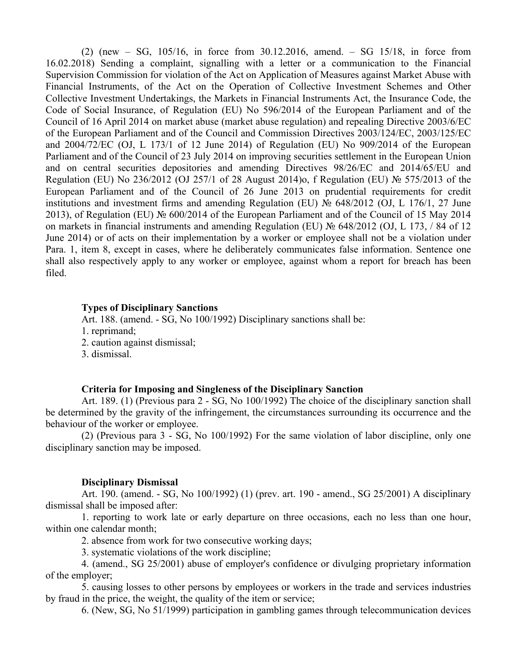(2) (new – SG, 105/16, in force from 30.12.2016, amend. – SG 15/18, in force from 16.02.2018) Sending a complaint, signalling with a letter or a communication to the Financial Supervision Commission for violation of the Act on Application of Measures against Market Abuse with Financial Instruments, of the Act on the Operation of Collective Investment Schemes and Other Collective Investment Undertakings, the Markets in Financial Instruments Act, the Insurance Code, the Code of Social Insurance, of Regulation (EU) No 596/2014 of the European Parliament and of the Council of 16 April 2014 on market abuse (market abuse regulation) and repealing Directive 2003/6/EC of the European Parliament and of the Council and Commission Directives 2003/124/EC, 2003/125/EC and 2004/72/EC (OJ, L 173/1 of 12 June 2014) of Regulation (EU) No 909/2014 of the European Parliament and of the Council of 23 July 2014 on improving securities settlement in the European Union and on central securities depositories and amending Directives 98/26/EC and 2014/65/EU and Regulation (EU) No 236/2012 (OJ 257/1 of 28 August 2014)o, f Regulation (EU) № 575/2013 of the European Parliament and of the Council of 26 June 2013 on prudential requirements for credit institutions and investment firms and amending Regulation (EU) № 648/2012 (OJ, L 176/1, 27 June 2013), of Regulation (EU) № 600/2014 of the European Parliament and of the Council of 15 May 2014 on markets in financial instruments and amending Regulation (EU) № 648/2012 (OJ, L 173, / 84 of 12 June 2014) or of acts on their implementation by a worker or employee shall not be a violation under Para. 1, item 8, except in cases, where he deliberately communicates false information. Sentence one shall also respectively apply to any worker or employee, against whom a report for breach has been filed.

### **Types of Disciplinary Sanctions**

Art. 188. (amend. - SG, No 100/1992) Disciplinary sanctions shall be:

1. reprimand;

2. caution against dismissal;

3. dismissal.

## **Criteria for Imposing and Singleness of the Disciplinary Sanction**

Art. 189. (1) (Previous para 2 - SG, No 100/1992) The choice of the disciplinary sanction shall be determined by the gravity of the infringement, the circumstances surrounding its occurrence and the behaviour of the worker or employee.

(2) (Previous para 3 - SG, No 100/1992) For the same violation of labor discipline, only one disciplinary sanction may be imposed.

## **Disciplinary Dismissal**

Art. 190. (amend. - SG, No 100/1992) (1) (prev. art. 190 - amend., SG 25/2001) A disciplinary dismissal shall be imposed after:

1. reporting to work late or early departure on three occasions, each no less than one hour, within one calendar month;

2. absence from work for two consecutive working days;

3. systematic violations of the work discipline;

4. (amend., SG 25/2001) abuse of employer's confidence or divulging proprietary information of the employer;

5. causing losses to other persons by employees or workers in the trade and services industries by fraud in the price, the weight, the quality of the item or service;

6. (New, SG, No 51/1999) participation in gambling games through telecommunication devices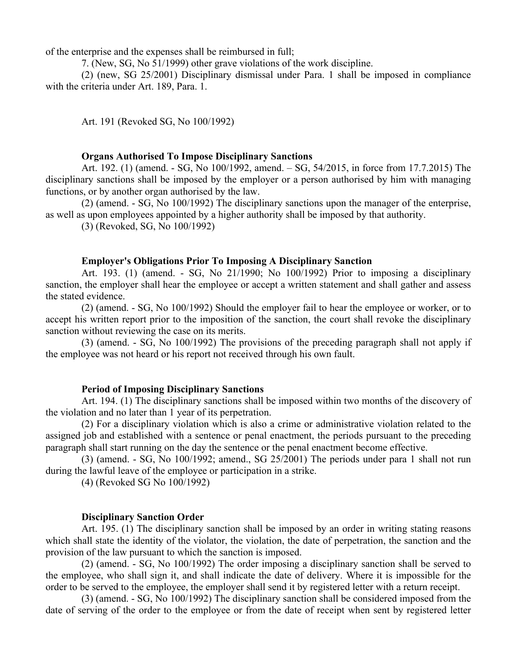of the enterprise and the expenses shall be reimbursed in full;

7. (New, SG, No 51/1999) other grave violations of the work discipline.

(2) (new, SG 25/2001) Disciplinary dismissal under Para. 1 shall be imposed in compliance with the criteria under Art. 189, Para. 1.

Art. 191 (Revoked SG, No 100/1992)

## **Organs Authorised To Impose Disciplinary Sanctions**

Art. 192. (1) (amend. - SG, No 100/1992, amend. – SG, 54/2015, in force from 17.7.2015) The disciplinary sanctions shall be imposed by the employer or a person authorised by him with managing functions, or by another organ authorised by the law.

(2) (amend. - SG, No 100/1992) The disciplinary sanctions upon the manager of the enterprise, as well as upon employees appointed by a higher authority shall be imposed by that authority.

(3) (Revoked, SG, No 100/1992)

## **Employer's Obligations Prior To Imposing A Disciplinary Sanction**

Art. 193. (1) (amend. - SG, No 21/1990; No 100/1992) Prior to imposing a disciplinary sanction, the employer shall hear the employee or accept a written statement and shall gather and assess the stated evidence.

(2) (amend. - SG, No 100/1992) Should the employer fail to hear the employee or worker, or to accept his written report prior to the imposition of the sanction, the court shall revoke the disciplinary sanction without reviewing the case on its merits.

(3) (amend. - SG, No 100/1992) The provisions of the preceding paragraph shall not apply if the employee was not heard or his report not received through his own fault.

## **Period of Imposing Disciplinary Sanctions**

Art. 194. (1) The disciplinary sanctions shall be imposed within two months of the discovery of the violation and no later than 1 year of its perpetration.

(2) For a disciplinary violation which is also a crime or administrative violation related to the assigned job and established with a sentence or penal enactment, the periods pursuant to the preceding paragraph shall start running on the day the sentence or the penal enactment become effective.

(3) (amend. - SG, No 100/1992; amend., SG 25/2001) The periods under para 1 shall not run during the lawful leave of the employee or participation in a strike.

(4) (Revoked SG No 100/1992)

## **Disciplinary Sanction Order**

Art. 195. (1) The disciplinary sanction shall be imposed by an order in writing stating reasons which shall state the identity of the violator, the violation, the date of perpetration, the sanction and the provision of the law pursuant to which the sanction is imposed.

(2) (amend. - SG, No 100/1992) The order imposing a disciplinary sanction shall be served to the employee, who shall sign it, and shall indicate the date of delivery. Where it is impossible for the order to be served to the employee, the employer shall send it by registered letter with a return receipt.

(3) (amend. - SG, No 100/1992) The disciplinary sanction shall be considered imposed from the date of serving of the order to the employee or from the date of receipt when sent by registered letter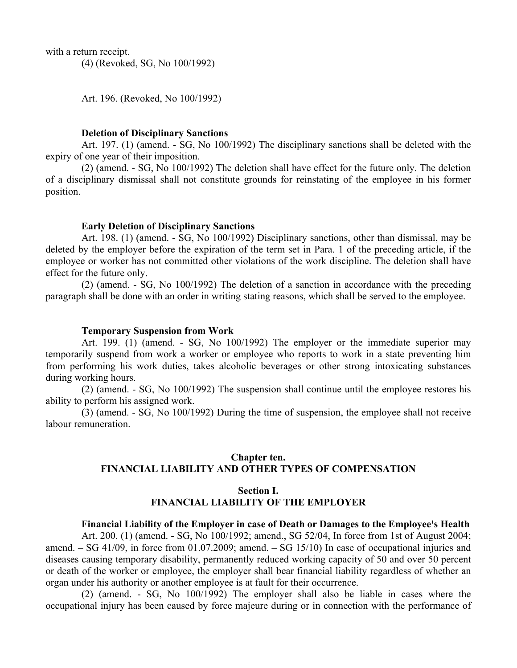(4) (Revoked, SG, No 100/1992)

Art. 196. (Revoked, No 100/1992)

# **Deletion of Disciplinary Sanctions**

Art. 197. (1) (amend. - SG, No 100/1992) The disciplinary sanctions shall be deleted with the expiry of one year of their imposition.

(2) (amend. - SG, No 100/1992) The deletion shall have effect for the future only. The deletion of a disciplinary dismissal shall not constitute grounds for reinstating of the employee in his former position.

## **Early Deletion of Disciplinary Sanctions**

Art. 198. (1) (amend. - SG, No 100/1992) Disciplinary sanctions, other than dismissal, may be deleted by the employer before the expiration of the term set in Para. 1 of the preceding article, if the employee or worker has not committed other violations of the work discipline. The deletion shall have effect for the future only.

(2) (amend. - SG, No 100/1992) The deletion of a sanction in accordance with the preceding paragraph shall be done with an order in writing stating reasons, which shall be served to the employee.

## **Temporary Suspension from Work**

Art. 199. (1) (amend. - SG, No 100/1992) The employer or the immediate superior may temporarily suspend from work a worker or employee who reports to work in a state preventing him from performing his work duties, takes alcoholic beverages or other strong intoxicating substances during working hours.

(2) (amend. - SG, No 100/1992) The suspension shall continue until the employee restores his ability to perform his assigned work.

(3) (amend. - SG, No 100/1992) During the time of suspension, the employee shall not receive labour remuneration.

# **Chapter ten. FINANCIAL LIABILITY AND OTHER TYPES OF COMPENSATION**

# **Section I. FINANCIAL LIABILITY OF THE EMPLOYER**

# **Financial Liability of the Employer in case of Death or Damages to the Employee's Health**

Art. 200. (1) (amend. - SG, No 100/1992; amend., SG 52/04, In force from 1st of August 2004; amend.  $-$  SG 41/09, in force from 01.07.2009; amend.  $-$  SG 15/10) In case of occupational injuries and diseases causing temporary disability, permanently reduced working capacity of 50 and over 50 percent or death of the worker or employee, the employer shall bear financial liability regardless of whether an organ under his authority or another employee is at fault for their occurrence.

(2) (amend. - SG, No 100/1992) The employer shall also be liable in cases where the occupational injury has been caused by force majeure during or in connection with the performance of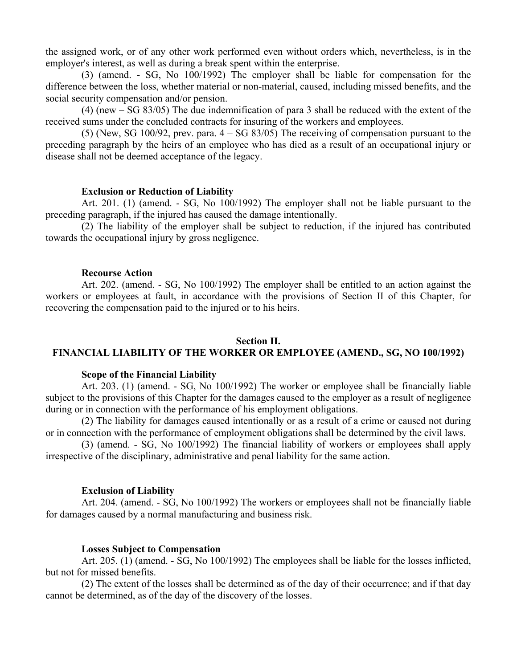the assigned work, or of any other work performed even without orders which, nevertheless, is in the employer's interest, as well as during a break spent within the enterprise.

(3) (amend. - SG, No 100/1992) The employer shall be liable for compensation for the difference between the loss, whether material or non-material, caused, including missed benefits, and the social security compensation and/or pension.

(4) (new – SG 83/05) The due indemnification of para 3 shall be reduced with the extent of the received sums under the concluded contracts for insuring of the workers and employees.

(5) (New, SG 100/92, prev. para. 4 – SG 83/05) The receiving of compensation pursuant to the preceding paragraph by the heirs of an employee who has died as a result of an occupational injury or disease shall not be deemed acceptance of the legacy.

## **Exclusion or Reduction of Liability**

Art. 201. (1) (amend. - SG, No 100/1992) The employer shall not be liable pursuant to the preceding paragraph, if the injured has caused the damage intentionally.

(2) The liability of the employer shall be subject to reduction, if the injured has contributed towards the occupational injury by gross negligence.

### **Recourse Action**

Art. 202. (amend. - SG, No 100/1992) The employer shall be entitled to an action against the workers or employees at fault, in accordance with the provisions of Section II of this Chapter, for recovering the compensation paid to the injured or to his heirs.

## **Section II.**

# **FINANCIAL LIABILITY OF THE WORKER OR EMPLOYEE (AMEND., SG, NO 100/1992)**

### **Scope of the Financial Liability**

Art. 203. (1) (amend. - SG, No 100/1992) The worker or employee shall be financially liable subject to the provisions of this Chapter for the damages caused to the employer as a result of negligence during or in connection with the performance of his employment obligations.

(2) The liability for damages caused intentionally or as a result of a crime or caused not during or in connection with the performance of employment obligations shall be determined by the civil laws.

(3) (amend. - SG, No 100/1992) The financial liability of workers or employees shall apply irrespective of the disciplinary, administrative and penal liability for the same action.

## **Exclusion of Liability**

Art. 204. (amend. - SG, No 100/1992) The workers or employees shall not be financially liable for damages caused by a normal manufacturing and business risk.

## **Losses Subject to Compensation**

Art. 205. (1) (amend. - SG, No 100/1992) The employees shall be liable for the losses inflicted, but not for missed benefits.

(2) The extent of the losses shall be determined as of the day of their occurrence; and if that day cannot be determined, as of the day of the discovery of the losses.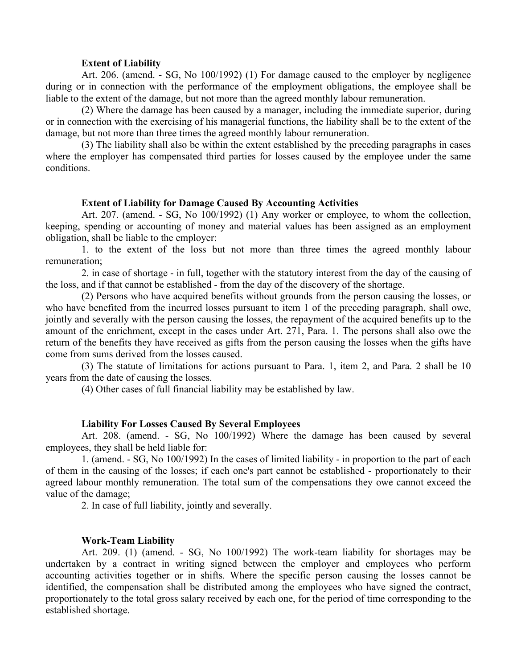### **Extent of Liability**

Art. 206. (amend. - SG, No 100/1992) (1) For damage caused to the employer by negligence during or in connection with the performance of the employment obligations, the employee shall be liable to the extent of the damage, but not more than the agreed monthly labour remuneration.

(2) Where the damage has been caused by a manager, including the immediate superior, during or in connection with the exercising of his managerial functions, the liability shall be to the extent of the damage, but not more than three times the agreed monthly labour remuneration.

(3) The liability shall also be within the extent established by the preceding paragraphs in cases where the employer has compensated third parties for losses caused by the employee under the same conditions.

## **Extent of Liability for Damage Caused By Accounting Activities**

Art. 207. (amend. - SG, No 100/1992) (1) Any worker or employee, to whom the collection, keeping, spending or accounting of money and material values has been assigned as an employment obligation, shall be liable to the employer:

1. to the extent of the loss but not more than three times the agreed monthly labour remuneration;

2. in case of shortage - in full, together with the statutory interest from the day of the causing of the loss, and if that cannot be established - from the day of the discovery of the shortage.

(2) Persons who have acquired benefits without grounds from the person causing the losses, or who have benefited from the incurred losses pursuant to item 1 of the preceding paragraph, shall owe, jointly and severally with the person causing the losses, the repayment of the acquired benefits up to the amount of the enrichment, except in the cases under Art. 271, Para. 1. The persons shall also owe the return of the benefits they have received as gifts from the person causing the losses when the gifts have come from sums derived from the losses caused.

(3) The statute of limitations for actions pursuant to Para. 1, item 2, and Para. 2 shall be 10 years from the date of causing the losses.

(4) Other cases of full financial liability may be established by law.

## **Liability For Losses Caused By Several Employees**

Art. 208. (amend. - SG, No 100/1992) Where the damage has been caused by several employees, they shall be held liable for:

1. (amend. - SG, No 100/1992) In the cases of limited liability - in proportion to the part of each of them in the causing of the losses; if each one's part cannot be established - proportionately to their agreed labour monthly remuneration. The total sum of the compensations they owe cannot exceed the value of the damage;

2. In case of full liability, jointly and severally.

## **Work-Team Liability**

Art. 209. (1) (amend. - SG, No 100/1992) The work-team liability for shortages may be undertaken by a contract in writing signed between the employer and employees who perform accounting activities together or in shifts. Where the specific person causing the losses cannot be identified, the compensation shall be distributed among the employees who have signed the contract, proportionately to the total gross salary received by each one, for the period of time corresponding to the established shortage.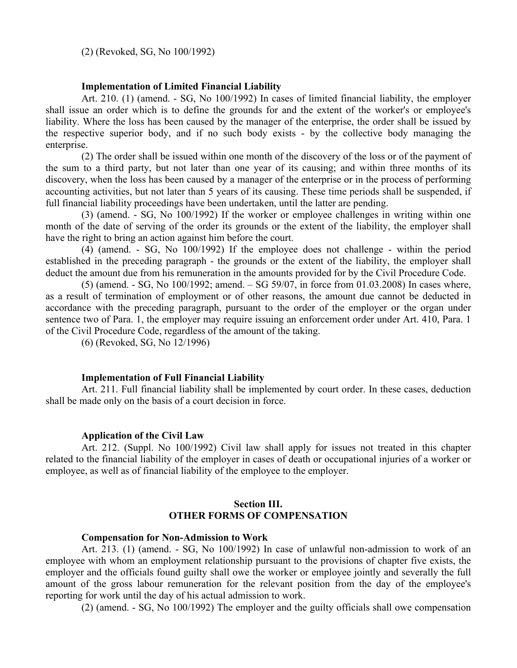(2) (Revoked, SG, No 100/1992)

## **Implementation of Limited Financial Liability**

Art. 210. (1) (amend. - SG, No 100/1992) In cases of limited financial liability, the employer shall issue an order which is to define the grounds for and the extent of the worker's or employee's liability. Where the loss has been caused by the manager of the enterprise, the order shall be issued by the respective superior body, and if no such body exists - by the collective body managing the enterprise.

(2) The order shall be issued within one month of the discovery of the loss or of the payment of the sum to a third party, but not later than one year of its causing; and within three months of its discovery, when the loss has been caused by a manager of the enterprise or in the process of performing accounting activities, but not later than 5 years of its causing. These time periods shall be suspended, if full financial liability proceedings have been undertaken, until the latter are pending.

(3) (amend. - SG, No 100/1992) If the worker or employee challenges in writing within one month of the date of serving of the order its grounds or the extent of the liability, the employer shall have the right to bring an action against him before the court.

(4) (amend. - SG, No 100/1992) If the employee does not challenge - within the period established in the preceding paragraph - the grounds or the extent of the liability, the employer shall deduct the amount due from his remuneration in the amounts provided for by the Civil Procedure Code.

(5) (amend. - SG, No 100/1992; amend. – SG 59/07, in force from 01.03.2008) In cases where, as a result of termination of employment or of other reasons, the amount due cannot be deducted in accordance with the preceding paragraph, pursuant to the order of the employer or the organ under sentence two of Para. 1, the employer may require issuing an enforcement order under Art. 410, Para. 1 of the Civil Procedure Code, regardless of the amount of the taking.

(6) (Revoked, SG, No 12/1996)

## **Implementation of Full Financial Liability**

Art. 211. Full financial liability shall be implemented by court order. In these cases, deduction shall be made only on the basis of a court decision in force.

### **Application of the Civil Law**

Art. 212. (Suppl. No 100/1992) Civil law shall apply for issues not treated in this chapter related to the financial liability of the employer in cases of death or occupational injuries of a worker or employee, as well as of financial liability of the employee to the employer.

# **Section III. OTHER FORMS OF COMPENSATION**

## **Compensation for Non-Admission to Work**

Art. 213. (1) (amend. - SG, No 100/1992) In case of unlawful non-admission to work of an employee with whom an employment relationship pursuant to the provisions of chapter five exists, the employer and the officials found guilty shall owe the worker or employee jointly and severally the full amount of the gross labour remuneration for the relevant position from the day of the employee's reporting for work until the day of his actual admission to work.

(2) (amend. - SG, No 100/1992) The employer and the guilty officials shall owe compensation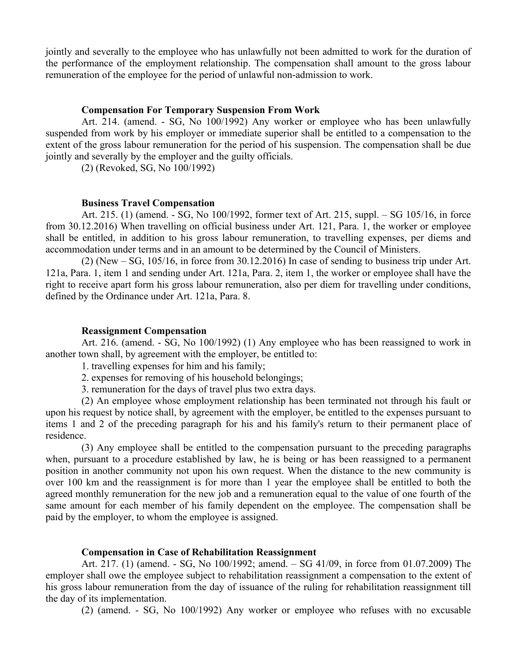jointly and severally to the employee who has unlawfully not been admitted to work for the duration of the performance of the employment relationship. The compensation shall amount to the gross labour remuneration of the employee for the period of unlawful non-admission to work.

## **Compensation For Temporary Suspension From Work**

Art. 214. (amend. - SG, No 100/1992) Any worker or employee who has been unlawfully suspended from work by his employer or immediate superior shall be entitled to a compensation to the extent of the gross labour remuneration for the period of his suspension. The compensation shall be due jointly and severally by the employer and the guilty officials.

(2) (Revoked, SG, No 100/1992)

#### **Business Travel Compensation**

Art. 215. (1) (amend. - SG, No 100/1992, former text of Art. 215, suppl. – SG 105/16, in force from 30.12.2016) When travelling on official business under Art. 121, Para. 1, the worker or employee shall be entitled, in addition to his gross labour remuneration, to travelling expenses, per diems and accommodation under terms and in an amount to be determined by the Council of Ministers.

(2) (New – SG, 105/16, in force from 30.12.2016) In case of sending to business trip under Art. 121a, Para. 1, item 1 and sending under Art. 121a, Para. 2, item 1, the worker or employee shall have the right to receive apart form his gross labour remuneration, also per diem for travelling under conditions, defined by the Ordinance under Art. 121a, Para. 8.

### **Reassignment Compensation**

Art. 216. (amend. - SG, No 100/1992) (1) Any employee who has been reassigned to work in another town shall, by agreement with the employer, be entitled to:

1. travelling expenses for him and his family;

2. expenses for removing of his household belongings;

3. remuneration for the days of travel plus two extra days.

(2) An employee whose employment relationship has been terminated not through his fault or upon his request by notice shall, by agreement with the employer, be entitled to the expenses pursuant to items 1 and 2 of the preceding paragraph for his and his family's return to their permanent place of residence.

(3) Any employee shall be entitled to the compensation pursuant to the preceding paragraphs when, pursuant to a procedure established by law, he is being or has been reassigned to a permanent position in another community not upon his own request. When the distance to the new community is over 100 km and the reassignment is for more than 1 year the employee shall be entitled to both the agreed monthly remuneration for the new job and a remuneration equal to the value of one fourth of the same amount for each member of his family dependent on the employee. The compensation shall be paid by the employer, to whom the employee is assigned.

## **Compensation in Case of Rehabilitation Reassignment**

Art. 217. (1) (amend. - SG, No 100/1992; amend. – SG 41/09, in force from 01.07.2009) The employer shall owe the employee subject to rehabilitation reassignment a compensation to the extent of his gross labour remuneration from the day of issuance of the ruling for rehabilitation reassignment till the day of its implementation.

(2) (amend. - SG, No 100/1992) Any worker or employee who refuses with no excusable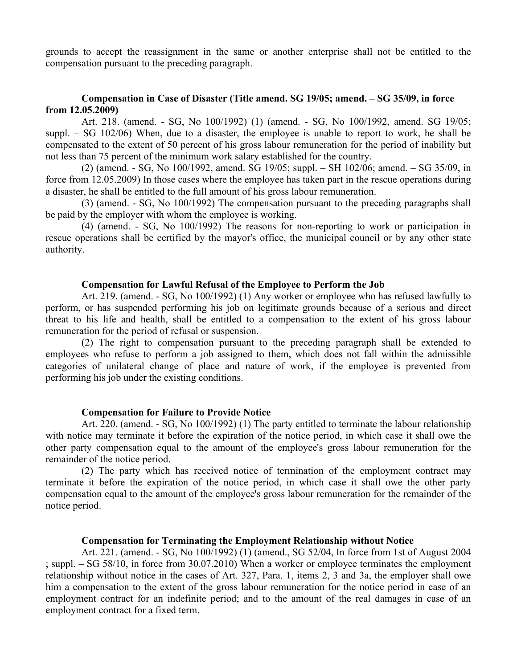grounds to accept the reassignment in the same or another enterprise shall not be entitled to the compensation pursuant to the preceding paragraph.

## **Compensation in Case of Disaster (Title amend. SG 19/05; amend. – SG 35/09, in force from 12.05.2009)**

Art. 218. (amend. - SG, No 100/1992) (1) (amend. - SG, No 100/1992, amend. SG 19/05; suppl. – SG 102/06) When, due to a disaster, the employee is unable to report to work, he shall be compensated to the extent of 50 percent of his gross labour remuneration for the period of inability but not less than 75 percent of the minimum work salary established for the country.

(2) (amend. - SG, No 100/1992, amend. SG 19/05; suppl. – SH 102/06; amend. – SG 35/09, in force from 12.05.2009) In those cases where the employee has taken part in the rescue operations during a disaster, he shall be entitled to the full amount of his gross labour remuneration.

(3) (amend. - SG, No 100/1992) The compensation pursuant to the preceding paragraphs shall be paid by the employer with whom the employee is working.

(4) (amend. - SG, No 100/1992) The reasons for non-reporting to work or participation in rescue operations shall be certified by the mayor's office, the municipal council or by any other state authority.

### **Compensation for Lawful Refusal of the Employee to Perform the Job**

Art. 219. (amend. - SG, No 100/1992) (1) Any worker or employee who has refused lawfully to perform, or has suspended performing his job on legitimate grounds because of a serious and direct threat to his life and health, shall be entitled to a compensation to the extent of his gross labour remuneration for the period of refusal or suspension.

(2) The right to compensation pursuant to the preceding paragraph shall be extended to employees who refuse to perform a job assigned to them, which does not fall within the admissible categories of unilateral change of place and nature of work, if the employee is prevented from performing his job under the existing conditions.

### **Compensation for Failure to Provide Notice**

Art. 220. (amend. - SG, No 100/1992) (1) The party entitled to terminate the labour relationship with notice may terminate it before the expiration of the notice period, in which case it shall owe the other party compensation equal to the amount of the employee's gross labour remuneration for the remainder of the notice period.

(2) The party which has received notice of termination of the employment contract may terminate it before the expiration of the notice period, in which case it shall owe the other party compensation equal to the amount of the employee's gross labour remuneration for the remainder of the notice period.

### **Compensation for Terminating the Employment Relationship without Notice**

Art. 221. (amend. - SG, No 100/1992) (1) (amend., SG 52/04, In force from 1st of August 2004 ; suppl. – SG 58/10, in force from 30.07.2010) When a worker or employee terminates the employment relationship without notice in the cases of Art. 327, Para. 1, items 2, 3 and 3a, the employer shall owe him a compensation to the extent of the gross labour remuneration for the notice period in case of an employment contract for an indefinite period; and to the amount of the real damages in case of an employment contract for a fixed term.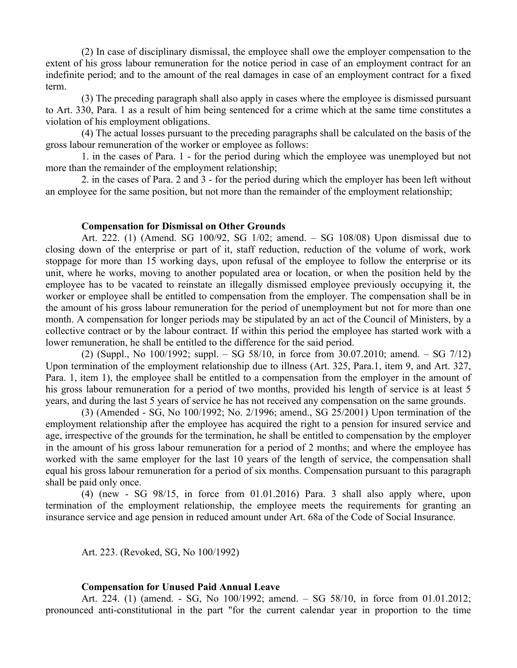(2) In case of disciplinary dismissal, the employee shall owe the employer compensation to the extent of his gross labour remuneration for the notice period in case of an employment contract for an indefinite period; and to the amount of the real damages in case of an employment contract for a fixed term.

(3) The preceding paragraph shall also apply in cases where the employee is dismissed pursuant to Art. 330, Para. 1 as a result of him being sentenced for a crime which at the same time constitutes a violation of his employment obligations.

(4) The actual losses pursuant to the preceding paragraphs shall be calculated on the basis of the gross labour remuneration of the worker or employee as follows:

1. in the cases of Para. 1 - for the period during which the employee was unemployed but not more than the remainder of the employment relationship;

2. in the cases of Para. 2 and 3 - for the period during which the employer has been left without an employee for the same position, but not more than the remainder of the employment relationship;

#### **Compensation for Dismissal on Other Grounds**

Art. 222. (1) (Amend. SG 100/92, SG 1/02; amend. – SG 108/08) Upon dismissal due to closing down of the enterprise or part of it, staff reduction, reduction of the volume of work, work stoppage for more than 15 working days, upon refusal of the employee to follow the enterprise or its unit, where he works, moving to another populated area or location, or when the position held by the employee has to be vacated to reinstate an illegally dismissed employee previously occupying it, the worker or employee shall be entitled to compensation from the employer. The compensation shall be in the amount of his gross labour remuneration for the period of unemployment but not for more than one month. A compensation for longer periods may be stipulated by an act of the Council of Ministers, by a collective contract or by the labour contract. If within this period the employee has started work with a lower remuneration, he shall be entitled to the difference for the said period.

(2) (Suppl., No 100/1992; suppl. – SG 58/10, in force from 30.07.2010; amend. – SG 7/12) Upon termination of the employment relationship due to illness (Art. 325, Para.1, item 9, and Art. 327, Para. 1, item 1), the employee shall be entitled to a compensation from the employer in the amount of his gross labour remuneration for a period of two months, provided his length of service is at least 5 years, and during the last 5 years of service he has not received any compensation on the same grounds.

(3) (Amended - SG, No 100/1992; No. 2/1996; amend., SG 25/2001) Upon termination of the employment relationship after the employee has acquired the right to a pension for insured service and age, irrespective of the grounds for the termination, he shall be entitled to compensation by the employer in the amount of his gross labour remuneration for a period of 2 months; and where the employee has worked with the same employer for the last 10 years of the length of service, the compensation shall equal his gross labour remuneration for a period of six months. Compensation pursuant to this paragraph shall be paid only once.

(4) (new - SG 98/15, in force from 01.01.2016) Para. 3 shall also apply where, upon termination of the employment relationship, the employee meets the requirements for granting an insurance service and age pension in reduced amount under Art. 68a of the Code of Social Insurance.

Art. 223. (Revoked, SG, No 100/1992)

#### **Compensation for Unused Paid Annual Leave**

Art. 224. (1) (amend. - SG, No 100/1992; amend. – SG 58/10, in force from 01.01.2012; pronounced anti-constitutional in the part "for the current calendar year in proportion to the time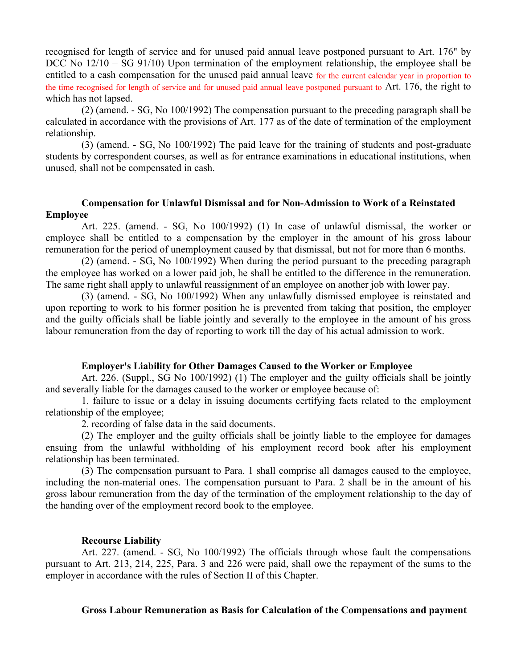recognised for length of service and for unused paid annual leave postponed pursuant to Art. 176" by DCC No  $12/10 - SG 91/10$ ) Upon termination of the employment relationship, the employee shall be entitled to a cash compensation for the unused paid annual leave for the current calendar year in proportion to the time recognised for length of service and for unused paid annual leave postponed pursuant to Art. 176, the right to which has not lapsed.

(2) (amend. - SG, No 100/1992) The compensation pursuant to the preceding paragraph shall be calculated in accordance with the provisions of Art. 177 as of the date of termination of the employment relationship.

(3) (amend. - SG, No 100/1992) The paid leave for the training of students and post-graduate students by correspondent courses, as well as for entrance examinations in educational institutions, when unused, shall not be compensated in cash.

# **Compensation for Unlawful Dismissal and for Non-Admission to Work of a Reinstated Employee**

Art. 225. (amend. - SG, No 100/1992) (1) In case of unlawful dismissal, the worker or employee shall be entitled to a compensation by the employer in the amount of his gross labour remuneration for the period of unemployment caused by that dismissal, but not for more than 6 months.

(2) (amend. - SG, No 100/1992) When during the period pursuant to the preceding paragraph the employee has worked on a lower paid job, he shall be entitled to the difference in the remuneration. The same right shall apply to unlawful reassignment of an employee on another job with lower pay.

(3) (amend. - SG, No 100/1992) When any unlawfully dismissed employee is reinstated and upon reporting to work to his former position he is prevented from taking that position, the employer and the guilty officials shall be liable jointly and severally to the employee in the amount of his gross labour remuneration from the day of reporting to work till the day of his actual admission to work.

## **Employer's Liability for Other Damages Caused to the Worker or Employee**

Art. 226. (Suppl., SG No 100/1992) (1) The employer and the guilty officials shall be jointly and severally liable for the damages caused to the worker or employee because of:

1. failure to issue or a delay in issuing documents certifying facts related to the employment relationship of the employee;

2. recording of false data in the said documents.

(2) The employer and the guilty officials shall be jointly liable to the employee for damages ensuing from the unlawful withholding of his employment record book after his employment relationship has been terminated.

(3) The compensation pursuant to Para. 1 shall comprise all damages caused to the employee, including the non-material ones. The compensation pursuant to Para. 2 shall be in the amount of his gross labour remuneration from the day of the termination of the employment relationship to the day of the handing over of the employment record book to the employee.

## **Recourse Liability**

Art. 227. (amend. - SG, No 100/1992) The officials through whose fault the compensations pursuant to Art. 213, 214, 225, Para. 3 and 226 were paid, shall owe the repayment of the sums to the employer in accordance with the rules of Section II of this Chapter.

## **Gross Labour Remuneration as Basis for Calculation of the Compensations and payment**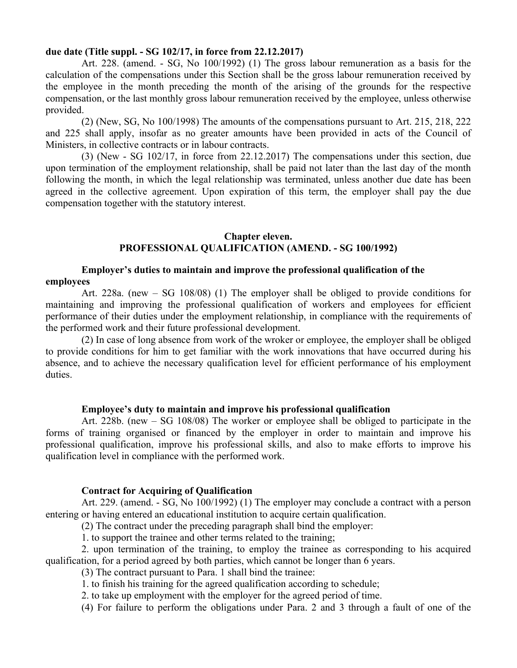## **due date (Title suppl. - SG 102/17, in force from 22.12.2017)**

Art. 228. (amend. - SG, No 100/1992) (1) The gross labour remuneration as a basis for the calculation of the compensations under this Section shall be the gross labour remuneration received by the employee in the month preceding the month of the arising of the grounds for the respective compensation, or the last monthly gross labour remuneration received by the employee, unless otherwise provided.

(2) (New, SG, No 100/1998) The amounts of the compensations pursuant to Art. 215, 218, 222 and 225 shall apply, insofar as no greater amounts have been provided in acts of the Council of Ministers, in collective contracts or in labour contracts.

(3) (New - SG 102/17, in force from 22.12.2017) The compensations under this section, due upon termination of the employment relationship, shall be paid not later than the last day of the month following the month, in which the legal relationship was terminated, unless another due date has been agreed in the collective agreement. Upon expiration of this term, the employer shall pay the due compensation together with the statutory interest.

## **Chapter eleven. PROFESSIONAL QUALIFICATION (AMEND. - SG 100/1992)**

## **Employer's duties to maintain and improve the professional qualification of the employees**

Art. 228a. (new – SG 108/08) (1) The employer shall be obliged to provide conditions for maintaining and improving the professional qualification of workers and employees for efficient performance of their duties under the employment relationship, in compliance with the requirements of the performed work and their future professional development.

(2) In case of long absence from work of the wroker or employee, the employer shall be obliged to provide conditions for him to get familiar with the work innovations that have occurred during his absence, and to achieve the necessary qualification level for efficient performance of his employment duties.

### **Employee's duty to maintain and improve his professional qualification**

Art. 228b. (new – SG 108/08) The worker or employee shall be obliged to participate in the forms of training organised or financed by the employer in order to maintain and improve his professional qualification, improve his professional skills, and also to make efforts to improve his qualification level in compliance with the performed work.

#### **Contract for Acquiring of Qualification**

Art. 229. (amend. - SG, No 100/1992) (1) The employer may conclude a contract with a person entering or having entered an educational institution to acquire certain qualification.

(2) The contract under the preceding paragraph shall bind the employer:

1. to support the trainee and other terms related to the training;

2. upon termination of the training, to employ the trainee as corresponding to his acquired qualification, for a period agreed by both parties, which cannot be longer than 6 years.

(3) The contract pursuant to Para. 1 shall bind the trainee:

1. to finish his training for the agreed qualification according to schedule;

2. to take up employment with the employer for the agreed period of time.

(4) For failure to perform the obligations under Para. 2 and 3 through a fault of one of the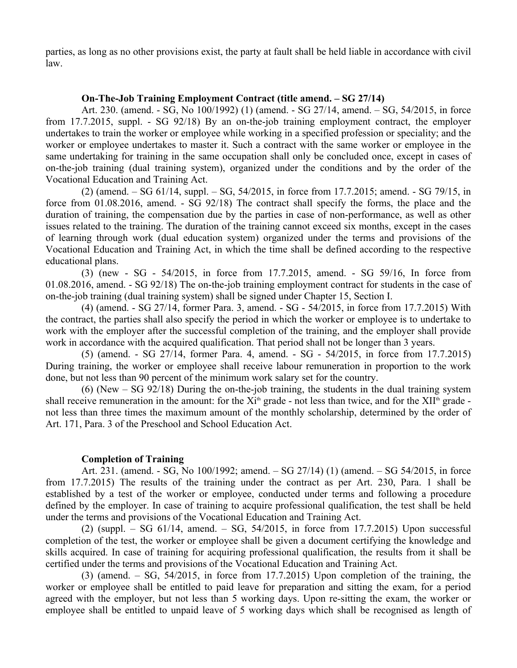parties, as long as no other provisions exist, the party at fault shall be held liable in accordance with civil law.

## **On-The-Job Training Employment Contract (title amend. – SG 27/14)**

Art. 230. (amend. - SG, No 100/1992) (1) (amend. - SG 27/14, amend. – SG, 54/2015, in force from 17.7.2015, suppl. - SG 92/18) By an on-the-job training employment contract, the employer undertakes to train the worker or employee while working in a specified profession or speciality; and the worker or employee undertakes to master it. Such a contract with the same worker or employee in the same undertaking for training in the same occupation shall only be concluded once, except in cases of on-the-job training (dual training system), organized under the conditions and by the order of the Vocational Education and Training Act.

(2) (amend. – SG 61/14, suppl. – SG, 54/2015, in force from 17.7.2015; amend. - SG 79/15, in force from 01.08.2016, amend. - SG 92/18) The contract shall specify the forms, the place and the duration of training, the compensation due by the parties in case of non-performance, as well as other issues related to the training. The duration of the training cannot exceed six months, except in the cases of learning through work (dual education system) organized under the terms and provisions of the Vocational Education and Training Act, in which the time shall be defined according to the respective educational plans.

(3) (new - SG - 54/2015, in force from 17.7.2015, amend. - SG 59/16, In force from 01.08.2016, amend. - SG 92/18) The on-the-job training employment contract for students in the case of on-the-job training (dual training system) shall be signed under Chapter 15, Section I.

(4) (amend. - SG 27/14, former Para. 3, amend. - SG - 54/2015, in force from 17.7.2015) With the contract, the parties shall also specify the period in which the worker or employee is to undertake to work with the employer after the successful completion of the training, and the employer shall provide work in accordance with the acquired qualification. That period shall not be longer than 3 years.

(5) (amend. - SG 27/14, former Para. 4, amend. - SG - 54/2015, in force from 17.7.2015) During training, the worker or employee shall receive labour remuneration in proportion to the work done, but not less than 90 percent of the minimum work salary set for the country.

(6) (New – SG 92/18) During the on-the-job training, the students in the dual training system shall receive remuneration in the amount: for the  $Xi^h$  grade - not less than twice, and for the  $XII^h$  grade not less than three times the maximum amount of the monthly scholarship, determined by the order of Art. 171, Para. 3 of the Preschool and School Education Act.

## **Completion of Training**

Art. 231. (amend. - SG, No 100/1992; amend. – SG 27/14) (1) (amend. – SG 54/2015, in force from 17.7.2015) The results of the training under the contract as per Art. 230, Para. 1 shall be established by a test of the worker or employee, conducted under terms and following a procedure defined by the employer. In case of training to acquire professional qualification, the test shall be held under the terms and provisions of the Vocational Education and Training Act.

(2) (suppl. – SG 61/14, amend. – SG, 54/2015, in force from 17.7.2015) Upon successful completion of the test, the worker or employee shall be given a document certifying the knowledge and skills acquired. In case of training for acquiring professional qualification, the results from it shall be certified under the terms and provisions of the Vocational Education and Training Act.

(3) (amend. – SG, 54/2015, in force from 17.7.2015) Upon completion of the training, the worker or employee shall be entitled to paid leave for preparation and sitting the exam, for a period agreed with the employer, but not less than 5 working days. Upon re-sitting the exam, the worker or employee shall be entitled to unpaid leave of 5 working days which shall be recognised as length of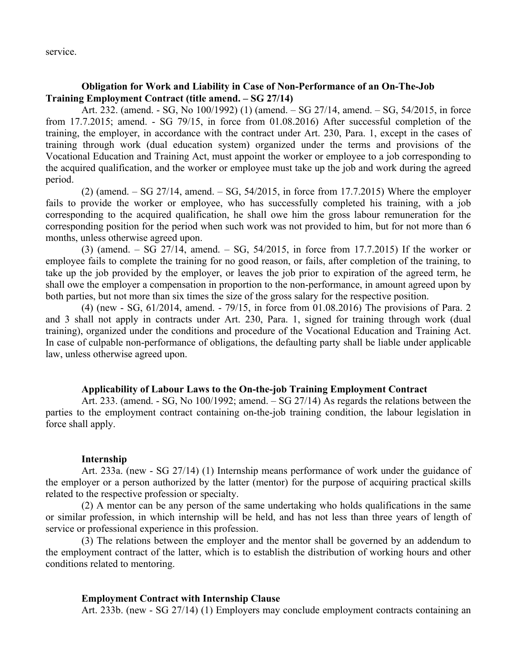service.

## **Obligation for Work and Liability in Case of Non-Performance of an On-The-Job Training Employment Contract (title amend. – SG 27/14)**

Art. 232. (amend. - SG, No 100/1992) (1) (amend. – SG 27/14, amend. – SG, 54/2015, in force from 17.7.2015; amend. - SG 79/15, in force from 01.08.2016) After successful completion of the training, the employer, in accordance with the contract under Art. 230, Para. 1, except in the cases of training through work (dual education system) organized under the terms and provisions of the Vocational Education and Training Act, must appoint the worker or employee to a job corresponding to the acquired qualification, and the worker or employee must take up the job and work during the agreed period.

 $(2)$  (amend. – SG 27/14, amend. – SG, 54/2015, in force from 17.7.2015) Where the employer fails to provide the worker or employee, who has successfully completed his training, with a job corresponding to the acquired qualification, he shall owe him the gross labour remuneration for the corresponding position for the period when such work was not provided to him, but for not more than 6 months, unless otherwise agreed upon.

(3) (amend. – SG 27/14, amend. – SG, 54/2015, in force from 17.7.2015) If the worker or employee fails to complete the training for no good reason, or fails, after completion of the training, to take up the job provided by the employer, or leaves the job prior to expiration of the agreed term, he shall owe the employer a compensation in proportion to the non-performance, in amount agreed upon by both parties, but not more than six times the size of the gross salary for the respective position.

(4) (new - SG, 61/2014, amend. - 79/15, in force from 01.08.2016) The provisions of Para. 2 and 3 shall not apply in contracts under Art. 230, Para. 1, signed for training through work (dual training), organized under the conditions and procedure of the Vocational Education and Training Act. In case of culpable non-performance of obligations, the defaulting party shall be liable under applicable law, unless otherwise agreed upon.

## **Applicability of Labour Laws to the On-the-job Training Employment Contract**

Art. 233. (amend. - SG, No 100/1992; amend. – SG 27/14) As regards the relations between the parties to the employment contract containing on-the-job training condition, the labour legislation in force shall apply.

## **Internship**

Art. 233a. (new - SG 27/14) (1) Internship means performance of work under the guidance of the employer or a person authorized by the latter (mentor) for the purpose of acquiring practical skills related to the respective profession or specialty.

(2) A mentor can be any person of the same undertaking who holds qualifications in the same or similar profession, in which internship will be held, and has not less than three years of length of service or professional experience in this profession.

(3) The relations between the employer and the mentor shall be governed by an addendum to the employment contract of the latter, which is to establish the distribution of working hours and other conditions related to mentoring.

## **Employment Contract with Internship Clause**

Art. 233b. (new - SG 27/14) (1) Employers may conclude employment contracts containing an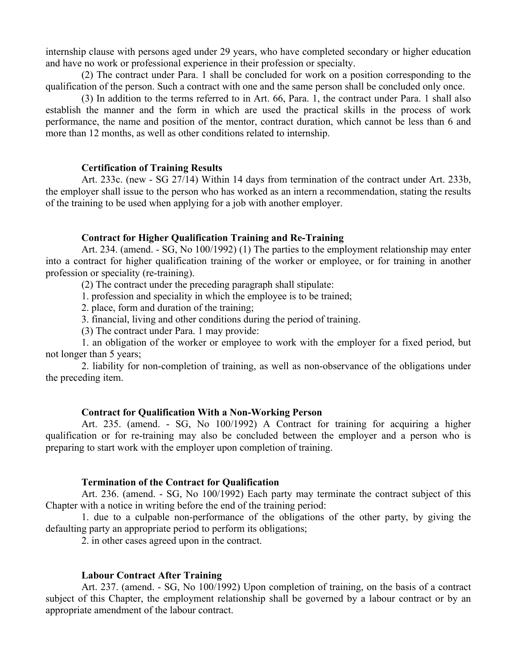internship clause with persons aged under 29 years, who have completed secondary or higher education and have no work or professional experience in their profession or specialty.

(2) The contract under Para. 1 shall be concluded for work on a position corresponding to the qualification of the person. Such a contract with one and the same person shall be concluded only once.

(3) In addition to the terms referred to in Art. 66, Para. 1, the contract under Para. 1 shall also establish the manner and the form in which are used the practical skills in the process of work performance, the name and position of the mentor, contract duration, which cannot be less than 6 and more than 12 months, as well as other conditions related to internship.

### **Certification of Training Results**

Art. 233c. (new - SG 27/14) Within 14 days from termination of the contract under Art. 233b, the employer shall issue to the person who has worked as an intern a recommendation, stating the results of the training to be used when applying for a job with another employer.

## **Contract for Higher Qualification Training and Re-Training**

Art. 234. (amend. - SG, No 100/1992) (1) The parties to the employment relationship may enter into a contract for higher qualification training of the worker or employee, or for training in another profession or speciality (re-training).

(2) The contract under the preceding paragraph shall stipulate:

1. profession and speciality in which the employee is to be trained;

2. place, form and duration of the training;

3. financial, living and other conditions during the period of training.

(3) The contract under Para. 1 may provide:

1. an obligation of the worker or employee to work with the employer for a fixed period, but not longer than 5 years;

2. liability for non-completion of training, as well as non-observance of the obligations under the preceding item.

## **Contract for Qualification With a Non-Working Person**

Art. 235. (amend. - SG, No 100/1992) A Contract for training for acquiring a higher qualification or for re-training may also be concluded between the employer and a person who is preparing to start work with the employer upon completion of training.

# **Termination of the Contract for Qualification**

Art. 236. (amend. - SG, No 100/1992) Each party may terminate the contract subject of this Chapter with a notice in writing before the end of the training period:

1. due to a culpable non-performance of the obligations of the other party, by giving the defaulting party an appropriate period to perform its obligations;

2. in other cases agreed upon in the contract.

# **Labour Contract After Training**

Art. 237. (amend. - SG, No 100/1992) Upon completion of training, on the basis of a contract subject of this Chapter, the employment relationship shall be governed by a labour contract or by an appropriate amendment of the labour contract.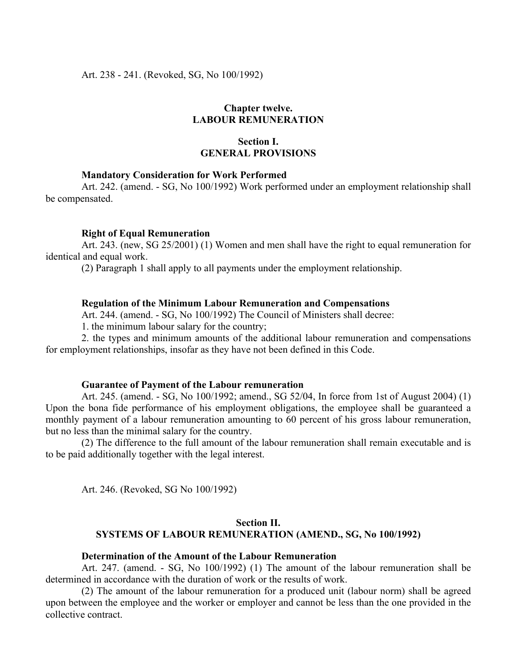Art. 238 - 241. (Revoked, SG, No 100/1992)

## **Chapter twelve. LABOUR REMUNERATION**

# **Section I. GENERAL PROVISIONS**

#### **Mandatory Consideration for Work Performed**

Art. 242. (amend. - SG, No 100/1992) Work performed under an employment relationship shall be compensated.

## **Right of Equal Remuneration**

Art. 243. (new, SG 25/2001) (1) Women and men shall have the right to equal remuneration for identical and equal work.

(2) Paragraph 1 shall apply to all payments under the employment relationship.

### **Regulation of the Minimum Labour Remuneration and Compensations**

Art. 244. (amend. - SG, No 100/1992) The Council of Ministers shall decree:

1. the minimum labour salary for the country;

2. the types and minimum amounts of the additional labour remuneration and compensations for employment relationships, insofar as they have not been defined in this Code.

## **Guarantee of Payment of the Labour remuneration**

Art. 245. (amend. - SG, No 100/1992; amend., SG 52/04, In force from 1st of August 2004) (1) Upon the bona fide performance of his employment obligations, the employee shall be guaranteed a monthly payment of a labour remuneration amounting to 60 percent of his gross labour remuneration, but no less than the minimal salary for the country.

(2) The difference to the full amount of the labour remuneration shall remain executable and is to be paid additionally together with the legal interest.

Art. 246. (Revoked, SG No 100/1992)

## **Section II. SYSTEMS OF LABOUR REMUNERATION (AMEND., SG, No 100/1992)**

### **Determination of the Amount of the Labour Remuneration**

Art. 247. (amend. - SG, No 100/1992) (1) The amount of the labour remuneration shall be determined in accordance with the duration of work or the results of work.

(2) The amount of the labour remuneration for a produced unit (labour norm) shall be agreed upon between the employee and the worker or employer and cannot be less than the one provided in the collective contract.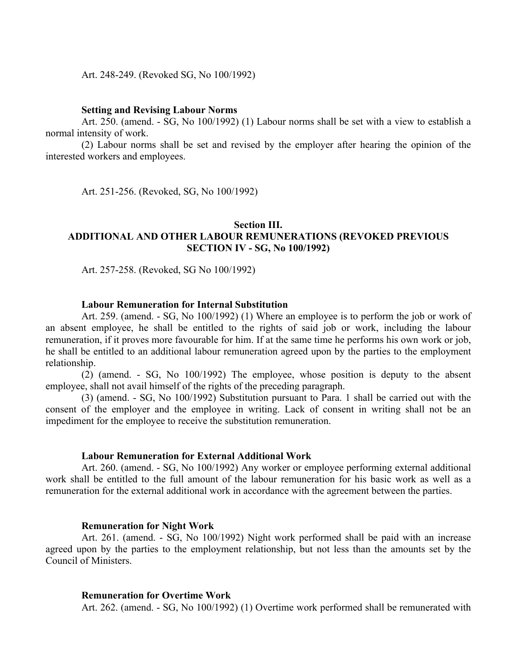Art. 248-249. (Revoked SG, No 100/1992)

#### **Setting and Revising Labour Norms**

Art. 250. (amend. - SG, No 100/1992) (1) Labour norms shall be set with a view to establish a normal intensity of work.

(2) Labour norms shall be set and revised by the employer after hearing the opinion of the interested workers and employees.

Art. 251-256. (Revoked, SG, No 100/1992)

## **Section III.**

# **ADDITIONAL AND OTHER LABOUR REMUNERATIONS (REVOKED PREVIOUS SECTION IV - SG, No 100/1992)**

Art. 257-258. (Revoked, SG No 100/1992)

### **Labour Remuneration for Internal Substitution**

Art. 259. (amend. - SG, No 100/1992) (1) Where an employee is to perform the job or work of an absent employee, he shall be entitled to the rights of said job or work, including the labour remuneration, if it proves more favourable for him. If at the same time he performs his own work or job, he shall be entitled to an additional labour remuneration agreed upon by the parties to the employment relationship.

(2) (amend. - SG, No 100/1992) The employee, whose position is deputy to the absent employee, shall not avail himself of the rights of the preceding paragraph.

(3) (amend. - SG, No 100/1992) Substitution pursuant to Para. 1 shall be carried out with the consent of the employer and the employee in writing. Lack of consent in writing shall not be an impediment for the employee to receive the substitution remuneration.

#### **Labour Remuneration for External Additional Work**

Art. 260. (amend. - SG, No 100/1992) Any worker or employee performing external additional work shall be entitled to the full amount of the labour remuneration for his basic work as well as a remuneration for the external additional work in accordance with the agreement between the parties.

### **Remuneration for Night Work**

Art. 261. (amend. - SG, No 100/1992) Night work performed shall be paid with an increase agreed upon by the parties to the employment relationship, but not less than the amounts set by the Council of Ministers.

### **Remuneration for Overtime Work**

Art. 262. (amend. - SG, No 100/1992) (1) Overtime work performed shall be remunerated with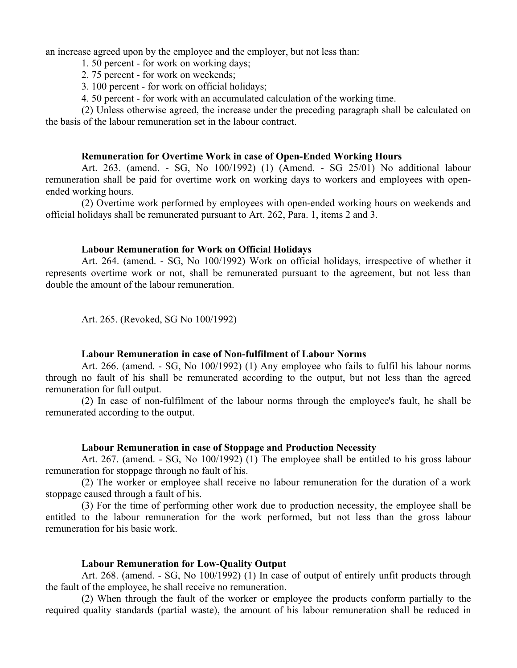an increase agreed upon by the employee and the employer, but not less than:

- 1. 50 percent for work on working days;
- 2. 75 percent for work on weekends;
- 3. 100 percent for work on official holidays;

4. 50 percent - for work with an accumulated calculation of the working time.

(2) Unless otherwise agreed, the increase under the preceding paragraph shall be calculated on the basis of the labour remuneration set in the labour contract.

### **Remuneration for Overtime Work in case of Open-Ended Working Hours**

Art. 263. (amend. - SG, No 100/1992) (1) (Amend. - SG 25/01) No additional labour remuneration shall be paid for overtime work on working days to workers and employees with openended working hours.

(2) Overtime work performed by employees with open-ended working hours on weekends and official holidays shall be remunerated pursuant to Art. 262, Para. 1, items 2 and 3.

### **Labour Remuneration for Work on Official Holidays**

Art. 264. (amend. - SG, No 100/1992) Work on official holidays, irrespective of whether it represents overtime work or not, shall be remunerated pursuant to the agreement, but not less than double the amount of the labour remuneration.

Art. 265. (Revoked, SG No 100/1992)

#### **Labour Remuneration in case of Non-fulfilment of Labour Norms**

Art. 266. (amend. - SG, No 100/1992) (1) Any employee who fails to fulfil his labour norms through no fault of his shall be remunerated according to the output, but not less than the agreed remuneration for full output.

(2) In case of non-fulfilment of the labour norms through the employee's fault, he shall be remunerated according to the output.

### **Labour Remuneration in case of Stoppage and Production Necessity**

Art. 267. (amend. - SG, No 100/1992) (1) The employee shall be entitled to his gross labour remuneration for stoppage through no fault of his.

(2) The worker or employee shall receive no labour remuneration for the duration of a work stoppage caused through a fault of his.

(3) For the time of performing other work due to production necessity, the employee shall be entitled to the labour remuneration for the work performed, but not less than the gross labour remuneration for his basic work.

## **Labour Remuneration for Low-Quality Output**

Art. 268. (amend. - SG, No 100/1992) (1) In case of output of entirely unfit products through the fault of the employee, he shall receive no remuneration.

(2) When through the fault of the worker or employee the products conform partially to the required quality standards (partial waste), the amount of his labour remuneration shall be reduced in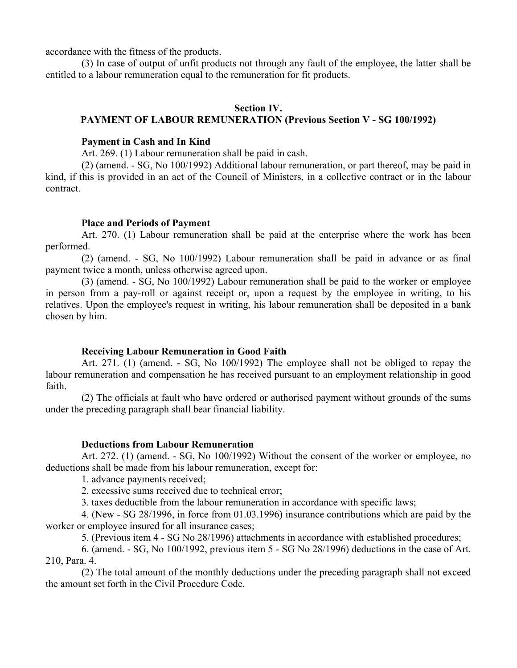accordance with the fitness of the products.

(3) In case of output of unfit products not through any fault of the employee, the latter shall be entitled to a labour remuneration equal to the remuneration for fit products.

## **Section IV.**

# **PAYMENT OF LABOUR REMUNERATION (Previous Section V - SG 100/1992)**

### **Payment in Cash and In Kind**

Art. 269. (1) Labour remuneration shall be paid in cash.

(2) (amend. - SG, No 100/1992) Additional labour remuneration, or part thereof, may be paid in kind, if this is provided in an act of the Council of Ministers, in a collective contract or in the labour contract.

### **Place and Periods of Payment**

Art. 270. (1) Labour remuneration shall be paid at the enterprise where the work has been performed.

(2) (amend. - SG, No 100/1992) Labour remuneration shall be paid in advance or as final payment twice a month, unless otherwise agreed upon.

(3) (amend. - SG, No 100/1992) Labour remuneration shall be paid to the worker or employee in person from a pay-roll or against receipt or, upon a request by the employee in writing, to his relatives. Upon the employee's request in writing, his labour remuneration shall be deposited in a bank chosen by him.

#### **Receiving Labour Remuneration in Good Faith**

Art. 271. (1) (amend. - SG, No 100/1992) The employee shall not be obliged to repay the labour remuneration and compensation he has received pursuant to an employment relationship in good faith.

(2) The officials at fault who have ordered or authorised payment without grounds of the sums under the preceding paragraph shall bear financial liability.

#### **Deductions from Labour Remuneration**

Art. 272. (1) (amend. - SG, No 100/1992) Without the consent of the worker or employee, no deductions shall be made from his labour remuneration, except for:

1. advance payments received;

2. excessive sums received due to technical error;

3. taxes deductible from the labour remuneration in accordance with specific laws;

4. (New - SG 28/1996, in force from 01.03.1996) insurance contributions which are paid by the worker or employee insured for all insurance cases;

5. (Previous item 4 - SG No 28/1996) attachments in accordance with established procedures;

6. (amend. - SG, No 100/1992, previous item 5 - SG No 28/1996) deductions in the case of Art. 210, Para. 4.

(2) The total amount of the monthly deductions under the preceding paragraph shall not exceed the amount set forth in the Civil Procedure Code.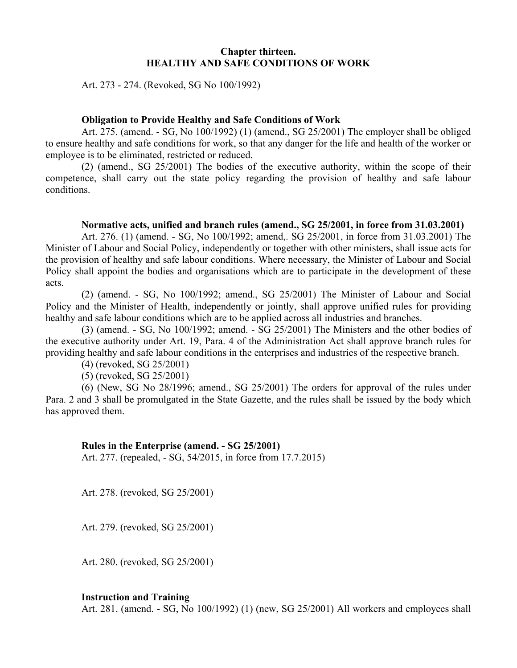## **Chapter thirteen. HEALTHY AND SAFE CONDITIONS OF WORK**

Art. 273 - 274. (Revoked, SG No 100/1992)

#### **Obligation to Provide Healthy and Safe Conditions of Work**

Art. 275. (amend. - SG, No 100/1992) (1) (amend., SG 25/2001) The employer shall be obliged to ensure healthy and safe conditions for work, so that any danger for the life and health of the worker or employee is to be eliminated, restricted or reduced.

(2) (amend., SG 25/2001) The bodies of the executive authority, within the scope of their competence, shall carry out the state policy regarding the provision of healthy and safe labour conditions.

### **Normative acts, unified and branch rules (amend., SG 25/2001, in force from 31.03.2001)**

Art. 276. (1) (amend. - SG, No 100/1992; amend,. SG 25/2001, in force from 31.03.2001) The Minister of Labour and Social Policy, independently or together with other ministers, shall issue acts for the provision of healthy and safe labour conditions. Where necessary, the Minister of Labour and Social Policy shall appoint the bodies and organisations which are to participate in the development of these acts.

(2) (amend. - SG, No 100/1992; amend., SG 25/2001) The Minister of Labour and Social Policy and the Minister of Health, independently or jointly, shall approve unified rules for providing healthy and safe labour conditions which are to be applied across all industries and branches.

(3) (amend. - SG, No 100/1992; amend. - SG 25/2001) The Ministers and the other bodies of the executive authority under Art. 19, Para. 4 of the Administration Act shall approve branch rules for providing healthy and safe labour conditions in the enterprises and industries of the respective branch.

(4) (revoked, SG 25/2001)

(5) (revoked, SG 25/2001)

(6) (New, SG No 28/1996; amend., SG 25/2001) The orders for approval of the rules under Para. 2 and 3 shall be promulgated in the State Gazette, and the rules shall be issued by the body which has approved them.

#### **Rules in the Enterprise (amend. - SG 25/2001)**

Art. 277. (repealed, - SG, 54/2015, in force from 17.7.2015)

Art. 278. (revoked, SG 25/2001)

Art. 279. (revoked, SG 25/2001)

Art. 280. (revoked, SG 25/2001)

#### **Instruction and Training**

Art. 281. (amend. - SG, No 100/1992) (1) (new, SG 25/2001) All workers and employees shall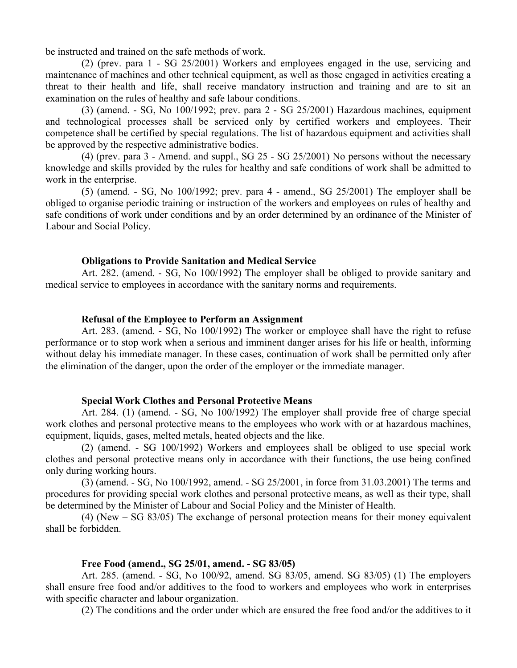be instructed and trained on the safe methods of work.

(2) (prev. para 1 - SG 25/2001) Workers and employees engaged in the use, servicing and maintenance of machines and other technical equipment, as well as those engaged in activities creating a threat to their health and life, shall receive mandatory instruction and training and are to sit an examination on the rules of healthy and safe labour conditions.

(3) (amend. - SG, No 100/1992; prev. para 2 - SG 25/2001) Hazardous machines, equipment and technological processes shall be serviced only by certified workers and employees. Their competence shall be certified by special regulations. The list of hazardous equipment and activities shall be approved by the respective administrative bodies.

(4) (prev. para 3 - Amend. and suppl., SG 25 - SG 25/2001) No persons without the necessary knowledge and skills provided by the rules for healthy and safe conditions of work shall be admitted to work in the enterprise.

(5) (amend. - SG, No 100/1992; prev. para 4 - amend., SG 25/2001) The employer shall be obliged to organise periodic training or instruction of the workers and employees on rules of healthy and safe conditions of work under conditions and by an order determined by an ordinance of the Minister of Labour and Social Policy.

### **Obligations to Provide Sanitation and Medical Service**

Art. 282. (amend. - SG, No 100/1992) The employer shall be obliged to provide sanitary and medical service to employees in accordance with the sanitary norms and requirements.

## **Refusal of the Employee to Perform an Assignment**

Art. 283. (amend. - SG, No 100/1992) The worker or employee shall have the right to refuse performance or to stop work when a serious and imminent danger arises for his life or health, informing without delay his immediate manager. In these cases, continuation of work shall be permitted only after the elimination of the danger, upon the order of the employer or the immediate manager.

### **Special Work Clothes and Personal Protective Means**

Art. 284. (1) (amend. - SG, No 100/1992) The employer shall provide free of charge special work clothes and personal protective means to the employees who work with or at hazardous machines, equipment, liquids, gases, melted metals, heated objects and the like.

(2) (amend. - SG 100/1992) Workers and employees shall be obliged to use special work clothes and personal protective means only in accordance with their functions, the use being confined only during working hours.

(3) (amend. - SG, No 100/1992, amend. - SG 25/2001, in force from 31.03.2001) The terms and procedures for providing special work clothes and personal protective means, as well as their type, shall be determined by the Minister of Labour and Social Policy and the Minister of Health.

(4) (New – SG 83/05) The exchange of personal protection means for their money equivalent shall be forbidden.

### **Free Food (amend., SG 25/01, amend. - SG 83/05)**

Art. 285. (amend. - SG, No 100/92, amend. SG 83/05, amend. SG 83/05) (1) The employers shall ensure free food and/or additives to the food to workers and employees who work in enterprises with specific character and labour organization.

(2) The conditions and the order under which are ensured the free food and/or the additives to it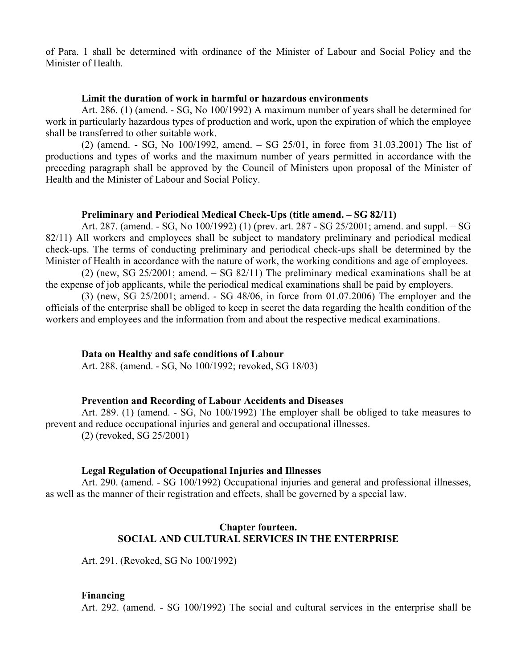of Para. 1 shall be determined with ordinance of the Minister of Labour and Social Policy and the Minister of Health.

#### **Limit the duration of work in harmful or hazardous environments**

Art. 286. (1) (amend. - SG, No 100/1992) A maximum number of years shall be determined for work in particularly hazardous types of production and work, upon the expiration of which the employee shall be transferred to other suitable work.

(2) (amend. - SG, No 100/1992, amend. – SG 25/01, in force from 31.03.2001) The list of productions and types of works and the maximum number of years permitted in accordance with the preceding paragraph shall be approved by the Council of Ministers upon proposal of the Minister of Health and the Minister of Labour and Social Policy.

## **Preliminary and Periodical Medical Check-Ups (title amend. – SG 82/11)**

Art. 287. (amend. - SG, No 100/1992) (1) (prev. art. 287 - SG 25/2001; amend. and suppl. – SG 82/11) All workers and employees shall be subject to mandatory preliminary and periodical medical check-ups. The terms of conducting preliminary and periodical check-ups shall be determined by the Minister of Health in accordance with the nature of work, the working conditions and age of employees.

(2) (new, SG 25/2001; amend. – SG 82/11) The preliminary medical examinations shall be at the expense of job applicants, while the periodical medical examinations shall be paid by employers.

(3) (new, SG 25/2001; amend. - SG 48/06, in force from 01.07.2006) The employer and the officials of the enterprise shall be obliged to keep in secret the data regarding the health condition of the workers and employees and the information from and about the respective medical examinations.

## **Data on Healthy and safe conditions of Labour**

Art. 288. (amend. - SG, No 100/1992; revoked, SG 18/03)

### **Prevention and Recording of Labour Accidents and Diseases**

Art. 289. (1) (amend. - SG, No 100/1992) The employer shall be obliged to take measures to prevent and reduce occupational injuries and general and occupational illnesses. (2) (revoked, SG 25/2001)

## **Legal Regulation of Occupational Injuries and Illnesses**

Art. 290. (amend. - SG 100/1992) Occupational injuries and general and professional illnesses, as well as the manner of their registration and effects, shall be governed by a special law.

## **Chapter fourteen. SOCIAL AND CULTURAL SERVICES IN THE ENTERPRISE**

Art. 291. (Revoked, SG No 100/1992)

#### **Financing**

Art. 292. (amend. - SG 100/1992) The social and cultural services in the enterprise shall be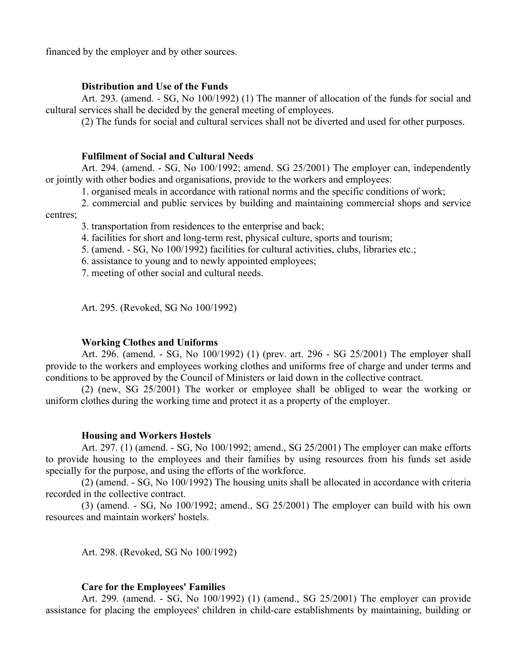financed by the employer and by other sources.

### **Distribution and Use of the Funds**

Art. 293. (amend. - SG, No 100/1992) (1) The manner of allocation of the funds for social and cultural services shall be decided by the general meeting of employees.

(2) The funds for social and cultural services shall not be diverted and used for other purposes.

### **Fulfilment of Social and Cultural Needs**

Art. 294. (amend. - SG, No 100/1992; amend. SG 25/2001) The employer can, independently or jointly with other bodies and organisations, provide to the workers and employees:

1. organised meals in accordance with rational norms and the specific conditions of work;

2. commercial and public services by building and maintaining commercial shops and service centres;

### 3. transportation from residences to the enterprise and back;

4. facilities for short and long-term rest, physical culture, sports and tourism;

5. (amend. - SG, No 100/1992) facilities for cultural activities, clubs, libraries etc.;

6. assistance to young and to newly appointed employees;

7. meeting of other social and cultural needs.

Art. 295. (Revoked, SG No 100/1992)

### **Working Clothes and Uniforms**

Art. 296. (amend. - SG, No 100/1992) (1) (prev. art. 296 - SG 25/2001) The employer shall provide to the workers and employees working clothes and uniforms free of charge and under terms and conditions to be approved by the Council of Ministers or laid down in the collective contract.

(2) (new, SG 25/2001) The worker or employee shall be obliged to wear the working or uniform clothes during the working time and protect it as a property of the employer.

#### **Housing and Workers Hostels**

Art. 297. (1) (amend. - SG, No 100/1992; amend., SG 25/2001) The employer can make efforts to provide housing to the employees and their families by using resources from his funds set aside specially for the purpose, and using the efforts of the workforce.

(2) (amend. - SG, No 100/1992) The housing units shall be allocated in accordance with criteria recorded in the collective contract.

(3) (amend. - SG, No 100/1992; amend., SG 25/2001) The employer can build with his own resources and maintain workers' hostels.

Art. 298. (Revoked, SG No 100/1992)

## **Care for the Employees' Families**

Art. 299. (amend. - SG, No 100/1992) (1) (amend., SG 25/2001) The employer can provide assistance for placing the employees' children in child-care establishments by maintaining, building or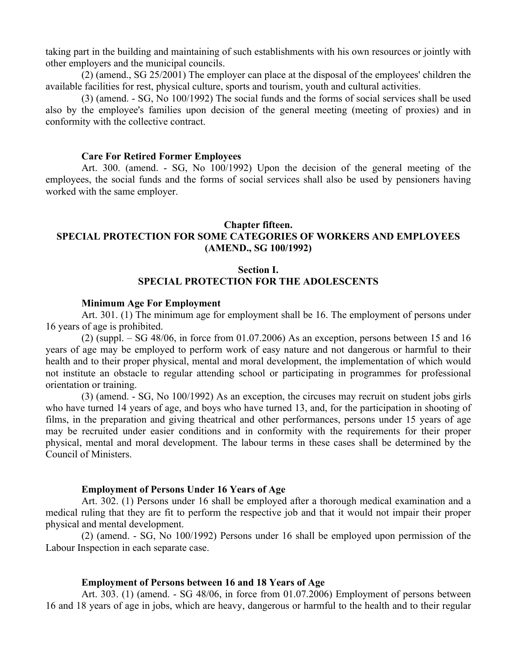taking part in the building and maintaining of such establishments with his own resources or jointly with other employers and the municipal councils.

(2) (amend., SG 25/2001) The employer can place at the disposal of the employees' children the available facilities for rest, physical culture, sports and tourism, youth and cultural activities.

(3) (amend. - SG, No 100/1992) The social funds and the forms of social services shall be used also by the employee's families upon decision of the general meeting (meeting of proxies) and in conformity with the collective contract.

### **Care For Retired Former Employees**

Art. 300. (amend. - SG, No 100/1992) Upon the decision of the general meeting of the employees, the social funds and the forms of social services shall also be used by pensioners having worked with the same employer.

## **Chapter fifteen. SPECIAL PROTECTION FOR SOME CATEGORIES OF WORKERS AND EMPLOYEES (AMEND., SG 100/1992)**

## **Section I. SPECIAL PROTECTION FOR THE ADOLESCENTS**

#### **Minimum Age For Employment**

Art. 301. (1) The minimum age for employment shall be 16. The employment of persons under 16 years of age is prohibited.

 $(2)$  (suppl. – SG 48/06, in force from 01.07.2006) As an exception, persons between 15 and 16 years of age may be employed to perform work of easy nature and not dangerous or harmful to their health and to their proper physical, mental and moral development, the implementation of which would not institute an obstacle to regular attending school or participating in programmes for professional orientation or training.

(3) (amend. - SG, No 100/1992) As an exception, the circuses may recruit on student jobs girls who have turned 14 years of age, and boys who have turned 13, and, for the participation in shooting of films, in the preparation and giving theatrical and other performances, persons under 15 years of age may be recruited under easier conditions and in conformity with the requirements for their proper physical, mental and moral development. The labour terms in these cases shall be determined by the Council of Ministers.

### **Employment of Persons Under 16 Years of Age**

Art. 302. (1) Persons under 16 shall be employed after a thorough medical examination and a medical ruling that they are fit to perform the respective job and that it would not impair their proper physical and mental development.

(2) (amend. - SG, No 100/1992) Persons under 16 shall be employed upon permission of the Labour Inspection in each separate case.

#### **Employment of Persons between 16 and 18 Years of Age**

Art. 303. (1) (amend. - SG 48/06, in force from 01.07.2006) Employment of persons between 16 and 18 years of age in jobs, which are heavy, dangerous or harmful to the health and to their regular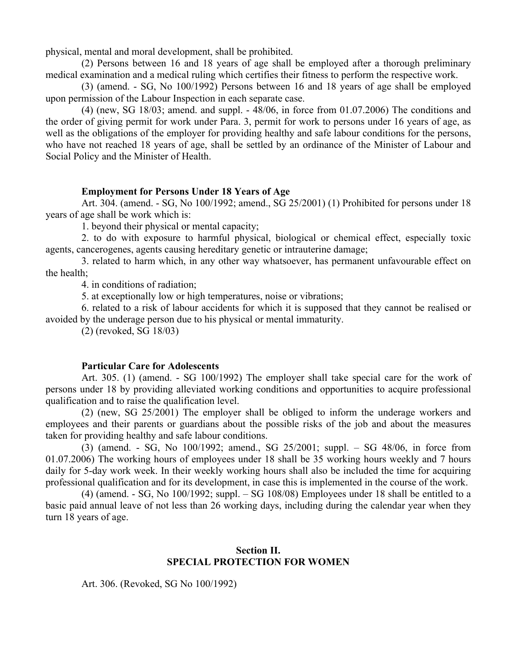physical, mental and moral development, shall be prohibited.

(2) Persons between 16 and 18 years of age shall be employed after a thorough preliminary medical examination and a medical ruling which certifies their fitness to perform the respective work.

(3) (amend. - SG, No 100/1992) Persons between 16 and 18 years of age shall be employed upon permission of the Labour Inspection in each separate case.

(4) (new, SG 18/03; amend. and suppl. - 48/06, in force from 01.07.2006) The conditions and the order of giving permit for work under Para. 3, permit for work to persons under 16 years of age, as well as the obligations of the employer for providing healthy and safe labour conditions for the persons, who have not reached 18 years of age, shall be settled by an ordinance of the Minister of Labour and Social Policy and the Minister of Health.

## **Employment for Persons Under 18 Years of Age**

Art. 304. (amend. - SG, No 100/1992; amend., SG 25/2001) (1) Prohibited for persons under 18 years of age shall be work which is:

1. beyond their physical or mental capacity;

2. to do with exposure to harmful physical, biological or chemical effect, especially toxic agents, cancerogenes, agents causing hereditary genetic or intrauterine damage;

3. related to harm which, in any other way whatsoever, has permanent unfavourable effect on the health;

4. in conditions of radiation;

5. at exceptionally low or high temperatures, noise or vibrations;

6. related to a risk of labour accidents for which it is supposed that they cannot be realised or avoided by the underage person due to his physical or mental immaturity.

(2) (revoked, SG 18/03)

### **Particular Care for Adolescents**

Art. 305. (1) (amend. - SG 100/1992) The employer shall take special care for the work of persons under 18 by providing alleviated working conditions and opportunities to acquire professional qualification and to raise the qualification level.

(2) (new, SG 25/2001) The employer shall be obliged to inform the underage workers and employees and their parents or guardians about the possible risks of the job and about the measures taken for providing healthy and safe labour conditions.

(3) (amend. - SG, No 100/1992; amend., SG 25/2001; suppl. – SG 48/06, in force from 01.07.2006) The working hours of employees under 18 shall be 35 working hours weekly and 7 hours daily for 5-day work week. In their weekly working hours shall also be included the time for acquiring professional qualification and for its development, in case this is implemented in the course of the work.

(4) (amend.  $-SG$ , No  $100/1992$ ; suppl.  $-SG$   $108/08$ ) Employees under 18 shall be entitled to a basic paid annual leave of not less than 26 working days, including during the calendar year when they turn 18 years of age.

## **Section II. SPECIAL PROTECTION FOR WOMEN**

Art. 306. (Revoked, SG No 100/1992)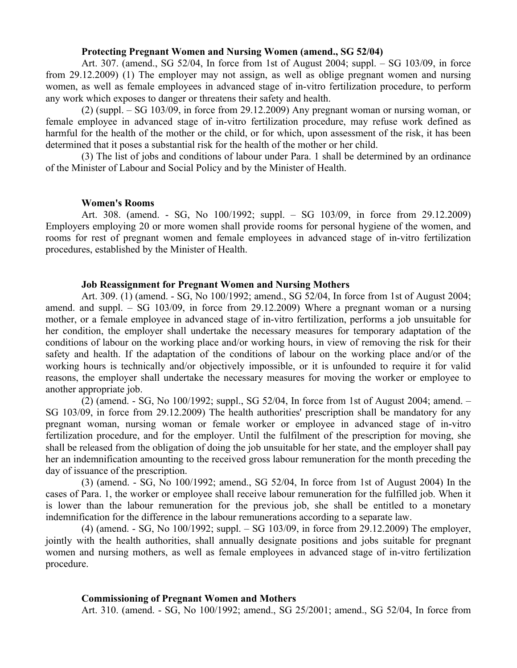#### **Protecting Pregnant Women and Nursing Women (amend., SG 52/04)**

Art. 307. (amend., SG 52/04, In force from 1st of August 2004; suppl. – SG 103/09, in force from 29.12.2009) (1) The employer may not assign, as well as oblige pregnant women and nursing women, as well as female employees in advanced stage of in-vitro fertilization procedure, to perform any work which exposes to danger or threatens their safety and health.

(2) (suppl. – SG 103/09, in force from 29.12.2009) Any pregnant woman or nursing woman, or female employee in advanced stage of in-vitro fertilization procedure, may refuse work defined as harmful for the health of the mother or the child, or for which, upon assessment of the risk, it has been determined that it poses a substantial risk for the health of the mother or her child.

(3) The list of jobs and conditions of labour under Para. 1 shall be determined by an ordinance of the Minister of Labour and Social Policy and by the Minister of Health.

#### **Women's Rooms**

Art. 308. (amend. - SG, No 100/1992; suppl. – SG 103/09, in force from 29.12.2009) Employers employing 20 or more women shall provide rooms for personal hygiene of the women, and rooms for rest of pregnant women and female employees in advanced stage of in-vitro fertilization procedures, established by the Minister of Health.

## **Job Reassignment for Pregnant Women and Nursing Mothers**

Art. 309. (1) (amend. - SG, No 100/1992; amend., SG 52/04, In force from 1st of August 2004; amend. and suppl. – SG 103/09, in force from 29.12.2009) Where a pregnant woman or a nursing mother, or a female employee in advanced stage of in-vitro fertilization, performs a job unsuitable for her condition, the employer shall undertake the necessary measures for temporary adaptation of the conditions of labour on the working place and/or working hours, in view of removing the risk for their safety and health. If the adaptation of the conditions of labour on the working place and/or of the working hours is technically and/or objectively impossible, or it is unfounded to require it for valid reasons, the employer shall undertake the necessary measures for moving the worker or employee to another appropriate job.

(2) (amend. - SG, No 100/1992; suppl., SG 52/04, In force from 1st of August 2004; amend. – SG 103/09, in force from 29.12.2009) The health authorities' prescription shall be mandatory for any pregnant woman, nursing woman or female worker or employee in advanced stage of in-vitro fertilization procedure, and for the employer. Until the fulfilment of the prescription for moving, she shall be released from the obligation of doing the job unsuitable for her state, and the employer shall pay her an indemnification amounting to the received gross labour remuneration for the month preceding the day of issuance of the prescription.

(3) (amend. - SG, No 100/1992; amend., SG 52/04, In force from 1st of August 2004) In the cases of Para. 1, the worker or employee shall receive labour remuneration for the fulfilled job. When it is lower than the labour remuneration for the previous job, she shall be entitled to a monetary indemnification for the difference in the labour remunerations according to a separate law.

(4) (amend. - SG, No 100/1992; suppl. – SG 103/09, in force from 29.12.2009) The employer, jointly with the health authorities, shall annually designate positions and jobs suitable for pregnant women and nursing mothers, as well as female employees in advanced stage of in-vitro fertilization procedure.

## **Commissioning of Pregnant Women and Mothers**

Art. 310. (amend. - SG, No 100/1992; amend., SG 25/2001; amend., SG 52/04, In force from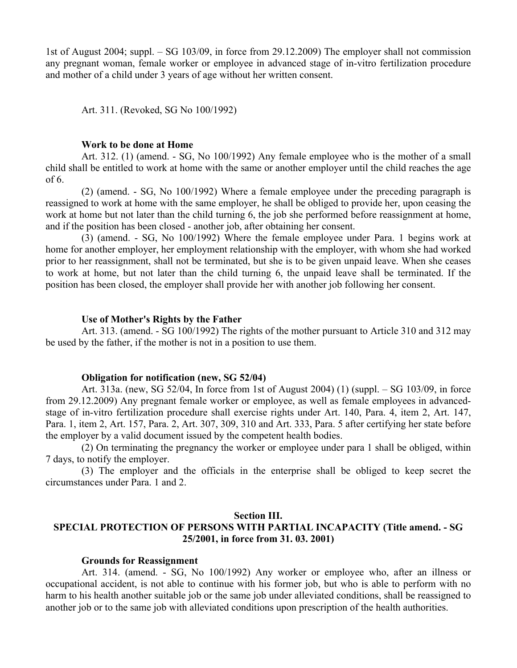1st of August 2004; suppl. – SG 103/09, in force from 29.12.2009) The employer shall not commission any pregnant woman, female worker or employee in advanced stage of in-vitro fertilization procedure and mother of a child under 3 years of age without her written consent.

Art. 311. (Revoked, SG No 100/1992)

#### **Work to be done at Home**

Art. 312. (1) (amend. - SG, No 100/1992) Any female employee who is the mother of a small child shall be entitled to work at home with the same or another employer until the child reaches the age of 6.

(2) (amend. - SG, No 100/1992) Where a female employee under the preceding paragraph is reassigned to work at home with the same employer, he shall be obliged to provide her, upon ceasing the work at home but not later than the child turning 6, the job she performed before reassignment at home, and if the position has been closed - another job, after obtaining her consent.

(3) (amend. - SG, No 100/1992) Where the female employee under Para. 1 begins work at home for another employer, her employment relationship with the employer, with whom she had worked prior to her reassignment, shall not be terminated, but she is to be given unpaid leave. When she ceases to work at home, but not later than the child turning 6, the unpaid leave shall be terminated. If the position has been closed, the employer shall provide her with another job following her consent.

### **Use of Mother's Rights by the Father**

Art. 313. (amend. - SG 100/1992) The rights of the mother pursuant to Article 310 and 312 may be used by the father, if the mother is not in a position to use them.

#### **Obligation for notification (new, SG 52/04)**

Art. 313a. (new, SG 52/04, In force from 1st of August 2004) (1) (suppl. – SG 103/09, in force from 29.12.2009) Any pregnant female worker or employee, as well as female employees in advancedstage of in-vitro fertilization procedure shall exercise rights under Art. 140, Para. 4, item 2, Art. 147, Para. 1, item 2, Art. 157, Para. 2, Art. 307, 309, 310 and Art. 333, Para. 5 after certifying her state before the employer by a valid document issued by the competent health bodies.

(2) On terminating the pregnancy the worker or employee under para 1 shall be obliged, within 7 days, to notify the employer.

(3) The employer and the officials in the enterprise shall be obliged to keep secret the circumstances under Para. 1 and 2.

#### **Section III.**

## **SPECIAL PROTECTION OF PERSONS WITH PARTIAL INCAPACITY (Title amend. - SG 25/2001, in force from 31. 03. 2001)**

### **Grounds for Reassignment**

Art. 314. (amend. - SG, No 100/1992) Any worker or employee who, after an illness or occupational accident, is not able to continue with his former job, but who is able to perform with no harm to his health another suitable job or the same job under alleviated conditions, shall be reassigned to another job or to the same job with alleviated conditions upon prescription of the health authorities.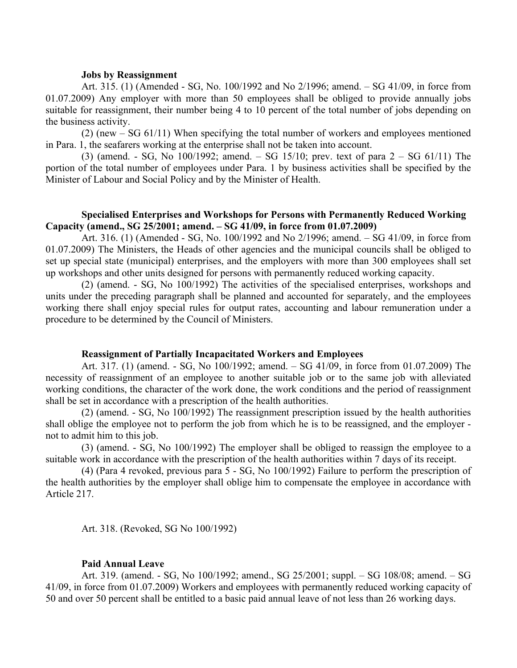#### **Jobs by Reassignment**

Art. 315. (1) (Amended - SG, No. 100/1992 and No 2/1996; amend. – SG 41/09, in force from 01.07.2009) Any employer with more than 50 employees shall be obliged to provide annually jobs suitable for reassignment, their number being 4 to 10 percent of the total number of jobs depending on the business activity.

(2) (new – SG 61/11) When specifying the total number of workers and employees mentioned in Para. 1, the seafarers working at the enterprise shall not be taken into account.

(3) (amend. - SG, No 100/1992; amend. – SG 15/10; prev. text of para 2 – SG 61/11) The portion of the total number of employees under Para. 1 by business activities shall be specified by the Minister of Labour and Social Policy and by the Minister of Health.

## **Specialised Enterprises and Workshops for Persons with Permanently Reduced Working Capacity (amend., SG 25/2001; amend. – SG 41/09, in force from 01.07.2009)**

Art. 316. (1) (Amended - SG, No. 100/1992 and No 2/1996; amend. – SG 41/09, in force from 01.07.2009) The Ministers, the Heads of other agencies and the municipal councils shall be obliged to set up special state (municipal) enterprises, and the employers with more than 300 employees shall set up workshops and other units designed for persons with permanently reduced working capacity.

(2) (amend. - SG, No 100/1992) The activities of the specialised enterprises, workshops and units under the preceding paragraph shall be planned and accounted for separately, and the employees working there shall enjoy special rules for output rates, accounting and labour remuneration under a procedure to be determined by the Council of Ministers.

## **Reassignment of Partially Incapacitated Workers and Employees**

Art. 317. (1) (amend. - SG, No 100/1992; amend. – SG 41/09, in force from 01.07.2009) The necessity of reassignment of an employee to another suitable job or to the same job with alleviated working conditions, the character of the work done, the work conditions and the period of reassignment shall be set in accordance with a prescription of the health authorities.

(2) (amend. - SG, No 100/1992) The reassignment prescription issued by the health authorities shall oblige the employee not to perform the job from which he is to be reassigned, and the employer - not to admit him to this job.

(3) (amend. - SG, No 100/1992) The employer shall be obliged to reassign the employee to a suitable work in accordance with the prescription of the health authorities within 7 days of its receipt.

(4) (Para 4 revoked, previous para 5 - SG, No 100/1992) Failure to perform the prescription of the health authorities by the employer shall oblige him to compensate the employee in accordance with Article 217.

Art. 318. (Revoked, SG No 100/1992)

#### **Paid Annual Leave**

Art. 319. (amend. - SG, No 100/1992; amend., SG 25/2001; suppl. – SG 108/08; amend. – SG 41/09, in force from 01.07.2009) Workers and employees with permanently reduced working capacity of 50 and over 50 percent shall be entitled to a basic paid annual leave of not less than 26 working days.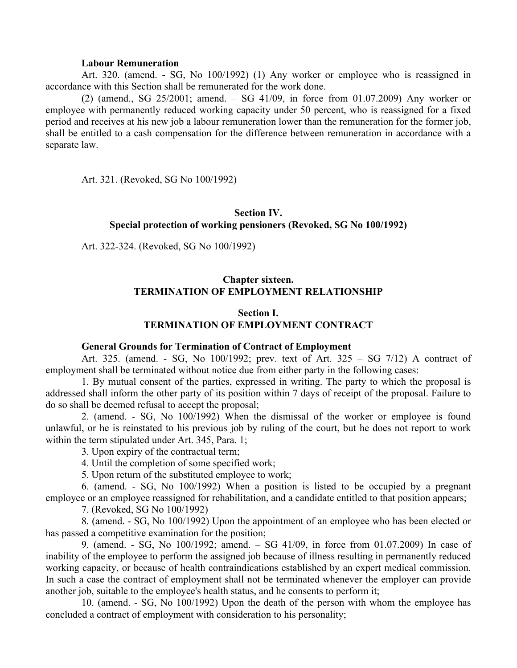#### **Labour Remuneration**

Art. 320. (amend. - SG, No 100/1992) (1) Any worker or employee who is reassigned in accordance with this Section shall be remunerated for the work done.

(2) (amend., SG 25/2001; amend. – SG 41/09, in force from 01.07.2009) Any worker or employee with permanently reduced working capacity under 50 percent, who is reassigned for a fixed period and receives at his new job a labour remuneration lower than the remuneration for the former job, shall be entitled to a cash compensation for the difference between remuneration in accordance with a separate law.

Art. 321. (Revoked, SG No 100/1992)

## **Section IV. Special protection of working pensioners (Revoked, SG No 100/1992)**

Art. 322-324. (Revoked, SG No 100/1992)

# **Chapter sixteen. TERMINATION OF EMPLOYMENT RELATIONSHIP**

## **Section I. TERMINATION OF EMPLOYMENT CONTRACT**

## **General Grounds for Termination of Contract of Employment**

Art. 325. (amend. - SG, No 100/1992; prev. text of Art. 325 – SG 7/12) A contract of employment shall be terminated without notice due from either party in the following cases:

1. By mutual consent of the parties, expressed in writing. The party to which the proposal is addressed shall inform the other party of its position within 7 days of receipt of the proposal. Failure to do so shall be deemed refusal to accept the proposal;

2. (amend. - SG, No 100/1992) When the dismissal of the worker or employee is found unlawful, or he is reinstated to his previous job by ruling of the court, but he does not report to work within the term stipulated under Art. 345, Para. 1;

3. Upon expiry of the contractual term;

4. Until the completion of some specified work;

5. Upon return of the substituted employee to work;

6. (amend. - SG, No 100/1992) When a position is listed to be occupied by a pregnant employee or an employee reassigned for rehabilitation, and a candidate entitled to that position appears;

7. (Revoked, SG No 100/1992)

8. (amend. - SG, No 100/1992) Upon the appointment of an employee who has been elected or has passed a competitive examination for the position;

9. (amend. - SG, No 100/1992; amend. – SG 41/09, in force from 01.07.2009) In case of inability of the employee to perform the assigned job because of illness resulting in permanently reduced working capacity, or because of health contraindications established by an expert medical commission. In such a case the contract of employment shall not be terminated whenever the employer can provide another job, suitable to the employee's health status, and he consents to perform it;

10. (amend. - SG, No 100/1992) Upon the death of the person with whom the employee has concluded a contract of employment with consideration to his personality;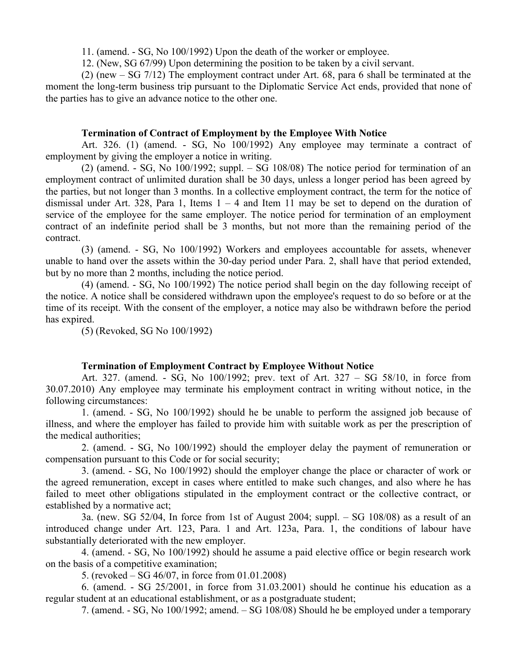11. (amend. - SG, No 100/1992) Upon the death of the worker or employee.

12. (New, SG 67/99) Upon determining the position to be taken by a civil servant.

(2) (new – SG 7/12) The employment contract under Art. 68, para 6 shall be terminated at the moment the long-term business trip pursuant to the Diplomatic Service Act ends, provided that none of the parties has to give an advance notice to the other one.

## **Termination of Contract of Employment by the Employee With Notice**

Art. 326. (1) (amend. - SG, No 100/1992) Any employee may terminate a contract of employment by giving the employer a notice in writing.

(2) (amend.  $-SG$ , No 100/1992; suppl.  $-SG$  108/08) The notice period for termination of an employment contract of unlimited duration shall be 30 days, unless a longer period has been agreed by the parties, but not longer than 3 months. In a collective employment contract, the term for the notice of dismissal under Art. 328, Para 1, Items  $1 - 4$  and Item 11 may be set to depend on the duration of service of the employee for the same employer. The notice period for termination of an employment contract of an indefinite period shall be 3 months, but not more than the remaining period of the contract.

(3) (amend. - SG, No 100/1992) Workers and employees accountable for assets, whenever unable to hand over the assets within the 30-day period under Para. 2, shall have that period extended, but by no more than 2 months, including the notice period.

(4) (amend. - SG, No 100/1992) The notice period shall begin on the day following receipt of the notice. A notice shall be considered withdrawn upon the employee's request to do so before or at the time of its receipt. With the consent of the employer, a notice may also be withdrawn before the period has expired.

(5) (Revoked, SG No 100/1992)

## **Termination of Employment Contract by Employee Without Notice**

Art. 327. (amend. - SG, No 100/1992; prev. text of Art. 327 – SG 58/10, in force from 30.07.2010) Any employee may terminate his employment contract in writing without notice, in the following circumstances:

1. (amend. - SG, No 100/1992) should he be unable to perform the assigned job because of illness, and where the employer has failed to provide him with suitable work as per the prescription of the medical authorities;

2. (amend. - SG, No 100/1992) should the employer delay the payment of remuneration or compensation pursuant to this Code or for social security;

3. (amend. - SG, No 100/1992) should the employer change the place or character of work or the agreed remuneration, except in cases where entitled to make such changes, and also where he has failed to meet other obligations stipulated in the employment contract or the collective contract, or established by a normative act;

3a. (new. SG 52/04, In force from 1st of August 2004; suppl. – SG 108/08) as a result of an introduced change under Art. 123, Para. 1 and Art. 123a, Para. 1, the conditions of labour have substantially deteriorated with the new employer.

4. (amend. - SG, No 100/1992) should he assume a paid elective office or begin research work on the basis of a competitive examination;

5. (revoked – SG 46/07, in force from 01.01.2008)

6. (amend. - SG 25/2001, in force from 31.03.2001) should he continue his education as a regular student at an educational establishment, or as a postgraduate student;

7. (amend. - SG, No 100/1992; amend. – SG 108/08) Should he be employed under a temporary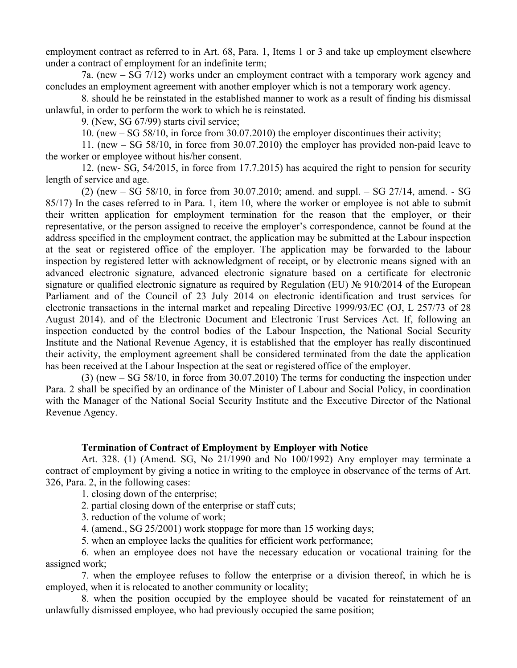employment contract as referred to in Art. 68, Para. 1, Items 1 or 3 and take up employment elsewhere under a contract of employment for an indefinite term;

7a. (new – SG 7/12) works under an employment contract with a temporary work agency and concludes an employment agreement with another employer which is not a temporary work agency.

8. should he be reinstated in the established manner to work as a result of finding his dismissal unlawful, in order to perform the work to which he is reinstated.

9. (New, SG 67/99) starts civil service;

10. (new – SG 58/10, in force from 30.07.2010) the employer discontinues their activity;

11. (new – SG 58/10, in force from 30.07.2010) the employer has provided non-paid leave to the worker or employee without his/her consent.

12. (new- SG, 54/2015, in force from 17.7.2015) has acquired the right to pension for security length of service and age.

(2) (new – SG 58/10, in force from 30.07.2010; amend. and suppl. – SG 27/14, amend. - SG 85/17) In the cases referred to in Para. 1, item 10, where the worker or employee is not able to submit their written application for employment termination for the reason that the employer, or their representative, or the person assigned to receive the employer's correspondence, cannot be found at the address specified in the employment contract, the application may be submitted at the Labour inspection at the seat or registered office of the employer. The application may be forwarded to the labour inspection by registered letter with acknowledgment of receipt, or by electronic means signed with an advanced electronic signature, advanced electronic signature based on a certificate for electronic signature or qualified electronic signature as required by Regulation (EU) № 910/2014 of the European Parliament and of the Council of 23 July 2014 on electronic identification and trust services for electronic transactions in the internal market and repealing Directive 1999/93/EC (OJ, L 257/73 of 28 August 2014). and of the Electronic Document and Electronic Trust Services Act. If, following an inspection conducted by the control bodies of the Labour Inspection, the National Social Security Institute and the National Revenue Agency, it is established that the employer has really discontinued their activity, the employment agreement shall be considered terminated from the date the application has been received at the Labour Inspection at the seat or registered office of the employer.

(3) (new – SG 58/10, in force from 30.07.2010) The terms for conducting the inspection under Para. 2 shall be specified by an ordinance of the Minister of Labour and Social Policy, in coordination with the Manager of the National Social Security Institute and the Executive Director of the National Revenue Agency.

## **Termination of Contract of Employment by Employer with Notice**

Art. 328. (1) (Amend. SG, No 21/1990 and No 100/1992) Any employer may terminate a contract of employment by giving a notice in writing to the employee in observance of the terms of Art. 326, Para. 2, in the following cases:

1. closing down of the enterprise;

2. partial closing down of the enterprise or staff cuts;

3. reduction of the volume of work;

4. (amend., SG 25/2001) work stoppage for more than 15 working days;

5. when an employee lacks the qualities for efficient work performance;

6. when an employee does not have the necessary education or vocational training for the assigned work;

7. when the employee refuses to follow the enterprise or a division thereof, in which he is employed, when it is relocated to another community or locality;

8. when the position occupied by the employee should be vacated for reinstatement of an unlawfully dismissed employee, who had previously occupied the same position;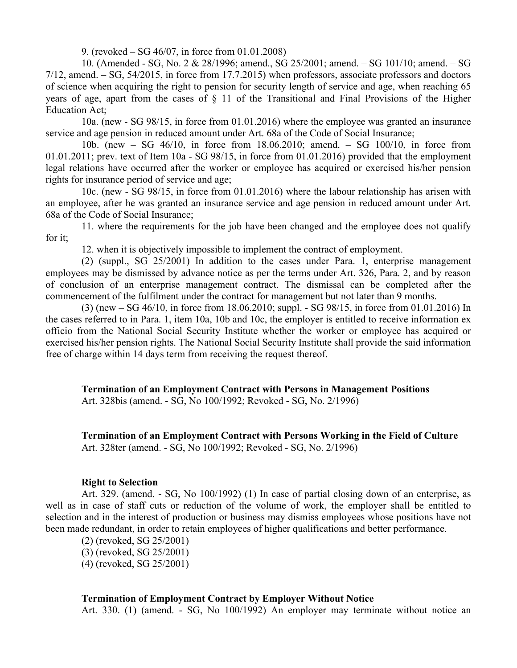9. (revoked – SG 46/07, in force from 01.01.2008)

10. (Amended - SG, No. 2 & 28/1996; amend., SG 25/2001; amend. – SG 101/10; amend. – SG 7/12, amend. – SG, 54/2015, in force from 17.7.2015) when professors, associate professors and doctors of science when acquiring the right to pension for security length of service and age, when reaching 65 years of age, apart from the cases of § 11 of the Transitional and Final Provisions of the Higher Education Act;

10a. (new - SG 98/15, in force from 01.01.2016) where the employee was granted an insurance service and age pension in reduced amount under Art. 68a of the Code of Social Insurance;

10b. (new – SG 46/10, in force from 18.06.2010; amend. – SG 100/10, in force from 01.01.2011; prev. text of Item 10a - SG 98/15, in force from 01.01.2016) provided that the employment legal relations have occurred after the worker or employee has acquired or exercised his/her pension rights for insurance period of service and age;

10c. (new - SG 98/15, in force from 01.01.2016) where the labour relationship has arisen with an employee, after he was granted an insurance service and age pension in reduced amount under Art. 68a of the Code of Social Insurance;

11. where the requirements for the job have been changed and the employee does not qualify for it:

12. when it is objectively impossible to implement the contract of employment.

(2) (suppl., SG 25/2001) In addition to the cases under Para. 1, enterprise management employees may be dismissed by advance notice as per the terms under Art. 326, Para. 2, and by reason of conclusion of an enterprise management contract. The dismissal can be completed after the commencement of the fulfilment under the contract for management but not later than 9 months.

(3) (new – SG 46/10, in force from 18.06.2010; suppl. - SG 98/15, in force from 01.01.2016) In the cases referred to in Para. 1, item 10a, 10b and 10c, the employer is entitled to receive information ex officio from the National Social Security Institute whether the worker or employee has acquired or exercised his/her pension rights. The National Social Security Institute shall provide the said information free of charge within 14 days term from receiving the request thereof.

**Termination of an Employment Contract with Persons in Management Positions** Art. 328bis (amend. - SG, No 100/1992; Revoked - SG, No. 2/1996)

**Termination of an Employment Contract with Persons Working in the Field of Culture** Art. 328ter (amend. - SG, No 100/1992; Revoked - SG, No. 2/1996)

## **Right to Selection**

Art. 329. (amend. - SG, No 100/1992) (1) In case of partial closing down of an enterprise, as well as in case of staff cuts or reduction of the volume of work, the employer shall be entitled to selection and in the interest of production or business may dismiss employees whose positions have not been made redundant, in order to retain employees of higher qualifications and better performance.

(2) (revoked, SG 25/2001) (3) (revoked, SG 25/2001) (4) (revoked, SG 25/2001)

## **Termination of Employment Contract by Employer Without Notice**

Art. 330. (1) (amend. - SG, No 100/1992) An employer may terminate without notice an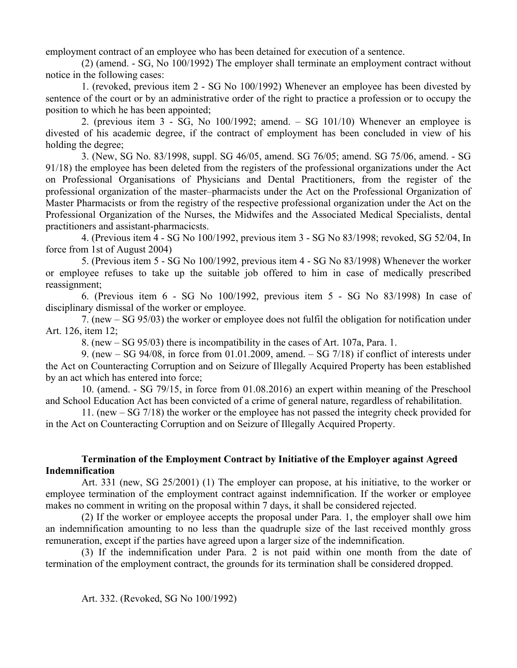employment contract of an employee who has been detained for execution of a sentence.

(2) (amend. - SG, No 100/1992) The employer shall terminate an employment contract without notice in the following cases:

1. (revoked, previous item 2 - SG No 100/1992) Whenever an employee has been divested by sentence of the court or by an administrative order of the right to practice a profession or to occupy the position to which he has been appointed;

2. (previous item  $3 - SG$ , No  $100/1992$ ; amend.  $- SG 101/10$ ) Whenever an employee is divested of his academic degree, if the contract of employment has been concluded in view of his holding the degree;

3. (New, SG No. 83/1998, suppl. SG 46/05, amend. SG 76/05; amend. SG 75/06, amend. - SG 91/18) the employee has been deleted from the registers of the professional organizations under the Act on Professional Organisations of Physicians and Dental Practitioners, from the register of the professional organization of the master–pharmacists under the Act on the Professional Organization of Master Pharmacists or from the registry of the respective professional organization under the Act on the Professional Organization of the Nurses, the Midwifes and the Associated Medical Specialists, dental practitioners and assistant-pharmacicsts.

4. (Previous item 4 - SG No 100/1992, previous item 3 - SG No 83/1998; revoked, SG 52/04, In force from 1st of August 2004)

5. (Previous item 5 - SG No 100/1992, previous item 4 - SG No 83/1998) Whenever the worker or employee refuses to take up the suitable job offered to him in case of medically prescribed reassignment;

6. (Previous item 6 - SG No 100/1992, previous item 5 - SG No 83/1998) In case of disciplinary dismissal of the worker or employee.

7. (new – SG 95/03) the worker or employee does not fulfil the obligation for notification under Art. 126, item 12;

8. (new – SG 95/03) there is incompatibility in the cases of Art. 107a, Para. 1.

9. (new – SG 94/08, in force from 01.01.2009, amend. – SG 7/18) if conflict of interests under the Act on Counteracting Corruption and on Seizure of Illegally Acquired Property has been established by an act which has entered into force;

10. (amend. - SG 79/15, in force from 01.08.2016) an expert within meaning of the Preschool and School Education Act has been convicted of a crime of general nature, regardless of rehabilitation.

11. (new – SG 7/18) the worker or the employee has not passed the integrity check provided for in the Act on Counteracting Corruption and on Seizure of Illegally Acquired Property.

## **Termination of the Employment Contract by Initiative of the Employer against Agreed Indemnification**

Art. 331 (new, SG 25/2001) (1) The employer can propose, at his initiative, to the worker or employee termination of the employment contract against indemnification. If the worker or employee makes no comment in writing on the proposal within 7 days, it shall be considered rejected.

(2) If the worker or employee accepts the proposal under Para. 1, the employer shall owe him an indemnification amounting to no less than the quadruple size of the last received monthly gross remuneration, except if the parties have agreed upon a larger size of the indemnification.

(3) If the indemnification under Para. 2 is not paid within one month from the date of termination of the employment contract, the grounds for its termination shall be considered dropped.

Art. 332. (Revoked, SG No 100/1992)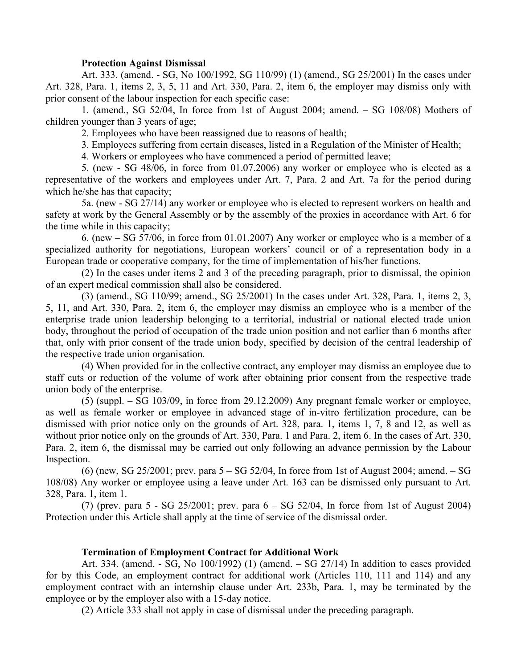## **Protection Against Dismissal**

Art. 333. (amend. - SG, No 100/1992, SG 110/99) (1) (amend., SG 25/2001) In the cases under Art. 328, Para. 1, items 2, 3, 5, 11 and Art. 330, Para. 2, item 6, the employer may dismiss only with prior consent of the labour inspection for each specific case:

1. (amend., SG 52/04, In force from 1st of August 2004; amend. – SG 108/08) Mothers of children younger than 3 years of age;

2. Employees who have been reassigned due to reasons of health;

3. Employees suffering from certain diseases, listed in a Regulation of the Minister of Health;

4. Workers or employees who have commenced a period of permitted leave;

5. (new - SG 48/06, in force from 01.07.2006) any worker or employee who is elected as a representative of the workers and employees under Art. 7, Para. 2 and Art. 7a for the period during which he/she has that capacity;

5a. (new - SG 27/14) any worker or employee who is elected to represent workers on health and safety at work by the General Assembly or by the assembly of the proxies in accordance with Art. 6 for the time while in this capacity;

6. (new – SG 57/06, in force from 01.01.2007) Any worker or employee who is a member of a specialized authority for negotiations, European workers' council or of a representation body in a European trade or cooperative company, for the time of implementation of his/her functions.

(2) In the cases under items 2 and 3 of the preceding paragraph, prior to dismissal, the opinion of an expert medical commission shall also be considered.

(3) (amend., SG 110/99; amend., SG 25/2001) In the cases under Art. 328, Para. 1, items 2, 3, 5, 11, and Art. 330, Para. 2, item 6, the employer may dismiss an employee who is a member of the enterprise trade union leadership belonging to a territorial, industrial or national elected trade union body, throughout the period of occupation of the trade union position and not earlier than 6 months after that, only with prior consent of the trade union body, specified by decision of the central leadership of the respective trade union organisation.

(4) When provided for in the collective contract, any employer may dismiss an employee due to staff cuts or reduction of the volume of work after obtaining prior consent from the respective trade union body of the enterprise.

 $(5)$  (suppl. – SG 103/09, in force from 29.12.2009) Any pregnant female worker or employee, as well as female worker or employee in advanced stage of in-vitro fertilization procedure, can be dismissed with prior notice only on the grounds of Art. 328, para. 1, items 1, 7, 8 and 12, as well as without prior notice only on the grounds of Art. 330, Para. 1 and Para. 2, item 6. In the cases of Art. 330, Para. 2, item 6, the dismissal may be carried out only following an advance permission by the Labour Inspection.

(6) (new, SG 25/2001; prev. para  $5 - SG$  52/04, In force from 1st of August 2004; amend.  $-SG$ 108/08) Any worker or employee using a leave under Art. 163 can be dismissed only pursuant to Art. 328, Para. 1, item 1.

(7) (prev. para 5 - SG 25/2001; prev. para 6 – SG 52/04, In force from 1st of August 2004) Protection under this Article shall apply at the time of service of the dismissal order.

## **Termination of Employment Contract for Additional Work**

Art. 334. (amend. - SG, No 100/1992) (1) (amend. – SG 27/14) In addition to cases provided for by this Code, an employment contract for additional work (Articles 110, 111 and 114) and any employment contract with an internship clause under Art. 233b, Para. 1, may be terminated by the employee or by the employer also with a 15-day notice.

(2) Article 333 shall not apply in case of dismissal under the preceding paragraph.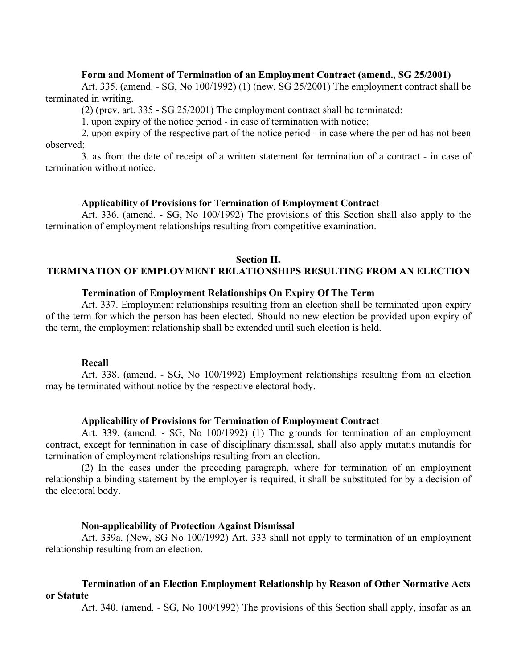## **Form and Moment of Termination of an Employment Contract (amend., SG 25/2001)**

Art. 335. (amend. - SG, No 100/1992) (1) (new, SG 25/2001) The employment contract shall be terminated in writing.

(2) (prev. art. 335 - SG 25/2001) The employment contract shall be terminated:

1. upon expiry of the notice period - in case of termination with notice;

2. upon expiry of the respective part of the notice period - in case where the period has not been observed;

3. as from the date of receipt of a written statement for termination of a contract - in case of termination without notice.

### **Applicability of Provisions for Termination of Employment Contract**

Art. 336. (amend. - SG, No 100/1992) The provisions of this Section shall also apply to the termination of employment relationships resulting from competitive examination.

### **Section II.**

# **TERMINATION OF EMPLOYMENT RELATIONSHIPS RESULTING FROM AN ELECTION**

### **Termination of Employment Relationships On Expiry Of The Term**

Art. 337. Employment relationships resulting from an election shall be terminated upon expiry of the term for which the person has been elected. Should no new election be provided upon expiry of the term, the employment relationship shall be extended until such election is held.

### **Recall**

Art. 338. (amend. - SG, No 100/1992) Employment relationships resulting from an election may be terminated without notice by the respective electoral body.

#### **Applicability of Provisions for Termination of Employment Contract**

Art. 339. (amend. - SG, No 100/1992) (1) The grounds for termination of an employment contract, except for termination in case of disciplinary dismissal, shall also apply mutatis mutandis for termination of employment relationships resulting from an election.

(2) In the cases under the preceding paragraph, where for termination of an employment relationship a binding statement by the employer is required, it shall be substituted for by a decision of the electoral body.

## **Non-applicability of Protection Against Dismissal**

Art. 339a. (New, SG No 100/1992) Art. 333 shall not apply to termination of an employment relationship resulting from an election.

### **Termination of an Election Employment Relationship by Reason of Other Normative Acts or Statute**

Art. 340. (amend. - SG, No 100/1992) The provisions of this Section shall apply, insofar as an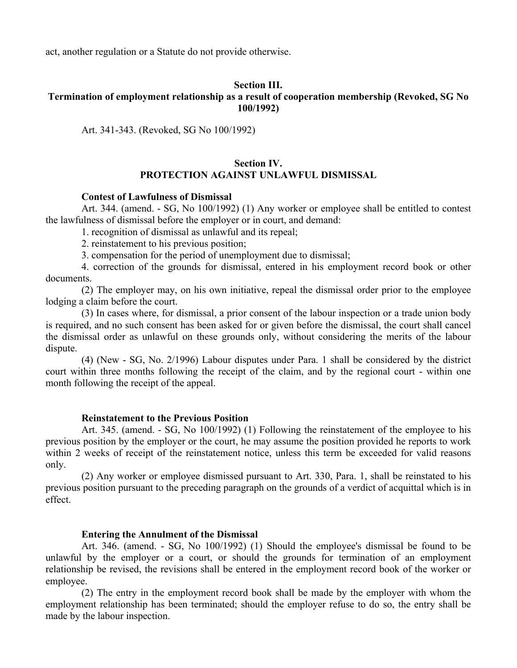act, another regulation or a Statute do not provide otherwise.

# **Section III.**

## **Termination of employment relationship as a result of cooperation membership (Revoked, SG No 100/1992)**

Art. 341-343. (Revoked, SG No 100/1992)

## **Section IV. PROTECTION AGAINST UNLAWFUL DISMISSAL**

## **Contest of Lawfulness of Dismissal**

Art. 344. (amend. - SG, No 100/1992) (1) Any worker or employee shall be entitled to contest the lawfulness of dismissal before the employer or in court, and demand:

1. recognition of dismissal as unlawful and its repeal;

2. reinstatement to his previous position;

3. compensation for the period of unemployment due to dismissal;

4. correction of the grounds for dismissal, entered in his employment record book or other documents.

(2) The employer may, on his own initiative, repeal the dismissal order prior to the employee lodging a claim before the court.

(3) In cases where, for dismissal, a prior consent of the labour inspection or a trade union body is required, and no such consent has been asked for or given before the dismissal, the court shall cancel the dismissal order as unlawful on these grounds only, without considering the merits of the labour dispute.

(4) (New - SG, No. 2/1996) Labour disputes under Para. 1 shall be considered by the district court within three months following the receipt of the claim, and by the regional court - within one month following the receipt of the appeal.

### **Reinstatement to the Previous Position**

Art. 345. (amend. - SG, No 100/1992) (1) Following the reinstatement of the employee to his previous position by the employer or the court, he may assume the position provided he reports to work within 2 weeks of receipt of the reinstatement notice, unless this term be exceeded for valid reasons only.

(2) Any worker or employee dismissed pursuant to Art. 330, Para. 1, shall be reinstated to his previous position pursuant to the preceding paragraph on the grounds of a verdict of acquittal which is in effect.

## **Entering the Annulment of the Dismissal**

Art. 346. (amend. - SG, No 100/1992) (1) Should the employee's dismissal be found to be unlawful by the employer or a court, or should the grounds for termination of an employment relationship be revised, the revisions shall be entered in the employment record book of the worker or employee.

(2) The entry in the employment record book shall be made by the employer with whom the employment relationship has been terminated; should the employer refuse to do so, the entry shall be made by the labour inspection.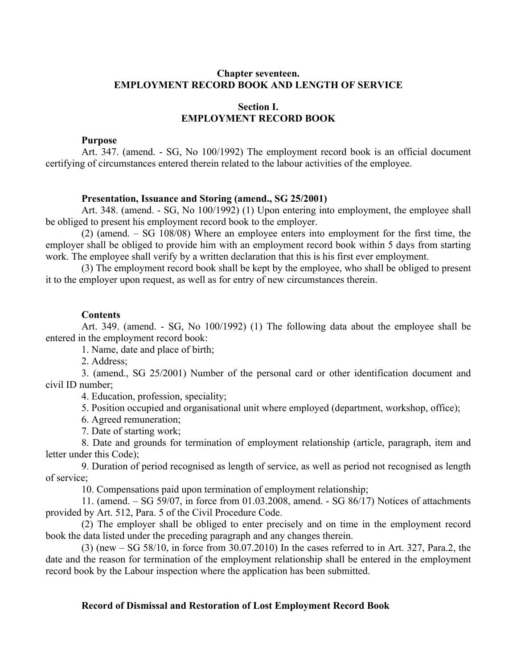## **Chapter seventeen. EMPLOYMENT RECORD BOOK AND LENGTH OF SERVICE**

# **Section I. EMPLOYMENT RECORD BOOK**

## **Purpose**

Art. 347. (amend. - SG, No 100/1992) The employment record book is an official document certifying of circumstances entered therein related to the labour activities of the employee.

## **Presentation, Issuance and Storing (amend., SG 25/2001)**

Art. 348. (amend. - SG, No 100/1992) (1) Upon entering into employment, the employee shall be obliged to present his employment record book to the employer.

(2) (amend. – SG 108/08) Where an employee enters into employment for the first time, the employer shall be obliged to provide him with an employment record book within 5 days from starting work. The employee shall verify by a written declaration that this is his first ever employment.

(3) The employment record book shall be kept by the employee, who shall be obliged to present it to the employer upon request, as well as for entry of new circumstances therein.

## **Contents**

Art. 349. (amend. - SG, No 100/1992) (1) The following data about the employee shall be entered in the employment record book:

1. Name, date and place of birth;

2. Address;

3. (amend., SG 25/2001) Number of the personal card or other identification document and civil ID number;

4. Education, profession, speciality;

5. Position occupied and organisational unit where employed (department, workshop, office);

6. Agreed remuneration;

7. Date of starting work;

8. Date and grounds for termination of employment relationship (article, paragraph, item and letter under this Code);

9. Duration of period recognised as length of service, as well as period not recognised as length of service;

10. Compensations paid upon termination of employment relationship;

11. (amend. – SG 59/07, in force from 01.03.2008, amend. - SG 86/17) Notices of attachments provided by Art. 512, Para. 5 of the Civil Procedure Code.

(2) The employer shall be obliged to enter precisely and on time in the employment record book the data listed under the preceding paragraph and any changes therein.

(3) (new – SG 58/10, in force from 30.07.2010) In the cases referred to in Art. 327, Para.2, the date and the reason for termination of the employment relationship shall be entered in the employment record book by the Labour inspection where the application has been submitted.

## **Record of Dismissal and Restoration of Lost Employment Record Book**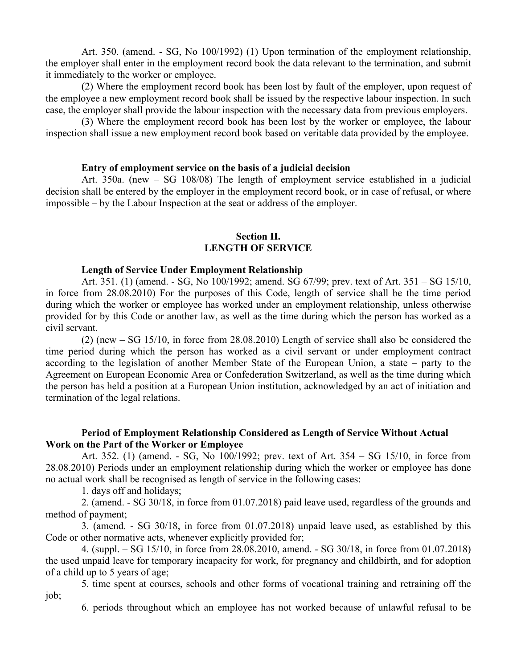Art. 350. (amend. - SG, No 100/1992) (1) Upon termination of the employment relationship, the employer shall enter in the employment record book the data relevant to the termination, and submit it immediately to the worker or employee.

(2) Where the employment record book has been lost by fault of the employer, upon request of the employee a new employment record book shall be issued by the respective labour inspection. In such case, the employer shall provide the labour inspection with the necessary data from previous employers.

(3) Where the employment record book has been lost by the worker or employee, the labour inspection shall issue a new employment record book based on veritable data provided by the employee.

#### **Entry of employment service on the basis of a judicial decision**

Art. 350a. (new – SG 108/08) The length of employment service established in a judicial decision shall be entered by the employer in the employment record book, or in case of refusal, or where impossible – by the Labour Inspection at the seat or address of the employer.

## **Section II. LENGTH OF SERVICE**

### **Length of Service Under Employment Relationship**

Art. 351. (1) (amend. - SG, No 100/1992; amend. SG 67/99; prev. text of Art. 351 – SG 15/10, in force from 28.08.2010) For the purposes of this Code, length of service shall be the time period during which the worker or employee has worked under an employment relationship, unless otherwise provided for by this Code or another law, as well as the time during which the person has worked as a civil servant.

(2) (new – SG 15/10, in force from 28.08.2010) Length of service shall also be considered the time period during which the person has worked as a civil servant or under employment contract according to the legislation of another Member State of the European Union, a state – party to the Agreement on European Economic Area or Confederation Switzerland, as well as the time during which the person has held a position at a European Union institution, acknowledged by an act of initiation and termination of the legal relations.

## **Period of Employment Relationship Considered as Length of Service Without Actual Work on the Part of the Worker or Employee**

Art. 352. (1) (amend. - SG, No 100/1992; prev. text of Art. 354 – SG 15/10, in force from 28.08.2010) Periods under an employment relationship during which the worker or employee has done no actual work shall be recognised as length of service in the following cases:

1. days off and holidays;

2. (amend. - SG 30/18, in force from 01.07.2018) paid leave used, regardless of the grounds and method of payment;

3. (amend. - SG 30/18, in force from 01.07.2018) unpaid leave used, as established by this Code or other normative acts, whenever explicitly provided for;

4. (suppl. – SG 15/10, in force from 28.08.2010, amend. - SG 30/18, in force from 01.07.2018) the used unpaid leave for temporary incapacity for work, for pregnancy and childbirth, and for adoption of a child up to 5 years of age;

5. time spent at courses, schools and other forms of vocational training and retraining off the job;

6. periods throughout which an employee has not worked because of unlawful refusal to be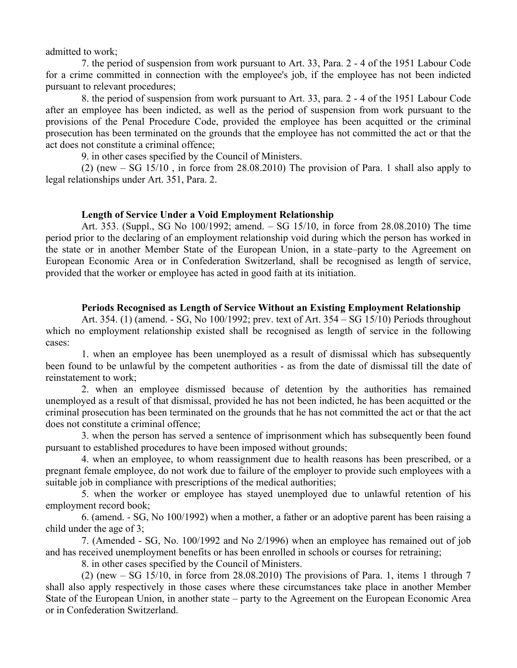admitted to work;

7. the period of suspension from work pursuant to Art. 33, Para. 2 - 4 of the 1951 Labour Code for a crime committed in connection with the employee's job, if the employee has not been indicted pursuant to relevant procedures;

8. the period of suspension from work pursuant to Art. 33, para. 2 - 4 of the 1951 Labour Code after an employee has been indicted, as well as the period of suspension from work pursuant to the provisions of the Penal Procedure Code, provided the employee has been acquitted or the criminal prosecution has been terminated on the grounds that the employee has not committed the act or that the act does not constitute a criminal offence;

9. in other cases specified by the Council of Ministers.

(2) (new  $-$  SG 15/10, in force from 28.08.2010) The provision of Para. 1 shall also apply to legal relationships under Art. 351, Para. 2.

## **Length of Service Under a Void Employment Relationship**

Art. 353. (Suppl., SG No 100/1992; amend. – SG 15/10, in force from 28.08.2010) The time period prior to the declaring of an employment relationship void during which the person has worked in the state or in another Member State of the European Union, in a state–party to the Agreement on European Economic Area or in Confederation Switzerland, shall be recognised as length of service, provided that the worker or employee has acted in good faith at its initiation.

## **Periods Recognised as Length of Service Without an Existing Employment Relationship**

Art. 354. (1) (amend. - SG, No 100/1992; prev. text of Art. 354 – SG 15/10) Periods throughout which no employment relationship existed shall be recognised as length of service in the following cases:

1. when an employee has been unemployed as a result of dismissal which has subsequently been found to be unlawful by the competent authorities - as from the date of dismissal till the date of reinstatement to work;

2. when an employee dismissed because of detention by the authorities has remained unemployed as a result of that dismissal, provided he has not been indicted, he has been acquitted or the criminal prosecution has been terminated on the grounds that he has not committed the act or that the act does not constitute a criminal offence;

3. when the person has served a sentence of imprisonment which has subsequently been found pursuant to established procedures to have been imposed without grounds;

4. when an employee, to whom reassignment due to health reasons has been prescribed, or a pregnant female employee, do not work due to failure of the employer to provide such employees with a suitable job in compliance with prescriptions of the medical authorities;

5. when the worker or employee has stayed unemployed due to unlawful retention of his employment record book;

6. (amend. - SG, No 100/1992) when a mother, a father or an adoptive parent has been raising a child under the age of 3;

7. (Amended - SG, No. 100/1992 and No 2/1996) when an employee has remained out of job and has received unemployment benefits or has been enrolled in schools or courses for retraining;

8. in other cases specified by the Council of Ministers.

(2) (new  $-$  SG 15/10, in force from 28.08.2010) The provisions of Para. 1, items 1 through 7 shall also apply respectively in those cases where these circumstances take place in another Member State of the European Union, in another state – party to the Agreement on the European Economic Area or in Confederation Switzerland.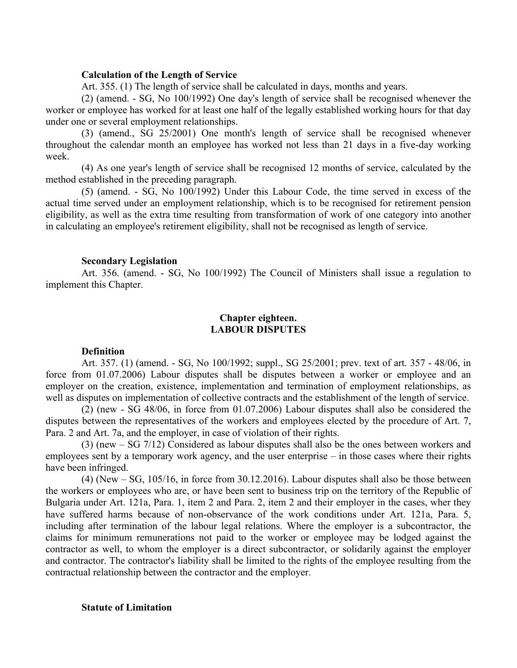### **Calculation of the Length of Service**

Art. 355. (1) The length of service shall be calculated in days, months and years.

(2) (amend. - SG, No 100/1992) One day's length of service shall be recognised whenever the worker or employee has worked for at least one half of the legally established working hours for that day under one or several employment relationships.

(3) (amend., SG 25/2001) One month's length of service shall be recognised whenever throughout the calendar month an employee has worked not less than 21 days in a five-day working week.

(4) As one year's length of service shall be recognised 12 months of service, calculated by the method established in the preceding paragraph.

(5) (amend. - SG, No 100/1992) Under this Labour Code, the time served in excess of the actual time served under an employment relationship, which is to be recognised for retirement pension eligibility, as well as the extra time resulting from transformation of work of one category into another in calculating an employee's retirement eligibility, shall not be recognised as length of service.

## **Secondary Legislation**

Art. 356. (amend. - SG, No 100/1992) The Council of Ministers shall issue a regulation to implement this Chapter.

### **Chapter eighteen. LABOUR DISPUTES**

#### **Definition**

Art. 357. (1) (amend. - SG, No 100/1992; suppl., SG 25/2001; prev. text of art. 357 - 48/06, in force from 01.07.2006) Labour disputes shall be disputes between a worker or employee and an employer on the creation, existence, implementation and termination of employment relationships, as well as disputes on implementation of collective contracts and the establishment of the length of service.

(2) (new - SG 48/06, in force from 01.07.2006) Labour disputes shall also be considered the disputes between the representatives of the workers and employees elected by the procedure of Art. 7, Para. 2 and Art. 7a, and the employer, in case of violation of their rights.

(3) (new – SG 7/12) Considered as labour disputes shall also be the ones between workers and employees sent by a temporary work agency, and the user enterprise – in those cases where their rights have been infringed.

(4) (New – SG, 105/16, in force from 30.12.2016). Labour disputes shall also be those between the workers or employees who are, or have been sent to business trip on the territory of the Republic of Bulgaria under Art. 121a, Para. 1, item 2 and Para. 2, item 2 and their employer in the cases, wher they have suffered harms because of non-observance of the work conditions under Art. 121a, Para. 5, including after termination of the labour legal relations. Where the employer is a subcontractor, the claims for minimum remunerations not paid to the worker or employee may be lodged against the contractor as well, to whom the employer is a direct subcontractor, or solidarily against the employer and contractor. The contractor's liability shall be limited to the rights of the employee resulting from the contractual relationship between the contractor and the employer.

**Statute of Limitation**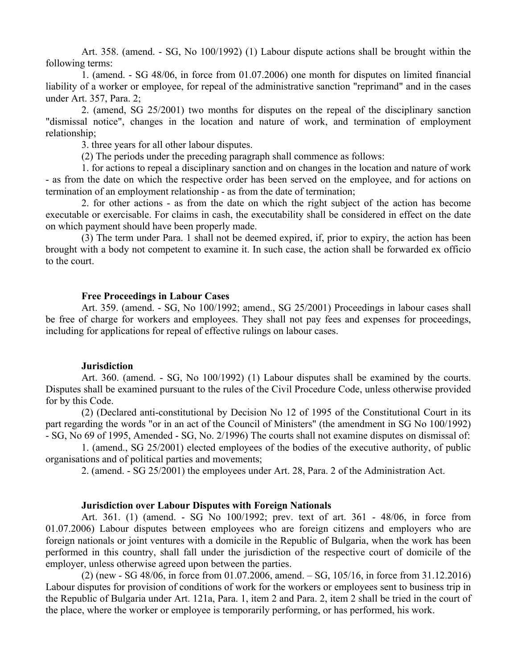Art. 358. (amend. - SG, No 100/1992) (1) Labour dispute actions shall be brought within the following terms:

1. (amend. - SG 48/06, in force from 01.07.2006) one month for disputes on limited financial liability of a worker or employee, for repeal of the administrative sanction "reprimand" and in the cases under Art. 357, Para. 2;

2. (amend, SG 25/2001) two months for disputes on the repeal of the disciplinary sanction "dismissal notice", changes in the location and nature of work, and termination of employment relationship;

3. three years for all other labour disputes.

(2) The periods under the preceding paragraph shall commence as follows:

1. for actions to repeal a disciplinary sanction and on changes in the location and nature of work - as from the date on which the respective order has been served on the employee, and for actions on termination of an employment relationship - as from the date of termination;

2. for other actions - as from the date on which the right subject of the action has become executable or exercisable. For claims in cash, the executability shall be considered in effect on the date on which payment should have been properly made.

(3) The term under Para. 1 shall not be deemed expired, if, prior to expiry, the action has been brought with a body not competent to examine it. In such case, the action shall be forwarded ex officio to the court.

## **Free Proceedings in Labour Cases**

Art. 359. (amend. - SG, No 100/1992; amend., SG 25/2001) Proceedings in labour cases shall be free of charge for workers and employees. They shall not pay fees and expenses for proceedings, including for applications for repeal of effective rulings on labour cases.

## **Jurisdiction**

Art. 360. (amend. - SG, No 100/1992) (1) Labour disputes shall be examined by the courts. Disputes shall be examined pursuant to the rules of the Civil Procedure Code, unless otherwise provided for by this Code.

(2) (Declared anti-constitutional by Decision No 12 of 1995 of the Constitutional Court in its part regarding the words "or in an act of the Council of Ministers" (the amendment in SG No 100/1992) - SG, No 69 of 1995, Amended - SG, No. 2/1996) The courts shall not examine disputes on dismissal of:

1. (amend., SG 25/2001) elected employees of the bodies of the executive authority, of public organisations and of political parties and movements;

2. (amend. - SG 25/2001) the employees under Art. 28, Para. 2 of the Administration Act.

### **Jurisdiction over Labour Disputes with Foreign Nationals**

Art. 361. (1) (amend. - SG No 100/1992; prev. text of art. 361 - 48/06, in force from 01.07.2006) Labour disputes between employees who are foreign citizens and employers who are foreign nationals or joint ventures with a domicile in the Republic of Bulgaria, when the work has been performed in this country, shall fall under the jurisdiction of the respective court of domicile of the employer, unless otherwise agreed upon between the parties.

(2) (new - SG 48/06, in force from 01.07.2006, amend. – SG, 105/16, in force from 31.12.2016) Labour disputes for provision of conditions of work for the workers or employees sent to business trip in the Republic of Bulgaria under Art. 121a, Para. 1, item 2 and Para. 2, item 2 shall be tried in the court of the place, where the worker or employee is temporarily performing, or has performed, his work.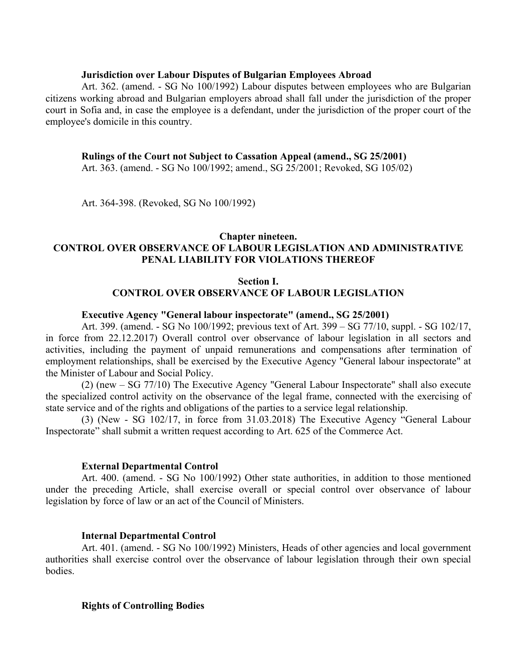## **Jurisdiction over Labour Disputes of Bulgarian Employees Abroad**

Art. 362. (amend. - SG No 100/1992) Labour disputes between employees who are Bulgarian citizens working abroad and Bulgarian employers abroad shall fall under the jurisdiction of the proper court in Sofia and, in case the employee is a defendant, under the jurisdiction of the proper court of the employee's domicile in this country.

## **Rulings of the Court not Subject to Cassation Appeal (amend., SG 25/2001)**

Art. 363. (amend. - SG No 100/1992; amend., SG 25/2001; Revoked, SG 105/02)

Art. 364-398. (Revoked, SG No 100/1992)

# **Chapter nineteen. CONTROL OVER OBSERVANCE OF LABOUR LEGISLATION AND ADMINISTRATIVE PENAL LIABILITY FOR VIOLATIONS THEREOF**

# **Section I. CONTROL OVER OBSERVANCE OF LABOUR LEGISLATION**

## **Executive Agency "General labour inspectorate" (amend., SG 25/2001)**

Art. 399. (amend. - SG No 100/1992; previous text of Art. 399 – SG 77/10, suppl. - SG 102/17, in force from 22.12.2017) Overall control over observance of labour legislation in all sectors and activities, including the payment of unpaid remunerations and compensations after termination of employment relationships, shall be exercised by the Executive Agency "General labour inspectorate" at the Minister of Labour and Social Policy.

(2) (new – SG 77/10) The Executive Agency "General Labour Inspectorate" shall also execute the specialized control activity on the observance of the legal frame, connected with the exercising of state service and of the rights and obligations of the parties to a service legal relationship.

(3) (New - SG 102/17, in force from 31.03.2018) The Executive Agency "General Labour Inspectorate" shall submit a written request according to Art. 625 of the Commerce Act.

## **External Departmental Control**

Art. 400. (amend. - SG No 100/1992) Other state authorities, in addition to those mentioned under the preceding Article, shall exercise overall or special control over observance of labour legislation by force of law or an act of the Council of Ministers.

## **Internal Departmental Control**

Art. 401. (amend. - SG No 100/1992) Ministers, Heads of other agencies and local government authorities shall exercise control over the observance of labour legislation through their own special bodies.

## **Rights of Controlling Bodies**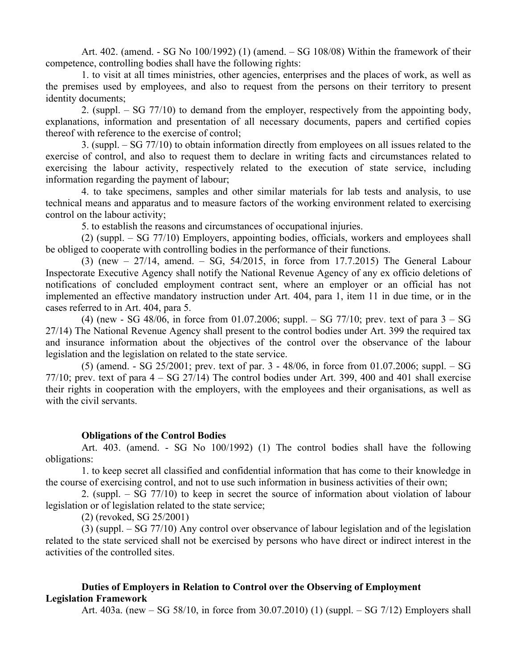Art. 402. (amend. - SG No 100/1992) (1) (amend. – SG 108/08) Within the framework of their competence, controlling bodies shall have the following rights:

1. to visit at all times ministries, other agencies, enterprises and the places of work, as well as the premises used by employees, and also to request from the persons on their territory to present identity documents;

2. (suppl. – SG 77/10) to demand from the employer, respectively from the appointing body, explanations, information and presentation of all necessary documents, papers and certified copies thereof with reference to the exercise of control;

3. (suppl. – SG 77/10) to obtain information directly from employees on all issues related to the exercise of control, and also to request them to declare in writing facts and circumstances related to exercising the labour activity, respectively related to the execution of state service, including information regarding the payment of labour;

4. to take specimens, samples and other similar materials for lab tests and analysis, to use technical means and apparatus and to measure factors of the working environment related to exercising control on the labour activity;

5. to establish the reasons and circumstances of occupational injuries.

(2) (suppl. – SG 77/10) Employers, appointing bodies, officials, workers and employees shall be obliged to cooperate with controlling bodies in the performance of their functions.

(3) (new – 27/14, amend. – SG, 54/2015, in force from 17.7.2015) The General Labour Inspectorate Executive Agency shall notify the National Revenue Agency of any ex officio deletions of notifications of concluded employment contract sent, where an employer or an official has not implemented an effective mandatory instruction under Art. 404, para 1, item 11 in due time, or in the cases referred to in Art. 404, para 5.

(4) (new - SG 48/06, in force from 01.07.2006; suppl. – SG 77/10; prev. text of para 3 – SG 27/14) The National Revenue Agency shall present to the control bodies under Art. 399 the required tax and insurance information about the objectives of the control over the observance of the labour legislation and the legislation on related to the state service.

(5) (amend. - SG 25/2001; prev. text of par. 3 - 48/06, in force from 01.07.2006; suppl. – SG 77/10; prev. text of para 4 – SG 27/14) The control bodies under Art. 399, 400 and 401 shall exercise their rights in cooperation with the employers, with the employees and their organisations, as well as with the civil servants.

## **Obligations of the Control Bodies**

Art. 403. (amend. - SG No 100/1992) (1) The control bodies shall have the following obligations:

1. to keep secret all classified and confidential information that has come to their knowledge in the course of exercising control, and not to use such information in business activities of their own;

2. (suppl. – SG 77/10) to keep in secret the source of information about violation of labour legislation or of legislation related to the state service;

(2) (revoked, SG 25/2001)

(3) (suppl. – SG 77/10) Any control over observance of labour legislation and of the legislation related to the state serviced shall not be exercised by persons who have direct or indirect interest in the activities of the controlled sites.

## **Duties of Employers in Relation to Control over the Observing of Employment Legislation Framework**

Art. 403a. (new – SG 58/10, in force from 30.07.2010) (1) (suppl. – SG 7/12) Employers shall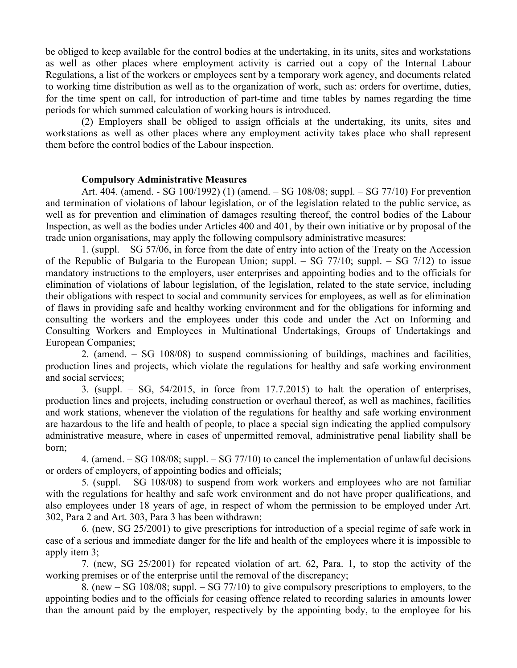be obliged to keep available for the control bodies at the undertaking, in its units, sites and workstations as well as other places where employment activity is carried out a copy of the Internal Labour Regulations, a list of the workers or employees sent by a temporary work agency, and documents related to working time distribution as well as to the organization of work, such as: orders for overtime, duties, for the time spent on call, for introduction of part-time and time tables by names regarding the time periods for which summed calculation of working hours is introduced.

(2) Employers shall be obliged to assign officials at the undertaking, its units, sites and workstations as well as other places where any employment activity takes place who shall represent them before the control bodies of the Labour inspection.

## **Compulsory Administrative Measures**

Art. 404. (amend. - SG 100/1992) (1) (amend. – SG 108/08; suppl. – SG 77/10) For prevention and termination of violations of labour legislation, or of the legislation related to the public service, as well as for prevention and elimination of damages resulting thereof, the control bodies of the Labour Inspection, as well as the bodies under Articles 400 and 401, by their own initiative or by proposal of the trade union organisations, may apply the following compulsory administrative measures:

1. (suppl. – SG 57/06, in force from the date of entry into action of the Treaty on the Accession of the Republic of Bulgaria to the European Union; suppl. – SG  $77/10$ ; suppl. – SG  $7/12$ ) to issue mandatory instructions to the employers, user enterprises and appointing bodies and to the officials for elimination of violations of labour legislation, of the legislation, related to the state service, including their obligations with respect to social and community services for employees, as well as for elimination of flaws in providing safe and healthy working environment and for the obligations for informing and consulting the workers and the employees under this code and under the Act on Informing and Consulting Workers and Employees in Multinational Undertakings, Groups of Undertakings and European Companies;

2. (amend. – SG 108/08) to suspend commissioning of buildings, machines and facilities, production lines and projects, which violate the regulations for healthy and safe working environment and social services;

3. (suppl. – SG, 54/2015, in force from 17.7.2015) to halt the operation of enterprises, production lines and projects, including construction or overhaul thereof, as well as machines, facilities and work stations, whenever the violation of the regulations for healthy and safe working environment are hazardous to the life and health of people, to place a special sign indicating the applied compulsory administrative measure, where in cases of unpermitted removal, administrative penal liability shall be born;

4. (amend. – SG 108/08; suppl. – SG 77/10) to cancel the implementation of unlawful decisions or orders of employers, of appointing bodies and officials;

5. (suppl. – SG 108/08) to suspend from work workers and employees who are not familiar with the regulations for healthy and safe work environment and do not have proper qualifications, and also employees under 18 years of age, in respect of whom the permission to be employed under Art. 302, Para 2 and Art. 303, Para 3 has been withdrawn;

6. (new, SG 25/2001) to give prescriptions for introduction of a special regime of safe work in case of a serious and immediate danger for the life and health of the employees where it is impossible to apply item 3;

7. (new, SG 25/2001) for repeated violation of art. 62, Para. 1, to stop the activity of the working premises or of the enterprise until the removal of the discrepancy;

8. (new – SG 108/08; suppl. – SG 77/10) to give compulsory prescriptions to employers, to the appointing bodies and to the officials for ceasing offence related to recording salaries in amounts lower than the amount paid by the employer, respectively by the appointing body, to the employee for his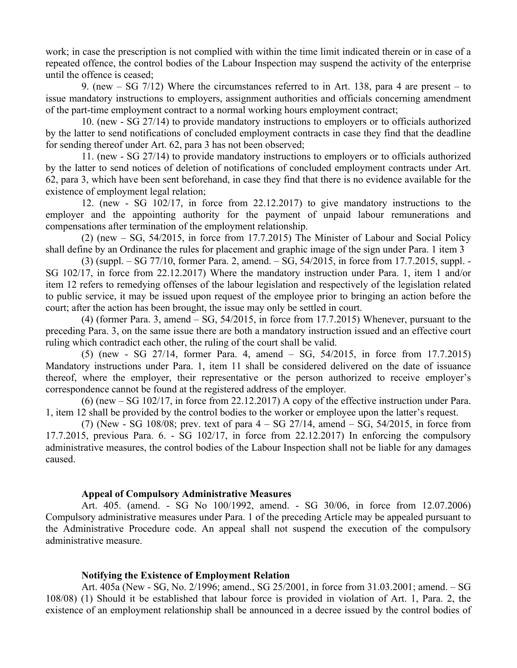work; in case the prescription is not complied with within the time limit indicated therein or in case of a repeated offence, the control bodies of the Labour Inspection may suspend the activity of the enterprise until the offence is ceased;

9. (new – SG 7/12) Where the circumstances referred to in Art. 138, para 4 are present – to issue mandatory instructions to employers, assignment authorities and officials concerning amendment of the part-time employment contract to a normal working hours employment contract;

10. (new - SG 27/14) to provide mandatory instructions to employers or to officials authorized by the latter to send notifications of concluded employment contracts in case they find that the deadline for sending thereof under Art. 62, para 3 has not been observed;

11. (new - SG 27/14) to provide mandatory instructions to employers or to officials authorized by the latter to send notices of deletion of notifications of concluded employment contracts under Art. 62, para 3, which have been sent beforehand, in case they find that there is no evidence available for the existence of employment legal relation;

12. (new - SG 102/17, in force from 22.12.2017) to give mandatory instructions to the employer and the appointing authority for the payment of unpaid labour remunerations and compensations after termination of the employment relationship.

(2) (new – SG, 54/2015, in force from 17.7.2015) The Minister of Labour and Social Policy shall define by an Ordinance the rules for placement and graphic image of the sign under Para. 1 item 3

(3) (suppl. – SG 77/10, former Para. 2, amend. – SG, 54/2015, in force from 17.7.2015, suppl. - SG 102/17, in force from 22.12.2017) Where the mandatory instruction under Para. 1, item 1 and/or item 12 refers to remedying offenses of the labour legislation and respectively of the legislation related to public service, it may be issued upon request of the employee prior to bringing an action before the court; after the action has been brought, the issue may only be settled in court.

(4) (former Para. 3, amend – SG, 54/2015, in force from 17.7.2015) Whenever, pursuant to the preceding Para. 3, on the same issue there are both a mandatory instruction issued and an effective court ruling which contradict each other, the ruling of the court shall be valid.

(5) (new - SG 27/14, former Para. 4, amend – SG, 54/2015, in force from 17.7.2015) Mandatory instructions under Para. 1, item 11 shall be considered delivered on the date of issuance thereof, where the employer, their representative or the person authorized to receive employer's correspondence cannot be found at the registered address of the employer.

(6) (new – SG 102/17, in force from 22.12.2017) A copy of the effective instruction under Para. 1, item 12 shall be provided by the control bodies to the worker or employee upon the latter's request.

(7) (New - SG 108/08; prev. text of para 4 – SG 27/14, amend – SG, 54/2015, in force from 17.7.2015, previous Para. 6. - SG 102/17, in force from 22.12.2017) In enforcing the compulsory administrative measures, the control bodies of the Labour Inspection shall not be liable for any damages caused.

### **Appeal of Compulsory Administrative Measures**

Art. 405. (amend. - SG No 100/1992, amend. - SG 30/06, in force from 12.07.2006) Compulsory administrative measures under Para. 1 of the preceding Article may be appealed pursuant to the Administrative Procedure code. An appeal shall not suspend the execution of the compulsory administrative measure.

### **Notifying the Existence of Employment Relation**

Art. 405a (New - SG, No. 2/1996; amend., SG 25/2001, in force from 31.03.2001; amend. – SG 108/08) (1) Should it be established that labour force is provided in violation of Art. 1, Para. 2, the existence of an employment relationship shall be announced in a decree issued by the control bodies of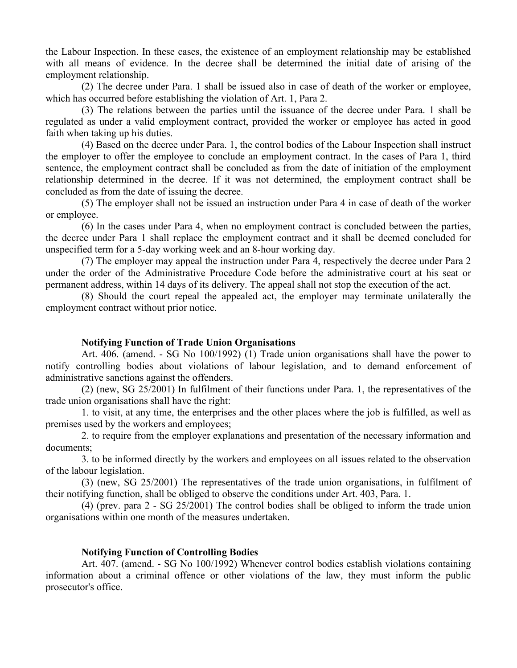the Labour Inspection. In these cases, the existence of an employment relationship may be established with all means of evidence. In the decree shall be determined the initial date of arising of the employment relationship.

(2) The decree under Para. 1 shall be issued also in case of death of the worker or employee, which has occurred before establishing the violation of Art. 1, Para 2.

(3) The relations between the parties until the issuance of the decree under Para. 1 shall be regulated as under a valid employment contract, provided the worker or employee has acted in good faith when taking up his duties.

(4) Based on the decree under Para. 1, the control bodies of the Labour Inspection shall instruct the employer to offer the employee to conclude an employment contract. In the cases of Para 1, third sentence, the employment contract shall be concluded as from the date of initiation of the employment relationship determined in the decree. If it was not determined, the employment contract shall be concluded as from the date of issuing the decree.

(5) The employer shall not be issued an instruction under Para 4 in case of death of the worker or employee.

(6) In the cases under Para 4, when no employment contract is concluded between the parties, the decree under Para 1 shall replace the employment contract and it shall be deemed concluded for unspecified term for a 5-day working week and an 8-hour working day.

(7) The employer may appeal the instruction under Para 4, respectively the decree under Para 2 under the order of the Administrative Procedure Code before the administrative court at his seat or permanent address, within 14 days of its delivery. The appeal shall not stop the execution of the act.

(8) Should the court repeal the appealed act, the employer may terminate unilaterally the employment contract without prior notice.

#### **Notifying Function of Trade Union Organisations**

Art. 406. (amend. - SG No 100/1992) (1) Trade union organisations shall have the power to notify controlling bodies about violations of labour legislation, and to demand enforcement of administrative sanctions against the offenders.

(2) (new, SG 25/2001) In fulfilment of their functions under Para. 1, the representatives of the trade union organisations shall have the right:

1. to visit, at any time, the enterprises and the other places where the job is fulfilled, as well as premises used by the workers and employees;

2. to require from the employer explanations and presentation of the necessary information and documents;

3. to be informed directly by the workers and employees on all issues related to the observation of the labour legislation.

(3) (new, SG 25/2001) The representatives of the trade union organisations, in fulfilment of their notifying function, shall be obliged to observe the conditions under Art. 403, Para. 1.

(4) (prev. para 2 - SG 25/2001) The control bodies shall be obliged to inform the trade union organisations within one month of the measures undertaken.

### **Notifying Function of Controlling Bodies**

Art. 407. (amend. - SG No 100/1992) Whenever control bodies establish violations containing information about a criminal offence or other violations of the law, they must inform the public prosecutor's office.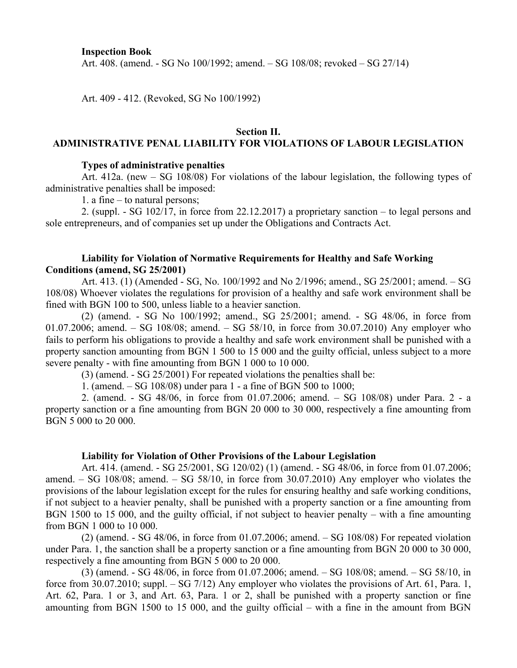**Inspection Book** Art. 408. (amend. - SG No 100/1992; amend. – SG 108/08; revoked – SG 27/14)

Art. 409 - 412. (Revoked, SG No 100/1992)

#### **Section II.**

#### **ADMINISTRATIVE PENAL LIABILITY FOR VIOLATIONS OF LABOUR LEGISLATION**

#### **Types of administrative penalties**

Art. 412a. (new – SG 108/08) For violations of the labour legislation, the following types of administrative penalties shall be imposed:

1. a fine – to natural persons;

2. (suppl. - SG 102/17, in force from 22.12.2017) a proprietary sanction – to legal persons and sole entrepreneurs, and of companies set up under the Obligations and Contracts Act.

### **Liability for Violation of Normative Requirements for Healthy and Safe Working Conditions (amend, SG 25/2001)**

Art. 413. (1) (Amended - SG, No. 100/1992 and No 2/1996; amend., SG 25/2001; amend. – SG 108/08) Whoever violates the regulations for provision of a healthy and safe work environment shall be fined with BGN 100 to 500, unless liable to a heavier sanction.

(2) (amend. - SG No 100/1992; amend., SG 25/2001; amend. - SG 48/06, in force from 01.07.2006; amend. – SG 108/08; amend. – SG 58/10, in force from 30.07.2010) Any employer who fails to perform his obligations to provide a healthy and safe work environment shall be punished with a property sanction amounting from BGN 1 500 to 15 000 and the guilty official, unless subject to a more severe penalty - with fine amounting from BGN 1 000 to 10 000.

(3) (amend. - SG 25/2001) For repeated violations the penalties shall be:

1. (amend. – SG 108/08) under para 1 - a fine of BGN 500 to 1000;

2. (amend. - SG 48/06, in force from 01.07.2006; amend. – SG 108/08) under Para. 2 - a property sanction or a fine amounting from BGN 20 000 to 30 000, respectively a fine amounting from BGN 5 000 to 20 000.

#### **Liability for Violation of Other Provisions of the Labour Legislation**

Art. 414. (amend. - SG 25/2001, SG 120/02) (1) (amend. - SG 48/06, in force from 01.07.2006; amend. – SG  $108/08$ ; amend. – SG  $58/10$ , in force from  $30.07.2010$ ) Any employer who violates the provisions of the labour legislation except for the rules for ensuring healthy and safe working conditions, if not subject to a heavier penalty, shall be punished with a property sanction or a fine amounting from BGN 1500 to 15 000, and the guilty official, if not subject to heavier penalty – with a fine amounting from BGN 1 000 to 10 000.

(2) (amend. - SG 48/06, in force from 01.07.2006; amend. – SG 108/08) For repeated violation under Para. 1, the sanction shall be a property sanction or a fine amounting from BGN 20 000 to 30 000, respectively a fine amounting from BGN 5 000 to 20 000.

(3) (amend. - SG 48/06, in force from 01.07.2006; amend. – SG 108/08; amend. – SG 58/10, in force from 30.07.2010; suppl. – SG 7/12) Any employer who violates the provisions of Art. 61, Para. 1, Art. 62, Para. 1 or 3, and Art. 63, Para. 1 or 2, shall be punished with a property sanction or fine amounting from BGN 1500 to 15 000, and the guilty official – with a fine in the amount from BGN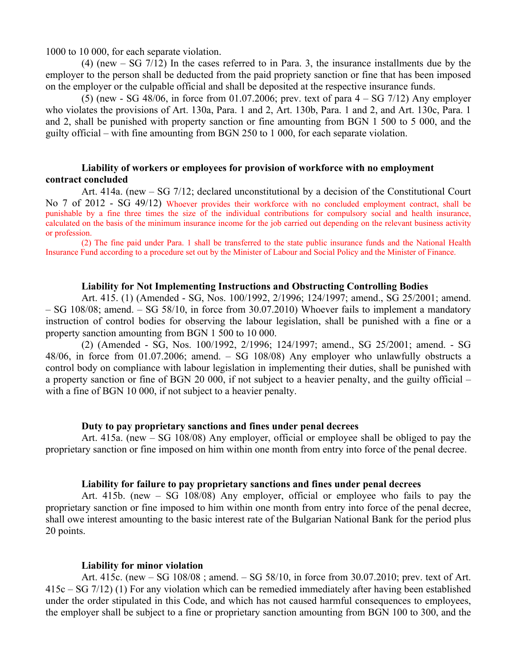1000 to 10 000, for each separate violation.

(4) (new – SG 7/12) In the cases referred to in Para. 3, the insurance installments due by the employer to the person shall be deducted from the paid propriety sanction or fine that has been imposed on the employer or the culpable official and shall be deposited at the respective insurance funds.

(5) (new - SG 48/06, in force from 01.07.2006; prev. text of para 4 – SG 7/12) Any employer who violates the provisions of Art. 130a, Para. 1 and 2, Art. 130b, Para. 1 and 2, and Art. 130c, Para. 1 and 2, shall be punished with property sanction or fine amounting from BGN 1 500 to 5 000, and the guilty official – with fine amounting from BGN 250 to 1 000, for each separate violation.

### **Liability of workers or employees for provision of workforce with no employment contract concluded**

Art. 414a. (new – SG 7/12; declared unconstitutional by a decision of the Constitutional Court No 7 of 2012 - SG 49/12) Whoever provides their workforce with no concluded employment contract, shall be punishable by a fine three times the size of the individual contributions for compulsory social and health insurance, calculated on the basis of the minimum insurance income for the job carried out depending on the relevant business activity or profession.

(2) The fine paid under Para. 1 shall be transferred to the state public insurance funds and the National Health Insurance Fund according to a procedure set out by the Minister of Labour and Social Policy and the Minister of Finance.

#### **Liability for Not Implementing Instructions and Obstructing Controlling Bodies**

Art. 415. (1) (Amended - SG, Nos. 100/1992, 2/1996; 124/1997; amend., SG 25/2001; amend. – SG 108/08; amend. – SG 58/10, in force from 30.07.2010) Whoever fails to implement a mandatory instruction of control bodies for observing the labour legislation, shall be punished with a fine or a property sanction amounting from BGN 1 500 to 10 000.

(2) (Amended - SG, Nos. 100/1992, 2/1996; 124/1997; amend., SG 25/2001; amend. - SG 48/06, in force from 01.07.2006; amend. – SG 108/08) Any employer who unlawfully obstructs a control body on compliance with labour legislation in implementing their duties, shall be punished with a property sanction or fine of BGN 20 000, if not subject to a heavier penalty, and the guilty official – with a fine of BGN 10 000, if not subject to a heavier penalty.

#### **Duty to pay proprietary sanctions and fines under penal decrees**

Art. 415a. (new – SG 108/08) Any employer, official or employee shall be obliged to pay the proprietary sanction or fine imposed on him within one month from entry into force of the penal decree.

### **Liability for failure to pay proprietary sanctions and fines under penal decrees**

Art. 415b. (new – SG 108/08) Any employer, official or employee who fails to pay the proprietary sanction or fine imposed to him within one month from entry into force of the penal decree, shall owe interest amounting to the basic interest rate of the Bulgarian National Bank for the period plus 20 points.

#### **Liability for minor violation**

Art. 415c. (new – SG 108/08 ; amend. – SG 58/10, in force from 30.07.2010; prev. text of Art. 415c – SG 7/12) (1) For any violation which can be remedied immediately after having been established under the order stipulated in this Code, and which has not caused harmful consequences to employees, the employer shall be subject to a fine or proprietary sanction amounting from BGN 100 to 300, and the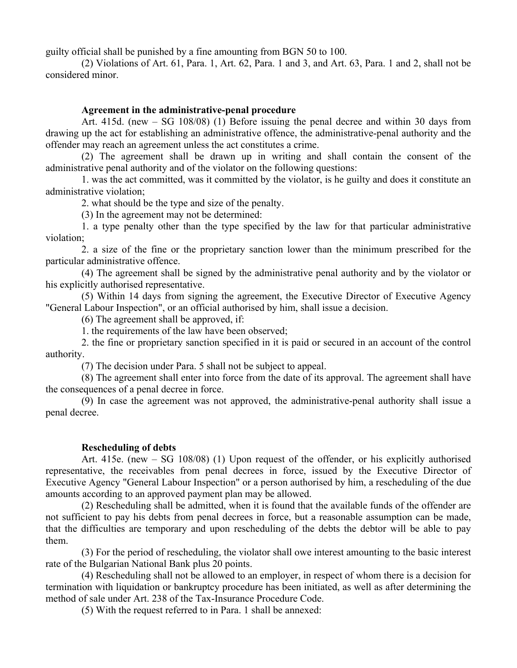guilty official shall be punished by a fine amounting from BGN 50 to 100.

(2) Violations of Art. 61, Para. 1, Art. 62, Para. 1 and 3, and Art. 63, Para. 1 and 2, shall not be considered minor.

### **Agreement in the administrative-penal procedure**

Art. 415d. (new – SG 108/08) (1) Before issuing the penal decree and within 30 days from drawing up the act for establishing an administrative offence, the administrative-penal authority and the offender may reach an agreement unless the act constitutes a crime.

(2) The agreement shall be drawn up in writing and shall contain the consent of the administrative penal authority and of the violator on the following questions:

1. was the act committed, was it committed by the violator, is he guilty and does it constitute an administrative violation;

2. what should be the type and size of the penalty.

(3) In the agreement may not be determined:

1. a type penalty other than the type specified by the law for that particular administrative violation;

2. a size of the fine or the proprietary sanction lower than the minimum prescribed for the particular administrative offence.

(4) The agreement shall be signed by the administrative penal authority and by the violator or his explicitly authorised representative.

(5) Within 14 days from signing the agreement, the Executive Director of Executive Agency "General Labour Inspection", or an official authorised by him, shall issue a decision.

(6) The agreement shall be approved, if:

1. the requirements of the law have been observed;

2. the fine or proprietary sanction specified in it is paid or secured in an account of the control authority.

(7) The decision under Para. 5 shall not be subject to appeal.

(8) The agreement shall enter into force from the date of its approval. The agreement shall have the consequences of a penal decree in force.

(9) In case the agreement was not approved, the administrative-penal authority shall issue a penal decree.

#### **Rescheduling of debts**

Art. 415e. (new – SG 108/08) (1) Upon request of the offender, or his explicitly authorised representative, the receivables from penal decrees in force, issued by the Executive Director of Executive Agency "General Labour Inspection" or a person authorised by him, a rescheduling of the due amounts according to an approved payment plan may be allowed.

(2) Rescheduling shall be admitted, when it is found that the available funds of the offender are not sufficient to pay his debts from penal decrees in force, but a reasonable assumption can be made, that the difficulties are temporary and upon rescheduling of the debts the debtor will be able to pay them.

(3) For the period of rescheduling, the violator shall owe interest amounting to the basic interest rate of the Bulgarian National Bank plus 20 points.

(4) Rescheduling shall not be allowed to an employer, in respect of whom there is a decision for termination with liquidation or bankruptcy procedure has been initiated, as well as after determining the method of sale under Art. 238 of the Tax-Insurance Procedure Code.

(5) With the request referred to in Para. 1 shall be annexed: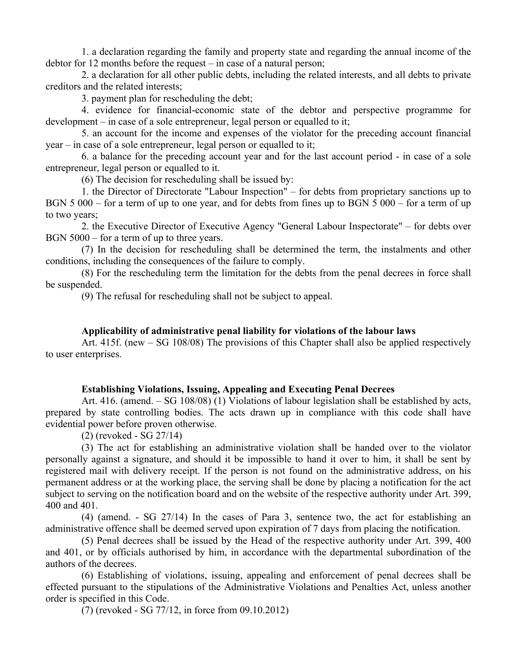1. a declaration regarding the family and property state and regarding the annual income of the debtor for 12 months before the request – in case of a natural person;

2. a declaration for all other public debts, including the related interests, and all debts to private creditors and the related interests;

3. payment plan for rescheduling the debt;

4. evidence for financial-economic state of the debtor and perspective programme for development – in case of a sole entrepreneur, legal person or equalled to it;

5. an account for the income and expenses of the violator for the preceding account financial year – in case of a sole entrepreneur, legal person or equalled to it;

6. a balance for the preceding account year and for the last account period - in case of a sole entrepreneur, legal person or equalled to it.

(6) The decision for rescheduling shall be issued by:

1. the Director of Directorate "Labour Inspection" – for debts from proprietary sanctions up to BGN 5 000 – for a term of up to one year, and for debts from fines up to BGN 5 000 – for a term of up to two years;

2. the Executive Director of Executive Agency "General Labour Inspectorate" – for debts over BGN 5000 – for a term of up to three years.

(7) In the decision for rescheduling shall be determined the term, the instalments and other conditions, including the consequences of the failure to comply.

(8) For the rescheduling term the limitation for the debts from the penal decrees in force shall be suspended.

(9) The refusal for rescheduling shall not be subject to appeal.

### **Applicability of administrative penal liability for violations of the labour laws**

Art. 415f. (new – SG 108/08) The provisions of this Chapter shall also be applied respectively to user enterprises.

### **Establishing Violations, Issuing, Appealing and Executing Penal Decrees**

Art. 416. (amend. – SG 108/08) (1) Violations of labour legislation shall be established by acts, prepared by state controlling bodies. The acts drawn up in compliance with this code shall have evidential power before proven otherwise.

(2) (revoked - SG 27/14)

(3) The act for establishing an administrative violation shall be handed over to the violator personally against a signature, and should it be impossible to hand it over to him, it shall be sent by registered mail with delivery receipt. If the person is not found on the administrative address, on his permanent address or at the working place, the serving shall be done by placing a notification for the act subject to serving on the notification board and on the website of the respective authority under Art. 399, 400 and 401.

(4) (amend. - SG 27/14) In the cases of Para 3, sentence two, the act for establishing an administrative offence shall be deemed served upon expiration of 7 days from placing the notification.

(5) Penal decrees shall be issued by the Head of the respective authority under Art. 399, 400 and 401, or by officials authorised by him, in accordance with the departmental subordination of the authors of the decrees.

(6) Establishing of violations, issuing, appealing and enforcement of penal decrees shall be effected pursuant to the stipulations of the Administrative Violations and Penalties Act, unless another order is specified in this Code.

(7) (revoked - SG 77/12, in force from 09.10.2012)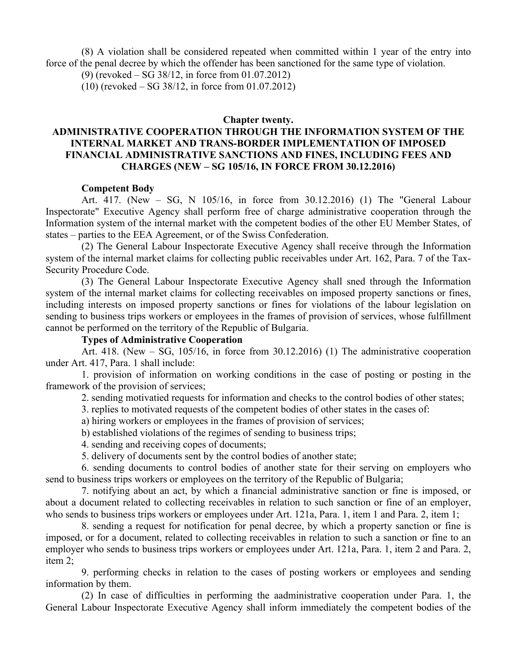(8) A violation shall be considered repeated when committed within 1 year of the entry into force of the penal decree by which the offender has been sanctioned for the same type of violation.

(9) (revoked – SG 38/12, in force from 01.07.2012)

(10) (revoked – SG 38/12, in force from 01.07.2012)

#### **Chapter twenty.**

# **ADMINISTRATIVE COOPERATION THROUGH THE INFORMATION SYSTEM OF THE INTERNAL MARKET AND TRANS-BORDER IMPLEMENTATION OF IMPOSED FINANCIAL ADMINISTRATIVE SANCTIONS AND FINES, INCLUDING FEES AND CHARGES (NEW – SG 105/16, IN FORCE FROM 30.12.2016)**

### **Competent Body**

Art. 417. (New – SG, N 105/16, in force from 30.12.2016) (1) The "General Labour Inspectorate" Executive Agency shall perform free of charge administrative cooperation through the Information system of the internal market with the competent bodies of the other EU Member States, of states – parties to the EEA Agreement, or of the Swiss Confederation.

(2) The General Labour Inspectorate Executive Agency shall receive through the Information system of the internal market claims for collecting public receivables under Art. 162, Para. 7 of the Tax-Security Procedure Code.

(3) The General Labour Inspectorate Executive Agency shall sned through the Information system of the internal market claims for collecting receivables on imposed property sanctions or fines, including interests on imposed property sanctions or fines for violations of the labour legislation on sending to business trips workers or employees in the frames of provision of services, whose fulfillment cannot be performed on the territory of the Republic of Bulgaria.

### **Types of Administrative Cooperation**

Art. 418. (New  $-$  SG, 105/16, in force from 30.12.2016) (1) The administrative cooperation under Art. 417, Para. 1 shall include:

1. provision of information on working conditions in the case of posting or posting in the framework of the provision of services;

2. sending motivatied requests for information and checks to the control bodies of other states;

3. replies to motivated requests of the competent bodies of other states in the cases of:

- a) hiring workers or employees in the frames of provision of services;
- b) established violations of the regimes of sending to business trips;
- 4. sending and receiving copes of documents;
- 5. delivery of documents sent by the control bodies of another state;

6. sending documents to control bodies of another state for their serving on employers who send to business trips workers or employees on the territory of the Republic of Bulgaria;

7. notifying about an act, by which a financial administrative sanction or fine is imposed, or about a document related to collecting receivables in relation to such sanction or fine of an employer, who sends to business trips workers or employees under Art. 121a, Para. 1, item 1 and Para. 2, item 1;

8. sending a request for notification for penal decree, by which a property sanction or fine is imposed, or for a document, related to collecting receivables in relation to such a sanction or fine to an employer who sends to business trips workers or employees under Art. 121a, Para. 1, item 2 and Para. 2, item 2;

9. performing checks in relation to the cases of posting workers or employees and sending information by them.

(2) In case of difficulties in performing the aadministrative cooperation under Para. 1, the General Labour Inspectorate Executive Agency shall inform immediately the competent bodies of the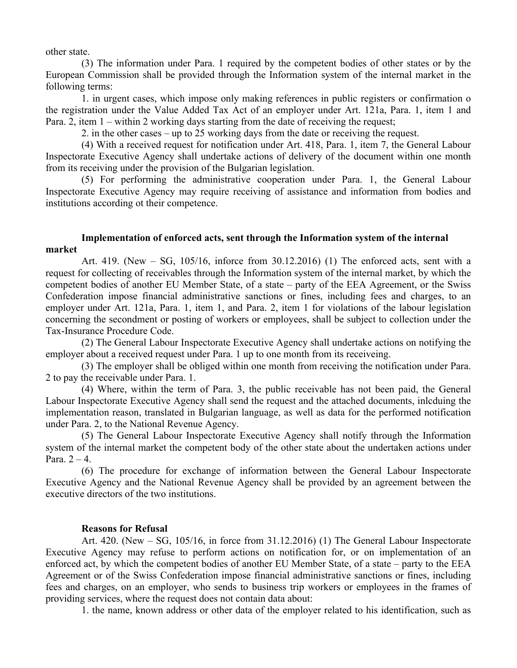other state.

(3) The information under Para. 1 required by the competent bodies of other states or by the European Commission shall be provided through the Information system of the internal market in the following terms:

1. in urgent cases, which impose only making references in public registers or confirmation o the registration under the Value Added Tax Act of an employer under Art. 121a, Para. 1, item 1 and Para. 2, item 1 – within 2 working days starting from the date of receiving the request;

2. in the other cases – up to 25 working days from the date or receiving the request.

(4) With a received request for notification under Art. 418, Para. 1, item 7, the General Labour Inspectorate Executive Agency shall undertake actions of delivery of the document within one month from its receiving under the provision of the Bulgarian legislation.

(5) For performing the administrative cooperation under Para. 1, the General Labour Inspectorate Executive Agency may require receiving of assistance and information from bodies and institutions according ot their competence.

### **Implementation of enforced acts, sent through the Information system of the internal market**

Art. 419. (New – SG, 105/16, inforce from 30.12.2016) (1) The enforced acts, sent with a request for collecting of receivables through the Information system of the internal market, by which the competent bodies of another EU Member State, of a state – party of the EEA Agreement, or the Swiss Confederation impose financial administrative sanctions or fines, including fees and charges, to an employer under Art. 121a, Para. 1, item 1, and Para. 2, item 1 for violations of the labour legislation concerning the secondment or posting of workers or employees, shall be subject to collection under the Tax-Insurance Procedure Code.

(2) The General Labour Inspectorate Executive Agency shall undertake actions on notifying the employer about a received request under Para. 1 up to one month from its receiveing.

(3) The employer shall be obliged within one month from receiving the notification under Para. 2 to pay the receivable under Para. 1.

(4) Where, within the term of Para. 3, the public receivable has not been paid, the General Labour Inspectorate Executive Agency shall send the request and the attached documents, inlcduing the implementation reason, translated in Bulgarian language, as well as data for the performed notification under Para. 2, to the National Revenue Agency.

(5) The General Labour Inspectorate Executive Agency shall notify through the Information system of the internal market the competent body of the other state about the undertaken actions under Para.  $2 - 4$ .

(6) The procedure for exchange of information between the General Labour Inspectorate Executive Agency and the National Revenue Agency shall be provided by an agreement between the executive directors of the two institutions.

#### **Reasons for Refusal**

Art. 420. (New – SG, 105/16, in force from 31.12.2016) (1) The General Labour Inspectorate Executive Agency may refuse to perform actions on notification for, or on implementation of an enforced act, by which the competent bodies of another EU Member State, of a state – party to the EEA Agreement or of the Swiss Confederation impose financial administrative sanctions or fines, including fees and charges, on an employer, who sends to business trip workers or employees in the frames of providing services, where the request does not contain data about:

1. the name, known address or other data of the employer related to his identification, such as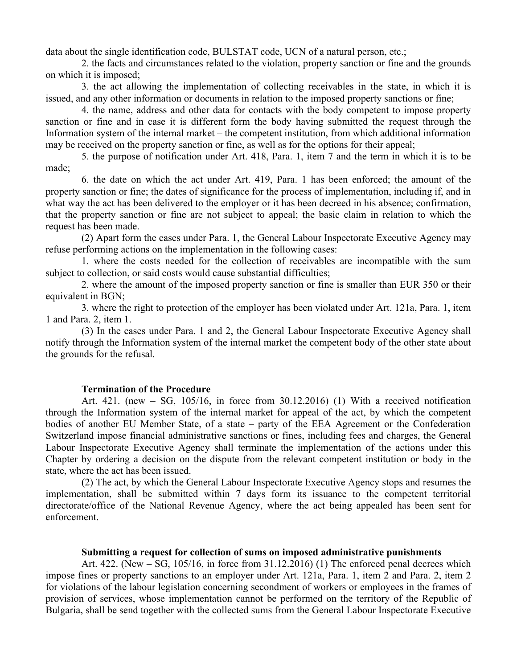data about the single identification code, BULSTAT code, UCN of a natural person, etc.;

2. the facts and circumstances related to the violation, property sanction or fine and the grounds on which it is imposed;

3. the act allowing the implementation of collecting receivables in the state, in which it is issued, and any other information or documents in relation to the imposed property sanctions or fine;

4. the name, address and other data for contacts with the body competent to impose property sanction or fine and in case it is different form the body having submitted the request through the Information system of the internal market – the competent institution, from which additional information may be received on the property sanction or fine, as well as for the options for their appeal;

5. the purpose of notification under Art. 418, Para. 1, item 7 and the term in which it is to be made;

6. the date on which the act under Art. 419, Para. 1 has been enforced; the amount of the property sanction or fine; the dates of significance for the process of implementation, including if, and in what way the act has been delivered to the employer or it has been decreed in his absence; confirmation, that the property sanction or fine are not subject to appeal; the basic claim in relation to which the request has been made.

(2) Apart form the cases under Para. 1, the General Labour Inspectorate Executive Agency may refuse performing actions on the implementation in the following cases:

1. where the costs needed for the collection of receivables are incompatible with the sum subject to collection, or said costs would cause substantial difficulties;

2. where the amount of the imposed property sanction or fine is smaller than EUR 350 or their equivalent in BGN;

3. where the right to protection of the employer has been violated under Art. 121a, Para. 1, item 1 and Para. 2, item 1.

(3) In the cases under Para. 1 and 2, the General Labour Inspectorate Executive Agency shall notify through the Information system of the internal market the competent body of the other state about the grounds for the refusal.

#### **Termination of the Procedure**

Art. 421. (new – SG, 105/16, in force from 30.12.2016) (1) With a received notification through the Information system of the internal market for appeal of the act, by which the competent bodies of another EU Member State, of a state – party of the EEA Agreement or the Confederation Switzerland impose financial administrative sanctions or fines, including fees and charges, the General Labour Inspectorate Executive Agency shall terminate the implementation of the actions under this Chapter by ordering a decision on the dispute from the relevant competent institution or body in the state, where the act has been issued.

(2) The act, by which the General Labour Inspectorate Executive Agency stops and resumes the implementation, shall be submitted within 7 days form its issuance to the competent territorial directorate/office of the National Revenue Agency, where the act being appealed has been sent for enforcement.

#### **Submitting a request for collection of sums on imposed administrative punishments**

Art. 422. (New  $-$  SG, 105/16, in force from 31.12.2016) (1) The enforced penal decrees which impose fines or property sanctions to an employer under Art. 121a, Para. 1, item 2 and Para. 2, item 2 for violations of the labour legislation concerning secondment of workers or employees in the frames of provision of services, whose implementation cannot be performed on the territory of the Republic of Bulgaria, shall be send together with the collected sums from the General Labour Inspectorate Executive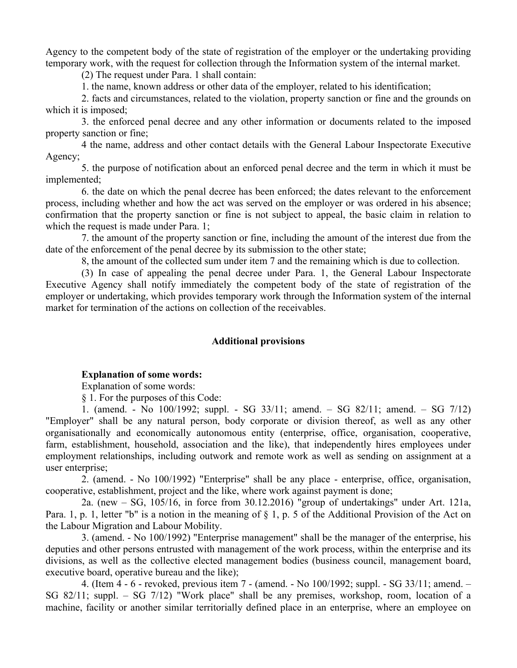Agency to the competent body of the state of registration of the employer or the undertaking providing temporary work, with the request for collection through the Information system of the internal market.

(2) The request under Para. 1 shall contain:

1. the name, known address or other data of the employer, related to his identification;

2. facts and circumstances, related to the violation, property sanction or fine and the grounds on which it is imposed;

3. the enforced penal decree and any other information or documents related to the imposed property sanction or fine;

4 the name, address and other contact details with the General Labour Inspectorate Executive Agency;

5. the purpose of notification about an enforced penal decree and the term in which it must be implemented;

6. the date on which the penal decree has been enforced; the dates relevant to the enforcement process, including whether and how the act was served on the employer or was ordered in his absence; confirmation that the property sanction or fine is not subject to appeal, the basic claim in relation to which the request is made under Para. 1;

7. the amount of the property sanction or fine, including the amount of the interest due from the date of the enforcement of the penal decree by its submission to the other state;

8, the amount of the collected sum under item 7 and the remaining which is due to collection.

(3) In case of appealing the penal decree under Para. 1, the General Labour Inspectorate Executive Agency shall notify immediately the competent body of the state of registration of the employer or undertaking, which provides temporary work through the Information system of the internal market for termination of the actions on collection of the receivables.

### **Additional provisions**

#### **Explanation of some words:**

Explanation of some words:

§ 1. For the purposes of this Code:

1. (amend. - No 100/1992; suppl. - SG 33/11; amend. – SG 82/11; amend. – SG 7/12) "Employer" shall be any natural person, body corporate or division thereof, as well as any other organisationally and economically autonomous entity (enterprise, office, organisation, cooperative, farm, establishment, household, association and the like), that independently hires employees under employment relationships, including outwork and remote work as well as sending on assignment at a user enterprise;

2. (amend. - No 100/1992) "Enterprise" shall be any place - enterprise, office, organisation, cooperative, establishment, project and the like, where work against payment is done;

2a. (new – SG, 105/16, in force from 30.12.2016) "group of undertakings" under Art. 121a, Para. 1, p. 1, letter "b" is a notion in the meaning of § 1, p. 5 of the Additional Provision of the Act on the Labour Migration and Labour Mobility.

3. (amend. - No 100/1992) "Enterprise management" shall be the manager of the enterprise, his deputies and other persons entrusted with management of the work process, within the enterprise and its divisions, as well as the collective elected management bodies (business council, management board, executive board, operative bureau and the like);

4. (Item 4 - 6 - revoked, previous item 7 - (amend. - No 100/1992; suppl. - SG 33/11; amend. – SG 82/11; suppl. – SG 7/12) "Work place" shall be any premises, workshop, room, location of a machine, facility or another similar territorially defined place in an enterprise, where an employee on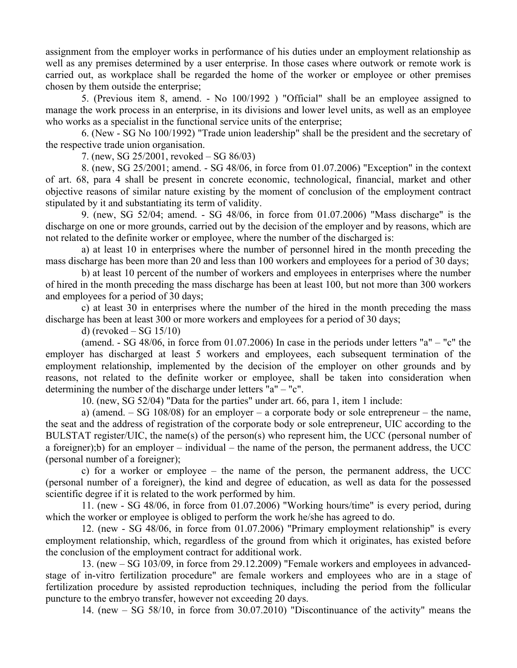assignment from the employer works in performance of his duties under an employment relationship as well as any premises determined by a user enterprise. In those cases where outwork or remote work is carried out, as workplace shall be regarded the home of the worker or employee or other premises chosen by them outside the enterprise;

5. (Previous item 8, amend. - No 100/1992 ) "Official" shall be an employee assigned to manage the work process in an enterprise, in its divisions and lower level units, as well as an employee who works as a specialist in the functional service units of the enterprise;

6. (New - SG No 100/1992) "Trade union leadership" shall be the president and the secretary of the respective trade union organisation.

7. (new, SG 25/2001, revoked – SG 86/03)

8. (new, SG 25/2001; amend. - SG 48/06, in force from 01.07.2006) "Exception" in the context of art. 68, para 4 shall be present in concrete economic, technological, financial, market and other objective reasons of similar nature existing by the moment of conclusion of the employment contract stipulated by it and substantiating its term of validity.

9. (new, SG 52/04; amend. - SG 48/06, in force from 01.07.2006) "Mass discharge" is the discharge on one or more grounds, carried out by the decision of the employer and by reasons, which are not related to the definite worker or employee, where the number of the discharged is:

a) at least 10 in enterprises where the number of personnel hired in the month preceding the mass discharge has been more than 20 and less than 100 workers and employees for a period of 30 days;

b) at least 10 percent of the number of workers and employees in enterprises where the number of hired in the month preceding the mass discharge has been at least 100, but not more than 300 workers and employees for a period of 30 days;

c) at least 30 in enterprises where the number of the hired in the month preceding the mass discharge has been at least 300 or more workers and employees for a period of 30 days;

d) (revoked  $-$  SG 15/10)

(amend. - SG 48/06, in force from 01.07.2006) In case in the periods under letters "a" – "c" the employer has discharged at least 5 workers and employees, each subsequent termination of the employment relationship, implemented by the decision of the employer on other grounds and by reasons, not related to the definite worker or employee, shall be taken into consideration when determining the number of the discharge under letters "a" – "c".

10. (new, SG 52/04) "Data for the parties" under art. 66, para 1, item 1 include:

a) (amend. – SG 108/08) for an employer – a corporate body or sole entrepreneur – the name, the seat and the address of registration of the corporate body or sole entrepreneur, UIC according to the BULSTAT register/UIC, the name(s) of the person(s) who represent him, the UCC (personal number of a foreigner);b) for an employer – individual – the name of the person, the permanent address, the UCC (personal number of a foreigner);

c) for a worker or employee – the name of the person, the permanent address, the UCC (personal number of a foreigner), the kind and degree of education, as well as data for the possessed scientific degree if it is related to the work performed by him.

11. (new - SG 48/06, in force from 01.07.2006) "Working hours/time" is every period, during which the worker or employee is obliged to perform the work he/she has agreed to do.

12. (new - SG 48/06, in force from 01.07.2006) "Primary employment relationship" is every employment relationship, which, regardless of the ground from which it originates, has existed before the conclusion of the employment contract for additional work.

13. (new – SG 103/09, in force from 29.12.2009) "Female workers and employees in advancedstage of in-vitro fertilization procedure" are female workers and employees who are in a stage of fertilization procedure by assisted reproduction techniques, including the period from the follicular puncture to the embryo transfer, however not exceeding 20 days.

14. (new – SG 58/10, in force from 30.07.2010) "Discontinuance of the activity" means the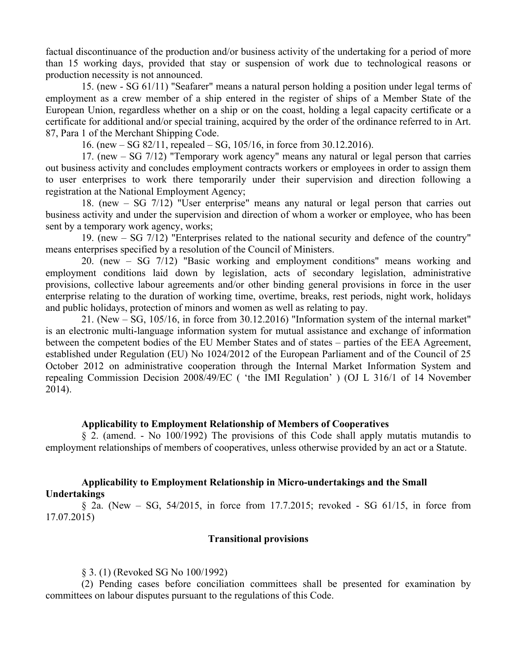factual discontinuance of the production and/or business activity of the undertaking for a period of more than 15 working days, provided that stay or suspension of work due to technological reasons or production necessity is not announced.

15. (new - SG 61/11) "Seafarer" means a natural person holding a position under legal terms of employment as a crew member of a ship entered in the register of ships of a Member State of the European Union, regardless whether on a ship or on the coast, holding a legal capacity certificate or a certificate for additional and/or special training, acquired by the order of the ordinance referred to in Art. 87, Para 1 of the Merchant Shipping Code.

16. (new – SG 82/11, repealed – SG, 105/16, in force from 30.12.2016).

17. (new – SG 7/12) "Temporary work agency" means any natural or legal person that carries out business activity and concludes employment contracts workers or employees in order to assign them to user enterprises to work there temporarily under their supervision and direction following a registration at the National Employment Agency;

18. (new – SG 7/12) "User enterprise" means any natural or legal person that carries out business activity and under the supervision and direction of whom a worker or employee, who has been sent by a temporary work agency, works;

19. (new – SG 7/12) "Enterprises related to the national security and defence of the country" means enterprises specified by a resolution of the Council of Ministers.

20. (new – SG 7/12) "Basic working and employment conditions" means working and employment conditions laid down by legislation, acts of secondary legislation, administrative provisions, collective labour agreements and/or other binding general provisions in force in the user enterprise relating to the duration of working time, overtime, breaks, rest periods, night work, holidays and public holidays, protection of minors and women as well as relating to pay.

21. (New – SG, 105/16, in force from 30.12.2016) "Information system of the internal market" is an electronic multi-language information system for mutual assistance and exchange of information between the competent bodies of the EU Member States and of states – parties of the EEA Agreement, established under Regulation (EU) No 1024/2012 of the European Parliament and of the Council of 25 October 2012 on administrative cooperation through the Internal Market Information System and repealing Commission Decision 2008/49/EC ( 'the IMI Regulation' ) (OJ L 316/1 of 14 November 2014).

### **Applicability to Employment Relationship of Members of Cooperatives**

§ 2. (amend. - No 100/1992) The provisions of this Code shall apply mutatis mutandis to employment relationships of members of cooperatives, unless otherwise provided by an act or a Statute.

### **Applicability to Employment Relationship in Micro-undertakings and the Small Undertakings**

§ 2a. (New – SG, 54/2015, in force from 17.7.2015; revoked - SG 61/15, in force from 17.07.2015)

#### **Transitional provisions**

§ 3. (1) (Revoked SG No 100/1992)

(2) Pending cases before conciliation committees shall be presented for examination by committees on labour disputes pursuant to the regulations of this Code.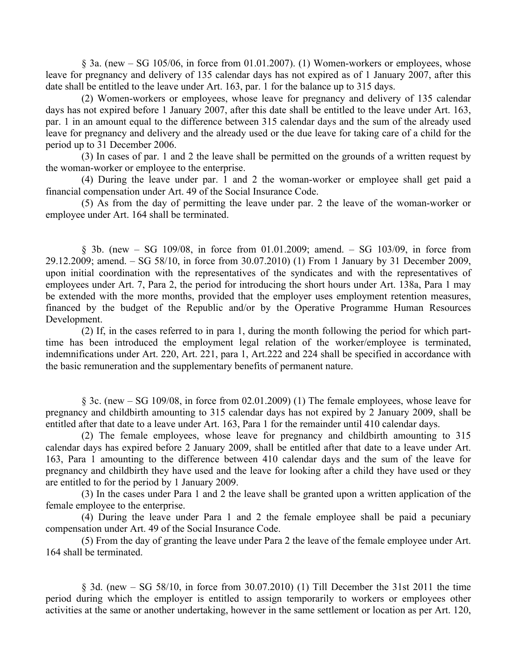$\S$  3a. (new – SG 105/06, in force from 01.01.2007). (1) Women-workers or employees, whose leave for pregnancy and delivery of 135 calendar days has not expired as of 1 January 2007, after this date shall be entitled to the leave under Art. 163, par. 1 for the balance up to 315 days.

(2) Women-workers or employees, whose leave for pregnancy and delivery of 135 calendar days has not expired before 1 January 2007, after this date shall be entitled to the leave under Art. 163, par. 1 in an amount equal to the difference between 315 calendar days and the sum of the already used leave for pregnancy and delivery and the already used or the due leave for taking care of a child for the period up to 31 December 2006.

(3) In cases of par. 1 and 2 the leave shall be permitted on the grounds of a written request by the woman-worker or employee to the enterprise.

(4) During the leave under par. 1 and 2 the woman-worker or employee shall get paid a financial compensation under Art. 49 of the Social Insurance Code.

(5) As from the day of permitting the leave under par. 2 the leave of the woman-worker or employee under Art. 164 shall be terminated.

§ 3b. (new – SG 109/08, in force from 01.01.2009; amend. – SG 103/09, in force from 29.12.2009; amend. – SG 58/10, in force from 30.07.2010) (1) From 1 January by 31 December 2009, upon initial coordination with the representatives of the syndicates and with the representatives of employees under Art. 7, Para 2, the period for introducing the short hours under Art. 138a, Para 1 may be extended with the more months, provided that the employer uses employment retention measures, financed by the budget of the Republic and/or by the Operative Programme Human Resources Development.

(2) If, in the cases referred to in para 1, during the month following the period for which parttime has been introduced the employment legal relation of the worker/employee is terminated, indemnifications under Art. 220, Art. 221, para 1, Art.222 and 224 shall be specified in accordance with the basic remuneration and the supplementary benefits of permanent nature.

§ 3c. (new – SG 109/08, in force from 02.01.2009) (1) The female employees, whose leave for pregnancy and childbirth amounting to 315 calendar days has not expired by 2 January 2009, shall be entitled after that date to a leave under Art. 163, Para 1 for the remainder until 410 calendar days.

(2) The female employees, whose leave for pregnancy and childbirth amounting to 315 calendar days has expired before 2 January 2009, shall be entitled after that date to a leave under Art. 163, Para 1 amounting to the difference between 410 calendar days and the sum of the leave for pregnancy and childbirth they have used and the leave for looking after a child they have used or they are entitled to for the period by 1 January 2009.

(3) In the cases under Para 1 and 2 the leave shall be granted upon a written application of the female employee to the enterprise.

(4) During the leave under Para 1 and 2 the female employee shall be paid a pecuniary compensation under Art. 49 of the Social Insurance Code.

(5) From the day of granting the leave under Para 2 the leave of the female employee under Art. 164 shall be terminated.

§ 3d. (new – SG 58/10, in force from 30.07.2010) (1) Till December the 31st 2011 the time period during which the employer is entitled to assign temporarily to workers or employees other activities at the same or another undertaking, however in the same settlement or location as per Art. 120,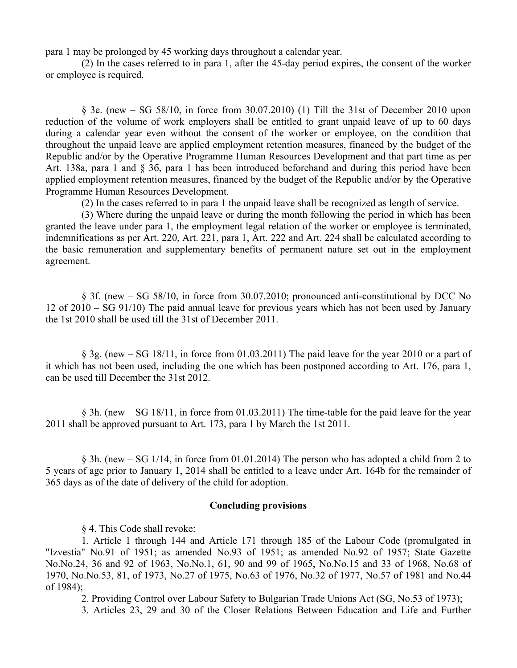para 1 may be prolonged by 45 working days throughout a calendar year.

(2) In the cases referred to in para 1, after the 45-day period expires, the consent of the worker or employee is required.

§ 3e. (new – SG 58/10, in force from 30.07.2010) (1) Till the 31st of December 2010 upon reduction of the volume of work employers shall be entitled to grant unpaid leave of up to 60 days during a calendar year even without the consent of the worker or employee, on the condition that throughout the unpaid leave are applied employment retention measures, financed by the budget of the Republic and/or by the Operative Programme Human Resources Development and that part time as per Art. 138a, para 1 and § 36, para 1 has been introduced beforehand and during this period have been applied employment retention measures, financed by the budget of the Republic and/or by the Operative Programme Human Resources Development.

(2) In the cases referred to in para 1 the unpaid leave shall be recognized as length of service.

(3) Where during the unpaid leave or during the month following the period in which has been granted the leave under para 1, the employment legal relation of the worker or employee is terminated, indemnifications as per Art. 220, Art. 221, para 1, Art. 222 and Art. 224 shall be calculated according to the basic remuneration and supplementary benefits of permanent nature set out in the employment agreement.

§ 3f. (new – SG 58/10, in force from 30.07.2010; pronounced anti-constitutional by DCC No 12 of 2010 – SG 91/10) The paid annual leave for previous years which has not been used by January the 1st 2010 shall be used till the 31st of December 2011.

§ 3g. (new – SG 18/11, in force from 01.03.2011) The paid leave for the year 2010 or a part of it which has not been used, including the one which has been postponed according to Art. 176, para 1, can be used till December the 31st 2012.

§ 3h. (new – SG 18/11, in force from 01.03.2011) The time-table for the paid leave for the year 2011 shall be approved pursuant to Art. 173, para 1 by March the 1st 2011.

§ 3h. (new – SG 1/14, in force from 01.01.2014) The person who has adopted a child from 2 to 5 years of age prior to January 1, 2014 shall be entitled to a leave under Art. 164b for the remainder of 365 days as of the date of delivery of the child for adoption.

#### **Concluding provisions**

§ 4. This Code shall revoke:

1. Article 1 through 144 and Article 171 through 185 of the Labour Code (promulgated in "Izvestia" No.91 of 1951; as amended No.93 of 1951; as amended No.92 of 1957; State Gazette No.No.24, 36 and 92 of 1963, No.No.1, 61, 90 and 99 of 1965, No.No.15 and 33 of 1968, No.68 of 1970, No.No.53, 81, of 1973, No.27 of 1975, No.63 of 1976, No.32 of 1977, No.57 of 1981 and No.44 of 1984);

2. Providing Control over Labour Safety to Bulgarian Trade Unions Act (SG, No.53 of 1973);

3. Articles 23, 29 and 30 of the Closer Relations Between Education and Life and Further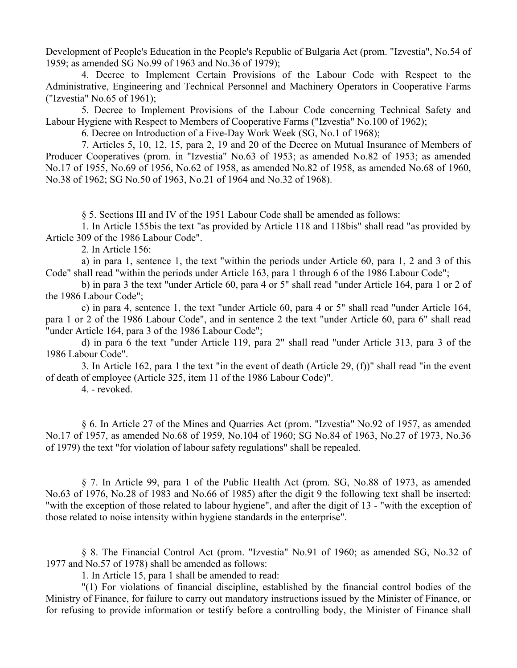Development of People's Education in the People's Republic of Bulgaria Act (prom. "Izvestia", No.54 of 1959; as amended SG No.99 of 1963 and No.36 of 1979);

4. Decree to Implement Certain Provisions of the Labour Code with Respect to the Administrative, Engineering and Technical Personnel and Machinery Operators in Cooperative Farms ("Izvestia" No.65 of 1961);

5. Decree to Implement Provisions of the Labour Code concerning Technical Safety and Labour Hygiene with Respect to Members of Cooperative Farms ("Izvestia" No.100 of 1962);

6. Decree on Introduction of a Five-Day Work Week (SG, No.1 of 1968);

7. Articles 5, 10, 12, 15, para 2, 19 and 20 of the Decree on Mutual Insurance of Members of Producer Cooperatives (prom. in "Izvestia" No.63 of 1953; as amended No.82 of 1953; as amended No.17 of 1955, No.69 of 1956, No.62 of 1958, as amended No.82 of 1958, as amended No.68 of 1960, No.38 of 1962; SG No.50 of 1963, No.21 of 1964 and No.32 of 1968).

§ 5. Sections III and IV of the 1951 Labour Code shall be amended as follows:

1. In Article 155bis the text "as provided by Article 118 and 118bis" shall read "as provided by Article 309 of the 1986 Labour Code".

2. In Article 156:

a) in para 1, sentence 1, the text "within the periods under Article 60, para 1, 2 and 3 of this Code" shall read "within the periods under Article 163, para 1 through 6 of the 1986 Labour Code";

b) in para 3 the text "under Article 60, para 4 or 5" shall read "under Article 164, para 1 or 2 of the 1986 Labour Code";

c) in para 4, sentence 1, the text "under Article 60, para 4 or 5" shall read "under Article 164, para 1 or 2 of the 1986 Labour Code", and in sentence 2 the text "under Article 60, para 6" shall read "under Article 164, para 3 of the 1986 Labour Code";

d) in para 6 the text "under Article 119, para 2" shall read "under Article 313, para 3 of the 1986 Labour Code".

3. In Article 162, para 1 the text "in the event of death (Article 29, (f))" shall read "in the event of death of employee (Article 325, item 11 of the 1986 Labour Code)".

4. - revoked.

§ 6. In Article 27 of the Mines and Quarries Act (prom. "Izvestia" No.92 of 1957, as amended No.17 of 1957, as amended No.68 of 1959, No.104 of 1960; SG No.84 of 1963, No.27 of 1973, No.36 of 1979) the text "for violation of labour safety regulations" shall be repealed.

§ 7. In Article 99, para 1 of the Public Health Act (prom. SG, No.88 of 1973, as amended No.63 of 1976, No.28 of 1983 and No.66 of 1985) after the digit 9 the following text shall be inserted: "with the exception of those related to labour hygiene", and after the digit of 13 - "with the exception of those related to noise intensity within hygiene standards in the enterprise".

§ 8. The Financial Control Act (prom. "Izvestia" No.91 of 1960; as amended SG, No.32 of 1977 and No.57 of 1978) shall be amended as follows:

1. In Article 15, para 1 shall be amended to read:

"(1) For violations of financial discipline, established by the financial control bodies of the Ministry of Finance, for failure to carry out mandatory instructions issued by the Minister of Finance, or for refusing to provide information or testify before a controlling body, the Minister of Finance shall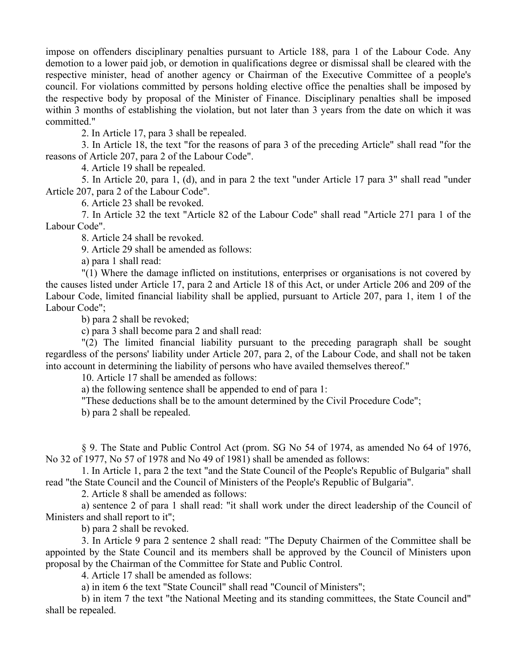impose on offenders disciplinary penalties pursuant to Article 188, para 1 of the Labour Code. Any demotion to a lower paid job, or demotion in qualifications degree or dismissal shall be cleared with the respective minister, head of another agency or Chairman of the Executive Committee of a people's council. For violations committed by persons holding elective office the penalties shall be imposed by the respective body by proposal of the Minister of Finance. Disciplinary penalties shall be imposed within 3 months of establishing the violation, but not later than 3 years from the date on which it was committed."

2. In Article 17, para 3 shall be repealed.

3. In Article 18, the text "for the reasons of para 3 of the preceding Article" shall read "for the reasons of Article 207, para 2 of the Labour Code".

4. Article 19 shall be repealed.

5. In Article 20, para 1, (d), and in para 2 the text "under Article 17 para 3" shall read "under Article 207, para 2 of the Labour Code".

6. Article 23 shall be revoked.

7. In Article 32 the text "Article 82 of the Labour Code" shall read "Article 271 para 1 of the Labour Code".

8. Article 24 shall be revoked.

9. Article 29 shall be amended as follows:

a) para 1 shall read:

"(1) Where the damage inflicted on institutions, enterprises or organisations is not covered by the causes listed under Article 17, para 2 and Article 18 of this Act, or under Article 206 and 209 of the Labour Code, limited financial liability shall be applied, pursuant to Article 207, para 1, item 1 of the Labour Code";

b) para 2 shall be revoked;

c) para 3 shall become para 2 and shall read:

"(2) The limited financial liability pursuant to the preceding paragraph shall be sought regardless of the persons' liability under Article 207, para 2, of the Labour Code, and shall not be taken into account in determining the liability of persons who have availed themselves thereof."

10. Article 17 shall be amended as follows:

a) the following sentence shall be appended to end of para 1:

"These deductions shall be to the amount determined by the Civil Procedure Code";

b) para 2 shall be repealed.

§ 9. The State and Public Control Act (prom. SG No 54 of 1974, as amended No 64 of 1976, No 32 of 1977, No 57 of 1978 and No 49 of 1981) shall be amended as follows:

1. In Article 1, para 2 the text "and the State Council of the People's Republic of Bulgaria" shall read "the State Council and the Council of Ministers of the People's Republic of Bulgaria".

2. Article 8 shall be amended as follows:

a) sentence 2 of para 1 shall read: "it shall work under the direct leadership of the Council of Ministers and shall report to it";

b) para 2 shall be revoked.

3. In Article 9 para 2 sentence 2 shall read: "The Deputy Chairmen of the Committee shall be appointed by the State Council and its members shall be approved by the Council of Ministers upon proposal by the Chairman of the Committee for State and Public Control.

4. Article 17 shall be amended as follows:

a) in item 6 the text "State Council" shall read "Council of Ministers";

b) in item 7 the text "the National Meeting and its standing committees, the State Council and" shall be repealed.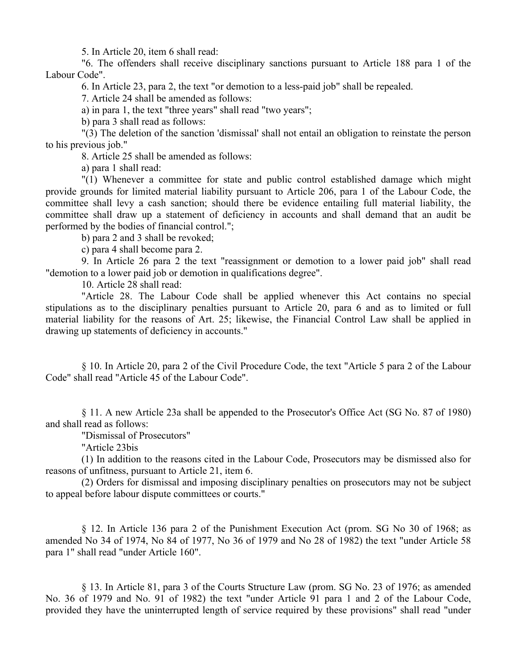5. In Article 20, item 6 shall read:

"6. The offenders shall receive disciplinary sanctions pursuant to Article 188 para 1 of the Labour Code".

6. In Article 23, para 2, the text "or demotion to a less-paid job" shall be repealed.

7. Article 24 shall be amended as follows:

a) in para 1, the text "three years" shall read "two years";

b) para 3 shall read as follows:

"(3) The deletion of the sanction 'dismissal' shall not entail an obligation to reinstate the person to his previous job."

8. Article 25 shall be amended as follows:

a) para 1 shall read:

"(1) Whenever a committee for state and public control established damage which might provide grounds for limited material liability pursuant to Article 206, para 1 of the Labour Code, the committee shall levy a cash sanction; should there be evidence entailing full material liability, the committee shall draw up a statement of deficiency in accounts and shall demand that an audit be performed by the bodies of financial control.";

b) para 2 and 3 shall be revoked;

c) para 4 shall become para 2.

9. In Article 26 para 2 the text "reassignment or demotion to a lower paid job" shall read "demotion to a lower paid job or demotion in qualifications degree".

10. Article 28 shall read:

"Article 28. The Labour Code shall be applied whenever this Act contains no special stipulations as to the disciplinary penalties pursuant to Article 20, para 6 and as to limited or full material liability for the reasons of Art. 25; likewise, the Financial Control Law shall be applied in drawing up statements of deficiency in accounts."

§ 10. In Article 20, para 2 of the Civil Procedure Code, the text "Article 5 para 2 of the Labour Code" shall read "Article 45 of the Labour Code".

§ 11. A new Article 23a shall be appended to the Prosecutor's Office Act (SG No. 87 of 1980) and shall read as follows:

"Dismissal of Prosecutors"

"Article 23bis

(1) In addition to the reasons cited in the Labour Code, Prosecutors may be dismissed also for reasons of unfitness, pursuant to Article 21, item 6.

(2) Orders for dismissal and imposing disciplinary penalties on prosecutors may not be subject to appeal before labour dispute committees or courts."

§ 12. In Article 136 para 2 of the Punishment Execution Act (prom. SG No 30 of 1968; as amended No 34 of 1974, No 84 of 1977, No 36 of 1979 and No 28 of 1982) the text "under Article 58 para 1" shall read "under Article 160".

§ 13. In Article 81, para 3 of the Courts Structure Law (prom. SG No. 23 of 1976; as amended No. 36 of 1979 and No. 91 of 1982) the text "under Article 91 para 1 and 2 of the Labour Code, provided they have the uninterrupted length of service required by these provisions" shall read "under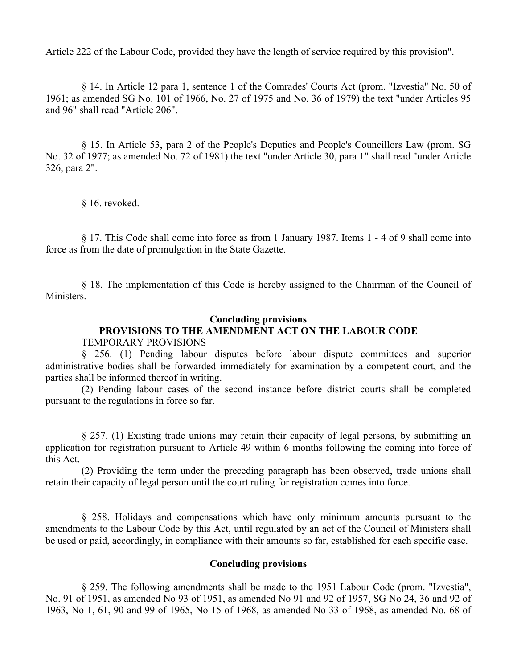Article 222 of the Labour Code, provided they have the length of service required by this provision".

§ 14. In Article 12 para 1, sentence 1 of the Comrades' Courts Act (prom. "Izvestia" No. 50 of 1961; as amended SG No. 101 of 1966, No. 27 of 1975 and No. 36 of 1979) the text "under Articles 95 and 96" shall read "Article 206".

§ 15. In Article 53, para 2 of the People's Deputies and People's Councillors Law (prom. SG No. 32 of 1977; as amended No. 72 of 1981) the text "under Article 30, para 1" shall read "under Article 326, para 2".

§ 16. revoked.

§ 17. This Code shall come into force as from 1 January 1987. Items 1 - 4 of 9 shall come into force as from the date of promulgation in the State Gazette.

§ 18. The implementation of this Code is hereby assigned to the Chairman of the Council of Ministers.

#### **Concluding provisions**

#### **PROVISIONS TO THE AMENDMENT ACT ON THE LABOUR CODE** TEMPORARY PROVISIONS

§ 256. (1) Pending labour disputes before labour dispute committees and superior administrative bodies shall be forwarded immediately for examination by a competent court, and the parties shall be informed thereof in writing.

(2) Pending labour cases of the second instance before district courts shall be completed pursuant to the regulations in force so far.

§ 257. (1) Existing trade unions may retain their capacity of legal persons, by submitting an application for registration pursuant to Article 49 within 6 months following the coming into force of this Act.

(2) Providing the term under the preceding paragraph has been observed, trade unions shall retain their capacity of legal person until the court ruling for registration comes into force.

§ 258. Holidays and compensations which have only minimum amounts pursuant to the amendments to the Labour Code by this Act, until regulated by an act of the Council of Ministers shall be used or paid, accordingly, in compliance with their amounts so far, established for each specific case.

#### **Concluding provisions**

§ 259. The following amendments shall be made to the 1951 Labour Code (prom. "Izvestia", No. 91 of 1951, as amended No 93 of 1951, as amended No 91 and 92 of 1957, SG No 24, 36 and 92 of 1963, No 1, 61, 90 and 99 of 1965, No 15 of 1968, as amended No 33 of 1968, as amended No. 68 of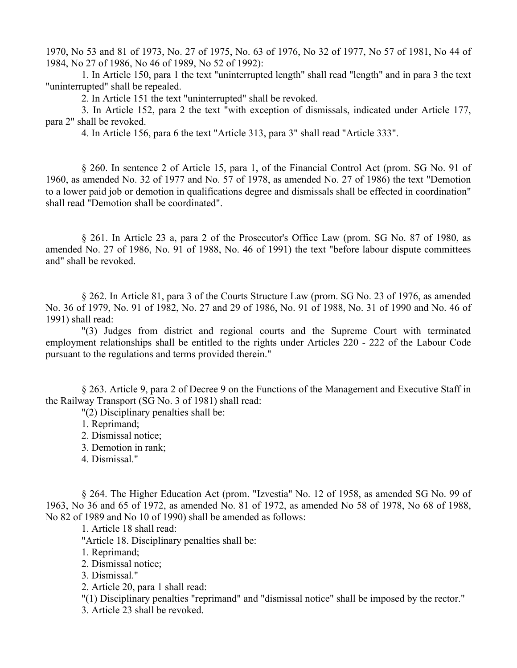1970, No 53 and 81 of 1973, No. 27 of 1975, No. 63 of 1976, No 32 of 1977, No 57 of 1981, No 44 of 1984, No 27 of 1986, No 46 of 1989, No 52 of 1992):

1. In Article 150, para 1 the text "uninterrupted length" shall read "length" and in para 3 the text "uninterrupted" shall be repealed.

2. In Article 151 the text "uninterrupted" shall be revoked.

3. In Article 152, para 2 the text "with exception of dismissals, indicated under Article 177, para 2" shall be revoked.

4. In Article 156, para 6 the text "Article 313, para 3" shall read "Article 333".

§ 260. In sentence 2 of Article 15, para 1, of the Financial Control Act (prom. SG No. 91 of 1960, as amended No. 32 of 1977 and No. 57 of 1978, as amended No. 27 of 1986) the text "Demotion to a lower paid job or demotion in qualifications degree and dismissals shall be effected in coordination" shall read "Demotion shall be coordinated".

§ 261. In Article 23 a, para 2 of the Prosecutor's Office Law (prom. SG No. 87 of 1980, as amended No. 27 of 1986, No. 91 of 1988, No. 46 of 1991) the text "before labour dispute committees and" shall be revoked.

§ 262. In Article 81, para 3 of the Courts Structure Law (prom. SG No. 23 of 1976, as amended No. 36 of 1979, No. 91 of 1982, No. 27 and 29 of 1986, No. 91 of 1988, No. 31 of 1990 and No. 46 of 1991) shall read:

"(3) Judges from district and regional courts and the Supreme Court with terminated employment relationships shall be entitled to the rights under Articles 220 - 222 of the Labour Code pursuant to the regulations and terms provided therein."

§ 263. Article 9, para 2 of Decree 9 on the Functions of the Management and Executive Staff in the Railway Transport (SG No. 3 of 1981) shall read:

"(2) Disciplinary penalties shall be:

1. Reprimand;

- 2. Dismissal notice;
- 3. Demotion in rank;
- 4. Dismissal."

§ 264. The Higher Education Act (prom. "Izvestia" No. 12 of 1958, as amended SG No. 99 of 1963, No 36 and 65 of 1972, as amended No. 81 of 1972, as amended No 58 of 1978, No 68 of 1988, No 82 of 1989 and No 10 of 1990) shall be amended as follows:

1. Article 18 shall read:

"Article 18. Disciplinary penalties shall be:

1. Reprimand;

2. Dismissal notice;

3. Dismissal."

2. Article 20, para 1 shall read:

"(1) Disciplinary penalties "reprimand" and "dismissal notice" shall be imposed by the rector." 3. Article 23 shall be revoked.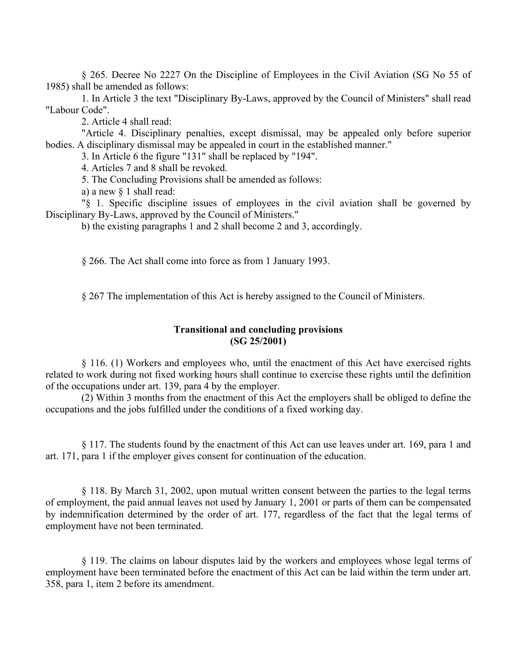§ 265. Decree No 2227 On the Discipline of Employees in the Civil Aviation (SG No 55 of 1985) shall be amended as follows:

1. In Article 3 the text "Disciplinary By-Laws, approved by the Council of Ministers" shall read "Labour Code".

2. Article 4 shall read:

"Article 4. Disciplinary penalties, except dismissal, may be appealed only before superior bodies. A disciplinary dismissal may be appealed in court in the established manner."

3. In Article 6 the figure "131" shall be replaced by "194".

4. Articles 7 and 8 shall be revoked.

5. The Concluding Provisions shall be amended as follows:

a) a new § 1 shall read:

"§ 1. Specific discipline issues of employees in the civil aviation shall be governed by Disciplinary By-Laws, approved by the Council of Ministers."

b) the existing paragraphs 1 and 2 shall become 2 and 3, accordingly.

§ 266. The Act shall come into force as from 1 January 1993.

§ 267 The implementation of this Act is hereby assigned to the Council of Ministers.

### **Transitional and concluding provisions (SG 25/2001)**

§ 116. (1) Workers and employees who, until the enactment of this Act have exercised rights related to work during not fixed working hours shall continue to exercise these rights until the definition of the occupations under art. 139, para 4 by the employer.

(2) Within 3 months from the enactment of this Act the employers shall be obliged to define the occupations and the jobs fulfilled under the conditions of a fixed working day.

§ 117. The students found by the enactment of this Act can use leaves under art. 169, para 1 and art. 171, para 1 if the employer gives consent for continuation of the education.

§ 118. By March 31, 2002, upon mutual written consent between the parties to the legal terms of employment, the paid annual leaves not used by January 1, 2001 or parts of them can be compensated by indemnification determined by the order of art. 177, regardless of the fact that the legal terms of employment have not been terminated.

§ 119. The claims on labour disputes laid by the workers and employees whose legal terms of employment have been terminated before the enactment of this Act can be laid within the term under art. 358, para 1, item 2 before its amendment.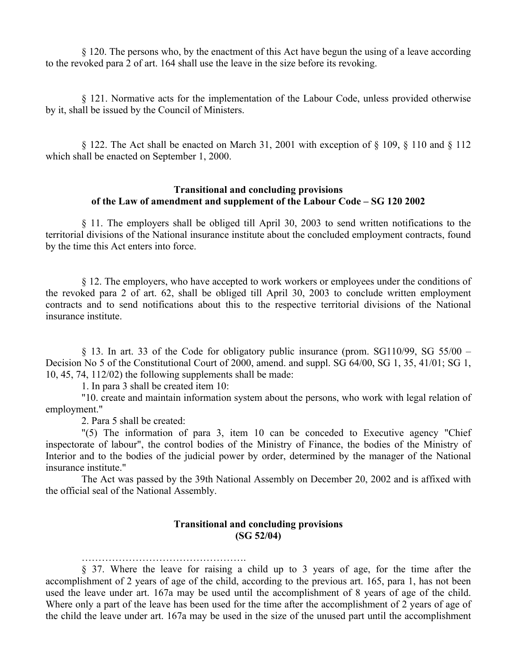§ 120. The persons who, by the enactment of this Act have begun the using of a leave according to the revoked para 2 of art. 164 shall use the leave in the size before its revoking.

§ 121. Normative acts for the implementation of the Labour Code, unless provided otherwise by it, shall be issued by the Council of Ministers.

§ 122. The Act shall be enacted on March 31, 2001 with exception of § 109, § 110 and § 112 which shall be enacted on September 1, 2000.

### **Transitional and concluding provisions of the Law of amendment and supplement of the Labour Code – SG 120 2002**

§ 11. The employers shall be obliged till April 30, 2003 to send written notifications to the territorial divisions of the National insurance institute about the concluded employment contracts, found by the time this Act enters into force.

§ 12. The employers, who have accepted to work workers or employees under the conditions of the revoked para 2 of art. 62, shall be obliged till April 30, 2003 to conclude written employment contracts and to send notifications about this to the respective territorial divisions of the National insurance institute.

§ 13. In art. 33 of the Code for obligatory public insurance (prom. SG110/99, SG 55/00 – Decision No 5 of the Constitutional Court of 2000, amend. and suppl. SG 64/00, SG 1, 35, 41/01; SG 1, 10, 45, 74, 112/02) the following supplements shall be made:

1. In para 3 shall be created item 10:

"10. create and maintain information system about the persons, who work with legal relation of employment."

2. Para 5 shall be created:

"(5) The information of para 3, item 10 can be conceded to Executive agency "Chief inspectorate of labour", the control bodies of the Ministry of Finance, the bodies of the Ministry of Interior and to the bodies of the judicial power by order, determined by the manager of the National insurance institute."

The Act was passed by the 39th National Assembly on December 20, 2002 and is affixed with the official seal of the National Assembly.

### **Transitional and concluding provisions (SG 52/04)**

………………………………………….

§ 37. Where the leave for raising a child up to 3 years of age, for the time after the accomplishment of 2 years of age of the child, according to the previous art. 165, para 1, has not been used the leave under art. 167a may be used until the accomplishment of 8 years of age of the child. Where only a part of the leave has been used for the time after the accomplishment of 2 years of age of the child the leave under art. 167a may be used in the size of the unused part until the accomplishment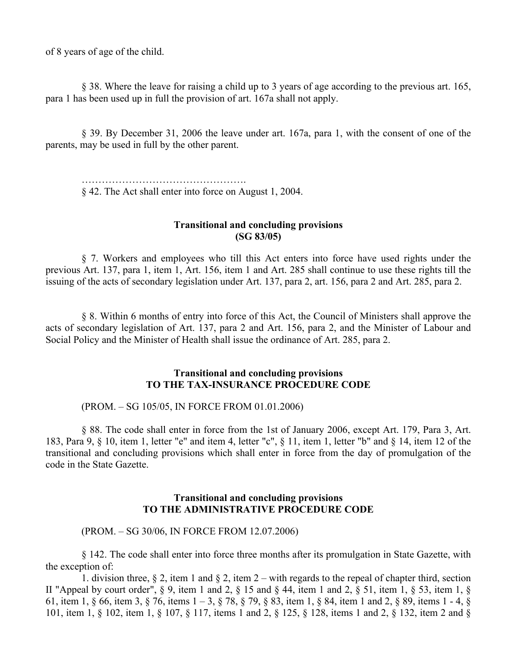of 8 years of age of the child.

§ 38. Where the leave for raising a child up to 3 years of age according to the previous art. 165, para 1 has been used up in full the provision of art. 167a shall not apply.

§ 39. By December 31, 2006 the leave under art. 167a, para 1, with the consent of one of the parents, may be used in full by the other parent.

…………………………………………. § 42. The Act shall enter into force on August 1, 2004.

### **Transitional and concluding provisions (SG 83/05)**

§ 7. Workers and employees who till this Act enters into force have used rights under the previous Art. 137, para 1, item 1, Art. 156, item 1 and Art. 285 shall continue to use these rights till the issuing of the acts of secondary legislation under Art. 137, para 2, art. 156, para 2 and Art. 285, para 2.

§ 8. Within 6 months of entry into force of this Act, the Council of Ministers shall approve the acts of secondary legislation of Art. 137, para 2 and Art. 156, para 2, and the Minister of Labour and Social Policy and the Minister of Health shall issue the ordinance of Art. 285, para 2.

### **Transitional and concluding provisions TO THE TAX-INSURANCE PROCEDURE CODE**

(PROM. – SG 105/05, IN FORCE FROM 01.01.2006)

§ 88. The code shall enter in force from the 1st of January 2006, except Art. 179, Para 3, Art. 183, Para 9, § 10, item 1, letter "e" and item 4, letter "c", § 11, item 1, letter "b" and § 14, item 12 of the transitional and concluding provisions which shall enter in force from the day of promulgation of the code in the State Gazette.

### **Transitional and concluding provisions TO THE ADMINISTRATIVE PROCEDURE CODE**

(PROM. – SG 30/06, IN FORCE FROM 12.07.2006)

§ 142. The code shall enter into force three months after its promulgation in State Gazette, with the exception of:

1. division three, § 2, item 1 and § 2, item 2 – with regards to the repeal of chapter third, section II "Appeal by court order",  $\&$  9, item 1 and 2,  $\&$  15 and  $\&$  44, item 1 and 2,  $\&$  51, item 1,  $\&$  53, item 1,  $\&$ 61, item 1, § 66, item 3, § 76, items 1 – 3, § 78, § 79, § 83, item 1, § 84, item 1 and 2, § 89, items 1 - 4, § 101, item 1, § 102, item 1, § 107, § 117, items 1 and 2, § 125, § 128, items 1 and 2, § 132, item 2 and §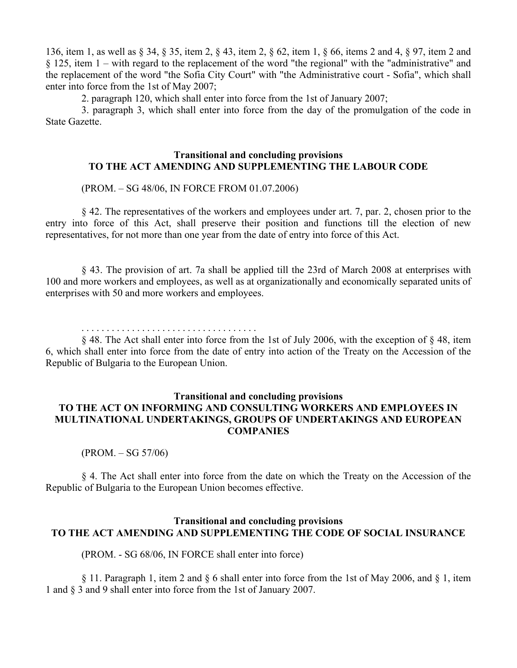136, item 1, as well as § 34, § 35, item 2, § 43, item 2, § 62, item 1, § 66, items 2 and 4, § 97, item 2 and § 125, item 1 – with regard to the replacement of the word "the regional" with the "administrative" and the replacement of the word "the Sofia City Court" with "the Administrative court - Sofia", which shall enter into force from the 1st of May 2007;

2. paragraph 120, which shall enter into force from the 1st of January 2007;

3. paragraph 3, which shall enter into force from the day of the promulgation of the code in State Gazette.

### **Transitional and concluding provisions TO THE ACT AMENDING AND SUPPLEMENTING THE LABOUR CODE**

#### (PROM. – SG 48/06, IN FORCE FROM 01.07.2006)

§ 42. The representatives of the workers and employees under art. 7, par. 2, chosen prior to the entry into force of this Act, shall preserve their position and functions till the election of new representatives, for not more than one year from the date of entry into force of this Act.

§ 43. The provision of art. 7a shall be applied till the 23rd of March 2008 at enterprises with 100 and more workers and employees, as well as at organizationally and economically separated units of enterprises with 50 and more workers and employees.

. . . . . . . . . . . . . . . . . . . . . . . . . . . . . . . . . . .

§ 48. The Act shall enter into force from the 1st of July 2006, with the exception of § 48, item 6, which shall enter into force from the date of entry into action of the Treaty on the Accession of the Republic of Bulgaria to the European Union.

### **Transitional and concluding provisions TO THE ACT ON INFORMING AND CONSULTING WORKERS AND EMPLOYEES IN MULTINATIONAL UNDERTAKINGS, GROUPS OF UNDERTAKINGS AND EUROPEAN COMPANIES**

(PROM. – SG 57/06)

§ 4. The Act shall enter into force from the date on which the Treaty on the Accession of the Republic of Bulgaria to the European Union becomes effective.

### **Transitional and concluding provisions TO THE ACT AMENDING AND SUPPLEMENTING THE CODE OF SOCIAL INSURANCE**

(PROM. - SG 68/06, IN FORCE shall enter into force)

§ 11. Paragraph 1, item 2 and § 6 shall enter into force from the 1st of May 2006, and § 1, item 1 and § 3 and 9 shall enter into force from the 1st of January 2007.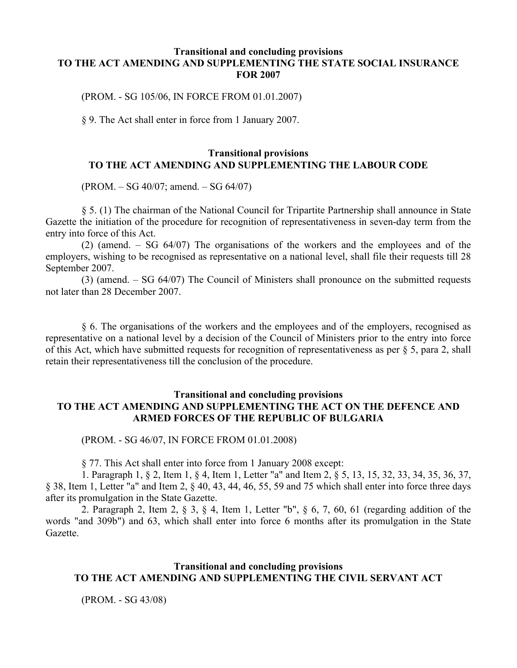### **Transitional and concluding provisions TO THE ACT AMENDING AND SUPPLEMENTING THE STATE SOCIAL INSURANCE FOR 2007**

(PROM. - SG 105/06, IN FORCE FROM 01.01.2007)

§ 9. Тhe Act shall enter in force from 1 January 2007.

### **Transitional provisions TO THE ACT AMENDING AND SUPPLEMENTING THE LABOUR CODE**

(PROM. – SG 40/07; amend. – SG 64/07)

§ 5. (1) The chairman of the National Council for Tripartite Partnership shall announce in State Gazette the initiation of the procedure for recognition of representativeness in seven-day term from the entry into force of this Act.

(2) (amend. – SG 64/07) The organisations of the workers and the employees and of the employers, wishing to be recognised as representative on a national level, shall file their requests till 28 September 2007.

(3) (amend. – SG 64/07) The Council of Ministers shall pronounce on the submitted requests not later than 28 December 2007.

§ 6. The organisations of the workers and the employees and of the employers, recognised as representative on a national level by a decision of the Council of Ministers prior to the entry into force of this Act, which have submitted requests for recognition of representativeness as per § 5, para 2, shall retain their representativeness till the conclusion of the procedure.

#### **Transitional and concluding provisions**

# **TO THE ACT AMENDING AND SUPPLEMENTING THE ACT ON THE DEFENCE AND ARMED FORCES OF THE REPUBLIC OF BULGARIA**

(PROM. - SG 46/07, IN FORCE FROM 01.01.2008)

§ 77. This Act shall enter into force from 1 January 2008 except:

1. Paragraph 1, § 2, Item 1, § 4, Item 1, Letter "a" and Item 2, § 5, 13, 15, 32, 33, 34, 35, 36, 37, § 38, Item 1, Letter "a" and Item 2, § 40, 43, 44, 46, 55, 59 and 75 which shall enter into force three days after its promulgation in the State Gazette.

2. Paragraph 2, Item 2, § 3, § 4, Item 1, Letter "b", § 6, 7, 60, 61 (regarding addition of the words "and 309b") and 63, which shall enter into force 6 months after its promulgation in the State Gazette.

### **Transitional and concluding provisions TO THE ACT AMENDING AND SUPPLEMENTING THE CIVIL SERVANT ACT**

(PROM. - SG 43/08)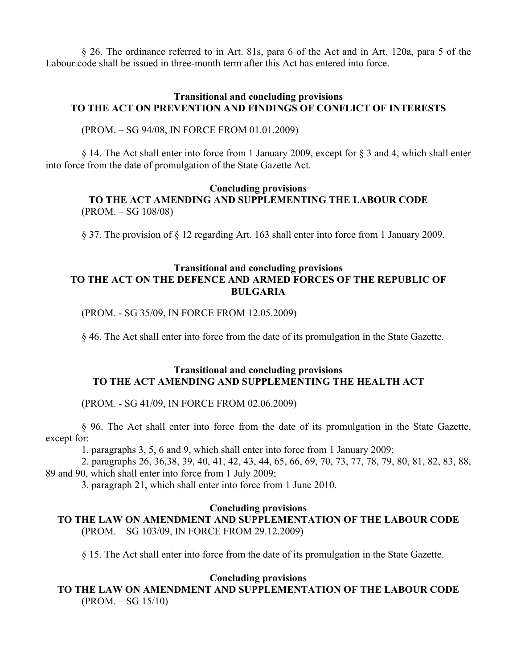§ 26. The ordinance referred to in Art. 81s, para 6 of the Act and in Art. 120a, para 5 of the Labour code shall be issued in three-month term after this Act has entered into force.

### **Transitional and concluding provisions TO THE ACT ON PREVENTION AND FINDINGS OF CONFLICT OF INTERESTS**

(PROM. – SG 94/08, IN FORCE FROM 01.01.2009)

§ 14. The Act shall enter into force from 1 January 2009, except for § 3 and 4, which shall enter into force from the date of promulgation of the State Gazette Act.

### **Concluding provisions TO THE ACT AMENDING AND SUPPLEMENTING THE LABOUR CODE** (PROM. – SG 108/08)

§ 37. The provision of § 12 regarding Art. 163 shall enter into force from 1 January 2009.

### **Transitional and concluding provisions TO THE ACT ON THE DEFENCE AND ARMED FORCES OF THE REPUBLIC OF BULGARIA**

(PROM. - SG 35/09, IN FORCE FROM 12.05.2009)

§ 46. The Act shall enter into force from the date of its promulgation in the State Gazette.

### **Transitional and concluding provisions TO THE ACT AMENDING AND SUPPLEMENTING THE HEALTH ACT**

(PROM. - SG 41/09, IN FORCE FROM 02.06.2009)

§ 96. The Act shall enter into force from the date of its promulgation in the State Gazette, except for:

1. paragraphs 3, 5, 6 and 9, which shall enter into force from 1 January 2009;

2. paragraphs 26, 36,38, 39, 40, 41, 42, 43, 44, 65, 66, 69, 70, 73, 77, 78, 79, 80, 81, 82, 83, 88, 89 and 90, which shall enter into force from 1 July 2009;

3. paragraph 21, which shall enter into force from 1 June 2010.

#### **Concluding provisions**

**TO THE LAW ON AMENDMENT AND SUPPLEMENTATION OF THE LABOUR CODE** (PROM. – SG 103/09, IN FORCE FROM 29.12.2009)

§ 15. The Act shall enter into force from the date of its promulgation in the State Gazette.

### **Concluding provisions**

**TO THE LAW ON AMENDMENT AND SUPPLEMENTATION OF THE LABOUR CODE**  $(PROM. – SG 15/10)$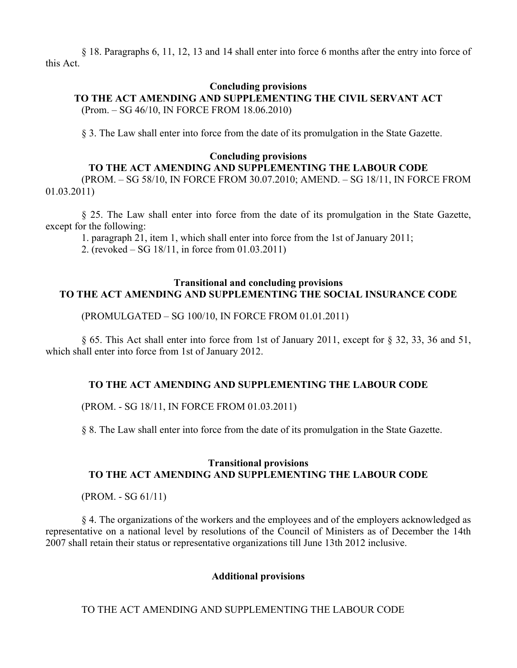§ 18. Paragraphs 6, 11, 12, 13 and 14 shall enter into force 6 months after the entry into force of this Act.

#### **Concluding provisions**

### **TO THE ACT AMENDING AND SUPPLEMENTING THE CIVIL SERVANT ACT** (Prom. – SG 46/10, IN FORCE FROM 18.06.2010)

§ 3. The Law shall enter into force from the date of its promulgation in the State Gazette.

#### **Concluding provisions**

#### **TO THE ACT AMENDING AND SUPPLEMENTING THE LABOUR CODE**

(PROM. – SG 58/10, IN FORCE FROM 30.07.2010; AMEND. – SG 18/11, IN FORCE FROM 01.03.2011)

§ 25. The Law shall enter into force from the date of its promulgation in the State Gazette, except for the following:

1. paragraph 21, item 1, which shall enter into force from the 1st of January 2011;

2. (revoked – SG 18/11, in force from 01.03.2011)

### **Transitional and concluding provisions TO THE ACT AMENDING AND SUPPLEMENTING THE SOCIAL INSURANCE CODE**

(PROMULGATED – SG 100/10, IN FORCE FROM 01.01.2011)

§ 65. This Act shall enter into force from 1st of January 2011, except for § 32, 33, 36 and 51, which shall enter into force from 1st of January 2012.

#### **TO THE ACT AMENDING AND SUPPLEMENTING THE LABOUR CODE**

(PROM. - SG 18/11, IN FORCE FROM 01.03.2011)

§ 8. The Law shall enter into force from the date of its promulgation in the State Gazette.

#### **Transitional provisions TO THE ACT AMENDING AND SUPPLEMENTING THE LABOUR CODE**

(PROM. - SG 61/11)

§ 4. The organizations of the workers and the employees and of the employers acknowledged as representative on a national level by resolutions of the Council of Ministers as of December the 14th 2007 shall retain their status or representative organizations till June 13th 2012 inclusive.

#### **Additional provisions**

TO THE ACT AMENDING AND SUPPLEMENTING THE LABOUR CODE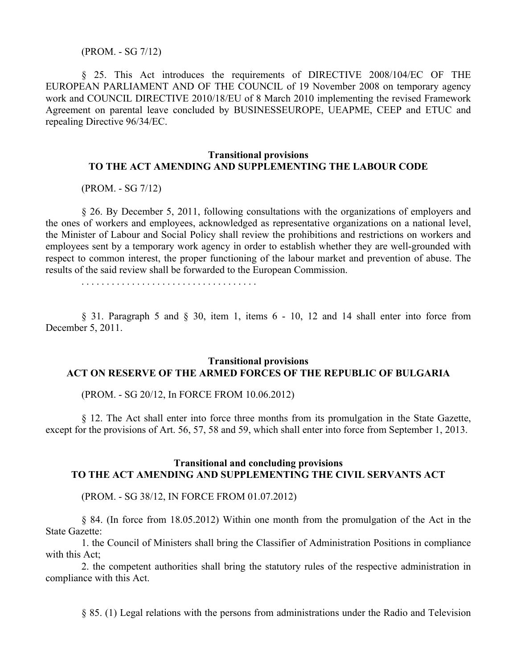(PROM. - SG 7/12)

§ 25. This Act introduces the requirements of DIRECTIVE 2008/104/EC OF THE EUROPEAN PARLIAMENT AND OF THE COUNCIL of 19 November 2008 on temporary agency work and COUNCIL DIRECTIVE 2010/18/EU of 8 March 2010 implementing the revised Framework Agreement on parental leave concluded by BUSINESSEUROPE, UEAPME, CEEP and ETUC and repealing Directive 96/34/EC.

### **Transitional provisions TO THE ACT AMENDING AND SUPPLEMENTING THE LABOUR CODE**

(PROM. - SG 7/12)

§ 26. By December 5, 2011, following consultations with the organizations of employers and the ones of workers and employees, acknowledged as representative organizations on a national level, the Minister of Labour and Social Policy shall review the prohibitions and restrictions on workers and employees sent by a temporary work agency in order to establish whether they are well-grounded with respect to common interest, the proper functioning of the labour market and prevention of abuse. The results of the said review shall be forwarded to the European Commission.

. . . . . . . . . . . . . . . . . . . . . . . . . . . . . . . . . . .

§ 31. Paragraph 5 and § 30, item 1, items 6 - 10, 12 and 14 shall enter into force from December 5, 2011.

### **Transitional provisions ACT ON RESERVE OF THE ARMED FORCES OF THE REPUBLIC OF BULGARIA**

(PROM. - SG 20/12, In FORCE FROM 10.06.2012)

§ 12. The Act shall enter into force three months from its promulgation in the State Gazette, except for the provisions of Art. 56, 57, 58 and 59, which shall enter into force from September 1, 2013.

#### **Transitional and concluding provisions TO THE ACT AMENDING AND SUPPLEMENTING THE CIVIL SERVANTS ACT**

(PROM. - SG 38/12, IN FORCE FROM 01.07.2012)

§ 84. (In force from 18.05.2012) Within one month from the promulgation of the Act in the State Gazette:

1. the Council of Ministers shall bring the Classifier of Administration Positions in compliance with this Act:

2. the competent authorities shall bring the statutory rules of the respective administration in compliance with this Act.

§ 85. (1) Legal relations with the persons from administrations under the Radio and Television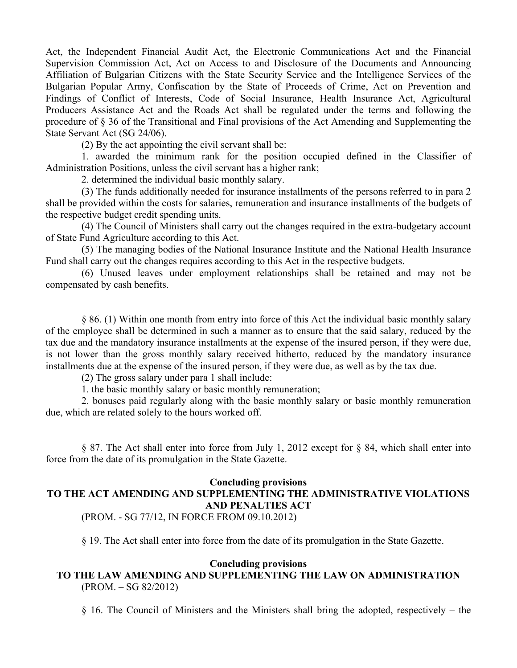Act, the Independent Financial Audit Act, the Electronic Communications Act and the Financial Supervision Commission Act, Act on Access to and Disclosure of the Documents and Announcing Affiliation of Bulgarian Citizens with the State Security Service and the Intelligence Services of the Bulgarian Popular Army, Confiscation by the State of Proceeds of Crime, Act on Prevention and Findings of Conflict of Interests, Code of Social Insurance, Health Insurance Act, Agricultural Producers Assistance Act and the Roads Act shall be regulated under the terms and following the procedure of § 36 of the Transitional and Final provisions of the Act Amending and Supplementing the State Servant Act (SG 24/06).

(2) By the act appointing the civil servant shall be:

1. awarded the minimum rank for the position occupied defined in the Classifier of Administration Positions, unless the civil servant has a higher rank;

2. determined the individual basic monthly salary.

(3) The funds additionally needed for insurance installments of the persons referred to in para 2 shall be provided within the costs for salaries, remuneration and insurance installments of the budgets of the respective budget credit spending units.

(4) The Council of Ministers shall carry out the changes required in the extra-budgetary account of State Fund Agriculture according to this Act.

(5) The managing bodies of the National Insurance Institute and the National Health Insurance Fund shall carry out the changes requires according to this Act in the respective budgets.

(6) Unused leaves under employment relationships shall be retained and may not be compensated by cash benefits.

§ 86. (1) Within one month from entry into force of this Act the individual basic monthly salary of the employee shall be determined in such a manner as to ensure that the said salary, reduced by the tax due and the mandatory insurance installments at the expense of the insured person, if they were due, is not lower than the gross monthly salary received hitherto, reduced by the mandatory insurance installments due at the expense of the insured person, if they were due, as well as by the tax due.

(2) The gross salary under para 1 shall include:

1. the basic monthly salary or basic monthly remuneration;

2. bonuses paid regularly along with the basic monthly salary or basic monthly remuneration due, which are related solely to the hours worked off.

§ 87. The Act shall enter into force from July 1, 2012 except for § 84, which shall enter into force from the date of its promulgation in the State Gazette.

### **Concluding provisions**

# **TO THE ACT AMENDING AND SUPPLEMENTING THE ADMINISTRATIVE VIOLATIONS AND PENALTIES ACT**

(PROM. - SG 77/12, IN FORCE FROM 09.10.2012)

§ 19. The Act shall enter into force from the date of its promulgation in the State Gazette.

#### **Concluding provisions**

# **TO THE LAW AMENDING AND SUPPLEMENTING THE LAW ON ADMINISTRATION** (PROM. – SG 82/2012)

§ 16. The Council of Ministers and the Ministers shall bring the adopted, respectively – the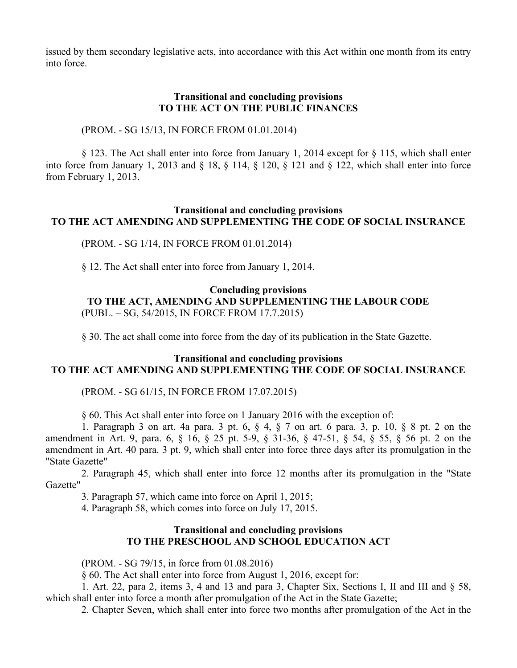issued by them secondary legislative acts, into accordance with this Act within one month from its entry into force.

### **Transitional and concluding provisions TO THE ACT ON THE PUBLIC FINANCES**

(PROM. - SG 15/13, IN FORCE FROM 01.01.2014)

§ 123. The Act shall enter into force from January 1, 2014 except for § 115, which shall enter into force from January 1, 2013 and § 18, § 114, § 120, § 121 and § 122, which shall enter into force from February 1, 2013.

### **Transitional and concluding provisions TO THE ACT AMENDING AND SUPPLEMENTING THE CODE OF SOCIAL INSURANCE**

(PROM. - SG 1/14, IN FORCE FROM 01.01.2014)

§ 12. The Act shall enter into force from January 1, 2014.

### **Concluding provisions TO THE ACT, AMENDING AND SUPPLEMENTING THE LABOUR CODE** (PUBL. – SG, 54/2015, IN FORCE FROM 17.7.2015)

§ 30. The act shall come into force from the day of its publication in the State Gazette.

### **Transitional and concluding provisions TO THE ACT AMENDING AND SUPPLEMENTING THE CODE OF SOCIAL INSURANCE**

(PROM. - SG 61/15, IN FORCE FROM 17.07.2015)

§ 60. This Act shall enter into force on 1 January 2016 with the exception of:

1. Paragraph 3 on art. 4a para. 3 pt. 6, § 4, § 7 on art. 6 para. 3, p. 10, § 8 pt. 2 on the amendment in Art. 9, para. 6, § 16, § 25 pt. 5-9, § 31-36, § 47-51, § 54, § 55, § 56 pt. 2 on the amendment in Art. 40 para. 3 pt. 9, which shall enter into force three days after its promulgation in the "State Gazette"

2. Paragraph 45, which shall enter into force 12 months after its promulgation in the "State Gazette"

3. Paragraph 57, which came into force on April 1, 2015;

4. Paragraph 58, which comes into force on July 17, 2015.

### **Transitional and concluding provisions TO THE PRESCHOOL AND SCHOOL EDUCATION ACT**

(PROM. - SG 79/15, in force from 01.08.2016)

§ 60. The Act shall enter into force from August 1, 2016, except for:

1. Art. 22, para 2, items 3, 4 and 13 and para 3, Chapter Six, Sections I, II and III and § 58, which shall enter into force a month after promulgation of the Act in the State Gazette;

2. Chapter Seven, which shall enter into force two months after promulgation of the Act in the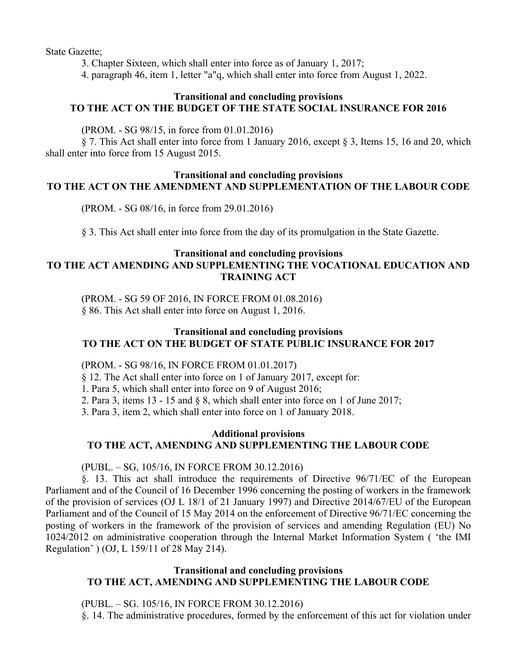State Gazette;

3. Chapter Sixteen, which shall enter into force as of January 1, 2017;

4. paragraph 46, item 1, letter "a"q, which shall enter into force from August 1, 2022.

### **Transitional and concluding provisions TO THE ACT ON THE BUDGET OF THE STATE SOCIAL INSURANCE FOR 2016**

(PROM. - SG 98/15, in force from 01.01.2016)

§ 7. This Act shall enter into force from 1 January 2016, except § 3, Items 15, 16 and 20, which shall enter into force from 15 August 2015.

# **Transitional and concluding provisions TO THE ACT ON THE AMENDMENT AND SUPPLEMENTATION OF THE LABOUR CODE**

(PROM. - SG 08/16, in force from 29.01.2016)

§ 3. This Act shall enter into force from the day of its promulgation in the State Gazette.

# **Transitional and concluding provisions TO THE ACT AMENDING AND SUPPLEMENTING THE VOCATIONAL EDUCATION AND TRAINING ACT**

(PROM. - SG 59 OF 2016, IN FORCE FROM 01.08.2016) § 86. This Act shall enter into force on August 1, 2016.

# **Transitional and concluding provisions TO THE ACT ON THE BUDGET OF STATE PUBLIC INSURANCE FOR 2017**

# (PROM. - SG 98/16, IN FORCE FROM 01.01.2017)

§ 12. The Act shall enter into force on 1 of January 2017, except for:

1. Para 5, which shall enter into force on 9 of August 2016;

2. Para 3, items 13 - 15 and § 8, which shall enter into force on 1 of June 2017;

3. Para 3, item 2, which shall enter into force on 1 of January 2018.

# **Additional provisions TO THE ACT, AMENDING AND SUPPLEMENTING THE LABOUR CODE**

(PUBL. – SG, 105/16, IN FORCE FROM 30.12.2016)

§. 13. This act shall introduce the requirements of Directive 96/71/EC of the European Parliament and of the Council of 16 December 1996 concerning the posting of workers in the framework of the provision of services (OJ L 18/1 of 21 January 1997) and Directive 2014/67/EU of the European Parliament and of the Council of 15 May 2014 on the enforcement of Directive 96/71/EC concerning the posting of workers in the framework of the provision of services and amending Regulation (EU) No 1024/2012 on administrative cooperation through the Internal Market Information System ( 'the IMI Regulation' ) (OJ, L 159/11 of 28 May 214).

# **Transitional and concluding provisions TO THE ACT, AMENDING AND SUPPLEMENTING THE LABOUR CODE**

(PUBL. – SG. 105/16, IN FORCE FROM 30.12.2016)

§. 14. The administrative procedures, formed by the enforcement of this act for violation under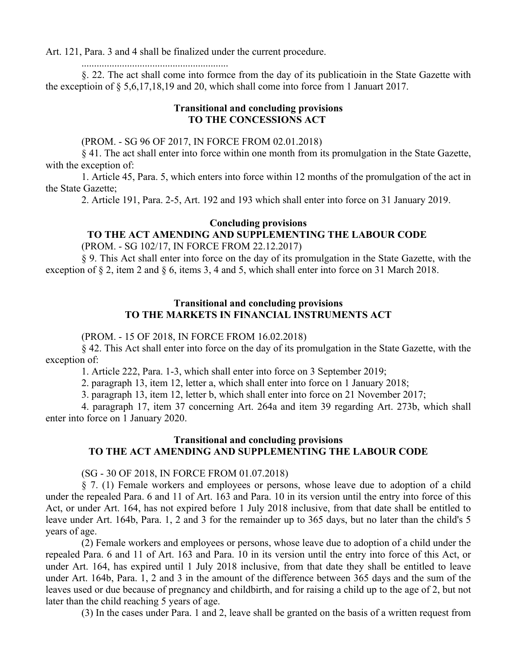Art. 121, Para. 3 and 4 shall be finalized under the current procedure.

..........................................................

§. 22. The act shall come into formce from the day of its publicatioin in the State Gazette with the exceptioin of § 5,6,17,18,19 and 20, which shall come into force from 1 Januart 2017.

#### **Transitional and concluding provisions TO THE CONCESSIONS ACT**

(PROM. - SG 96 OF 2017, IN FORCE FROM 02.01.2018)

§ 41. The act shall enter into force within one month from its promulgation in the State Gazette, with the exception of:

1. Article 45, Para. 5, which enters into force within 12 months of the promulgation of the act in the State Gazette;

2. Article 191, Para. 2-5, Art. 192 and 193 which shall enter into force on 31 January 2019.

### **Concluding provisions**

# **TO THE ACT AMENDING AND SUPPLEMENTING THE LABOUR CODE**

(PROM. - SG 102/17, IN FORCE FROM 22.12.2017)

§ 9. This Act shall enter into force on the day of its promulgation in the State Gazette, with the exception of § 2, item 2 and § 6, items 3, 4 and 5, which shall enter into force on 31 March 2018.

### **Transitional and concluding provisions TO THE MARKETS IN FINANCIAL INSTRUMENTS ACT**

### (PROM. - 15 OF 2018, IN FORCE FROM 16.02.2018)

§ 42. This Act shall enter into force on the day of its promulgation in the State Gazette, with the exception of:

1. Article 222, Para. 1-3, which shall enter into force on 3 September 2019;

2. paragraph 13, item 12, letter a, which shall enter into force on 1 January 2018;

3. paragraph 13, item 12, letter b, which shall enter into force on 21 November 2017;

4. paragraph 17, item 37 concerning Art. 264a and item 39 regarding Art. 273b, which shall enter into force on 1 January 2020.

# **Transitional and concluding provisions TO THE ACT AMENDING AND SUPPLEMENTING THE LABOUR CODE**

(SG - 30 OF 2018, IN FORCE FROM 01.07.2018)

§ 7. (1) Female workers and employees or persons, whose leave due to adoption of a child under the repealed Para. 6 and 11 of Art. 163 and Para. 10 in its version until the entry into force of this Act, or under Art. 164, has not expired before 1 July 2018 inclusive, from that date shall be entitled to leave under Art. 164b, Para. 1, 2 and 3 for the remainder up to 365 days, but no later than the child's 5 years of age.

(2) Female workers and employees or persons, whose leave due to adoption of a child under the repealed Para. 6 and 11 of Art. 163 and Para. 10 in its version until the entry into force of this Act, or under Art. 164, has expired until 1 July 2018 inclusive, from that date they shall be entitled to leave under Art. 164b, Para. 1, 2 and 3 in the amount of the difference between 365 days and the sum of the leaves used or due because of pregnancy and childbirth, and for raising a child up to the age of 2, but not later than the child reaching 5 years of age.

(3) In the cases under Para. 1 and 2, leave shall be granted on the basis of a written request from